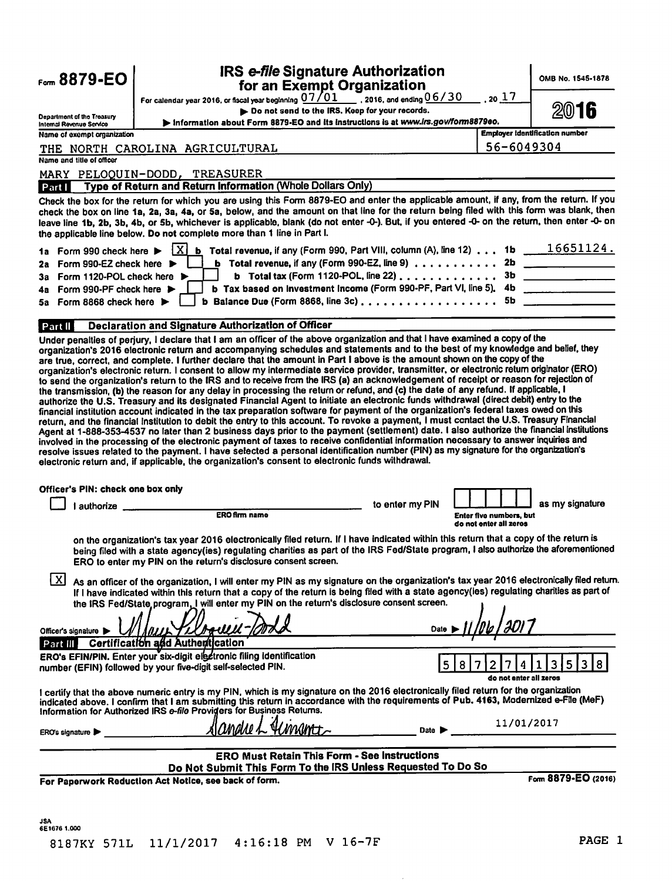| Form 8879-EO                                                                                                                                                                                                                                                                                                                                                                                                                                                                                                                                                                                                                                                                                                                                                                                                                                                                                                                                                                                                                                                                                                                                                                                                                                                                                                                                                                                                                                                                                                                                                                                                                                                                                                                                                                                                                                                                                                                                                                                                                                                                                                                                                                                                                                                                                                                                                                                                                                                                                                                                                                                                                                                                                                                                                                                                                                                                                                                                                                                                                                                                                                                                                                                                                                                                                                                                                                                                                                                                                                                                                | <b>IRS e-file Signature Authorization</b>                                                                                                                                                                                                                                                                                                                                                                                                                                                                                                                                                                                                                                                                                                                                                                                                                                                                                                                                                                                                                                                                                                                                                                                                                                                                                                                  |       | OMB No. 1545-1878 |
|-------------------------------------------------------------------------------------------------------------------------------------------------------------------------------------------------------------------------------------------------------------------------------------------------------------------------------------------------------------------------------------------------------------------------------------------------------------------------------------------------------------------------------------------------------------------------------------------------------------------------------------------------------------------------------------------------------------------------------------------------------------------------------------------------------------------------------------------------------------------------------------------------------------------------------------------------------------------------------------------------------------------------------------------------------------------------------------------------------------------------------------------------------------------------------------------------------------------------------------------------------------------------------------------------------------------------------------------------------------------------------------------------------------------------------------------------------------------------------------------------------------------------------------------------------------------------------------------------------------------------------------------------------------------------------------------------------------------------------------------------------------------------------------------------------------------------------------------------------------------------------------------------------------------------------------------------------------------------------------------------------------------------------------------------------------------------------------------------------------------------------------------------------------------------------------------------------------------------------------------------------------------------------------------------------------------------------------------------------------------------------------------------------------------------------------------------------------------------------------------------------------------------------------------------------------------------------------------------------------------------------------------------------------------------------------------------------------------------------------------------------------------------------------------------------------------------------------------------------------------------------------------------------------------------------------------------------------------------------------------------------------------------------------------------------------------------------------------------------------------------------------------------------------------------------------------------------------------------------------------------------------------------------------------------------------------------------------------------------------------------------------------------------------------------------------------------------------------------------------------------------------------------------------------------------------|------------------------------------------------------------------------------------------------------------------------------------------------------------------------------------------------------------------------------------------------------------------------------------------------------------------------------------------------------------------------------------------------------------------------------------------------------------------------------------------------------------------------------------------------------------------------------------------------------------------------------------------------------------------------------------------------------------------------------------------------------------------------------------------------------------------------------------------------------------------------------------------------------------------------------------------------------------------------------------------------------------------------------------------------------------------------------------------------------------------------------------------------------------------------------------------------------------------------------------------------------------------------------------------------------------------------------------------------------------|-------|-------------------|
|                                                                                                                                                                                                                                                                                                                                                                                                                                                                                                                                                                                                                                                                                                                                                                                                                                                                                                                                                                                                                                                                                                                                                                                                                                                                                                                                                                                                                                                                                                                                                                                                                                                                                                                                                                                                                                                                                                                                                                                                                                                                                                                                                                                                                                                                                                                                                                                                                                                                                                                                                                                                                                                                                                                                                                                                                                                                                                                                                                                                                                                                                                                                                                                                                                                                                                                                                                                                                                                                                                                                                             |                                                                                                                                                                                                                                                                                                                                                                                                                                                                                                                                                                                                                                                                                                                                                                                                                                                                                                                                                                                                                                                                                                                                                                                                                                                                                                                                                            | .2017 |                   |
| Department of the Treasury                                                                                                                                                                                                                                                                                                                                                                                                                                                                                                                                                                                                                                                                                                                                                                                                                                                                                                                                                                                                                                                                                                                                                                                                                                                                                                                                                                                                                                                                                                                                                                                                                                                                                                                                                                                                                                                                                                                                                                                                                                                                                                                                                                                                                                                                                                                                                                                                                                                                                                                                                                                                                                                                                                                                                                                                                                                                                                                                                                                                                                                                                                                                                                                                                                                                                                                                                                                                                                                                                                                                  | Do not send to the IRS. Keep for your records.                                                                                                                                                                                                                                                                                                                                                                                                                                                                                                                                                                                                                                                                                                                                                                                                                                                                                                                                                                                                                                                                                                                                                                                                                                                                                                             |       | 2016              |
| Internal Revenue Service                                                                                                                                                                                                                                                                                                                                                                                                                                                                                                                                                                                                                                                                                                                                                                                                                                                                                                                                                                                                                                                                                                                                                                                                                                                                                                                                                                                                                                                                                                                                                                                                                                                                                                                                                                                                                                                                                                                                                                                                                                                                                                                                                                                                                                                                                                                                                                                                                                                                                                                                                                                                                                                                                                                                                                                                                                                                                                                                                                                                                                                                                                                                                                                                                                                                                                                                                                                                                                                                                                                                    |                                                                                                                                                                                                                                                                                                                                                                                                                                                                                                                                                                                                                                                                                                                                                                                                                                                                                                                                                                                                                                                                                                                                                                                                                                                                                                                                                            |       |                   |
|                                                                                                                                                                                                                                                                                                                                                                                                                                                                                                                                                                                                                                                                                                                                                                                                                                                                                                                                                                                                                                                                                                                                                                                                                                                                                                                                                                                                                                                                                                                                                                                                                                                                                                                                                                                                                                                                                                                                                                                                                                                                                                                                                                                                                                                                                                                                                                                                                                                                                                                                                                                                                                                                                                                                                                                                                                                                                                                                                                                                                                                                                                                                                                                                                                                                                                                                                                                                                                                                                                                                                             |                                                                                                                                                                                                                                                                                                                                                                                                                                                                                                                                                                                                                                                                                                                                                                                                                                                                                                                                                                                                                                                                                                                                                                                                                                                                                                                                                            |       |                   |
| Name and title of officer                                                                                                                                                                                                                                                                                                                                                                                                                                                                                                                                                                                                                                                                                                                                                                                                                                                                                                                                                                                                                                                                                                                                                                                                                                                                                                                                                                                                                                                                                                                                                                                                                                                                                                                                                                                                                                                                                                                                                                                                                                                                                                                                                                                                                                                                                                                                                                                                                                                                                                                                                                                                                                                                                                                                                                                                                                                                                                                                                                                                                                                                                                                                                                                                                                                                                                                                                                                                                                                                                                                                   |                                                                                                                                                                                                                                                                                                                                                                                                                                                                                                                                                                                                                                                                                                                                                                                                                                                                                                                                                                                                                                                                                                                                                                                                                                                                                                                                                            |       |                   |
|                                                                                                                                                                                                                                                                                                                                                                                                                                                                                                                                                                                                                                                                                                                                                                                                                                                                                                                                                                                                                                                                                                                                                                                                                                                                                                                                                                                                                                                                                                                                                                                                                                                                                                                                                                                                                                                                                                                                                                                                                                                                                                                                                                                                                                                                                                                                                                                                                                                                                                                                                                                                                                                                                                                                                                                                                                                                                                                                                                                                                                                                                                                                                                                                                                                                                                                                                                                                                                                                                                                                                             |                                                                                                                                                                                                                                                                                                                                                                                                                                                                                                                                                                                                                                                                                                                                                                                                                                                                                                                                                                                                                                                                                                                                                                                                                                                                                                                                                            |       |                   |
| Part I                                                                                                                                                                                                                                                                                                                                                                                                                                                                                                                                                                                                                                                                                                                                                                                                                                                                                                                                                                                                                                                                                                                                                                                                                                                                                                                                                                                                                                                                                                                                                                                                                                                                                                                                                                                                                                                                                                                                                                                                                                                                                                                                                                                                                                                                                                                                                                                                                                                                                                                                                                                                                                                                                                                                                                                                                                                                                                                                                                                                                                                                                                                                                                                                                                                                                                                                                                                                                                                                                                                                                      |                                                                                                                                                                                                                                                                                                                                                                                                                                                                                                                                                                                                                                                                                                                                                                                                                                                                                                                                                                                                                                                                                                                                                                                                                                                                                                                                                            |       |                   |
|                                                                                                                                                                                                                                                                                                                                                                                                                                                                                                                                                                                                                                                                                                                                                                                                                                                                                                                                                                                                                                                                                                                                                                                                                                                                                                                                                                                                                                                                                                                                                                                                                                                                                                                                                                                                                                                                                                                                                                                                                                                                                                                                                                                                                                                                                                                                                                                                                                                                                                                                                                                                                                                                                                                                                                                                                                                                                                                                                                                                                                                                                                                                                                                                                                                                                                                                                                                                                                                                                                                                                             |                                                                                                                                                                                                                                                                                                                                                                                                                                                                                                                                                                                                                                                                                                                                                                                                                                                                                                                                                                                                                                                                                                                                                                                                                                                                                                                                                            |       |                   |
| 2a -                                                                                                                                                                                                                                                                                                                                                                                                                                                                                                                                                                                                                                                                                                                                                                                                                                                                                                                                                                                                                                                                                                                                                                                                                                                                                                                                                                                                                                                                                                                                                                                                                                                                                                                                                                                                                                                                                                                                                                                                                                                                                                                                                                                                                                                                                                                                                                                                                                                                                                                                                                                                                                                                                                                                                                                                                                                                                                                                                                                                                                                                                                                                                                                                                                                                                                                                                                                                                                                                                                                                                        | X                                                                                                                                                                                                                                                                                                                                                                                                                                                                                                                                                                                                                                                                                                                                                                                                                                                                                                                                                                                                                                                                                                                                                                                                                                                                                                                                                          |       |                   |
| 3a                                                                                                                                                                                                                                                                                                                                                                                                                                                                                                                                                                                                                                                                                                                                                                                                                                                                                                                                                                                                                                                                                                                                                                                                                                                                                                                                                                                                                                                                                                                                                                                                                                                                                                                                                                                                                                                                                                                                                                                                                                                                                                                                                                                                                                                                                                                                                                                                                                                                                                                                                                                                                                                                                                                                                                                                                                                                                                                                                                                                                                                                                                                                                                                                                                                                                                                                                                                                                                                                                                                                                          |                                                                                                                                                                                                                                                                                                                                                                                                                                                                                                                                                                                                                                                                                                                                                                                                                                                                                                                                                                                                                                                                                                                                                                                                                                                                                                                                                            |       |                   |
| 4а                                                                                                                                                                                                                                                                                                                                                                                                                                                                                                                                                                                                                                                                                                                                                                                                                                                                                                                                                                                                                                                                                                                                                                                                                                                                                                                                                                                                                                                                                                                                                                                                                                                                                                                                                                                                                                                                                                                                                                                                                                                                                                                                                                                                                                                                                                                                                                                                                                                                                                                                                                                                                                                                                                                                                                                                                                                                                                                                                                                                                                                                                                                                                                                                                                                                                                                                                                                                                                                                                                                                                          |                                                                                                                                                                                                                                                                                                                                                                                                                                                                                                                                                                                                                                                                                                                                                                                                                                                                                                                                                                                                                                                                                                                                                                                                                                                                                                                                                            |       |                   |
|                                                                                                                                                                                                                                                                                                                                                                                                                                                                                                                                                                                                                                                                                                                                                                                                                                                                                                                                                                                                                                                                                                                                                                                                                                                                                                                                                                                                                                                                                                                                                                                                                                                                                                                                                                                                                                                                                                                                                                                                                                                                                                                                                                                                                                                                                                                                                                                                                                                                                                                                                                                                                                                                                                                                                                                                                                                                                                                                                                                                                                                                                                                                                                                                                                                                                                                                                                                                                                                                                                                                                             |                                                                                                                                                                                                                                                                                                                                                                                                                                                                                                                                                                                                                                                                                                                                                                                                                                                                                                                                                                                                                                                                                                                                                                                                                                                                                                                                                            |       |                   |
|                                                                                                                                                                                                                                                                                                                                                                                                                                                                                                                                                                                                                                                                                                                                                                                                                                                                                                                                                                                                                                                                                                                                                                                                                                                                                                                                                                                                                                                                                                                                                                                                                                                                                                                                                                                                                                                                                                                                                                                                                                                                                                                                                                                                                                                                                                                                                                                                                                                                                                                                                                                                                                                                                                                                                                                                                                                                                                                                                                                                                                                                                                                                                                                                                                                                                                                                                                                                                                                                                                                                                             |                                                                                                                                                                                                                                                                                                                                                                                                                                                                                                                                                                                                                                                                                                                                                                                                                                                                                                                                                                                                                                                                                                                                                                                                                                                                                                                                                            |       |                   |
|                                                                                                                                                                                                                                                                                                                                                                                                                                                                                                                                                                                                                                                                                                                                                                                                                                                                                                                                                                                                                                                                                                                                                                                                                                                                                                                                                                                                                                                                                                                                                                                                                                                                                                                                                                                                                                                                                                                                                                                                                                                                                                                                                                                                                                                                                                                                                                                                                                                                                                                                                                                                                                                                                                                                                                                                                                                                                                                                                                                                                                                                                                                                                                                                                                                                                                                                                                                                                                                                                                                                                             | Information about Form 8879-EO and its instructions is at www.irs.gov/form8879eo.<br>56-6049304<br>Type of Return and Return Information (Whole Dollars Only)<br>b Total tax (Form 1120-POL, line 22) $\ldots$<br>b Tax based on Investment Income (Form 990-PF, Part VI, line 5). 4b<br>b Balance Due (Form 8868, line 3c) $\ldots$ , 5b<br>Declaration and Signature Authorization of Officer<br>to enter my PIN<br>ERO firm name<br>Enter five numbers, but<br>do not enter all zeros<br>on the organization's tax year 2016 electronically filed return. If I have indicated within this return that a copy of the return is<br>being filed with a state agency(ies) regulating charities as part of the IRS Fed/State program, I also authorize the aforementioned<br>As an officer of the organization, I will enter my PIN as my signature on the organization's tax year 2016 electronically filed return.<br>If I have indicated within this return that a copy of the return is being filed with a state agency(ies) regulating charities as part of<br><u> NUILYIXMAUUL</u><br>Date<br>Certification and Authentication<br>5<br>3<br>5<br>4<br>8<br>do not enter all zeros<br>11/01/2017<br>slandre L<br>Umant<br>Date ><br><b>ERO Must Retain This Form - See Instructions</b><br>Do Not Submit This Form To the IRS Unless Requested To Do So |       |                   |
|                                                                                                                                                                                                                                                                                                                                                                                                                                                                                                                                                                                                                                                                                                                                                                                                                                                                                                                                                                                                                                                                                                                                                                                                                                                                                                                                                                                                                                                                                                                                                                                                                                                                                                                                                                                                                                                                                                                                                                                                                                                                                                                                                                                                                                                                                                                                                                                                                                                                                                                                                                                                                                                                                                                                                                                                                                                                                                                                                                                                                                                                                                                                                                                                                                                                                                                                                                                                                                                                                                                                                             |                                                                                                                                                                                                                                                                                                                                                                                                                                                                                                                                                                                                                                                                                                                                                                                                                                                                                                                                                                                                                                                                                                                                                                                                                                                                                                                                                            |       |                   |
| I authorize                                                                                                                                                                                                                                                                                                                                                                                                                                                                                                                                                                                                                                                                                                                                                                                                                                                                                                                                                                                                                                                                                                                                                                                                                                                                                                                                                                                                                                                                                                                                                                                                                                                                                                                                                                                                                                                                                                                                                                                                                                                                                                                                                                                                                                                                                                                                                                                                                                                                                                                                                                                                                                                                                                                                                                                                                                                                                                                                                                                                                                                                                                                                                                                                                                                                                                                                                                                                                                                                                                                                                 |                                                                                                                                                                                                                                                                                                                                                                                                                                                                                                                                                                                                                                                                                                                                                                                                                                                                                                                                                                                                                                                                                                                                                                                                                                                                                                                                                            |       | as my signature   |
|                                                                                                                                                                                                                                                                                                                                                                                                                                                                                                                                                                                                                                                                                                                                                                                                                                                                                                                                                                                                                                                                                                                                                                                                                                                                                                                                                                                                                                                                                                                                                                                                                                                                                                                                                                                                                                                                                                                                                                                                                                                                                                                                                                                                                                                                                                                                                                                                                                                                                                                                                                                                                                                                                                                                                                                                                                                                                                                                                                                                                                                                                                                                                                                                                                                                                                                                                                                                                                                                                                                                                             |                                                                                                                                                                                                                                                                                                                                                                                                                                                                                                                                                                                                                                                                                                                                                                                                                                                                                                                                                                                                                                                                                                                                                                                                                                                                                                                                                            |       |                   |
|                                                                                                                                                                                                                                                                                                                                                                                                                                                                                                                                                                                                                                                                                                                                                                                                                                                                                                                                                                                                                                                                                                                                                                                                                                                                                                                                                                                                                                                                                                                                                                                                                                                                                                                                                                                                                                                                                                                                                                                                                                                                                                                                                                                                                                                                                                                                                                                                                                                                                                                                                                                                                                                                                                                                                                                                                                                                                                                                                                                                                                                                                                                                                                                                                                                                                                                                                                                                                                                                                                                                                             |                                                                                                                                                                                                                                                                                                                                                                                                                                                                                                                                                                                                                                                                                                                                                                                                                                                                                                                                                                                                                                                                                                                                                                                                                                                                                                                                                            |       |                   |
|                                                                                                                                                                                                                                                                                                                                                                                                                                                                                                                                                                                                                                                                                                                                                                                                                                                                                                                                                                                                                                                                                                                                                                                                                                                                                                                                                                                                                                                                                                                                                                                                                                                                                                                                                                                                                                                                                                                                                                                                                                                                                                                                                                                                                                                                                                                                                                                                                                                                                                                                                                                                                                                                                                                                                                                                                                                                                                                                                                                                                                                                                                                                                                                                                                                                                                                                                                                                                                                                                                                                                             |                                                                                                                                                                                                                                                                                                                                                                                                                                                                                                                                                                                                                                                                                                                                                                                                                                                                                                                                                                                                                                                                                                                                                                                                                                                                                                                                                            |       |                   |
|                                                                                                                                                                                                                                                                                                                                                                                                                                                                                                                                                                                                                                                                                                                                                                                                                                                                                                                                                                                                                                                                                                                                                                                                                                                                                                                                                                                                                                                                                                                                                                                                                                                                                                                                                                                                                                                                                                                                                                                                                                                                                                                                                                                                                                                                                                                                                                                                                                                                                                                                                                                                                                                                                                                                                                                                                                                                                                                                                                                                                                                                                                                                                                                                                                                                                                                                                                                                                                                                                                                                                             |                                                                                                                                                                                                                                                                                                                                                                                                                                                                                                                                                                                                                                                                                                                                                                                                                                                                                                                                                                                                                                                                                                                                                                                                                                                                                                                                                            |       |                   |
|                                                                                                                                                                                                                                                                                                                                                                                                                                                                                                                                                                                                                                                                                                                                                                                                                                                                                                                                                                                                                                                                                                                                                                                                                                                                                                                                                                                                                                                                                                                                                                                                                                                                                                                                                                                                                                                                                                                                                                                                                                                                                                                                                                                                                                                                                                                                                                                                                                                                                                                                                                                                                                                                                                                                                                                                                                                                                                                                                                                                                                                                                                                                                                                                                                                                                                                                                                                                                                                                                                                                                             |                                                                                                                                                                                                                                                                                                                                                                                                                                                                                                                                                                                                                                                                                                                                                                                                                                                                                                                                                                                                                                                                                                                                                                                                                                                                                                                                                            |       |                   |
|                                                                                                                                                                                                                                                                                                                                                                                                                                                                                                                                                                                                                                                                                                                                                                                                                                                                                                                                                                                                                                                                                                                                                                                                                                                                                                                                                                                                                                                                                                                                                                                                                                                                                                                                                                                                                                                                                                                                                                                                                                                                                                                                                                                                                                                                                                                                                                                                                                                                                                                                                                                                                                                                                                                                                                                                                                                                                                                                                                                                                                                                                                                                                                                                                                                                                                                                                                                                                                                                                                                                                             |                                                                                                                                                                                                                                                                                                                                                                                                                                                                                                                                                                                                                                                                                                                                                                                                                                                                                                                                                                                                                                                                                                                                                                                                                                                                                                                                                            |       |                   |
|                                                                                                                                                                                                                                                                                                                                                                                                                                                                                                                                                                                                                                                                                                                                                                                                                                                                                                                                                                                                                                                                                                                                                                                                                                                                                                                                                                                                                                                                                                                                                                                                                                                                                                                                                                                                                                                                                                                                                                                                                                                                                                                                                                                                                                                                                                                                                                                                                                                                                                                                                                                                                                                                                                                                                                                                                                                                                                                                                                                                                                                                                                                                                                                                                                                                                                                                                                                                                                                                                                                                                             |                                                                                                                                                                                                                                                                                                                                                                                                                                                                                                                                                                                                                                                                                                                                                                                                                                                                                                                                                                                                                                                                                                                                                                                                                                                                                                                                                            |       | 8<br>3            |
|                                                                                                                                                                                                                                                                                                                                                                                                                                                                                                                                                                                                                                                                                                                                                                                                                                                                                                                                                                                                                                                                                                                                                                                                                                                                                                                                                                                                                                                                                                                                                                                                                                                                                                                                                                                                                                                                                                                                                                                                                                                                                                                                                                                                                                                                                                                                                                                                                                                                                                                                                                                                                                                                                                                                                                                                                                                                                                                                                                                                                                                                                                                                                                                                                                                                                                                                                                                                                                                                                                                                                             |                                                                                                                                                                                                                                                                                                                                                                                                                                                                                                                                                                                                                                                                                                                                                                                                                                                                                                                                                                                                                                                                                                                                                                                                                                                                                                                                                            |       |                   |
| ERO's signature                                                                                                                                                                                                                                                                                                                                                                                                                                                                                                                                                                                                                                                                                                                                                                                                                                                                                                                                                                                                                                                                                                                                                                                                                                                                                                                                                                                                                                                                                                                                                                                                                                                                                                                                                                                                                                                                                                                                                                                                                                                                                                                                                                                                                                                                                                                                                                                                                                                                                                                                                                                                                                                                                                                                                                                                                                                                                                                                                                                                                                                                                                                                                                                                                                                                                                                                                                                                                                                                                                                                             |                                                                                                                                                                                                                                                                                                                                                                                                                                                                                                                                                                                                                                                                                                                                                                                                                                                                                                                                                                                                                                                                                                                                                                                                                                                                                                                                                            |       |                   |
|                                                                                                                                                                                                                                                                                                                                                                                                                                                                                                                                                                                                                                                                                                                                                                                                                                                                                                                                                                                                                                                                                                                                                                                                                                                                                                                                                                                                                                                                                                                                                                                                                                                                                                                                                                                                                                                                                                                                                                                                                                                                                                                                                                                                                                                                                                                                                                                                                                                                                                                                                                                                                                                                                                                                                                                                                                                                                                                                                                                                                                                                                                                                                                                                                                                                                                                                                                                                                                                                                                                                                             |                                                                                                                                                                                                                                                                                                                                                                                                                                                                                                                                                                                                                                                                                                                                                                                                                                                                                                                                                                                                                                                                                                                                                                                                                                                                                                                                                            |       |                   |
|                                                                                                                                                                                                                                                                                                                                                                                                                                                                                                                                                                                                                                                                                                                                                                                                                                                                                                                                                                                                                                                                                                                                                                                                                                                                                                                                                                                                                                                                                                                                                                                                                                                                                                                                                                                                                                                                                                                                                                                                                                                                                                                                                                                                                                                                                                                                                                                                                                                                                                                                                                                                                                                                                                                                                                                                                                                                                                                                                                                                                                                                                                                                                                                                                                                                                                                                                                                                                                                                                                                                                             | for an Exempt Organization<br>Employer identification number<br><b>b</b> Total revenue, if any (Form 990, Part VIII, column (A), line 12) 1b $\overline{\hspace{1.6cm}16651124}$ .<br>b Total revenue, if any (Form 990-EZ, line 9) $\ldots \ldots \ldots$ 2b<br>Form 8879-EO (2016)                                                                                                                                                                                                                                                                                                                                                                                                                                                                                                                                                                                                                                                                                                                                                                                                                                                                                                                                                                                                                                                                       |       |                   |
| For calendar year 2016, or fiscal year beginning $07/01$ , 2016, and ending $06/30$<br>Name of exempt organization<br>THE NORTH CAROLINA AGRICULTURAL<br>MARY PELOQUIN-DODD, TREASURER<br>Check the box for the return for which you are using this Form 8879-EO and enter the applicable amount, if any, from the return. If you<br>check the box on line 1a, 2a, 3a, 4a, or 5a, below, and the amount on that line for the return being filed with this form was blank, then<br>leave line 1b, 2b, 3b, 4b, or 5b, whichever is applicable, blank (do not enter -0-). But, if you entered -0- on the return, then enter -0- on<br>the applicable line below. Do not complete more than 1 line in Part I.<br>1a Form 990 check here $\blacktriangleright$<br>Form 990-EZ check here $\blacktriangleright$<br>Form 1120-POL check here ▶<br>Form 990-PF check here $\blacktriangleright$<br>5a Form 8868 check here<br>Part II<br>Under penalties of perjury, I declare that I am an officer of the above organization and that I have examined a copy of the<br>organization's 2016 electronic return and accompanying schedules and statements and to the best of my knowledge and belief, they<br>are true, correct, and complete. I further declare that the amount in Part I above is the amount shown on the copy of the<br>organization's electronic return. I consent to allow my intermediate service provider, transmitter, or electronic return originator (ERO)<br>to send the organization's return to the IRS and to receive from the IRS (a) an acknowledgement of receipt or reason for rejection of<br>the transmission, (b) the reason for any delay in processing the return or refund, and (c) the date of any refund. If applicable, I<br>authorize the U.S. Treasury and its designated Financial Agent to initiate an electronic funds withdrawal (direct debit) entry to the<br>financial institution account indicated in the tax preparation software for payment of the organization's federal taxes owed on this<br>return, and the financial institution to debit the entry to this account. To revoke a payment, I must contact the U.S. Treasury Financial<br>Agent at 1-888-353-4537 no later than 2 business days prior to the payment (settlement) date. I also authorize the financial institutions<br>involved in the processing of the electronic payment of taxes to receive confidential information necessary to answer inquiries and<br>resolve issues related to the payment. I have selected a personal identification number (PIN) as my signature for the organization's<br>electronic return and, if applicable, the organization's consent to electronic funds withdrawal.<br>Officer's PIN: check one box only<br>ERO to enter my PIN on the return's disclosure consent screen.<br>1 X I<br>the IRS Fed/State program. I will enter my PIN on the return's disclosure consent screen.<br>Officer's signature<br>Part III<br>ERO's EFIN/PIN. Enter your six-digit electronic filing identification<br>number (EFIN) followed by your five-digit self-selected PIN.<br>I certify that the above numeric entry is my PIN, which is my signature on the 2016 electronically filed return for the organization<br>indicated above. I confirm that I am submitting this return in accordance with the requirements of Pub. 4163, Modernized e-File (MeF)<br>Information for Authorized IRS e-file Providers for Business Returns.<br>For Paperwork Reduction Act Notice, see back of form.<br>JSA<br>6E1676 1.000 |                                                                                                                                                                                                                                                                                                                                                                                                                                                                                                                                                                                                                                                                                                                                                                                                                                                                                                                                                                                                                                                                                                                                                                                                                                                                                                                                                            |       |                   |
|                                                                                                                                                                                                                                                                                                                                                                                                                                                                                                                                                                                                                                                                                                                                                                                                                                                                                                                                                                                                                                                                                                                                                                                                                                                                                                                                                                                                                                                                                                                                                                                                                                                                                                                                                                                                                                                                                                                                                                                                                                                                                                                                                                                                                                                                                                                                                                                                                                                                                                                                                                                                                                                                                                                                                                                                                                                                                                                                                                                                                                                                                                                                                                                                                                                                                                                                                                                                                                                                                                                                                             |                                                                                                                                                                                                                                                                                                                                                                                                                                                                                                                                                                                                                                                                                                                                                                                                                                                                                                                                                                                                                                                                                                                                                                                                                                                                                                                                                            |       |                   |

 $\sim 100$ 

8187KY 571L 11/1/2017 4:16:18 PM V 16-7F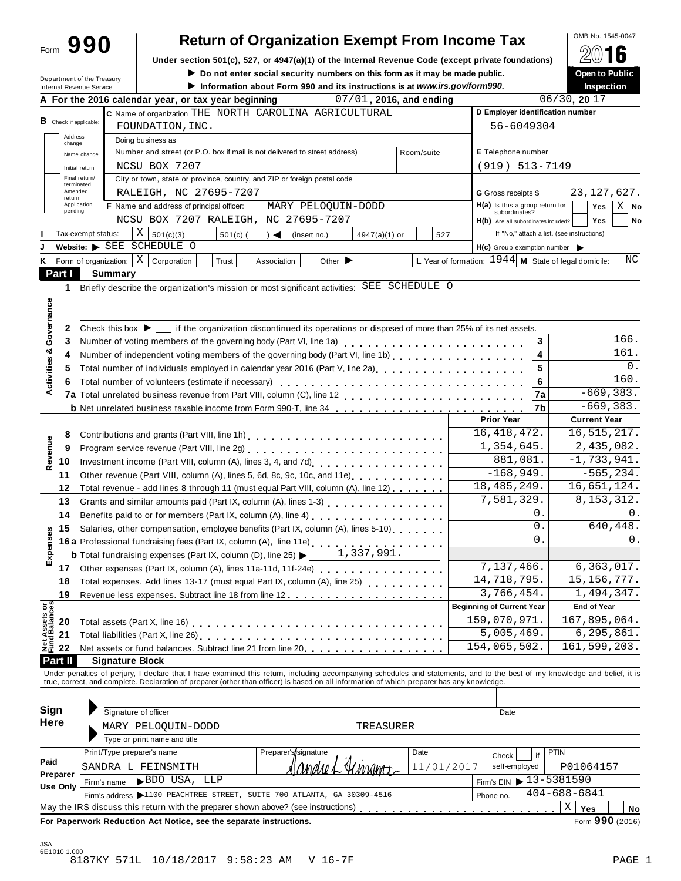| Form | 990 |  |
|------|-----|--|
|      |     |  |

# **Return of Organization Exempt From Income Tax**<br>section 501(c), 527, or 4947(a)(1) of the Internal Revenue Code (except private foundations)

**Under** section 501(c), 527, or 4947(a)(1) of the Internal Revenue Code (except private foundations)  $2016$ 

|                        |                                                               | Under section 501(c), 527, or 4947(a)(1) or the internal Revenue Code (except private foundations)                                                                         | Do not enter social security numbers on this form as it may be made public. |            |                                                        | (C) IV<br>Open to Public |
|------------------------|---------------------------------------------------------------|----------------------------------------------------------------------------------------------------------------------------------------------------------------------------|-----------------------------------------------------------------------------|------------|--------------------------------------------------------|--------------------------|
|                        | Department of the Treasury<br><b>Internal Revenue Service</b> |                                                                                                                                                                            | Information about Form 990 and its instructions is at www.irs.gov/form990.  |            |                                                        | Inspection               |
|                        |                                                               | A For the 2016 calendar year, or tax year beginning                                                                                                                        | 07/01, 2016, and ending                                                     |            |                                                        | 06/30, 2017              |
|                        |                                                               | C Name of organization THE NORTH CAROLINA AGRICULTURAL                                                                                                                     |                                                                             |            | D Employer identification number                       |                          |
| B Check if applicable: |                                                               | FOUNDATION, INC.                                                                                                                                                           |                                                                             |            | 56-6049304                                             |                          |
| Address                |                                                               | Doing business as                                                                                                                                                          |                                                                             |            |                                                        |                          |
| change                 | Name change                                                   | Number and street (or P.O. box if mail is not delivered to street address)                                                                                                 |                                                                             | Room/suite | E Telephone number                                     |                          |
|                        | Initial return                                                | NCSU BOX 7207                                                                                                                                                              |                                                                             |            | $(919) 513 - 7149$                                     |                          |
|                        | Final return/                                                 | City or town, state or province, country, and ZIP or foreign postal code                                                                                                   |                                                                             |            |                                                        |                          |
| Amended                | terminated                                                    | RALEIGH, NC 27695-7207                                                                                                                                                     |                                                                             |            | G Gross receipts \$                                    | 23, 127, 627.            |
| return                 | Application                                                   | F Name and address of principal officer:                                                                                                                                   | MARY PELOQUIN-DODD                                                          |            | $H(a)$ is this a group return for                      | $X \mid$ No<br>Yes       |
| pending                |                                                               | NCSU BOX 7207 RALEIGH, NC 27695-7207                                                                                                                                       |                                                                             |            | subordinates?<br>H(b) Are all subordinates included?   | Yes<br>No                |
|                        | Tax-exempt status:                                            | Χ<br>501(c)(3)<br>$501(c)$ (                                                                                                                                               | $\rightarrow$<br>4947(a)(1) or<br>(insert no.)                              | 527        | If "No," attach a list. (see instructions)             |                          |
|                        |                                                               | Website: SEE SCHEDULE O                                                                                                                                                    |                                                                             |            | H(c) Group exemption number                            |                          |
|                        | K Form of organization:                                       | Χ<br>Corporation<br>Trust                                                                                                                                                  | Other $\blacktriangleright$<br>Association                                  |            | L Year of formation: $1944$ M State of legal domicile: | ΝC                       |
| Part I                 | <b>Summary</b>                                                |                                                                                                                                                                            |                                                                             |            |                                                        |                          |
| 1                      |                                                               | Briefly describe the organization's mission or most significant activities: SEE SCHEDULE O                                                                                 |                                                                             |            |                                                        |                          |
|                        |                                                               |                                                                                                                                                                            |                                                                             |            |                                                        |                          |
| Governance             |                                                               |                                                                                                                                                                            |                                                                             |            |                                                        |                          |
| 2                      |                                                               | Check this box $\blacktriangleright$   if the organization discontinued its operations or disposed of more than 25% of its net assets.                                     |                                                                             |            |                                                        |                          |
| 3                      |                                                               | Number of voting members of the governing body (Part VI, line 1a)<br>                                                                                                      |                                                                             |            | 3                                                      | 166.                     |
| 4                      |                                                               |                                                                                                                                                                            |                                                                             |            | $\overline{\mathbf{4}}$                                | 161.                     |
| Activities &<br>5      |                                                               | Total number of individuals employed in calendar year 2016 (Part V, line 2a)<br>The 2a)                                                                                    |                                                                             |            | 5                                                      | 0.                       |
|                        |                                                               |                                                                                                                                                                            |                                                                             |            | 6                                                      | 160.                     |
| 6                      |                                                               | Total number of volunteers (estimate if necessary)                                                                                                                         |                                                                             |            | 7a                                                     | $-669, 383.$             |
|                        |                                                               | <b>b</b> Net unrelated business taxable income from Form 990-T, line 34                                                                                                    |                                                                             |            | l7b                                                    | $-669, 383.$             |
|                        |                                                               |                                                                                                                                                                            |                                                                             |            | <b>Prior Year</b>                                      | <b>Current Year</b>      |
| 8                      |                                                               |                                                                                                                                                                            |                                                                             |            | 16, 418, 472.                                          | 16, 515, 217.            |
| Revenue<br>9           |                                                               |                                                                                                                                                                            |                                                                             |            | 1,354,645.                                             | 2,435,082.               |
|                        |                                                               |                                                                                                                                                                            |                                                                             |            | 881,081.                                               | $-1,733,941.$            |
| 10<br>11               |                                                               | Other revenue (Part VIII, column (A), lines 5, 6d, 8c, 9c, 10c, and 11e)                                                                                                   |                                                                             |            | $-168,949.$                                            | $-565, 234.$             |
| 12                     |                                                               | Total revenue - add lines 8 through 11 (must equal Part VIII, column (A), line 12)                                                                                         |                                                                             |            | 18, 485, 249.                                          | 16,651,124.              |
| 13                     |                                                               | Grants and similar amounts paid (Part IX, column (A), lines 1-3)                                                                                                           |                                                                             |            | 7,581,329.                                             | 8, 153, 312.             |
| 14                     |                                                               |                                                                                                                                                                            |                                                                             |            | 0.                                                     | 0.                       |
| 15                     |                                                               | Benefits paid to or for members (Part IX, column (A), line 4)<br>Salaries, other compensation, employee benefits (Part IX, column (A), lines 5-10)                         |                                                                             |            | 0.                                                     | 640,448.                 |
|                        |                                                               |                                                                                                                                                                            |                                                                             |            | $0$ .                                                  | 0.                       |
| Expenses               |                                                               | 16a Professional fundraising fees (Part IX, column (A), line 11e)<br><b>b</b> Total fundraising expenses (Part IX, column (D), line 25) $\blacktriangleright$              | 1,337,991.                                                                  |            |                                                        |                          |
| 17                     |                                                               |                                                                                                                                                                            |                                                                             |            | 7,137,466.                                             | 6,363,017.               |
| 18                     |                                                               | Total expenses. Add lines 13-17 (must equal Part IX, column (A), line 25) [14] [15]  [15]  [15]                                                                            |                                                                             |            | 14,718,795.                                            | 15, 156, 777.            |
| 19                     |                                                               |                                                                                                                                                                            |                                                                             |            | 3,766,454.                                             | 1,494,347.               |
|                        |                                                               |                                                                                                                                                                            |                                                                             |            | <b>Beginning of Current Year</b>                       | <b>End of Year</b>       |
|                        |                                                               |                                                                                                                                                                            |                                                                             |            | 159,070,971.                                           | 167,895,064.             |
|                        |                                                               |                                                                                                                                                                            |                                                                             |            | 5,005,469.                                             | 6, 295, 861.             |
|                        |                                                               |                                                                                                                                                                            |                                                                             |            | 154,065,502.                                           | 161,599,203.             |
| <b>Part II</b>         | <b>Signature Block</b>                                        |                                                                                                                                                                            |                                                                             |            |                                                        |                          |
|                        |                                                               | Under penalties of perjury, I declare that I have examined this return, including accompanying schedules and statements, and to the best of my knowledge and belief, it is |                                                                             |            |                                                        |                          |
|                        |                                                               | true, correct, and complete. Declaration of preparer (other than officer) is based on all information of which preparer has any knowledge.                                 |                                                                             |            |                                                        |                          |
|                        |                                                               |                                                                                                                                                                            |                                                                             |            |                                                        |                          |
| Sign                   |                                                               | Signature of officer                                                                                                                                                       |                                                                             |            | Date                                                   |                          |
|                        |                                                               |                                                                                                                                                                            |                                                                             |            |                                                        |                          |

| Sign                        |             | Signature of officer                                                              |                                                                         |            | Date          |                                                      |
|-----------------------------|-------------|-----------------------------------------------------------------------------------|-------------------------------------------------------------------------|------------|---------------|------------------------------------------------------|
| Here                        |             | MARY PELOOUIN-DODD                                                                | TREASURER                                                               |            |               |                                                      |
|                             |             | Type or print name and title                                                      |                                                                         |            |               |                                                      |
|                             |             | Print/Type preparer's name                                                        | Preparer's/signature                                                    | Date       | Check         | <b>PTIN</b>                                          |
| Paid                        | SANDRA      | FEINSMITH<br>$\mathbf{L}$                                                         | $\lambda$   Anahe L'                                                    | 11/01/2017 | self-employed | P01064157                                            |
| Preparer<br><b>Use Only</b> | Firm's name | BDO USA, LLP                                                                      |                                                                         |            |               | $\frac{1}{2}$ Firm's EIN $\triangleright$ 13-5381590 |
|                             |             |                                                                                   | Firm's address >1100 PEACHTREE STREET, SUITE 700 ATLANTA, GA 30309-4516 |            | Phone no.     | $404 - 688 - 6841$                                   |
|                             |             | May the IRS discuss this return with the preparer shown above? (see instructions) |                                                                         |            |               | Х<br>Yes<br>No                                       |
|                             |             | For Paperwork Reduction Act Notice, see the separate instructions.                |                                                                         |            |               | Form 990 (2016)                                      |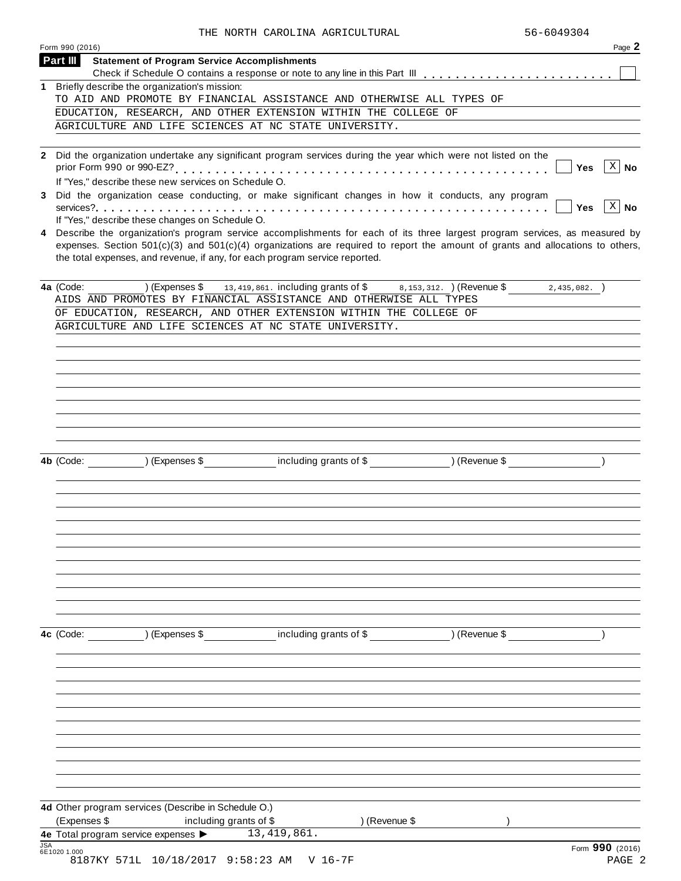|            | THE NORTH CAROLINA AGRICULTURAL                                                                                                                                                                                                                                                                                                                 | 56-6049304 |                 |
|------------|-------------------------------------------------------------------------------------------------------------------------------------------------------------------------------------------------------------------------------------------------------------------------------------------------------------------------------------------------|------------|-----------------|
|            | Form 990 (2016)                                                                                                                                                                                                                                                                                                                                 |            | Page 2          |
|            | Part III<br><b>Statement of Program Service Accomplishments</b>                                                                                                                                                                                                                                                                                 |            |                 |
|            |                                                                                                                                                                                                                                                                                                                                                 |            |                 |
|            | 1 Briefly describe the organization's mission:<br>TO AID AND PROMOTE BY FINANCIAL ASSISTANCE AND OTHERWISE ALL TYPES OF                                                                                                                                                                                                                         |            |                 |
|            | EDUCATION, RESEARCH, AND OTHER EXTENSION WITHIN THE COLLEGE OF                                                                                                                                                                                                                                                                                  |            |                 |
|            | AGRICULTURE AND LIFE SCIENCES AT NC STATE UNIVERSITY.                                                                                                                                                                                                                                                                                           |            |                 |
|            |                                                                                                                                                                                                                                                                                                                                                 |            |                 |
|            | 2 Did the organization undertake any significant program services during the year which were not listed on the                                                                                                                                                                                                                                  |            |                 |
|            |                                                                                                                                                                                                                                                                                                                                                 | Yes        | $X \mid N$ o    |
| 3          | If "Yes," describe these new services on Schedule O.<br>Did the organization cease conducting, or make significant changes in how it conducts, any program                                                                                                                                                                                      |            |                 |
|            |                                                                                                                                                                                                                                                                                                                                                 | <b>Yes</b> | $X \mid N$ o    |
|            | If "Yes," describe these changes on Schedule O.                                                                                                                                                                                                                                                                                                 |            |                 |
| 4          | Describe the organization's program service accomplishments for each of its three largest program services, as measured by<br>expenses. Section $501(c)(3)$ and $501(c)(4)$ organizations are required to report the amount of grants and allocations to others,<br>the total expenses, and revenue, if any, for each program service reported. |            |                 |
|            | 4a (Code: ) (Expenses \$ 13,419,861. including grants of \$ 8,153,312. ) (Revenue \$ 2,435,082. )<br>AIDS AND PROMOTES BY FINANCIAL ASSISTANCE AND OTHERWISE ALL TYPES                                                                                                                                                                          |            |                 |
|            | OF EDUCATION, RESEARCH, AND OTHER EXTENSION WITHIN THE COLLEGE OF                                                                                                                                                                                                                                                                               |            |                 |
|            | AGRICULTURE AND LIFE SCIENCES AT NC STATE UNIVERSITY.                                                                                                                                                                                                                                                                                           |            |                 |
|            |                                                                                                                                                                                                                                                                                                                                                 |            |                 |
|            |                                                                                                                                                                                                                                                                                                                                                 |            |                 |
|            |                                                                                                                                                                                                                                                                                                                                                 |            |                 |
|            |                                                                                                                                                                                                                                                                                                                                                 |            |                 |
|            |                                                                                                                                                                                                                                                                                                                                                 |            |                 |
|            |                                                                                                                                                                                                                                                                                                                                                 |            |                 |
|            |                                                                                                                                                                                                                                                                                                                                                 |            |                 |
|            |                                                                                                                                                                                                                                                                                                                                                 |            |                 |
|            | 4b (Code: ) (Expenses \$ including grants of \$ ) (Revenue \$                                                                                                                                                                                                                                                                                   |            |                 |
|            |                                                                                                                                                                                                                                                                                                                                                 |            |                 |
|            |                                                                                                                                                                                                                                                                                                                                                 |            |                 |
|            |                                                                                                                                                                                                                                                                                                                                                 |            |                 |
|            |                                                                                                                                                                                                                                                                                                                                                 |            |                 |
|            |                                                                                                                                                                                                                                                                                                                                                 |            |                 |
|            |                                                                                                                                                                                                                                                                                                                                                 |            |                 |
|            |                                                                                                                                                                                                                                                                                                                                                 |            |                 |
|            |                                                                                                                                                                                                                                                                                                                                                 |            |                 |
|            |                                                                                                                                                                                                                                                                                                                                                 |            |                 |
|            |                                                                                                                                                                                                                                                                                                                                                 |            |                 |
|            | 4c (Code: ) (Expenses \$ including grants of \$ ) (Revenue \$                                                                                                                                                                                                                                                                                   |            |                 |
|            |                                                                                                                                                                                                                                                                                                                                                 |            |                 |
|            |                                                                                                                                                                                                                                                                                                                                                 |            |                 |
|            |                                                                                                                                                                                                                                                                                                                                                 |            |                 |
|            |                                                                                                                                                                                                                                                                                                                                                 |            |                 |
|            |                                                                                                                                                                                                                                                                                                                                                 |            |                 |
|            |                                                                                                                                                                                                                                                                                                                                                 |            |                 |
|            |                                                                                                                                                                                                                                                                                                                                                 |            |                 |
|            |                                                                                                                                                                                                                                                                                                                                                 |            |                 |
|            |                                                                                                                                                                                                                                                                                                                                                 |            |                 |
|            |                                                                                                                                                                                                                                                                                                                                                 |            |                 |
|            | 4d Other program services (Describe in Schedule O.)                                                                                                                                                                                                                                                                                             |            |                 |
|            | (Expenses \$<br>including grants of \$<br>) (Revenue \$                                                                                                                                                                                                                                                                                         |            |                 |
|            | 13, 419, 861.<br>4e Total program service expenses >                                                                                                                                                                                                                                                                                            |            |                 |
| <b>JSA</b> | 6E1020 1.000                                                                                                                                                                                                                                                                                                                                    |            | Form 990 (2016) |
|            | 8187KY 571L 10/18/2017 9:58:23 AM<br>V 16–7F                                                                                                                                                                                                                                                                                                    |            | PAGE 2          |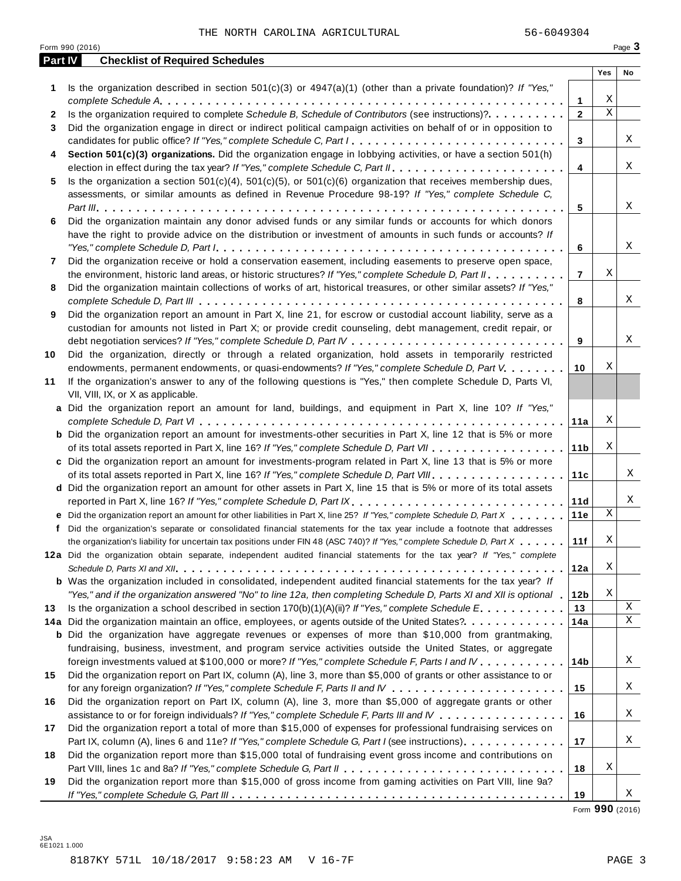|         | Form 990 (2016)                                                                                                                                                                                                                                                                                                                                                                               |                     |             | Page 3      |
|---------|-----------------------------------------------------------------------------------------------------------------------------------------------------------------------------------------------------------------------------------------------------------------------------------------------------------------------------------------------------------------------------------------------|---------------------|-------------|-------------|
| Part IV | <b>Checklist of Required Schedules</b>                                                                                                                                                                                                                                                                                                                                                        |                     |             |             |
|         |                                                                                                                                                                                                                                                                                                                                                                                               |                     | Yes         | No          |
| 1.      | Is the organization described in section $501(c)(3)$ or $4947(a)(1)$ (other than a private foundation)? If "Yes,"                                                                                                                                                                                                                                                                             |                     | Χ           |             |
| 2       | Is the organization required to complete Schedule B, Schedule of Contributors (see instructions)?.                                                                                                                                                                                                                                                                                            | 1<br>$\overline{2}$ | $\mathbf X$ |             |
| 3       | Did the organization engage in direct or indirect political campaign activities on behalf of or in opposition to                                                                                                                                                                                                                                                                              |                     |             |             |
|         | candidates for public office? If "Yes," complete Schedule C, Part I.                                                                                                                                                                                                                                                                                                                          | 3                   |             | Χ           |
| 4       | Section 501(c)(3) organizations. Did the organization engage in lobbying activities, or have a section 501(h)                                                                                                                                                                                                                                                                                 |                     |             |             |
|         |                                                                                                                                                                                                                                                                                                                                                                                               | $\overline{4}$      |             | Χ           |
| 5       | Is the organization a section $501(c)(4)$ , $501(c)(5)$ , or $501(c)(6)$ organization that receives membership dues,                                                                                                                                                                                                                                                                          |                     |             |             |
|         | assessments, or similar amounts as defined in Revenue Procedure 98-19? If "Yes," complete Schedule C,                                                                                                                                                                                                                                                                                         |                     |             |             |
|         |                                                                                                                                                                                                                                                                                                                                                                                               | 5                   |             | Χ           |
| 6       | Did the organization maintain any donor advised funds or any similar funds or accounts for which donors                                                                                                                                                                                                                                                                                       |                     |             |             |
|         | have the right to provide advice on the distribution or investment of amounts in such funds or accounts? If                                                                                                                                                                                                                                                                                   |                     |             |             |
|         | "Yes," complete Schedule D, Part $l_1, \ldots, l_k, \ldots, l_k, \ldots, l_k, \ldots, l_k, \ldots, l_k, \ldots, l_k, \ldots, l_k, \ldots, l_k, \ldots, l_k, \ldots, l_k, \ldots, l_k, \ldots, l_k, \ldots, l_k, \ldots, l_k, \ldots, l_k, \ldots, l_k, \ldots, l_k, \ldots, l_k, \ldots, l_k, \ldots, l_k, \ldots, l_k, \ldots, l_k, \ldots, l_k, \ldots, l_k, \ldots, l_k, \ldots, l_k, \ld$ | 6                   |             | Χ           |
| 7       | Did the organization receive or hold a conservation easement, including easements to preserve open space,                                                                                                                                                                                                                                                                                     |                     |             |             |
|         | the environment, historic land areas, or historic structures? If "Yes," complete Schedule D, Part II.                                                                                                                                                                                                                                                                                         | $\overline{7}$      | Χ           |             |
| 8       | Did the organization maintain collections of works of art, historical treasures, or other similar assets? If "Yes,"                                                                                                                                                                                                                                                                           |                     |             |             |
|         |                                                                                                                                                                                                                                                                                                                                                                                               | 8                   |             | Χ           |
| 9       | Did the organization report an amount in Part X, line 21, for escrow or custodial account liability, serve as a                                                                                                                                                                                                                                                                               |                     |             |             |
|         | custodian for amounts not listed in Part X; or provide credit counseling, debt management, credit repair, or                                                                                                                                                                                                                                                                                  |                     |             |             |
|         |                                                                                                                                                                                                                                                                                                                                                                                               | 9                   |             | Χ           |
| 10      | Did the organization, directly or through a related organization, hold assets in temporarily restricted                                                                                                                                                                                                                                                                                       |                     |             |             |
|         | endowments, permanent endowments, or quasi-endowments? If "Yes," complete Schedule D, Part V.                                                                                                                                                                                                                                                                                                 | 10                  | Χ           |             |
| 11      | If the organization's answer to any of the following questions is "Yes," then complete Schedule D, Parts VI,                                                                                                                                                                                                                                                                                  |                     |             |             |
|         | VII, VIII, IX, or X as applicable.                                                                                                                                                                                                                                                                                                                                                            |                     |             |             |
|         | a Did the organization report an amount for land, buildings, and equipment in Part X, line 10? If "Yes,"                                                                                                                                                                                                                                                                                      |                     |             |             |
|         |                                                                                                                                                                                                                                                                                                                                                                                               | 11a                 | Χ           |             |
|         | <b>b</b> Did the organization report an amount for investments-other securities in Part X, line 12 that is 5% or more                                                                                                                                                                                                                                                                         |                     |             |             |
|         |                                                                                                                                                                                                                                                                                                                                                                                               | 11 <sub>b</sub>     | Χ           |             |
|         | c Did the organization report an amount for investments-program related in Part X, line 13 that is 5% or more                                                                                                                                                                                                                                                                                 |                     |             |             |
|         |                                                                                                                                                                                                                                                                                                                                                                                               | 11c                 |             | Χ           |
|         | d Did the organization report an amount for other assets in Part X, line 15 that is 5% or more of its total assets                                                                                                                                                                                                                                                                            |                     |             |             |
|         | reported in Part X, line 16? If "Yes," complete Schedule D, Part IX.                                                                                                                                                                                                                                                                                                                          | 11d                 |             | Χ           |
|         | e Did the organization report an amount for other liabilities in Part X, line 25? If "Yes," complete Schedule D, Part X                                                                                                                                                                                                                                                                       | 11e                 | Χ           |             |
|         | f Did the organization's separate or consolidated financial statements for the tax year include a footnote that addresses                                                                                                                                                                                                                                                                     |                     |             |             |
|         | the organization's liability for uncertain tax positions under FIN 48 (ASC 740)? If "Yes," complete Schedule D, Part X                                                                                                                                                                                                                                                                        | 11f                 | Χ           |             |
|         | 12a Did the organization obtain separate, independent audited financial statements for the tax year? If "Yes," complete                                                                                                                                                                                                                                                                       |                     |             |             |
|         |                                                                                                                                                                                                                                                                                                                                                                                               | 12a                 | Χ           |             |
|         | <b>b</b> Was the organization included in consolidated, independent audited financial statements for the tax year? If                                                                                                                                                                                                                                                                         |                     |             |             |
|         | "Yes," and if the organization answered "No" to line 12a, then completing Schedule D, Parts XI and XII is optional .                                                                                                                                                                                                                                                                          | 12 <sub>b</sub>     | Χ           |             |
| 13      | Is the organization a school described in section 170(b)(1)(A)(ii)? If "Yes," complete Schedule E.                                                                                                                                                                                                                                                                                            | 13                  |             | X           |
|         | 14a Did the organization maintain an office, employees, or agents outside of the United States?.                                                                                                                                                                                                                                                                                              | 14a                 |             | $\mathbf X$ |
|         | <b>b</b> Did the organization have aggregate revenues or expenses of more than \$10,000 from grantmaking,                                                                                                                                                                                                                                                                                     |                     |             |             |
|         | fundraising, business, investment, and program service activities outside the United States, or aggregate                                                                                                                                                                                                                                                                                     |                     |             |             |
|         | foreign investments valued at \$100,000 or more? If "Yes," complete Schedule F, Parts I and IV                                                                                                                                                                                                                                                                                                | 14 <sub>b</sub>     |             | Χ           |
| 15      | Did the organization report on Part IX, column (A), line 3, more than \$5,000 of grants or other assistance to or                                                                                                                                                                                                                                                                             |                     |             |             |
|         |                                                                                                                                                                                                                                                                                                                                                                                               | 15                  |             | Χ           |
| 16      | Did the organization report on Part IX, column (A), line 3, more than \$5,000 of aggregate grants or other                                                                                                                                                                                                                                                                                    |                     |             |             |
|         | assistance to or for foreign individuals? If "Yes," complete Schedule F, Parts III and IV                                                                                                                                                                                                                                                                                                     | 16                  |             | Χ           |
| 17      | Did the organization report a total of more than \$15,000 of expenses for professional fundraising services on                                                                                                                                                                                                                                                                                |                     |             |             |
|         | Part IX, column (A), lines 6 and 11e? If "Yes," complete Schedule G, Part I (see instructions)                                                                                                                                                                                                                                                                                                | 17                  |             | Χ           |
| 18      | Did the organization report more than \$15,000 total of fundraising event gross income and contributions on                                                                                                                                                                                                                                                                                   |                     |             |             |
|         |                                                                                                                                                                                                                                                                                                                                                                                               | 18                  | Χ           |             |
| 19      | Did the organization report more than \$15,000 of gross income from gaming activities on Part VIII, line 9a?                                                                                                                                                                                                                                                                                  |                     |             |             |
|         |                                                                                                                                                                                                                                                                                                                                                                                               | 19                  |             | Χ           |

Form **990** (2016)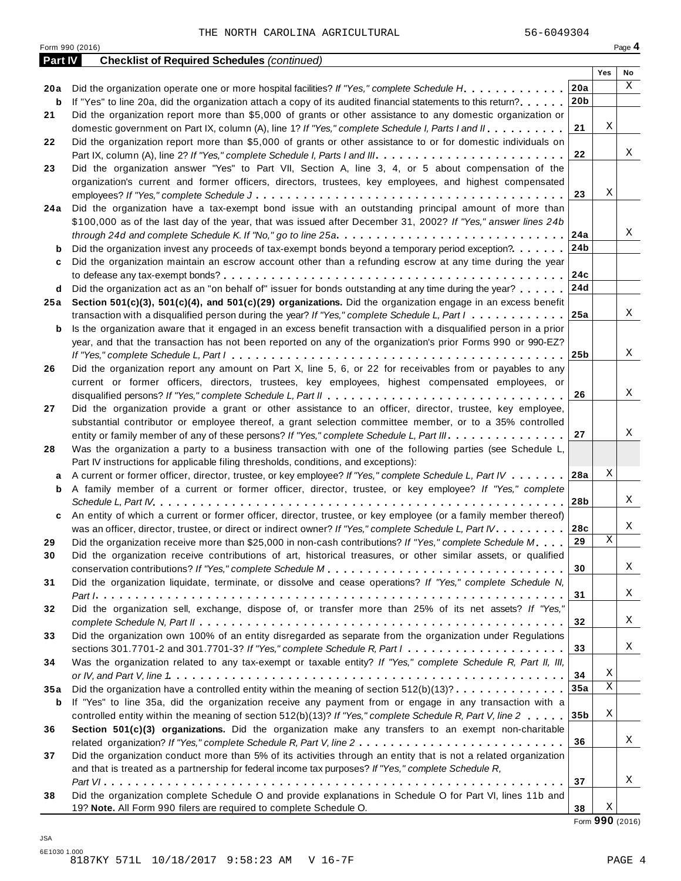|         | Form 990 (2016)                                                                                                             |                 |     | Page 4 |
|---------|-----------------------------------------------------------------------------------------------------------------------------|-----------------|-----|--------|
| Part IV | <b>Checklist of Required Schedules (continued)</b>                                                                          |                 |     |        |
|         |                                                                                                                             |                 | Yes | No     |
| 20 a    | Did the organization operate one or more hospital facilities? If "Yes," complete Schedule H.                                | 20a             |     | X      |
| b       | If "Yes" to line 20a, did the organization attach a copy of its audited financial statements to this return?                | 20 <sub>b</sub> |     |        |
| 21      | Did the organization report more than \$5,000 of grants or other assistance to any domestic organization or                 |                 |     |        |
|         | domestic government on Part IX, column (A), line 1? If "Yes," complete Schedule I, Parts I and II.                          | 21              | Χ   |        |
| 22      | Did the organization report more than \$5,000 of grants or other assistance to or for domestic individuals on               |                 |     |        |
|         |                                                                                                                             | 22              |     | Χ      |
| 23      | Did the organization answer "Yes" to Part VII, Section A, line 3, 4, or 5 about compensation of the                         |                 |     |        |
|         | organization's current and former officers, directors, trustees, key employees, and highest compensated                     |                 |     |        |
|         |                                                                                                                             | 23              | Χ   |        |
| 24 a    | Did the organization have a tax-exempt bond issue with an outstanding principal amount of more than                         |                 |     |        |
|         | \$100,000 as of the last day of the year, that was issued after December 31, 2002? If "Yes," answer lines 24b               |                 |     |        |
|         |                                                                                                                             | 24a             |     | Χ      |
| b       | Did the organization invest any proceeds of tax-exempt bonds beyond a temporary period exception?                           | 24b             |     |        |
| c       | Did the organization maintain an escrow account other than a refunding escrow at any time during the year                   |                 |     |        |
|         |                                                                                                                             | 24c             |     |        |
| d       | Did the organization act as an "on behalf of" issuer for bonds outstanding at any time during the year?                     | 24d             |     |        |
| 25 a    | Section 501(c)(3), 501(c)(4), and 501(c)(29) organizations. Did the organization engage in an excess benefit                |                 |     |        |
|         | transaction with a disqualified person during the year? If "Yes," complete Schedule L, Part I                               | 25a             |     | Χ      |
| b       | Is the organization aware that it engaged in an excess benefit transaction with a disqualified person in a prior            |                 |     |        |
|         | year, and that the transaction has not been reported on any of the organization's prior Forms 990 or 990-EZ?                |                 |     |        |
|         |                                                                                                                             | 25 <sub>b</sub> |     | X      |
| 26      | Did the organization report any amount on Part X, line 5, 6, or 22 for receivables from or payables to any                  |                 |     |        |
|         | current or former officers, directors, trustees, key employees, highest compensated employees, or                           |                 |     |        |
|         |                                                                                                                             | 26              |     | Χ      |
| 27      | Did the organization provide a grant or other assistance to an officer, director, trustee, key employee,                    |                 |     |        |
|         | substantial contributor or employee thereof, a grant selection committee member, or to a 35% controlled                     |                 |     |        |
|         | entity or family member of any of these persons? If "Yes," complete Schedule L, Part III.                                   | 27              |     | Χ      |
| 28      | Was the organization a party to a business transaction with one of the following parties (see Schedule L,                   |                 |     |        |
|         | Part IV instructions for applicable filing thresholds, conditions, and exceptions):                                         |                 |     |        |
| а       | A current or former officer, director, trustee, or key employee? If "Yes," complete Schedule L, Part IV 28a                 |                 | Χ   |        |
| b       | A family member of a current or former officer, director, trustee, or key employee? If "Yes," complete                      |                 |     |        |
|         |                                                                                                                             | 28b             |     | Χ      |
| c       | An entity of which a current or former officer, director, trustee, or key employee (or a family member thereof)             |                 |     |        |
|         | was an officer, director, trustee, or direct or indirect owner? If "Yes," complete Schedule L, Part IV.                     | 28c             |     | Χ      |
| 29      | Did the organization receive more than \$25,000 in non-cash contributions? If "Yes," complete Schedule M                    | 29              | Χ   |        |
| 30      | Did the organization receive contributions of art, historical treasures, or other similar assets, or qualified              |                 |     |        |
|         |                                                                                                                             | 30              |     | Χ      |
| 31      | Did the organization liquidate, terminate, or dissolve and cease operations? If "Yes," complete Schedule N,                 |                 |     |        |
|         |                                                                                                                             | 31              |     | Χ      |
| 32      | Did the organization sell, exchange, dispose of, or transfer more than 25% of its net assets? If "Yes,"                     |                 |     |        |
|         |                                                                                                                             | 32              |     | Χ      |
| 33      | Did the organization own 100% of an entity disregarded as separate from the organization under Regulations                  |                 |     |        |
|         | sections 301.7701-2 and 301.7701-3? If "Yes," complete Schedule R, Part $1, \ldots, \ldots, \ldots, \ldots, \ldots, \ldots$ | 33              |     | Χ      |
| 34      | Was the organization related to any tax-exempt or taxable entity? If "Yes," complete Schedule R, Part II, III,              |                 |     |        |
|         |                                                                                                                             | 34              | Χ   |        |
| 35a     | Did the organization have a controlled entity within the meaning of section 512(b)(13)?                                     | 35a             | Χ   |        |
| b       | If "Yes" to line 35a, did the organization receive any payment from or engage in any transaction with a                     |                 |     |        |
|         | controlled entity within the meaning of section 512(b)(13)? If "Yes," complete Schedule R, Part V, line 2                   | 35 <sub>b</sub> | Χ   |        |
| 36      | Section 501(c)(3) organizations. Did the organization make any transfers to an exempt non-charitable                        |                 |     |        |
|         |                                                                                                                             | 36              |     | Χ      |
| 37      | Did the organization conduct more than 5% of its activities through an entity that is not a related organization            |                 |     |        |
|         | and that is treated as a partnership for federal income tax purposes? If "Yes," complete Schedule R,                        |                 |     |        |
|         |                                                                                                                             | 37              |     | Χ      |
| 38      | Did the organization complete Schedule O and provide explanations in Schedule O for Part VI, lines 11b and                  |                 |     |        |
|         | 19? Note. All Form 990 filers are required to complete Schedule O.                                                          | 38              | Χ   |        |

Form **990** (2016)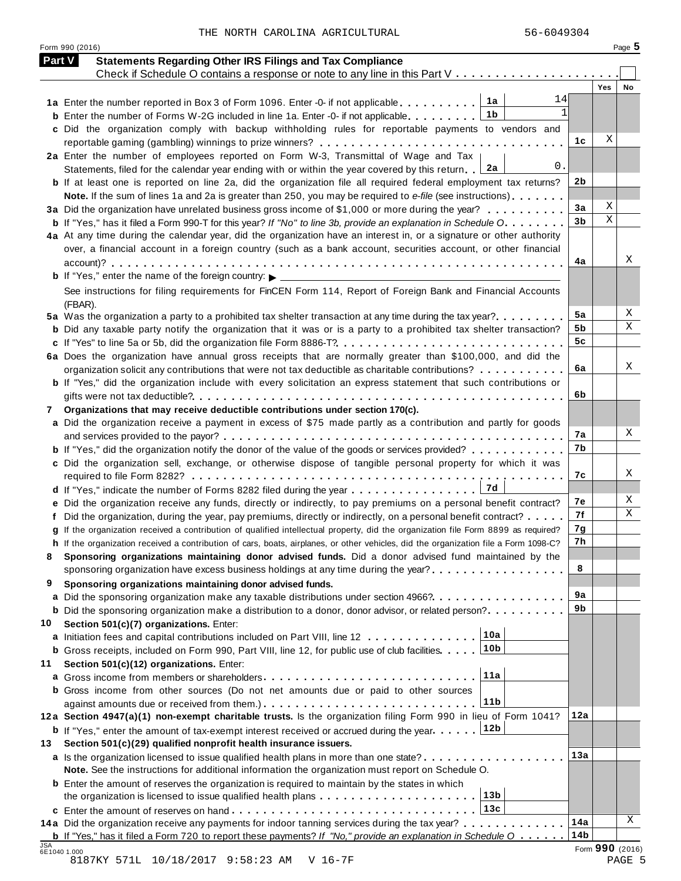| <b>Part V</b> | <b>Statements Regarding Other IRS Filings and Tax Compliance</b>                                                                     |                 |     |        |
|---------------|--------------------------------------------------------------------------------------------------------------------------------------|-----------------|-----|--------|
|               | Check if Schedule O contains a response or note to any line in this Part V                                                           |                 | Yes |        |
|               | 14<br>1a Enter the number reported in Box 3 of Form 1096. Enter -0- if not applicable 1a                                             |                 |     | No     |
|               | 1 <sub>b</sub><br><b>b</b> Enter the number of Forms W-2G included in line 1a. Enter -0- if not applicable.                          |                 |     |        |
|               | c Did the organization comply with backup withholding rules for reportable payments to vendors and                                   |                 |     |        |
|               |                                                                                                                                      | 1с              | Χ   |        |
|               | 2a Enter the number of employees reported on Form W-3, Transmittal of Wage and Tax                                                   |                 |     |        |
|               | 0.<br>∣ 2a<br>Statements, filed for the calendar year ending with or within the year covered by this return.                         |                 |     |        |
|               | <b>b</b> If at least one is reported on line 2a, did the organization file all required federal employment tax returns?              | 2 <sub>b</sub>  |     |        |
|               | Note. If the sum of lines 1a and 2a is greater than 250, you may be required to e-file (see instructions)                            |                 |     |        |
|               | 3a Did the organization have unrelated business gross income of \$1,000 or more during the year?                                     | 3a              | Χ   |        |
|               | <b>b</b> If "Yes," has it filed a Form 990-T for this year? If "No" to line 3b, provide an explanation in Schedule O.                | 3 <sub>b</sub>  | X   |        |
|               | 4a At any time during the calendar year, did the organization have an interest in, or a signature or other authority                 |                 |     |        |
|               | over, a financial account in a foreign country (such as a bank account, securities account, or other financial                       |                 |     |        |
|               |                                                                                                                                      | 4a              |     | Χ      |
|               |                                                                                                                                      |                 |     |        |
|               | See instructions for filing requirements for FinCEN Form 114, Report of Foreign Bank and Financial Accounts                          |                 |     |        |
|               | (FBAR).                                                                                                                              |                 |     |        |
|               | 5a Was the organization a party to a prohibited tax shelter transaction at any time during the tax year?                             | 5a              |     | Х<br>Χ |
|               | <b>b</b> Did any taxable party notify the organization that it was or is a party to a prohibited tax shelter transaction?            | 5b              |     |        |
|               | c If "Yes" to line 5a or 5b, did the organization file Form 8886-T?                                                                  | 5 <sub>c</sub>  |     |        |
|               | 6a Does the organization have annual gross receipts that are normally greater than \$100,000, and did the                            |                 |     | Χ      |
|               | organization solicit any contributions that were not tax deductible as charitable contributions? $\ldots \ldots \ldots$              | 6a              |     |        |
|               | <b>b</b> If "Yes," did the organization include with every solicitation an express statement that such contributions or              | 6b              |     |        |
|               |                                                                                                                                      |                 |     |        |
| 7             | Organizations that may receive deductible contributions under section 170(c).                                                        |                 |     |        |
|               | a Did the organization receive a payment in excess of \$75 made partly as a contribution and partly for goods                        | 7а              |     | X      |
|               | <b>b</b> If "Yes," did the organization notify the donor of the value of the goods or services provided?                             | 7b              |     |        |
|               | c Did the organization sell, exchange, or otherwise dispose of tangible personal property for which it was                           |                 |     |        |
|               |                                                                                                                                      | 7c              |     | Χ      |
|               |                                                                                                                                      |                 |     |        |
|               | e Did the organization receive any funds, directly or indirectly, to pay premiums on a personal benefit contract?                    | 7e              |     | X      |
|               | f Did the organization, during the year, pay premiums, directly or indirectly, on a personal benefit contract?                       | 7f              |     | Χ      |
|               | g If the organization received a contribution of qualified intellectual property, did the organization file Form 8899 as required?   | 7g              |     |        |
|               | h If the organization received a contribution of cars, boats, airplanes, or other vehicles, did the organization file a Form 1098-C? | 7h              |     |        |
| 8             | Sponsoring organizations maintaining donor advised funds. Did a donor advised fund maintained by the                                 |                 |     |        |
|               | sponsoring organization have excess business holdings at any time during the year?                                                   | 8               |     |        |
| 9             | Sponsoring organizations maintaining donor advised funds.                                                                            |                 |     |        |
|               | a Did the sponsoring organization make any taxable distributions under section 4966?.                                                | 9а              |     |        |
|               | <b>b</b> Did the sponsoring organization make a distribution to a donor, donor advisor, or related person?                           | 9b              |     |        |
| 10            | Section 501(c)(7) organizations. Enter:                                                                                              |                 |     |        |
|               | 10a<br>a Initiation fees and capital contributions included on Part VIII, line 12                                                    |                 |     |        |
|               | 10 <sub>b</sub><br><b>b</b> Gross receipts, included on Form 990, Part VIII, line 12, for public use of club facilities              |                 |     |        |
| 11            | Section 501(c)(12) organizations. Enter:                                                                                             |                 |     |        |
|               | 11a                                                                                                                                  |                 |     |        |
|               | <b>b</b> Gross income from other sources (Do not net amounts due or paid to other sources                                            |                 |     |        |
|               | 11 <sub>b</sub>                                                                                                                      |                 |     |        |
|               | 12a Section 4947(a)(1) non-exempt charitable trusts. Is the organization filing Form 990 in lieu of Form 1041?                       | 12a             |     |        |
|               | 12b<br><b>b</b> If "Yes," enter the amount of tax-exempt interest received or accrued during the year                                |                 |     |        |
| 13            | Section 501(c)(29) qualified nonprofit health insurance issuers.                                                                     |                 |     |        |
|               | a Is the organization licensed to issue qualified health plans in more than one state?                                               | 13a             |     |        |
|               | Note. See the instructions for additional information the organization must report on Schedule O.                                    |                 |     |        |
|               | <b>b</b> Enter the amount of reserves the organization is required to maintain by the states in which                                |                 |     |        |
|               | 13 <sub>b</sub>                                                                                                                      |                 |     |        |
|               | 13c                                                                                                                                  |                 |     |        |
|               | 14a Did the organization receive any payments for indoor tanning services during the tax year?                                       | 14a             |     | Χ      |
|               | <b>b</b> If "Yes," has it filed a Form 720 to report these payments? If "No," provide an explanation in Schedule $0 \ldots$ .        | 14 <sub>b</sub> |     |        |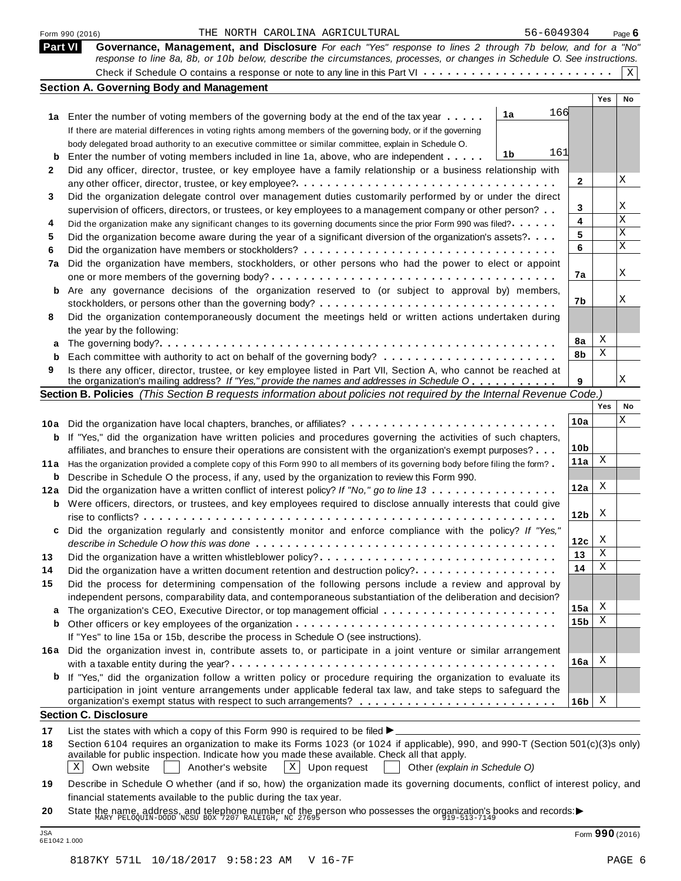|      | 56-6049304<br>THE NORTH CAROLINA AGRICULTURAL<br>Form 990 (2016)                                                                                                                                                                                          |                 |     | Page $6$ |
|------|-----------------------------------------------------------------------------------------------------------------------------------------------------------------------------------------------------------------------------------------------------------|-----------------|-----|----------|
|      | <b>Part VI</b><br>Governance, Management, and Disclosure For each "Yes" response to lines 2 through 7b below, and for a "No"<br>response to line 8a, 8b, or 10b below, describe the circumstances, processes, or changes in Schedule O. See instructions. |                 |     |          |
|      |                                                                                                                                                                                                                                                           |                 |     | Χ        |
|      | <b>Section A. Governing Body and Management</b>                                                                                                                                                                                                           |                 |     |          |
|      |                                                                                                                                                                                                                                                           |                 | Yes | No       |
|      | 166<br>1a<br>1a Enter the number of voting members of the governing body at the end of the tax year                                                                                                                                                       |                 |     |          |
|      | If there are material differences in voting rights among members of the governing body, or if the governing                                                                                                                                               |                 |     |          |
|      | body delegated broad authority to an executive committee or similar committee, explain in Schedule O.                                                                                                                                                     |                 |     |          |
| b    | 161<br>1b<br>Enter the number of voting members included in line 1a, above, who are independent                                                                                                                                                           |                 |     |          |
| 2    | Did any officer, director, trustee, or key employee have a family relationship or a business relationship with                                                                                                                                            |                 |     |          |
|      |                                                                                                                                                                                                                                                           | $\mathbf{2}$    |     | X        |
| 3    | Did the organization delegate control over management duties customarily performed by or under the direct                                                                                                                                                 |                 |     |          |
|      | supervision of officers, directors, or trustees, or key employees to a management company or other person?                                                                                                                                                | 3               |     | Χ        |
| 4    | Did the organization make any significant changes to its governing documents since the prior Form 990 was filed?                                                                                                                                          | 4               |     | Χ        |
| 5    | Did the organization become aware during the year of a significant diversion of the organization's assets?                                                                                                                                                | 5               |     | Χ        |
| 6    |                                                                                                                                                                                                                                                           | 6               |     | X        |
| 7a   | Did the organization have members, stockholders, or other persons who had the power to elect or appoint                                                                                                                                                   |                 |     |          |
|      |                                                                                                                                                                                                                                                           | 7a              |     | X        |
| b    | Are any governance decisions of the organization reserved to (or subject to approval by) members,                                                                                                                                                         |                 |     |          |
|      |                                                                                                                                                                                                                                                           | 7b              |     | Χ        |
| 8    | Did the organization contemporaneously document the meetings held or written actions undertaken during                                                                                                                                                    |                 |     |          |
|      | the year by the following:                                                                                                                                                                                                                                |                 |     |          |
| а    |                                                                                                                                                                                                                                                           | 8a              | Χ   |          |
| b    |                                                                                                                                                                                                                                                           | 8b              | Χ   |          |
| 9    | Is there any officer, director, trustee, or key employee listed in Part VII, Section A, who cannot be reached at                                                                                                                                          |                 |     |          |
|      | the organization's mailing address? If "Yes," provide the names and addresses in Schedule O                                                                                                                                                               | 9               |     | Χ        |
|      | Section B. Policies (This Section B requests information about policies not required by the Internal Revenue Code.)                                                                                                                                       |                 |     |          |
|      |                                                                                                                                                                                                                                                           |                 | Yes | No       |
| 10a  |                                                                                                                                                                                                                                                           | 10a             |     | X        |
| b    | If "Yes," did the organization have written policies and procedures governing the activities of such chapters,                                                                                                                                            |                 |     |          |
|      | affiliates, and branches to ensure their operations are consistent with the organization's exempt purposes?                                                                                                                                               | 10 <sub>b</sub> |     |          |
| 11 a | Has the organization provided a complete copy of this Form 990 to all members of its governing body before filing the form?                                                                                                                               | 11a             | Χ   |          |
| b    | Describe in Schedule O the process, if any, used by the organization to review this Form 990.                                                                                                                                                             |                 |     |          |
| 12a  | Did the organization have a written conflict of interest policy? If "No," go to line 13                                                                                                                                                                   | 12a             | Χ   |          |
| b    | Were officers, directors, or trustees, and key employees required to disclose annually interests that could give                                                                                                                                          |                 |     |          |
|      |                                                                                                                                                                                                                                                           | 12 <sub>b</sub> | X   |          |
|      | Did the organization regularly and consistently monitor and enforce compliance with the policy? If "Yes,"                                                                                                                                                 |                 |     |          |
|      |                                                                                                                                                                                                                                                           | 12c             | X   |          |
| 13   | Did the organization have a written whistleblower policy?                                                                                                                                                                                                 | 13              | Χ   |          |
| 14   | Did the organization have a written document retention and destruction policy?                                                                                                                                                                            | 14              | Χ   |          |
| 15   | Did the process for determining compensation of the following persons include a review and approval by                                                                                                                                                    |                 |     |          |
|      | independent persons, comparability data, and contemporaneous substantiation of the deliberation and decision?                                                                                                                                             |                 |     |          |
| а    |                                                                                                                                                                                                                                                           | 15a             | Χ   |          |
| b    |                                                                                                                                                                                                                                                           | 15 <sub>b</sub> | Χ   |          |
|      | If "Yes" to line 15a or 15b, describe the process in Schedule O (see instructions).                                                                                                                                                                       |                 |     |          |
|      | 16a Did the organization invest in, contribute assets to, or participate in a joint venture or similar arrangement                                                                                                                                        |                 |     |          |
|      |                                                                                                                                                                                                                                                           | 16a             | Χ   |          |
|      | <b>b</b> If "Yes," did the organization follow a written policy or procedure requiring the organization to evaluate its                                                                                                                                   |                 |     |          |
|      | participation in joint venture arrangements under applicable federal tax law, and take steps to safeguard the                                                                                                                                             |                 |     |          |
|      |                                                                                                                                                                                                                                                           | 16 <sub>b</sub> | Χ   |          |
|      | <b>Section C. Disclosure</b>                                                                                                                                                                                                                              |                 |     |          |
| 17   | List the states with which a copy of this Form 990 is required to be filed $\blacktriangleright$                                                                                                                                                          |                 |     |          |
| 18   | Section 6104 requires an organization to make its Forms 1023 (or 1024 if applicable), 990, and 990-T (Section 501(c)(3)s only)                                                                                                                            |                 |     |          |
|      | available for public inspection. Indicate how you made these available. Check all that apply.                                                                                                                                                             |                 |     |          |
|      | $\mathbf{x}$<br>Own website<br>Another's website<br>Upon request<br>Χ<br>Other (explain in Schedule O)                                                                                                                                                    |                 |     |          |
|      |                                                                                                                                                                                                                                                           |                 |     |          |
|      | Describe in Schedule O whether (and if so, how) the organization made its governing documents, conflict of interest policy, and                                                                                                                           |                 |     |          |
| 19   | financial statements available to the public during the tax year.                                                                                                                                                                                         |                 |     |          |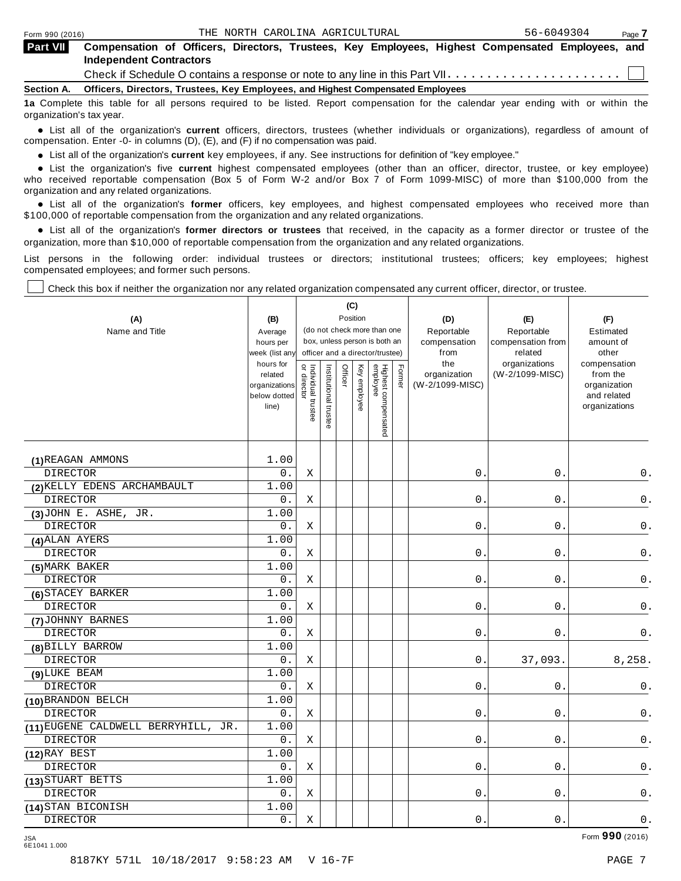| <b>Part VII</b> | Compensation of Officers, Directors, Trustees, Key Employees, Highest Compensated Employees, and<br><b>Independent Contractors</b> |
|-----------------|------------------------------------------------------------------------------------------------------------------------------------|
|                 |                                                                                                                                    |
|                 | Section A. Officers, Directors, Trustees, Key Employees, and Highest Compensated Employees                                         |
|                 | 1a Complete this table for all persons required to be listed. Report compensation for the calendar year ending with or within the  |

organization's tax year.

anization's lax year.<br>● List all of the organization's **current** officers, directors, trustees (whether individuals or organizations), regardless of amount of<br>nnensation Enter -0- in columns (D) (E) and (E) if no compensa compensation. Enter -0- in columns (D), (E), and (F) if no compensation was paid.

• List all of the organization's **current** key employees, if any. See instructions for definition of "key employee."<br>● List the experientials five expect highest expressed explores (other than an efficer director of

**Example in the organization's current** key employees, if any. See instructions for definition of key employee.<br>• List the organization's five **current** highest compensated employees (other than an officer, director, trust who received reportable compensation (Box 5 of Form W-2 and/or Box 7 of Form 1099-MISC) of more than \$100,000 from the

organization and any related organizations.<br>• List all of the organization's **former** officers, key employees, and highest compensated employees who received more than<br>\$1.00.000 of reportable componention from the erganiza \$100,000 of reportable compensation from the organization and any related organizations.

% List all of the organization's **former directors or trustees** that received, in the capacity as a former director or trustee of the organization, more than \$10,000 of reportable compensation from the organization and any related organizations.

List persons in the following order: individual trustees or directors; institutional trustees; officers; key employees; highest compensated employees; and former such persons.

Check this box if neither the organization nor any related organization compensated any current officer, director, or trustee.

| (A)<br>Name and Title               | (B)<br>Average<br>hours per<br>week (list an<br>hours for<br>related<br>organizations<br>below dotted<br>line) | or director<br>Individual trustee | Institutional trustee | (C)<br>Officer | Position<br>Key employee | (do not check more than one<br>box, unless person is both an<br>officer and a director/trustee)<br>Highest compensated<br>employee | Former | (D)<br>Reportable<br>compensation<br>from<br>the<br>organization<br>(W-2/1099-MISC) | (E)<br>Reportable<br>compensation from<br>related<br>organizations<br>(W-2/1099-MISC) | (F)<br>Estimated<br>amount of<br>other<br>compensation<br>from the<br>organization<br>and related<br>organizations |
|-------------------------------------|----------------------------------------------------------------------------------------------------------------|-----------------------------------|-----------------------|----------------|--------------------------|------------------------------------------------------------------------------------------------------------------------------------|--------|-------------------------------------------------------------------------------------|---------------------------------------------------------------------------------------|--------------------------------------------------------------------------------------------------------------------|
| (1) REAGAN AMMONS                   | 1.00                                                                                                           |                                   |                       |                |                          |                                                                                                                                    |        |                                                                                     |                                                                                       |                                                                                                                    |
| <b>DIRECTOR</b>                     | $\overline{0}$ .                                                                                               | X                                 |                       |                |                          |                                                                                                                                    |        | $\mathbf 0$ .                                                                       | $0$ .                                                                                 | 0.                                                                                                                 |
| (2) KELLY EDENS ARCHAMBAULT         | 1.00                                                                                                           |                                   |                       |                |                          |                                                                                                                                    |        |                                                                                     |                                                                                       |                                                                                                                    |
| <b>DIRECTOR</b>                     | $0$ .                                                                                                          | Χ                                 |                       |                |                          |                                                                                                                                    |        | $0$ .                                                                               | 0.                                                                                    | 0.                                                                                                                 |
| $(3)$ JOHN E. ASHE, JR.             | 1.00                                                                                                           |                                   |                       |                |                          |                                                                                                                                    |        |                                                                                     |                                                                                       |                                                                                                                    |
| <b>DIRECTOR</b>                     | $0$ .                                                                                                          | Χ                                 |                       |                |                          |                                                                                                                                    |        | $0$ .                                                                               | $\boldsymbol{0}$ .                                                                    | $\mathsf 0$ .                                                                                                      |
| (4) ALAN AYERS                      | 1.00                                                                                                           |                                   |                       |                |                          |                                                                                                                                    |        |                                                                                     |                                                                                       |                                                                                                                    |
| <b>DIRECTOR</b>                     | 0.                                                                                                             | Χ                                 |                       |                |                          |                                                                                                                                    |        | 0.                                                                                  | $0$ .                                                                                 | $\mathsf 0$ .                                                                                                      |
| (5) MARK BAKER                      | 1.00                                                                                                           |                                   |                       |                |                          |                                                                                                                                    |        |                                                                                     |                                                                                       |                                                                                                                    |
| <b>DIRECTOR</b>                     | $0$ .                                                                                                          | Χ                                 |                       |                |                          |                                                                                                                                    |        | 0.                                                                                  | $\mathsf 0$ .                                                                         | $\mathsf 0$ .                                                                                                      |
| (6) STACEY BARKER                   | 1.00                                                                                                           |                                   |                       |                |                          |                                                                                                                                    |        |                                                                                     |                                                                                       |                                                                                                                    |
| <b>DIRECTOR</b>                     | 0.                                                                                                             | Χ                                 |                       |                |                          |                                                                                                                                    |        | 0.                                                                                  | 0.                                                                                    | 0.                                                                                                                 |
| (7) JOHNNY BARNES                   | 1.00                                                                                                           |                                   |                       |                |                          |                                                                                                                                    |        |                                                                                     |                                                                                       |                                                                                                                    |
| <b>DIRECTOR</b>                     | 0.                                                                                                             | Χ                                 |                       |                |                          |                                                                                                                                    |        | 0.                                                                                  | $0$ .                                                                                 | 0.                                                                                                                 |
| (8) BILLY BARROW                    | 1.00                                                                                                           |                                   |                       |                |                          |                                                                                                                                    |        |                                                                                     |                                                                                       |                                                                                                                    |
| <b>DIRECTOR</b>                     | 0.                                                                                                             | X                                 |                       |                |                          |                                                                                                                                    |        | $0$ .                                                                               | 37,093.                                                                               | 8,258.                                                                                                             |
| (9) LUKE BEAM                       | 1.00                                                                                                           |                                   |                       |                |                          |                                                                                                                                    |        |                                                                                     |                                                                                       |                                                                                                                    |
| <b>DIRECTOR</b>                     | $0$ .                                                                                                          | $\mathbf X$                       |                       |                |                          |                                                                                                                                    |        | $\mathsf{O}$ .                                                                      | $0$ .                                                                                 | 0.                                                                                                                 |
| (10) BRANDON BELCH                  | 1.00                                                                                                           |                                   |                       |                |                          |                                                                                                                                    |        |                                                                                     |                                                                                       |                                                                                                                    |
| <b>DIRECTOR</b>                     | $0$ .                                                                                                          | Χ                                 |                       |                |                          |                                                                                                                                    |        | 0.                                                                                  | 0.                                                                                    | $0$ .                                                                                                              |
| (11) EUGENE CALDWELL BERRYHILL, JR. | 1.00                                                                                                           |                                   |                       |                |                          |                                                                                                                                    |        |                                                                                     |                                                                                       |                                                                                                                    |
| <b>DIRECTOR</b>                     | 0.                                                                                                             | Χ                                 |                       |                |                          |                                                                                                                                    |        | $0$ .                                                                               | 0.                                                                                    | 0.                                                                                                                 |
| $(12)$ RAY BEST                     | 1.00                                                                                                           |                                   |                       |                |                          |                                                                                                                                    |        |                                                                                     |                                                                                       |                                                                                                                    |
| <b>DIRECTOR</b>                     | $0$ .                                                                                                          | Χ                                 |                       |                |                          |                                                                                                                                    |        | 0.                                                                                  | 0.                                                                                    | 0.                                                                                                                 |
| (13) STUART BETTS                   | 1.00                                                                                                           |                                   |                       |                |                          |                                                                                                                                    |        |                                                                                     |                                                                                       |                                                                                                                    |
| <b>DIRECTOR</b>                     | 0.                                                                                                             | Χ                                 |                       |                |                          |                                                                                                                                    |        | 0.                                                                                  | 0.                                                                                    | 0.                                                                                                                 |
| (14) STAN BICONISH                  | 1.00                                                                                                           |                                   |                       |                |                          |                                                                                                                                    |        |                                                                                     |                                                                                       |                                                                                                                    |
| <b>DIRECTOR</b>                     | $0$ .                                                                                                          | Χ                                 |                       |                |                          |                                                                                                                                    |        | 0.                                                                                  | 0.                                                                                    | $0$ .                                                                                                              |

Form **990** (2016) JSA 6E1041 1.000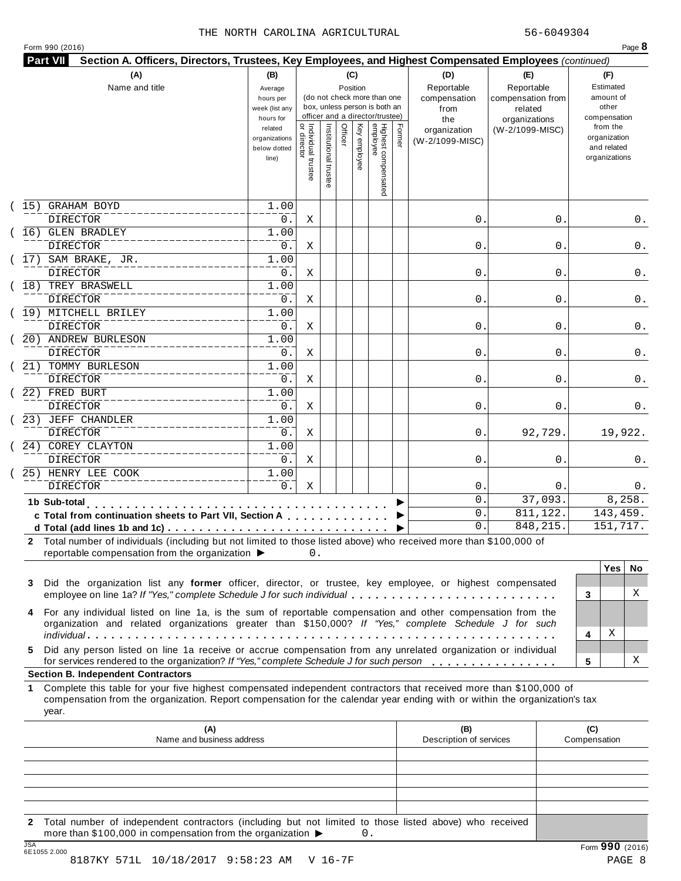| (A)                                                                                                                                                                                                                       | (B)                  |                                     |                       | (C)      |              |                                                                  |        | (D)                 |                   |                                                                                                                                                                                                                                                                                                                                                                                                                      |            |
|---------------------------------------------------------------------------------------------------------------------------------------------------------------------------------------------------------------------------|----------------------|-------------------------------------|-----------------------|----------|--------------|------------------------------------------------------------------|--------|---------------------|-------------------|----------------------------------------------------------------------------------------------------------------------------------------------------------------------------------------------------------------------------------------------------------------------------------------------------------------------------------------------------------------------------------------------------------------------|------------|
| Name and title                                                                                                                                                                                                            | Average              |                                     |                       | Position |              |                                                                  |        | Reportable          | Reportable        |                                                                                                                                                                                                                                                                                                                                                                                                                      |            |
|                                                                                                                                                                                                                           | hours per            |                                     |                       |          |              | (do not check more than one                                      |        | compensation        | compensation from |                                                                                                                                                                                                                                                                                                                                                                                                                      |            |
|                                                                                                                                                                                                                           | week (list any       |                                     |                       |          |              | box, unless person is both an<br>officer and a director/trustee) |        | from                | related           | Section A. Officers, Directors, Trustees, Key Employees, and Highest Compensated Employees (continued)<br>(E)<br>(F)<br>Estimated<br>amount of<br>other<br>compensation<br>organizations<br>from the<br>(W-2/1099-MISC)<br>organization<br>and related<br>organizations<br>0<br>0<br>0<br>0<br>0<br>0<br>0<br>0<br>92,729.<br>0<br>0<br>37,093.<br>143,459.<br>811,122.<br>848, 215.<br>151,717.<br>3<br>Χ<br>4<br>5 |            |
|                                                                                                                                                                                                                           | hours for<br>related |                                     |                       |          |              |                                                                  |        | the<br>organization |                   |                                                                                                                                                                                                                                                                                                                                                                                                                      |            |
|                                                                                                                                                                                                                           | organizations        |                                     |                       | Officer  |              |                                                                  | Former | (W-2/1099-MISC)     |                   |                                                                                                                                                                                                                                                                                                                                                                                                                      |            |
|                                                                                                                                                                                                                           | below dotted         |                                     |                       |          |              |                                                                  |        |                     |                   |                                                                                                                                                                                                                                                                                                                                                                                                                      |            |
|                                                                                                                                                                                                                           | line)                |                                     |                       |          | Key employee |                                                                  |        |                     |                   |                                                                                                                                                                                                                                                                                                                                                                                                                      |            |
|                                                                                                                                                                                                                           |                      | Individual trustee<br>  or director | Institutional trustee |          |              | Highest compensated<br>employee                                  |        |                     |                   |                                                                                                                                                                                                                                                                                                                                                                                                                      |            |
| <b>GRAHAM BOYD</b><br>15)                                                                                                                                                                                                 | 1.00                 |                                     |                       |          |              |                                                                  |        |                     |                   |                                                                                                                                                                                                                                                                                                                                                                                                                      |            |
| DIRECTOR                                                                                                                                                                                                                  | 0.                   | Χ                                   |                       |          |              |                                                                  |        | 0.                  |                   |                                                                                                                                                                                                                                                                                                                                                                                                                      |            |
| 16) GLEN BRADLEY                                                                                                                                                                                                          | 1.00                 |                                     |                       |          |              |                                                                  |        |                     |                   |                                                                                                                                                                                                                                                                                                                                                                                                                      |            |
| <b>DIRECTOR</b>                                                                                                                                                                                                           | 0.                   | Χ                                   |                       |          |              |                                                                  |        | 0.                  |                   |                                                                                                                                                                                                                                                                                                                                                                                                                      |            |
| 17) SAM BRAKE, JR.                                                                                                                                                                                                        | 1.00                 |                                     |                       |          |              |                                                                  |        |                     |                   |                                                                                                                                                                                                                                                                                                                                                                                                                      |            |
| <b>DIRECTOR</b>                                                                                                                                                                                                           | 0.                   | Χ                                   |                       |          |              |                                                                  |        | 0.                  |                   |                                                                                                                                                                                                                                                                                                                                                                                                                      |            |
| 18) TREY BRASWELL                                                                                                                                                                                                         | 1.00                 |                                     |                       |          |              |                                                                  |        |                     |                   |                                                                                                                                                                                                                                                                                                                                                                                                                      |            |
| DIRECTOR                                                                                                                                                                                                                  | 0.                   | Χ                                   |                       |          |              |                                                                  |        | 0.                  |                   |                                                                                                                                                                                                                                                                                                                                                                                                                      |            |
| (19) MITCHELL BRILEY                                                                                                                                                                                                      | 1.00                 |                                     |                       |          |              |                                                                  |        |                     |                   |                                                                                                                                                                                                                                                                                                                                                                                                                      |            |
| DIRECTOR                                                                                                                                                                                                                  | 0.                   | Χ                                   |                       |          |              |                                                                  |        | 0.                  |                   |                                                                                                                                                                                                                                                                                                                                                                                                                      |            |
| 20) ANDREW BURLESON                                                                                                                                                                                                       | 1.00                 |                                     |                       |          |              |                                                                  |        |                     |                   |                                                                                                                                                                                                                                                                                                                                                                                                                      |            |
| <b>DIRECTOR</b>                                                                                                                                                                                                           | 0.                   | Χ                                   |                       |          |              |                                                                  |        | 0.                  |                   |                                                                                                                                                                                                                                                                                                                                                                                                                      |            |
| 21) TOMMY BURLESON                                                                                                                                                                                                        | 1.00                 |                                     |                       |          |              |                                                                  |        |                     |                   |                                                                                                                                                                                                                                                                                                                                                                                                                      |            |
| <b>DIRECTOR</b>                                                                                                                                                                                                           | 0.                   | Χ                                   |                       |          |              |                                                                  |        | 0.                  |                   |                                                                                                                                                                                                                                                                                                                                                                                                                      |            |
| 22) FRED BURT                                                                                                                                                                                                             | 1.00                 |                                     |                       |          |              |                                                                  |        |                     |                   |                                                                                                                                                                                                                                                                                                                                                                                                                      |            |
| <b>DIRECTOR</b>                                                                                                                                                                                                           | 0.                   | Χ                                   |                       |          |              |                                                                  |        | 0.                  |                   |                                                                                                                                                                                                                                                                                                                                                                                                                      |            |
| 23) JEFF CHANDLER                                                                                                                                                                                                         | 1.00                 |                                     |                       |          |              |                                                                  |        |                     |                   |                                                                                                                                                                                                                                                                                                                                                                                                                      |            |
| <b>DIRECTOR</b>                                                                                                                                                                                                           | 0.                   | Χ                                   |                       |          |              |                                                                  |        | 0.                  |                   |                                                                                                                                                                                                                                                                                                                                                                                                                      | 19,922.    |
| 24) COREY CLAYTON                                                                                                                                                                                                         | 1.00                 |                                     |                       |          |              |                                                                  |        |                     |                   |                                                                                                                                                                                                                                                                                                                                                                                                                      |            |
| <b>DIRECTOR</b>                                                                                                                                                                                                           | 0.                   | Χ                                   |                       |          |              |                                                                  |        | 0.                  |                   |                                                                                                                                                                                                                                                                                                                                                                                                                      |            |
| 25) HENRY LEE COOK                                                                                                                                                                                                        | 1.00                 |                                     |                       |          |              |                                                                  |        |                     |                   |                                                                                                                                                                                                                                                                                                                                                                                                                      |            |
| <b>DIRECTOR</b>                                                                                                                                                                                                           | 0.                   | Χ                                   |                       |          |              |                                                                  |        | 0.                  |                   |                                                                                                                                                                                                                                                                                                                                                                                                                      |            |
| 1b Sub-total                                                                                                                                                                                                              |                      |                                     |                       |          |              |                                                                  |        | 0                   |                   |                                                                                                                                                                                                                                                                                                                                                                                                                      | 8,258.     |
| c Total from continuation sheets to Part VII, Section A                                                                                                                                                                   |                      |                                     |                       |          |              |                                                                  |        | 0.                  |                   |                                                                                                                                                                                                                                                                                                                                                                                                                      |            |
|                                                                                                                                                                                                                           |                      |                                     |                       |          |              |                                                                  |        | 0.                  |                   |                                                                                                                                                                                                                                                                                                                                                                                                                      |            |
| 2 Total number of individuals (including but not limited to those listed above) who received more than \$100,000 of                                                                                                       |                      |                                     |                       |          |              |                                                                  |        |                     |                   |                                                                                                                                                                                                                                                                                                                                                                                                                      |            |
| reportable compensation from the organization $\blacktriangleright$                                                                                                                                                       |                      | 0.                                  |                       |          |              |                                                                  |        |                     |                   |                                                                                                                                                                                                                                                                                                                                                                                                                      | Yes<br>No. |
| Did the organization list any former officer, director, or trustee, key employee, or highest compensated<br>3                                                                                                             |                      |                                     |                       |          |              |                                                                  |        |                     |                   |                                                                                                                                                                                                                                                                                                                                                                                                                      |            |
| employee on line 1a? If "Yes," complete Schedule J for such individual                                                                                                                                                    |                      |                                     |                       |          |              |                                                                  |        |                     |                   |                                                                                                                                                                                                                                                                                                                                                                                                                      |            |
| For any individual listed on line 1a, is the sum of reportable compensation and other compensation from the<br>4<br>organization and related organizations greater than \$150,000? If "Yes," complete Schedule J for such |                      |                                     |                       |          |              |                                                                  |        |                     |                   |                                                                                                                                                                                                                                                                                                                                                                                                                      |            |
| Did any person listed on line 1a receive or accrue compensation from any unrelated organization or individual<br>5.                                                                                                       |                      |                                     |                       |          |              |                                                                  |        |                     |                   |                                                                                                                                                                                                                                                                                                                                                                                                                      |            |
| for services rendered to the organization? If "Yes," complete Schedule J for such person<br><b>Section B. Independent Contractors</b>                                                                                     |                      |                                     |                       |          |              |                                                                  |        |                     |                   |                                                                                                                                                                                                                                                                                                                                                                                                                      |            |
| Complete this table for your five highest compensated independent contractors that received more than \$100,000 of                                                                                                        |                      |                                     |                       |          |              |                                                                  |        |                     |                   |                                                                                                                                                                                                                                                                                                                                                                                                                      |            |
| 1.<br>compensation from the organization. Report compensation for the calendar year ending with or within the organization's tax                                                                                          |                      |                                     |                       |          |              |                                                                  |        |                     |                   |                                                                                                                                                                                                                                                                                                                                                                                                                      |            |
| year.                                                                                                                                                                                                                     |                      |                                     |                       |          |              |                                                                  |        |                     |                   |                                                                                                                                                                                                                                                                                                                                                                                                                      |            |

|     | Name and business address                                                                                                                                                                   | Description of services | Compensation  |
|-----|---------------------------------------------------------------------------------------------------------------------------------------------------------------------------------------------|-------------------------|---------------|
|     |                                                                                                                                                                                             |                         |               |
|     |                                                                                                                                                                                             |                         |               |
|     |                                                                                                                                                                                             |                         |               |
|     |                                                                                                                                                                                             |                         |               |
|     |                                                                                                                                                                                             |                         |               |
|     | 2 Total number of independent contractors (including but not limited to those listed above) who received<br>more than \$100,000 in compensation from the organization $\blacktriangleright$ |                         |               |
| 10A |                                                                                                                                                                                             |                         | $\sim$ $\sim$ |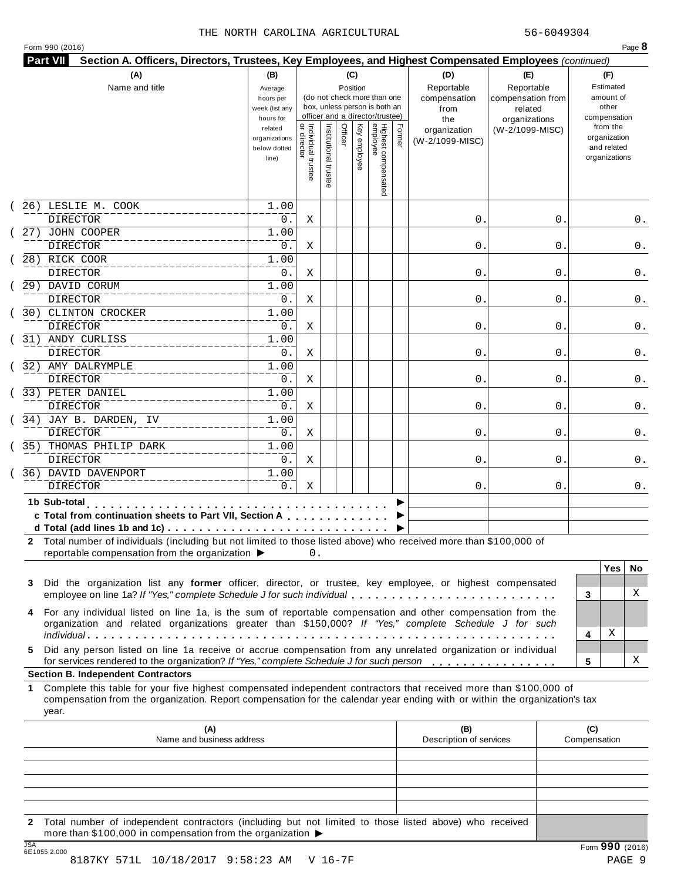|  | Form 990 (2016) |  |
|--|-----------------|--|
|  |                 |  |

|         | Name and title                                                                                                                                                                                                                                                                                                                                               | (B)<br>Average<br>hours per<br>week (list any<br>hours for |                                     |                       | (C)     | Position     | (do not check more than one<br>box, unless person is both an<br>officer and a director/trustee) |        | (D)<br>Reportable<br>compensation<br>from<br>the | (E)<br>Reportable<br>compensation from<br>related<br>organizations | (F)<br>Estimated<br>amount of<br>other<br>compensation   |
|---------|--------------------------------------------------------------------------------------------------------------------------------------------------------------------------------------------------------------------------------------------------------------------------------------------------------------------------------------------------------------|------------------------------------------------------------|-------------------------------------|-----------------------|---------|--------------|-------------------------------------------------------------------------------------------------|--------|--------------------------------------------------|--------------------------------------------------------------------|----------------------------------------------------------|
|         |                                                                                                                                                                                                                                                                                                                                                              | related<br>organizations<br>below dotted<br>line)          | Individual trustee<br>  or director | Institutional trustee | Officer | Key employee | Highest compensated<br>employee                                                                 | Former | organization<br>(W-2/1099-MISC)                  | (W-2/1099-MISC)                                                    | from the<br>organization<br>and related<br>organizations |
|         | 26) LESLIE M. COOK                                                                                                                                                                                                                                                                                                                                           | 1.00                                                       |                                     |                       |         |              |                                                                                                 |        |                                                  |                                                                    |                                                          |
|         | <b>DIRECTOR</b><br>27) JOHN COOPER                                                                                                                                                                                                                                                                                                                           | 0.<br>1.00                                                 | Χ                                   |                       |         |              |                                                                                                 |        | 0.                                               | 0                                                                  | 0.                                                       |
|         | <b>DIRECTOR</b>                                                                                                                                                                                                                                                                                                                                              | 0.                                                         | Χ                                   |                       |         |              |                                                                                                 |        | 0.                                               | 0                                                                  | 0.                                                       |
|         | 28) RICK COOR                                                                                                                                                                                                                                                                                                                                                | 1.00                                                       |                                     |                       |         |              |                                                                                                 |        |                                                  |                                                                    |                                                          |
|         | <b>DIRECTOR</b>                                                                                                                                                                                                                                                                                                                                              | 0.                                                         | Χ                                   |                       |         |              |                                                                                                 |        | 0.                                               | 0                                                                  | 0.                                                       |
|         | 29) DAVID CORUM                                                                                                                                                                                                                                                                                                                                              | 1.00                                                       |                                     |                       |         |              |                                                                                                 |        |                                                  |                                                                    |                                                          |
|         | <b>DIRECTOR</b><br>30) CLINTON CROCKER                                                                                                                                                                                                                                                                                                                       | 0.<br>1.00                                                 | Χ                                   |                       |         |              |                                                                                                 |        | 0.                                               | 0                                                                  | 0.                                                       |
|         | DIRECTOR                                                                                                                                                                                                                                                                                                                                                     | 0.                                                         | Χ                                   |                       |         |              |                                                                                                 |        | 0.                                               | 0                                                                  | 0.                                                       |
|         | 31) ANDY CURLISS                                                                                                                                                                                                                                                                                                                                             | 1.00                                                       |                                     |                       |         |              |                                                                                                 |        |                                                  |                                                                    |                                                          |
|         | <b>DIRECTOR</b>                                                                                                                                                                                                                                                                                                                                              | 0.                                                         | Χ                                   |                       |         |              |                                                                                                 |        | 0.                                               | 0                                                                  | 0.                                                       |
|         | 32) AMY DALRYMPLE                                                                                                                                                                                                                                                                                                                                            | 1.00                                                       |                                     |                       |         |              |                                                                                                 |        |                                                  |                                                                    |                                                          |
|         | <b>DIRECTOR</b>                                                                                                                                                                                                                                                                                                                                              | 0.                                                         | Χ                                   |                       |         |              |                                                                                                 |        | 0.                                               | 0                                                                  | 0.                                                       |
|         | 33) PETER DANIEL                                                                                                                                                                                                                                                                                                                                             | 1.00                                                       |                                     |                       |         |              |                                                                                                 |        |                                                  |                                                                    |                                                          |
|         | <b>DIRECTOR</b><br>34) JAY B. DARDEN, IV                                                                                                                                                                                                                                                                                                                     | 0.<br>1.00                                                 | Χ                                   |                       |         |              |                                                                                                 |        | 0.                                               | 0                                                                  | 0.                                                       |
|         | DIRECTOR                                                                                                                                                                                                                                                                                                                                                     | 0.                                                         | Χ                                   |                       |         |              |                                                                                                 |        | 0.                                               | 0                                                                  | 0.                                                       |
|         | 35) THOMAS PHILIP DARK                                                                                                                                                                                                                                                                                                                                       | 1.00                                                       |                                     |                       |         |              |                                                                                                 |        |                                                  |                                                                    |                                                          |
|         | <b>DIRECTOR</b>                                                                                                                                                                                                                                                                                                                                              | 0.                                                         | Χ                                   |                       |         |              |                                                                                                 |        | 0.                                               | 0                                                                  | 0.                                                       |
|         | 36) DAVID DAVENPORT                                                                                                                                                                                                                                                                                                                                          | 1.00                                                       |                                     |                       |         |              |                                                                                                 |        |                                                  |                                                                    |                                                          |
|         | <b>DIRECTOR</b>                                                                                                                                                                                                                                                                                                                                              | 0.                                                         | Χ                                   |                       |         |              |                                                                                                 |        | 0.                                               | 0                                                                  | 0.                                                       |
|         | 1b Sub-total<br>.<br>c Total from continuation sheets to Part VII, Section A                                                                                                                                                                                                                                                                                 |                                                            |                                     |                       |         |              |                                                                                                 |        |                                                  |                                                                    |                                                          |
| 3       | 2 Total number of individuals (including but not limited to those listed above) who received more than \$100,000 of<br>reportable compensation from the organization ▶<br>Did the organization list any former officer, director, or trustee, key employee, or highest compensated<br>employee on line 1a? If "Yes," complete Schedule J for such individual |                                                            | 0.                                  |                       |         |              |                                                                                                 |        |                                                  |                                                                    | <b>Yes</b><br>No.<br>X<br>3                              |
| 4<br>5. | For any individual listed on line 1a, is the sum of reportable compensation and other compensation from the<br>organization and related organizations greater than \$150,000? If "Yes," complete Schedule J for such<br>Did any person listed on line 1a receive or accrue compensation from any unrelated organization or individual                        |                                                            |                                     |                       |         |              |                                                                                                 |        |                                                  |                                                                    | х<br>4                                                   |
|         | for services rendered to the organization? If "Yes," complete Schedule J for such person<br><b>Section B. Independent Contractors</b>                                                                                                                                                                                                                        |                                                            |                                     |                       |         |              |                                                                                                 |        |                                                  |                                                                    | х<br>5                                                   |
| 1       | Complete this table for your five highest compensated independent contractors that received more than \$100,000 of<br>compensation from the organization. Report compensation for the calendar year ending with or within the organization's tax<br>year.                                                                                                    |                                                            |                                     |                       |         |              |                                                                                                 |        |                                                  |                                                                    |                                                          |
|         | (A)<br>Name and business address                                                                                                                                                                                                                                                                                                                             |                                                            |                                     |                       |         |              |                                                                                                 |        | (B)<br>Description of services                   |                                                                    | (C)<br>Compensation                                      |
|         |                                                                                                                                                                                                                                                                                                                                                              |                                                            |                                     |                       |         |              |                                                                                                 |        |                                                  |                                                                    |                                                          |
|         |                                                                                                                                                                                                                                                                                                                                                              |                                                            |                                     |                       |         |              |                                                                                                 |        |                                                  |                                                                    |                                                          |

JSA Form **990** (2016) 6E1055 2.000 8187KY 571L 10/18/2017 9:58:23 AM V 16-7F 2018 1878 PAGE 9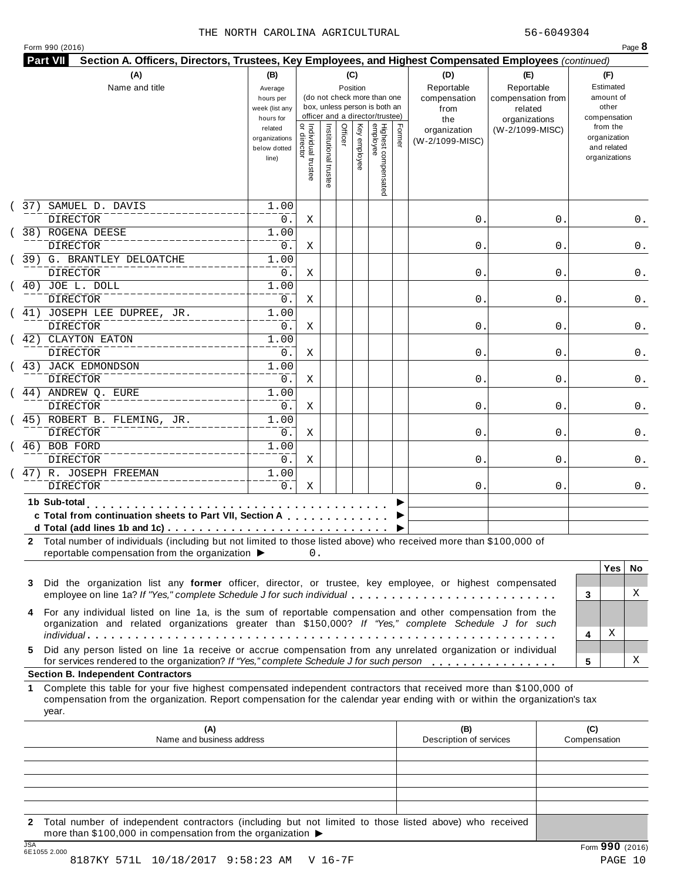|  | Form 990 (2016) |  |
|--|-----------------|--|
|  |                 |  |

| 37)<br>1b Sub-total<br>3<br>4 | SAMUEL D. DAVIS<br><b>DIRECTOR</b><br>38) ROGENA DEESE<br><b>DIRECTOR</b><br>39) G. BRANTLEY DELOATCHE<br><b>DIRECTOR</b><br>40) JOE L. DOLL<br><b>DIRECTOR</b><br>$(41)$ JOSEPH LEE DUPREE, JR.<br>DIRECTOR<br>(42) CLAYTON EATON<br><b>DIRECTOR</b><br>(43) JACK EDMONDSON<br><b>DIRECTOR</b><br>(44) ANDREW Q. EURE<br><b>DIRECTOR</b><br>(45) ROBERT B. FLEMING, JR.<br>DIRECTOR<br>46) BOB FORD | related<br>organizations<br>below dotted<br>line)<br>1.00<br>0.<br>1.00<br>0.<br>1.00<br>0.<br>1.00<br>0.<br>1.00<br>0.<br>1.00<br>0.<br>1.00<br>0.<br>1.00<br>0.<br>1.00<br>0. | Individual trustee<br>  or director<br>Χ<br>Χ<br>Χ<br>Χ<br>Χ<br>Χ<br>Χ<br>Χ | Institutional trustee | Officer | Key employee | Highest compensated<br>employee | Former | organization<br>(W-2/1099-MISC)<br>0.<br>0.<br>0.<br>0.<br>0. | (W-2/1099-MISC)<br>0<br>0<br>0<br>0<br>0 | from the<br>organization<br>and related<br>organizations<br>0.<br>0.<br>0.<br>0.<br>0. |
|-------------------------------|------------------------------------------------------------------------------------------------------------------------------------------------------------------------------------------------------------------------------------------------------------------------------------------------------------------------------------------------------------------------------------------------------|---------------------------------------------------------------------------------------------------------------------------------------------------------------------------------|-----------------------------------------------------------------------------|-----------------------|---------|--------------|---------------------------------|--------|---------------------------------------------------------------|------------------------------------------|----------------------------------------------------------------------------------------|
|                               |                                                                                                                                                                                                                                                                                                                                                                                                      |                                                                                                                                                                                 |                                                                             |                       |         |              |                                 |        |                                                               |                                          |                                                                                        |
|                               |                                                                                                                                                                                                                                                                                                                                                                                                      |                                                                                                                                                                                 |                                                                             |                       |         |              |                                 |        |                                                               |                                          |                                                                                        |
|                               |                                                                                                                                                                                                                                                                                                                                                                                                      |                                                                                                                                                                                 |                                                                             |                       |         |              |                                 |        |                                                               |                                          |                                                                                        |
|                               |                                                                                                                                                                                                                                                                                                                                                                                                      |                                                                                                                                                                                 |                                                                             |                       |         |              |                                 |        |                                                               |                                          |                                                                                        |
|                               |                                                                                                                                                                                                                                                                                                                                                                                                      |                                                                                                                                                                                 |                                                                             |                       |         |              |                                 |        |                                                               |                                          |                                                                                        |
|                               |                                                                                                                                                                                                                                                                                                                                                                                                      |                                                                                                                                                                                 |                                                                             |                       |         |              |                                 |        |                                                               |                                          |                                                                                        |
|                               |                                                                                                                                                                                                                                                                                                                                                                                                      |                                                                                                                                                                                 |                                                                             |                       |         |              |                                 |        |                                                               |                                          |                                                                                        |
|                               |                                                                                                                                                                                                                                                                                                                                                                                                      |                                                                                                                                                                                 |                                                                             |                       |         |              |                                 |        |                                                               |                                          |                                                                                        |
|                               |                                                                                                                                                                                                                                                                                                                                                                                                      |                                                                                                                                                                                 |                                                                             |                       |         |              |                                 |        |                                                               |                                          |                                                                                        |
|                               |                                                                                                                                                                                                                                                                                                                                                                                                      |                                                                                                                                                                                 |                                                                             |                       |         |              |                                 |        |                                                               |                                          |                                                                                        |
|                               |                                                                                                                                                                                                                                                                                                                                                                                                      |                                                                                                                                                                                 |                                                                             |                       |         |              |                                 |        |                                                               |                                          |                                                                                        |
|                               |                                                                                                                                                                                                                                                                                                                                                                                                      |                                                                                                                                                                                 |                                                                             |                       |         |              |                                 |        | 0.                                                            | 0                                        | 0.                                                                                     |
|                               |                                                                                                                                                                                                                                                                                                                                                                                                      |                                                                                                                                                                                 |                                                                             |                       |         |              |                                 |        | 0.                                                            | 0                                        | 0.                                                                                     |
|                               |                                                                                                                                                                                                                                                                                                                                                                                                      |                                                                                                                                                                                 |                                                                             |                       |         |              |                                 |        |                                                               |                                          |                                                                                        |
|                               |                                                                                                                                                                                                                                                                                                                                                                                                      |                                                                                                                                                                                 |                                                                             |                       |         |              |                                 |        | 0.                                                            | 0                                        | 0.                                                                                     |
|                               |                                                                                                                                                                                                                                                                                                                                                                                                      |                                                                                                                                                                                 |                                                                             |                       |         |              |                                 |        |                                                               |                                          |                                                                                        |
|                               |                                                                                                                                                                                                                                                                                                                                                                                                      |                                                                                                                                                                                 | Χ                                                                           |                       |         |              |                                 |        | 0.                                                            | 0                                        | 0.                                                                                     |
|                               |                                                                                                                                                                                                                                                                                                                                                                                                      | 1.00                                                                                                                                                                            |                                                                             |                       |         |              |                                 |        |                                                               |                                          |                                                                                        |
|                               | <b>DIRECTOR</b>                                                                                                                                                                                                                                                                                                                                                                                      | $0$ .                                                                                                                                                                           | Χ                                                                           |                       |         |              |                                 |        | 0.                                                            | 0                                        | 0.                                                                                     |
|                               | 47) R. JOSEPH FREEMAN                                                                                                                                                                                                                                                                                                                                                                                | 1.00                                                                                                                                                                            |                                                                             |                       |         |              |                                 |        |                                                               |                                          |                                                                                        |
|                               | <b>DIRECTOR</b>                                                                                                                                                                                                                                                                                                                                                                                      | 0.                                                                                                                                                                              | Χ                                                                           |                       |         |              |                                 |        | 0.                                                            | 0                                        | 0.                                                                                     |
|                               | .<br>c Total from continuation sheets to Part VII, Section A<br>d Total (add lines 1b and 1c) $\ldots \ldots \ldots \ldots \ldots \ldots \ldots \ldots \ldots \ldots \ldots$                                                                                                                                                                                                                         |                                                                                                                                                                                 |                                                                             |                       |         |              |                                 |        |                                                               |                                          |                                                                                        |
|                               | 2 Total number of individuals (including but not limited to those listed above) who received more than \$100,000 of<br>reportable compensation from the organization ▶<br>Did the organization list any former officer, director, or trustee, key employee, or highest compensated<br>employee on line 1a? If "Yes," complete Schedule J for such individual                                         |                                                                                                                                                                                 | 0.                                                                          |                       |         |              |                                 |        |                                                               |                                          | <b>Yes</b><br>No.<br>X<br>3                                                            |
| 5.                            | For any individual listed on line 1a, is the sum of reportable compensation and other compensation from the<br>organization and related organizations greater than \$150,000? If "Yes," complete Schedule J for such<br>Did any person listed on line 1a receive or accrue compensation from any unrelated organization or individual                                                                |                                                                                                                                                                                 |                                                                             |                       |         |              |                                 |        |                                                               |                                          | х<br>4                                                                                 |
|                               | for services rendered to the organization? If "Yes," complete Schedule J for such person<br><b>Section B. Independent Contractors</b>                                                                                                                                                                                                                                                                |                                                                                                                                                                                 |                                                                             |                       |         |              |                                 |        |                                                               |                                          | х<br>5                                                                                 |
| 1<br>year.                    | Complete this table for your five highest compensated independent contractors that received more than \$100,000 of<br>compensation from the organization. Report compensation for the calendar year ending with or within the organization's tax                                                                                                                                                     |                                                                                                                                                                                 |                                                                             |                       |         |              |                                 |        |                                                               |                                          |                                                                                        |
|                               | (A)<br>Name and business address                                                                                                                                                                                                                                                                                                                                                                     |                                                                                                                                                                                 |                                                                             |                       |         |              |                                 |        | (B)<br>Description of services                                |                                          | (C)<br>Compensation                                                                    |
|                               |                                                                                                                                                                                                                                                                                                                                                                                                      |                                                                                                                                                                                 |                                                                             |                       |         |              |                                 |        |                                                               |                                          |                                                                                        |
|                               |                                                                                                                                                                                                                                                                                                                                                                                                      |                                                                                                                                                                                 |                                                                             |                       |         |              |                                 |        |                                                               |                                          |                                                                                        |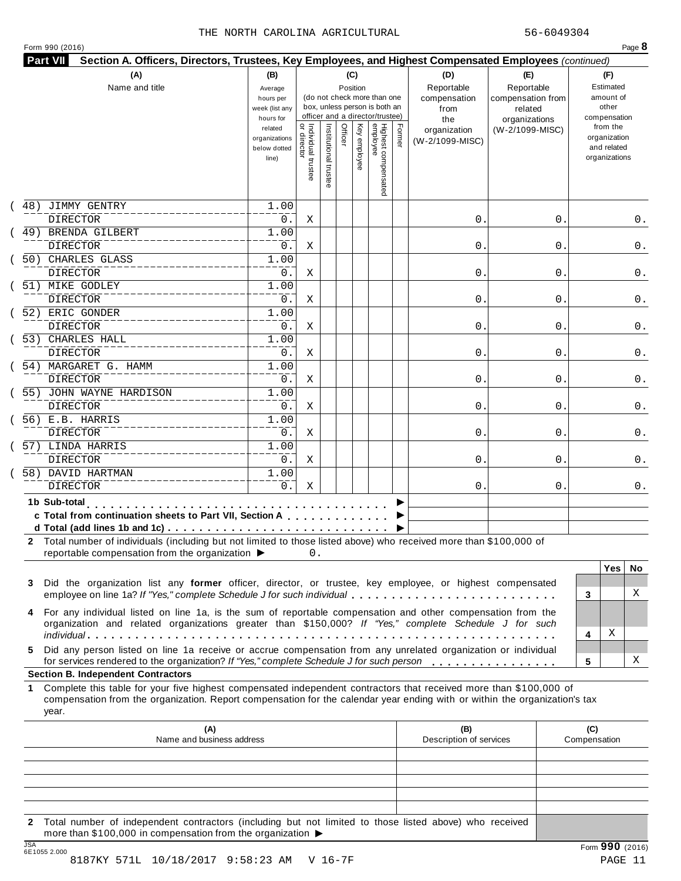| Form 990 (2016) |  |  |  |  |
|-----------------|--|--|--|--|
|-----------------|--|--|--|--|

| (A)<br>Name and title                                                                                                                                                                                                                                           | (B)<br>Average<br>hours per<br>week (list any<br>hours for |                                     |                       | (C)<br>Position | (do not check more than one<br>box, unless person is both an<br>officer and a director/trustee) |                                 |        | (D)<br>Reportable<br>compensation<br>from<br>the | (E)<br>Reportable<br>compensation from<br>related<br>organizations |                     | (F)<br>Estimated<br>amount of<br>other<br>compensation   |          |
|-----------------------------------------------------------------------------------------------------------------------------------------------------------------------------------------------------------------------------------------------------------------|------------------------------------------------------------|-------------------------------------|-----------------------|-----------------|-------------------------------------------------------------------------------------------------|---------------------------------|--------|--------------------------------------------------|--------------------------------------------------------------------|---------------------|----------------------------------------------------------|----------|
|                                                                                                                                                                                                                                                                 | related<br>organizations<br>below dotted<br>line)          | Individual trustee<br>  or director | Institutional trustee | Officer         | Key employee                                                                                    | Highest compensated<br>employee | Former | organization<br>(W-2/1099-MISC)                  | (W-2/1099-MISC)                                                    |                     | from the<br>organization<br>and related<br>organizations |          |
| JIMMY GENTRY<br>48)<br><b>DIRECTOR</b>                                                                                                                                                                                                                          | 1.00<br>0.                                                 | Χ                                   |                       |                 |                                                                                                 |                                 |        | 0.                                               | 0                                                                  |                     |                                                          | 0.       |
| 49) BRENDA GILBERT<br><b>DIRECTOR</b>                                                                                                                                                                                                                           | 1.00<br>0.                                                 | Χ                                   |                       |                 |                                                                                                 |                                 |        | 0.                                               | 0                                                                  |                     |                                                          | 0.       |
| 50) CHARLES GLASS<br><b>DIRECTOR</b>                                                                                                                                                                                                                            | 1.00<br>0.                                                 | Χ                                   |                       |                 |                                                                                                 |                                 |        | 0.                                               | 0                                                                  |                     |                                                          | 0.       |
| 51) MIKE GODLEY<br><b>DIRECTOR</b>                                                                                                                                                                                                                              | 1.00<br>0.                                                 | Χ                                   |                       |                 |                                                                                                 |                                 |        | 0.                                               | 0                                                                  |                     |                                                          | 0.       |
| 52) ERIC GONDER<br><b>DIRECTOR</b>                                                                                                                                                                                                                              | 1.00<br>0.                                                 | Χ                                   |                       |                 |                                                                                                 |                                 |        | 0.                                               | 0                                                                  |                     |                                                          | 0.       |
| 53) CHARLES HALL<br><b>DIRECTOR</b>                                                                                                                                                                                                                             | 1.00<br>0.                                                 | Χ                                   |                       |                 |                                                                                                 |                                 |        | 0.                                               | 0                                                                  |                     |                                                          | 0.       |
| 54) MARGARET G. HAMM<br><b>DIRECTOR</b>                                                                                                                                                                                                                         | 1.00<br>0.                                                 | X                                   |                       |                 |                                                                                                 |                                 |        | 0.                                               | 0                                                                  |                     |                                                          | 0.       |
| 55) JOHN WAYNE HARDISON<br><b>DIRECTOR</b>                                                                                                                                                                                                                      | 1.00<br>0.                                                 | Χ                                   |                       |                 |                                                                                                 |                                 |        | 0.                                               | 0                                                                  |                     |                                                          | 0.       |
| 56) E.B. HARRIS<br>DIRECTOR                                                                                                                                                                                                                                     | 1.00<br>0.                                                 | Χ                                   |                       |                 |                                                                                                 |                                 |        | 0.                                               | 0                                                                  |                     |                                                          | 0.       |
| 57) LINDA HARRIS<br><b>DIRECTOR</b>                                                                                                                                                                                                                             | 1.00<br>0.                                                 | X                                   |                       |                 |                                                                                                 |                                 |        | 0.                                               | 0                                                                  |                     |                                                          | 0.       |
| 58) DAVID HARTMAN<br><b>DIRECTOR</b>                                                                                                                                                                                                                            | 1.00<br>0.                                                 | Χ                                   |                       |                 |                                                                                                 |                                 |        | 0.                                               | 0                                                                  |                     |                                                          | 0.       |
| 1b Sub-total<br>c Total from continuation sheets to Part VII, Section A<br>2 Total number of individuals (including but not limited to those listed above) who received more than \$100,000 of<br>reportable compensation from the organization ▶               |                                                            | 0.                                  |                       |                 |                                                                                                 |                                 |        |                                                  |                                                                    |                     |                                                          |          |
| Did the organization list any former officer, director, or trustee, key employee, or highest compensated<br>3<br>employee on line 1a? If "Yes," complete Schedule J for such individual                                                                         |                                                            |                                     |                       |                 |                                                                                                 |                                 |        |                                                  |                                                                    | 3                   | <b>Yes</b>                                               | No.<br>X |
| For any individual listed on line 1a, is the sum of reportable compensation and other compensation from the<br>4<br>organization and related organizations greater than \$150,000? If "Yes," complete Schedule J for such                                       |                                                            |                                     |                       |                 |                                                                                                 |                                 |        |                                                  |                                                                    | 4                   | Χ                                                        |          |
| Did any person listed on line 1a receive or accrue compensation from any unrelated organization or individual<br>5.<br>for services rendered to the organization? If "Yes," complete Schedule J for such person                                                 |                                                            |                                     |                       |                 |                                                                                                 |                                 |        |                                                  |                                                                    | 5                   |                                                          | х        |
| <b>Section B. Independent Contractors</b>                                                                                                                                                                                                                       |                                                            |                                     |                       |                 |                                                                                                 |                                 |        |                                                  |                                                                    |                     |                                                          |          |
| Complete this table for your five highest compensated independent contractors that received more than \$100,000 of<br>1.<br>compensation from the organization. Report compensation for the calendar year ending with or within the organization's tax<br>year. |                                                            |                                     |                       |                 |                                                                                                 |                                 |        |                                                  |                                                                    |                     |                                                          |          |
| (A)<br>Name and business address                                                                                                                                                                                                                                |                                                            |                                     |                       |                 |                                                                                                 |                                 |        | (B)<br>Description of services                   |                                                                    | (C)<br>Compensation |                                                          |          |
|                                                                                                                                                                                                                                                                 |                                                            |                                     |                       |                 |                                                                                                 |                                 |        |                                                  |                                                                    |                     |                                                          |          |
|                                                                                                                                                                                                                                                                 |                                                            |                                     |                       |                 |                                                                                                 |                                 |        |                                                  |                                                                    |                     |                                                          |          |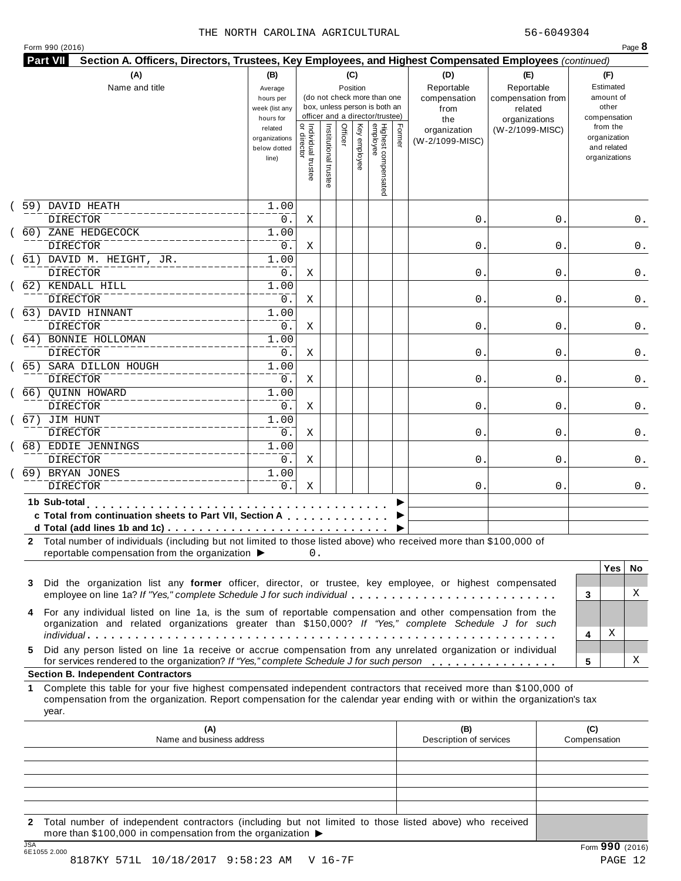| Form 990 (2016) |  |  |  |  |
|-----------------|--|--|--|--|
|-----------------|--|--|--|--|

|         | (A)<br>Name and title                                                                                                                                                                                                                                                                                                                                        | (B)<br>Average<br>hours per<br>week (list any<br>hours for |                                     |                       |         | (C)<br>Position | (do not check more than one<br>box, unless person is both an<br>officer and a director/trustee) |        | (D)<br>Reportable<br>compensation<br>from<br>the | (E)<br>Reportable<br>compensation from<br>related<br>organizations | (F)<br>Estimated<br>amount of<br>other<br>compensation   |
|---------|--------------------------------------------------------------------------------------------------------------------------------------------------------------------------------------------------------------------------------------------------------------------------------------------------------------------------------------------------------------|------------------------------------------------------------|-------------------------------------|-----------------------|---------|-----------------|-------------------------------------------------------------------------------------------------|--------|--------------------------------------------------|--------------------------------------------------------------------|----------------------------------------------------------|
|         |                                                                                                                                                                                                                                                                                                                                                              | related<br>organizations<br>below dotted<br>line)          | Individual trustee<br>  or director | Institutional trustee | Officer | Key employee    | Highest compensated<br>employee                                                                 | Former | organization<br>(W-2/1099-MISC)                  | (W-2/1099-MISC)                                                    | from the<br>organization<br>and related<br>organizations |
| 59)     | DAVID HEATH                                                                                                                                                                                                                                                                                                                                                  | 1.00                                                       |                                     |                       |         |                 |                                                                                                 |        |                                                  |                                                                    |                                                          |
|         | <b>DIRECTOR</b>                                                                                                                                                                                                                                                                                                                                              | 0.                                                         | Χ                                   |                       |         |                 |                                                                                                 |        | 0.                                               | 0                                                                  | 0.                                                       |
|         | 60) ZANE HEDGECOCK<br><b>DIRECTOR</b>                                                                                                                                                                                                                                                                                                                        | 1.00<br>0.                                                 | Χ                                   |                       |         |                 |                                                                                                 |        | 0.                                               | 0                                                                  | 0.                                                       |
|         | 61) DAVID M. HEIGHT, JR.                                                                                                                                                                                                                                                                                                                                     | 1.00                                                       |                                     |                       |         |                 |                                                                                                 |        |                                                  |                                                                    |                                                          |
|         | <b>DIRECTOR</b>                                                                                                                                                                                                                                                                                                                                              | 0.                                                         | Χ                                   |                       |         |                 |                                                                                                 |        | 0.                                               | 0                                                                  | 0.                                                       |
|         | 62) KENDALL HILL                                                                                                                                                                                                                                                                                                                                             | 1.00                                                       |                                     |                       |         |                 |                                                                                                 |        |                                                  |                                                                    |                                                          |
|         | DIRECTOR                                                                                                                                                                                                                                                                                                                                                     | 0.                                                         | Χ                                   |                       |         |                 |                                                                                                 |        | 0.                                               | 0                                                                  | 0.                                                       |
|         | 63) DAVID HINNANT                                                                                                                                                                                                                                                                                                                                            | 1.00                                                       |                                     |                       |         |                 |                                                                                                 |        |                                                  |                                                                    |                                                          |
|         | DIRECTOR                                                                                                                                                                                                                                                                                                                                                     | 0.                                                         | Χ                                   |                       |         |                 |                                                                                                 |        | 0.                                               | 0                                                                  | 0.                                                       |
|         | 64) BONNIE HOLLOMAN                                                                                                                                                                                                                                                                                                                                          | 1.00                                                       |                                     |                       |         |                 |                                                                                                 |        |                                                  |                                                                    |                                                          |
|         | <b>DIRECTOR</b>                                                                                                                                                                                                                                                                                                                                              | 0.                                                         | Χ                                   |                       |         |                 |                                                                                                 |        | 0.                                               | 0                                                                  | 0.                                                       |
|         | 65) SARA DILLON HOUGH<br><b>DIRECTOR</b>                                                                                                                                                                                                                                                                                                                     | 1.00<br>0.                                                 |                                     |                       |         |                 |                                                                                                 |        | 0.                                               |                                                                    |                                                          |
|         | 66) OUINN HOWARD                                                                                                                                                                                                                                                                                                                                             | 1.00                                                       | Χ                                   |                       |         |                 |                                                                                                 |        |                                                  | 0                                                                  | 0.                                                       |
|         | <b>DIRECTOR</b>                                                                                                                                                                                                                                                                                                                                              | 0.                                                         | Χ                                   |                       |         |                 |                                                                                                 |        | 0.                                               | 0                                                                  | 0.                                                       |
|         | 67) JIM HUNT                                                                                                                                                                                                                                                                                                                                                 | 1.00                                                       |                                     |                       |         |                 |                                                                                                 |        |                                                  |                                                                    |                                                          |
|         | <b>DIRECTOR</b>                                                                                                                                                                                                                                                                                                                                              | 0.                                                         | Χ                                   |                       |         |                 |                                                                                                 |        | 0.                                               | 0                                                                  | 0.                                                       |
|         | 68) EDDIE JENNINGS                                                                                                                                                                                                                                                                                                                                           | 1.00                                                       |                                     |                       |         |                 |                                                                                                 |        |                                                  |                                                                    |                                                          |
|         | <b>DIRECTOR</b>                                                                                                                                                                                                                                                                                                                                              | 0.                                                         | X                                   |                       |         |                 |                                                                                                 |        | 0.                                               | 0                                                                  | 0.                                                       |
|         | 69) BRYAN JONES                                                                                                                                                                                                                                                                                                                                              | 1.00                                                       |                                     |                       |         |                 |                                                                                                 |        |                                                  |                                                                    |                                                          |
|         | <b>DIRECTOR</b>                                                                                                                                                                                                                                                                                                                                              | 0.                                                         | Χ                                   |                       |         |                 |                                                                                                 |        | 0.                                               | 0                                                                  | 0.                                                       |
|         | 1b Sub-total<br>c Total from continuation sheets to Part VII, Section A<br>d Total (add lines 1b and 1c) $\ldots \ldots \ldots \ldots \ldots \ldots \ldots \ldots \ldots \ldots$                                                                                                                                                                             |                                                            |                                     |                       |         |                 |                                                                                                 |        |                                                  |                                                                    |                                                          |
| 3       | 2 Total number of individuals (including but not limited to those listed above) who received more than \$100,000 of<br>reportable compensation from the organization ▶<br>Did the organization list any former officer, director, or trustee, key employee, or highest compensated<br>employee on line 1a? If "Yes," complete Schedule J for such individual |                                                            | 0.                                  |                       |         |                 |                                                                                                 |        |                                                  |                                                                    | <b>Yes</b><br>No.<br>X<br>3                              |
| 4<br>5. | For any individual listed on line 1a, is the sum of reportable compensation and other compensation from the<br>organization and related organizations greater than \$150,000? If "Yes," complete Schedule J for such<br>Did any person listed on line 1a receive or accrue compensation from any unrelated organization or individual                        |                                                            |                                     |                       |         |                 |                                                                                                 |        |                                                  |                                                                    | х<br>4                                                   |
|         | for services rendered to the organization? If "Yes," complete Schedule J for such person<br><b>Section B. Independent Contractors</b>                                                                                                                                                                                                                        |                                                            |                                     |                       |         |                 |                                                                                                 |        |                                                  |                                                                    | х<br>5                                                   |
|         | Complete this table for your five highest compensated independent contractors that received more than \$100,000 of                                                                                                                                                                                                                                           |                                                            |                                     |                       |         |                 |                                                                                                 |        |                                                  |                                                                    |                                                          |
| 1       | compensation from the organization. Report compensation for the calendar year ending with or within the organization's tax                                                                                                                                                                                                                                   |                                                            |                                     |                       |         |                 |                                                                                                 |        |                                                  |                                                                    |                                                          |
|         | year.                                                                                                                                                                                                                                                                                                                                                        |                                                            |                                     |                       |         |                 |                                                                                                 |        |                                                  |                                                                    |                                                          |
|         | (A)<br>Name and business address                                                                                                                                                                                                                                                                                                                             |                                                            |                                     |                       |         |                 |                                                                                                 |        | (B)<br>Description of services                   |                                                                    | (C)<br>Compensation                                      |
|         |                                                                                                                                                                                                                                                                                                                                                              |                                                            |                                     |                       |         |                 |                                                                                                 |        |                                                  |                                                                    |                                                          |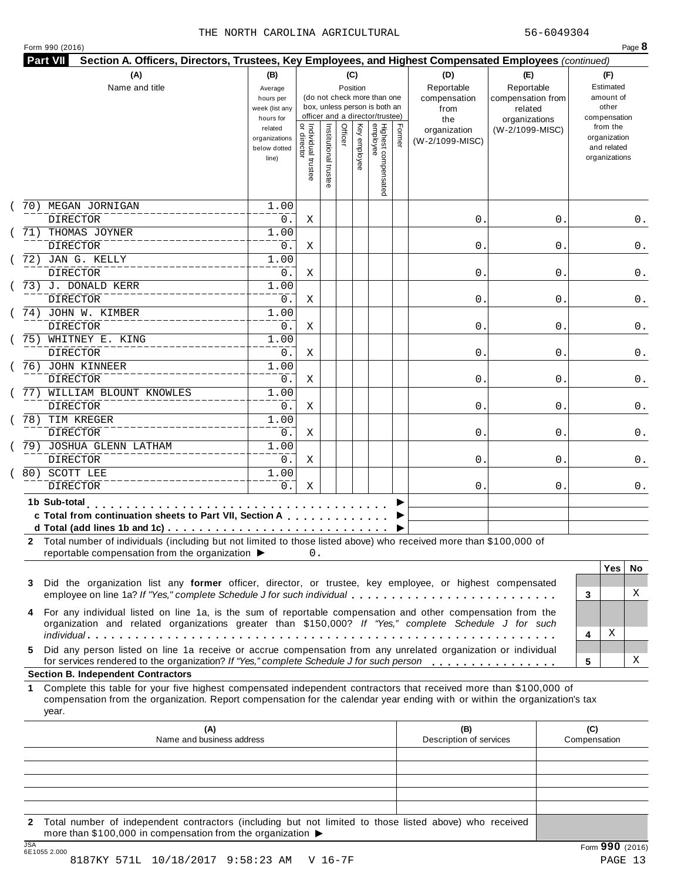| Form 990 (2016) |  |  |  |  |
|-----------------|--|--|--|--|
|-----------------|--|--|--|--|

| (A)<br>Name and title                                                                                                                                                                                                                                                                                                                                             | (B)<br>Average<br>hours per<br>week (list any<br>hours for |                                     |                       | (C)<br>Position | (do not check more than one<br>box, unless person is both an<br>officer and a director/trustee) |        | (D)<br>Reportable<br>compensation<br>from<br>the | (E)<br>Reportable<br>compensation from<br>related<br>organizations |                     | (F)<br>Estimated<br>amount of<br>other<br>compensation   |          |
|-------------------------------------------------------------------------------------------------------------------------------------------------------------------------------------------------------------------------------------------------------------------------------------------------------------------------------------------------------------------|------------------------------------------------------------|-------------------------------------|-----------------------|-----------------|-------------------------------------------------------------------------------------------------|--------|--------------------------------------------------|--------------------------------------------------------------------|---------------------|----------------------------------------------------------|----------|
|                                                                                                                                                                                                                                                                                                                                                                   | related<br>organizations<br>below dotted<br>line)          | Individual trustee<br>  or director | Institutional trustee | Officer         | Highest compensated<br>employee<br>Key employee                                                 | Former | organization<br>(W-2/1099-MISC)                  | (W-2/1099-MISC)                                                    |                     | from the<br>organization<br>and related<br>organizations |          |
| 70) MEGAN JORNIGAN<br><b>DIRECTOR</b>                                                                                                                                                                                                                                                                                                                             | 1.00<br>0.                                                 | Χ                                   |                       |                 |                                                                                                 |        | 0.                                               | 0                                                                  |                     |                                                          | 0.       |
| 71) THOMAS JOYNER<br><b>DIRECTOR</b>                                                                                                                                                                                                                                                                                                                              | 1.00<br>0.                                                 | Χ                                   |                       |                 |                                                                                                 |        | 0.                                               | 0                                                                  |                     |                                                          | 0.       |
| 72) JAN G. KELLY<br><b>DIRECTOR</b>                                                                                                                                                                                                                                                                                                                               | 1.00<br>0.                                                 | Χ                                   |                       |                 |                                                                                                 |        | 0.                                               | 0                                                                  |                     |                                                          | 0.       |
| 73) J. DONALD KERR<br><b>DIRECTOR</b>                                                                                                                                                                                                                                                                                                                             | 1.00<br>0.                                                 | Χ                                   |                       |                 |                                                                                                 |        | 0.                                               | 0                                                                  |                     |                                                          | 0.       |
| 74) JOHN W. KIMBER<br><b>DIRECTOR</b>                                                                                                                                                                                                                                                                                                                             | 1.00<br>0.                                                 | Χ                                   |                       |                 |                                                                                                 |        | 0.                                               | 0                                                                  |                     |                                                          | 0.       |
| 75) WHITNEY E. KING<br><b>DIRECTOR</b>                                                                                                                                                                                                                                                                                                                            | 1.00<br>0.                                                 | Χ                                   |                       |                 |                                                                                                 |        | 0.                                               | 0                                                                  |                     |                                                          | 0.       |
| 76) JOHN KINNEER<br><b>DIRECTOR</b>                                                                                                                                                                                                                                                                                                                               | 1.00<br>0.                                                 | Χ                                   |                       |                 |                                                                                                 |        | 0.                                               | 0                                                                  |                     |                                                          | 0.       |
| 77) WILLIAM BLOUNT KNOWLES<br><b>DIRECTOR</b>                                                                                                                                                                                                                                                                                                                     | 1.00<br>0.                                                 | Χ                                   |                       |                 |                                                                                                 |        | 0.                                               | 0                                                                  |                     |                                                          | 0.       |
| 78) TIM KREGER<br><b>DIRECTOR</b>                                                                                                                                                                                                                                                                                                                                 | 1.00<br>0.                                                 | Χ                                   |                       |                 |                                                                                                 |        | 0.                                               | 0                                                                  |                     |                                                          | 0.       |
| 79) JOSHUA GLENN LATHAM<br><b>DIRECTOR</b>                                                                                                                                                                                                                                                                                                                        | 1.00<br>0.                                                 | Χ                                   |                       |                 |                                                                                                 |        | 0.                                               | 0                                                                  |                     |                                                          | 0.       |
| 80) SCOTT LEE<br><b>DIRECTOR</b>                                                                                                                                                                                                                                                                                                                                  | 1.00<br>0.                                                 | Χ                                   |                       |                 |                                                                                                 |        | 0.                                               | 0                                                                  |                     |                                                          | 0.       |
| 1b Sub-total<br>c Total from continuation sheets to Part VII, Section A<br>d Total (add lines 1b and 1c) $\ldots \ldots \ldots \ldots \ldots \ldots \ldots \ldots \ldots \ldots \ldots$<br>2 Total number of individuals (including but not limited to those listed above) who received more than \$100,000 of<br>reportable compensation from the organization ▶ |                                                            |                                     |                       |                 |                                                                                                 |        |                                                  |                                                                    |                     |                                                          |          |
| Did the organization list any former officer, director, or trustee, key employee, or highest compensated<br>3<br>employee on line 1a? If "Yes," complete Schedule J for such individual                                                                                                                                                                           |                                                            | 0.                                  |                       |                 |                                                                                                 |        |                                                  |                                                                    | 3                   | <b>Yes</b>                                               | No.<br>X |
| For any individual listed on line 1a, is the sum of reportable compensation and other compensation from the<br>4<br>organization and related organizations greater than \$150,000? If "Yes," complete Schedule J for such                                                                                                                                         |                                                            |                                     |                       |                 |                                                                                                 |        |                                                  |                                                                    |                     | Χ                                                        |          |
| Did any person listed on line 1a receive or accrue compensation from any unrelated organization or individual<br>5.<br>for services rendered to the organization? If "Yes," complete Schedule J for such person                                                                                                                                                   |                                                            |                                     |                       |                 |                                                                                                 |        |                                                  |                                                                    | 4<br>5              |                                                          | х        |
| <b>Section B. Independent Contractors</b>                                                                                                                                                                                                                                                                                                                         |                                                            |                                     |                       |                 |                                                                                                 |        |                                                  |                                                                    |                     |                                                          |          |
| Complete this table for your five highest compensated independent contractors that received more than \$100,000 of<br>1.<br>compensation from the organization. Report compensation for the calendar year ending with or within the organization's tax<br>year.                                                                                                   |                                                            |                                     |                       |                 |                                                                                                 |        |                                                  |                                                                    |                     |                                                          |          |
| (A)<br>Name and business address                                                                                                                                                                                                                                                                                                                                  |                                                            |                                     |                       |                 |                                                                                                 |        | (B)<br>Description of services                   |                                                                    | (C)<br>Compensation |                                                          |          |
|                                                                                                                                                                                                                                                                                                                                                                   |                                                            |                                     |                       |                 |                                                                                                 |        |                                                  |                                                                    |                     |                                                          |          |
|                                                                                                                                                                                                                                                                                                                                                                   |                                                            |                                     |                       |                 |                                                                                                 |        |                                                  |                                                                    |                     |                                                          |          |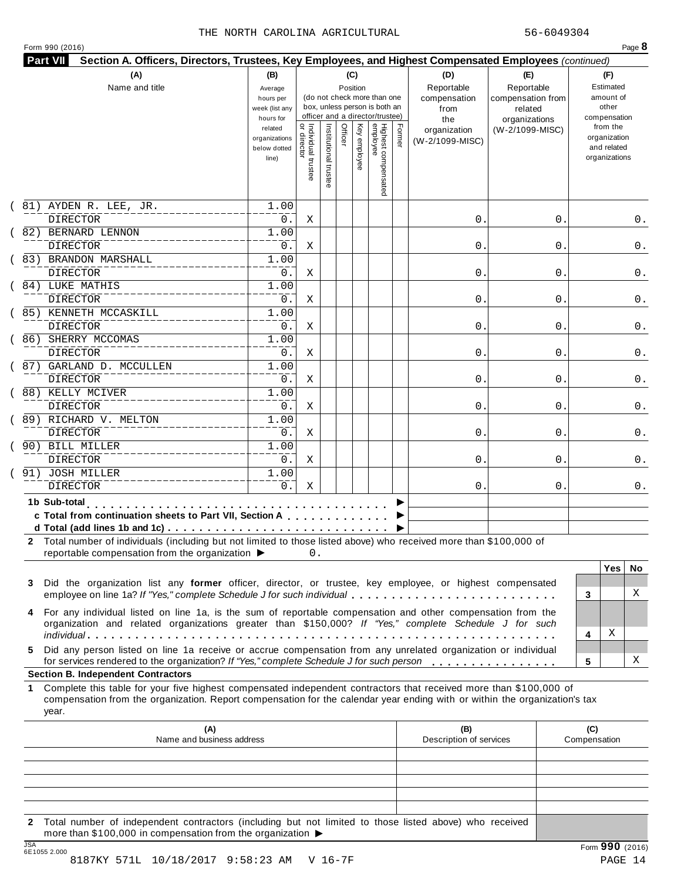| Form 990 (2016) |
|-----------------|
|-----------------|

| (A)<br>Name and title                                                                                                                                                                                                                                                      | (B)<br>Average<br>hours per<br>week (list any<br>hours for |                                     |                       | (C)<br>Position | (do not check more than one<br>box, unless person is both an<br>officer and a director/trustee) |                                 |        | (D)<br>Reportable<br>compensation<br>from<br>the | (E)<br>Reportable<br>compensation from<br>related<br>organizations |                     | (F)<br>Estimated<br>amount of<br>other<br>compensation   |          |
|----------------------------------------------------------------------------------------------------------------------------------------------------------------------------------------------------------------------------------------------------------------------------|------------------------------------------------------------|-------------------------------------|-----------------------|-----------------|-------------------------------------------------------------------------------------------------|---------------------------------|--------|--------------------------------------------------|--------------------------------------------------------------------|---------------------|----------------------------------------------------------|----------|
|                                                                                                                                                                                                                                                                            | related<br>organizations<br>below dotted<br>line)          | Individual trustee<br>  or director | Institutional trustee | Officer         | Key employee                                                                                    | Highest compensated<br>employee | Former | organization<br>(W-2/1099-MISC)                  | (W-2/1099-MISC)                                                    |                     | from the<br>organization<br>and related<br>organizations |          |
| 81) AYDEN R. LEE, JR.<br>DIRECTOR                                                                                                                                                                                                                                          | 1.00<br>0.                                                 | Χ                                   |                       |                 |                                                                                                 |                                 |        | 0.                                               | 0                                                                  |                     |                                                          | 0.       |
| 82) BERNARD LENNON<br><b>DIRECTOR</b>                                                                                                                                                                                                                                      | 1.00<br>0.                                                 | Χ                                   |                       |                 |                                                                                                 |                                 |        | 0.                                               | 0                                                                  |                     |                                                          | 0.       |
| 83) BRANDON MARSHALL<br><b>DIRECTOR</b>                                                                                                                                                                                                                                    | 1.00<br>0.                                                 | Χ                                   |                       |                 |                                                                                                 |                                 |        | 0.                                               | 0                                                                  |                     |                                                          | 0.       |
| 84) LUKE MATHIS<br><b>DIRECTOR</b>                                                                                                                                                                                                                                         | 1.00<br>0.                                                 | Χ                                   |                       |                 |                                                                                                 |                                 |        | 0.                                               | 0                                                                  |                     |                                                          | 0.       |
| 85) KENNETH MCCASKILL<br>DIRECTOR                                                                                                                                                                                                                                          | 1.00<br>0.                                                 | Χ                                   |                       |                 |                                                                                                 |                                 |        | 0.                                               | 0                                                                  |                     |                                                          | 0.       |
| 86) SHERRY MCCOMAS<br><b>DIRECTOR</b>                                                                                                                                                                                                                                      | 1.00<br>0.                                                 | Χ                                   |                       |                 |                                                                                                 |                                 |        | 0.                                               | 0                                                                  |                     |                                                          | 0.       |
| 87) GARLAND D. MCCULLEN<br><b>DIRECTOR</b>                                                                                                                                                                                                                                 | 1.00<br>0.                                                 | Χ                                   |                       |                 |                                                                                                 |                                 |        | 0.                                               | 0                                                                  |                     |                                                          | 0.       |
| 88) KELLY MCIVER<br><b>DIRECTOR</b>                                                                                                                                                                                                                                        | 1.00<br>0.                                                 | Χ                                   |                       |                 |                                                                                                 |                                 |        | 0.                                               | 0                                                                  |                     |                                                          | 0.       |
| 89) RICHARD V. MELTON<br>DIRECTOR                                                                                                                                                                                                                                          | 1.00<br>0.                                                 | Χ                                   |                       |                 |                                                                                                 |                                 |        | 0.                                               | 0                                                                  |                     |                                                          | 0.       |
| 90) BILL MILLER<br><b>DIRECTOR</b>                                                                                                                                                                                                                                         | 1.00<br>0.                                                 | X                                   |                       |                 |                                                                                                 |                                 |        | 0.                                               | 0                                                                  |                     |                                                          | 0.       |
| 91) JOSH MILLER<br><b>DIRECTOR</b>                                                                                                                                                                                                                                         | 1.00<br>0.                                                 | Χ                                   |                       |                 |                                                                                                 |                                 |        | 0.                                               | 0                                                                  |                     |                                                          | 0.       |
| 1b Sub-total<br>and a straightful and<br>c Total from continuation sheets to Part VII, Section A<br>2 Total number of individuals (including but not limited to those listed above) who received more than \$100,000 of<br>reportable compensation from the organization ▶ |                                                            | 0.                                  |                       |                 |                                                                                                 |                                 |        |                                                  |                                                                    |                     |                                                          |          |
| Did the organization list any former officer, director, or trustee, key employee, or highest compensated<br>3<br>employee on line 1a? If "Yes," complete Schedule J for such individual                                                                                    |                                                            |                                     |                       |                 |                                                                                                 |                                 |        |                                                  |                                                                    | 3                   | <b>Yes</b>                                               | No.<br>X |
| For any individual listed on line 1a, is the sum of reportable compensation and other compensation from the<br>4<br>organization and related organizations greater than \$150,000? If "Yes," complete Schedule J for such                                                  |                                                            |                                     |                       |                 |                                                                                                 |                                 |        |                                                  |                                                                    | 4                   | Χ                                                        |          |
| Did any person listed on line 1a receive or accrue compensation from any unrelated organization or individual<br>5.<br>for services rendered to the organization? If "Yes," complete Schedule J for such person                                                            |                                                            |                                     |                       |                 |                                                                                                 |                                 |        |                                                  |                                                                    | 5                   |                                                          | х        |
| <b>Section B. Independent Contractors</b>                                                                                                                                                                                                                                  |                                                            |                                     |                       |                 |                                                                                                 |                                 |        |                                                  |                                                                    |                     |                                                          |          |
| Complete this table for your five highest compensated independent contractors that received more than \$100,000 of<br>1.<br>compensation from the organization. Report compensation for the calendar year ending with or within the organization's tax<br>year.            |                                                            |                                     |                       |                 |                                                                                                 |                                 |        |                                                  |                                                                    |                     |                                                          |          |
| (A)<br>Name and business address                                                                                                                                                                                                                                           |                                                            |                                     |                       |                 |                                                                                                 |                                 |        | (B)<br>Description of services                   |                                                                    | (C)<br>Compensation |                                                          |          |
|                                                                                                                                                                                                                                                                            |                                                            |                                     |                       |                 |                                                                                                 |                                 |        |                                                  |                                                                    |                     |                                                          |          |
|                                                                                                                                                                                                                                                                            |                                                            |                                     |                       |                 |                                                                                                 |                                 |        |                                                  |                                                                    |                     |                                                          |          |

JSA Form **990** (2016) 6E1055 2.000 8187KY 571L 10/18/2017 9:58:23 AM V 16-7F 2012 14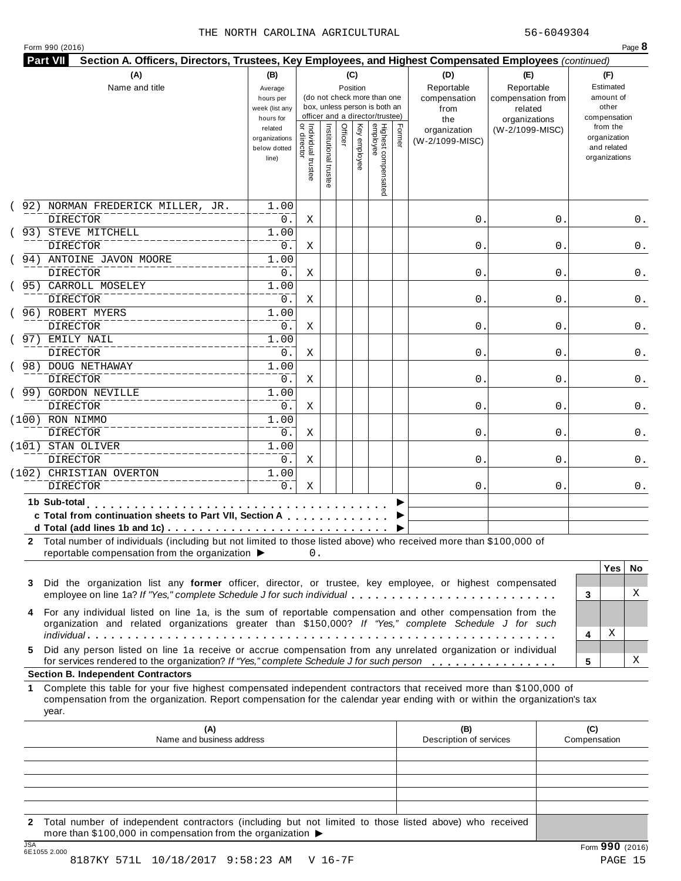|  |  |  | Form 990 (2016) |  |
|--|--|--|-----------------|--|
|--|--|--|-----------------|--|

|        | (A)<br>Name and title                                                                                                                                                                                                                                                                                                                 | (B)<br>Average<br>hours per<br>week (list any<br>hours for |                                   |                     | (C)<br>Position |                 | (do not check more than one<br>box, unless person is both an<br>officer and a director/trustee) |        | (D)<br>Reportable<br>compensation<br>from<br>the | (E)<br>Reportable<br>compensation from<br>related<br>organizations | (F)<br>Estimated<br>amount of<br>other<br>compensation   |
|--------|---------------------------------------------------------------------------------------------------------------------------------------------------------------------------------------------------------------------------------------------------------------------------------------------------------------------------------------|------------------------------------------------------------|-----------------------------------|---------------------|-----------------|-----------------|-------------------------------------------------------------------------------------------------|--------|--------------------------------------------------|--------------------------------------------------------------------|----------------------------------------------------------|
|        |                                                                                                                                                                                                                                                                                                                                       | related<br>organizations<br>below dotted<br>line)          | Individual trustee<br>or director | Institutional trust | Officer         | Κey<br>employee | Highest compensated<br>employee                                                                 | Former | organization<br>(W-2/1099-MISC)                  | (W-2/1099-MISC)                                                    | from the<br>organization<br>and related<br>organizations |
|        | 92) NORMAN FREDERICK MILLER, JR.<br><b>DIRECTOR</b>                                                                                                                                                                                                                                                                                   | 1.00<br>0.                                                 | Χ                                 |                     |                 |                 |                                                                                                 |        | $\mathsf{O}$ .                                   | 0                                                                  | 0.                                                       |
|        | 93) STEVE MITCHELL<br><b>DIRECTOR</b>                                                                                                                                                                                                                                                                                                 | 1.00<br>0.                                                 | Χ                                 |                     |                 |                 |                                                                                                 |        | $\mathsf{O}$ .                                   | 0                                                                  | 0.                                                       |
|        | 94) ANTOINE JAVON MOORE<br><b>DIRECTOR</b>                                                                                                                                                                                                                                                                                            | 1.00<br>0.                                                 | Χ                                 |                     |                 |                 |                                                                                                 |        | $\mathsf{O}$ .                                   | 0                                                                  | 0.                                                       |
|        | 95) CARROLL MOSELEY<br><b>DIRECTOR</b>                                                                                                                                                                                                                                                                                                | 1.00<br>0.                                                 | Χ                                 |                     |                 |                 |                                                                                                 |        | $\mathbf{0}$ .                                   | 0                                                                  | 0.                                                       |
|        | 96) ROBERT MYERS<br><b>DIRECTOR</b>                                                                                                                                                                                                                                                                                                   | 1.00<br>0.                                                 | Χ                                 |                     |                 |                 |                                                                                                 |        | $\mathbf{0}$ .                                   | 0                                                                  | 0.                                                       |
|        | 97) EMILY NAIL<br><b>DIRECTOR</b>                                                                                                                                                                                                                                                                                                     | 1.00<br>0.                                                 | Χ                                 |                     |                 |                 |                                                                                                 |        | $\mathsf{O}$ .                                   | 0                                                                  | 0.                                                       |
|        | ( 98) DOUG NETHAWAY<br><b>DIRECTOR</b>                                                                                                                                                                                                                                                                                                | 1.00<br>0.                                                 | Χ                                 |                     |                 |                 |                                                                                                 |        | 0.                                               | 0                                                                  | 0.                                                       |
|        | ( 99) GORDON NEVILLE<br><b>DIRECTOR</b>                                                                                                                                                                                                                                                                                               | 1.00<br>0.                                                 | Χ                                 |                     |                 |                 |                                                                                                 |        | $\mathbf{0}$ .                                   | 0                                                                  | 0.                                                       |
|        | (100) RON NIMMO<br><b>DIRECTOR</b>                                                                                                                                                                                                                                                                                                    | 1.00<br>0.                                                 | Χ                                 |                     |                 |                 |                                                                                                 |        | 0.                                               | 0                                                                  | 0.                                                       |
|        | (101) STAN OLIVER<br><b>DIRECTOR</b><br>(102) CHRISTIAN OVERTON                                                                                                                                                                                                                                                                       | 1.00<br>0.<br>1.00                                         | Χ                                 |                     |                 |                 |                                                                                                 |        | 0.                                               | 0                                                                  | 0.                                                       |
|        | <b>DIRECTOR</b>                                                                                                                                                                                                                                                                                                                       | 0.                                                         | Χ                                 |                     |                 |                 |                                                                                                 |        | 0.                                               | 0                                                                  | 0.                                                       |
|        | 1b Sub-total entertainment<br>c Total from continuation sheets to Part VII, Section A<br>d Total (add lines 1b and 1c) $\ldots \ldots \ldots \ldots \ldots \ldots \ldots \ldots \ldots \ldots \ldots$<br>2 Total number of individuals (including but not limited to those listed above) who received more than \$100,000 of          |                                                            |                                   |                     |                 |                 |                                                                                                 |        |                                                  |                                                                    |                                                          |
| 3      | reportable compensation from the organization ▶<br>Did the organization list any former officer, director, or trustee, key employee, or highest compensated<br>employee on line 1a? If "Yes," complete Schedule J for such individual                                                                                                 |                                                            | 0.                                |                     |                 |                 |                                                                                                 |        |                                                  |                                                                    | <b>Yes</b><br>No.<br>X<br>3                              |
| 4<br>5 | For any individual listed on line 1a, is the sum of reportable compensation and other compensation from the<br>organization and related organizations greater than \$150,000? If "Yes," complete Schedule J for such<br>Did any person listed on line 1a receive or accrue compensation from any unrelated organization or individual |                                                            |                                   |                     |                 |                 |                                                                                                 |        |                                                  |                                                                    | Χ<br>4                                                   |
|        | for services rendered to the organization? If "Yes," complete Schedule J for such person<br><b>Section B. Independent Contractors</b>                                                                                                                                                                                                 |                                                            |                                   |                     |                 |                 |                                                                                                 |        |                                                  |                                                                    | Χ<br>5                                                   |
| 1.     | Complete this table for your five highest compensated independent contractors that received more than \$100,000 of<br>compensation from the organization. Report compensation for the calendar year ending with or within the organization's tax<br>year.                                                                             |                                                            |                                   |                     |                 |                 |                                                                                                 |        |                                                  |                                                                    |                                                          |
|        | (A)<br>Name and business address                                                                                                                                                                                                                                                                                                      |                                                            |                                   |                     |                 |                 |                                                                                                 |        | (B)<br>Description of services                   |                                                                    | (C)<br>Compensation                                      |
|        |                                                                                                                                                                                                                                                                                                                                       |                                                            |                                   |                     |                 |                 |                                                                                                 |        |                                                  |                                                                    |                                                          |
|        |                                                                                                                                                                                                                                                                                                                                       |                                                            |                                   |                     |                 |                 |                                                                                                 |        |                                                  |                                                                    |                                                          |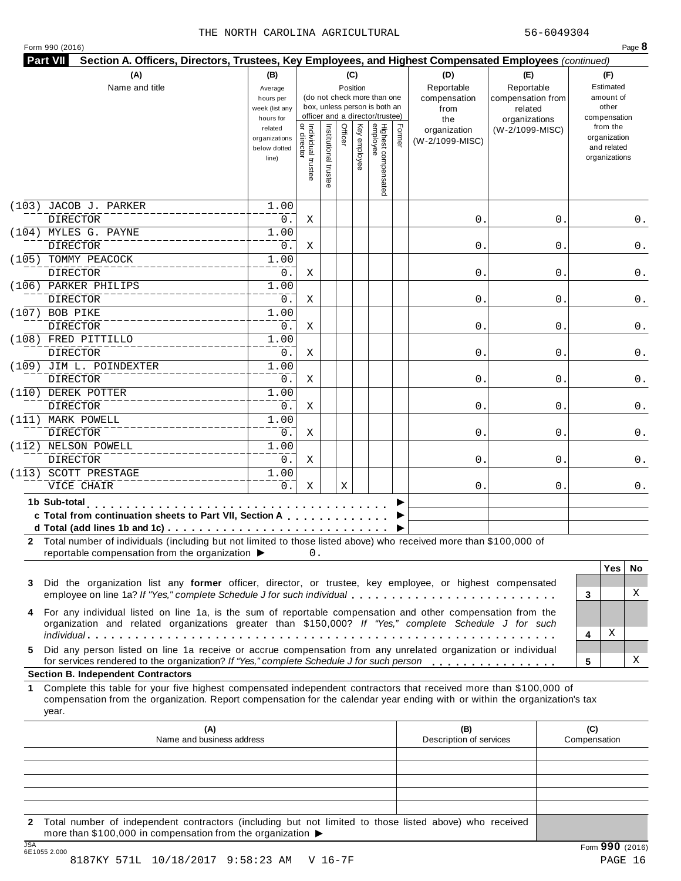| Form 990 (2016) |  |
|-----------------|--|
|-----------------|--|

| Individual trustee<br>or director<br>Institutional trust<br>Officer<br>Κey<br>from the<br>related<br>(W-2/1099-MISC)<br>organization<br>organization<br>organizations<br>employee<br>(W-2/1099-MISC)<br>and related<br>below dotted<br>organizations<br>line)<br>(103) JACOB J. PARKER<br>1.00<br><b>DIRECTOR</b><br>0.<br>$\mathsf{O}$ .<br>Χ<br>0<br>(104) MYLES G. PAYNE<br>1.00<br><b>DIRECTOR</b><br>0.<br>Χ<br>$\mathsf{O}$ .<br>0<br>0.<br>(105) TOMMY PEACOCK<br>1.00<br><b>DIRECTOR</b><br>$0$ .<br>$\mathbf 0$<br>Χ<br>0<br>(106) PARKER PHILIPS<br>1.00<br><b>DIRECTOR</b><br>0.<br>Χ<br>$\mathbf{0}$ .<br>0<br>(107) BOB PIKE<br>1.00<br><b>DIRECTOR</b><br>0.<br>Χ<br>$\mathbf{0}$ .<br>0<br>(108) FRED PITTILLO<br>1.00<br>$0$ .<br><b>DIRECTOR</b><br>$\mathsf{O}$ .<br>Χ<br>0<br>0.<br>(109) JIM L. POINDEXTER<br>1.00<br><b>DIRECTOR</b><br>0.<br>$\mathsf{O}$ .<br>Χ<br>0<br>0.<br>(110) DEREK POTTER<br>1.00<br><b>DIRECTOR</b><br>0.<br>Χ<br>$\mathbf{0}$ .<br>0<br>(111) MARK POWELL<br>1.00<br><b>DIRECTOR</b><br>$0$ .<br>$\mathsf{O}$ .<br>Χ<br>0<br>(112) NELSON POWELL<br>1.00<br>$0$ .<br><b>DIRECTOR</b><br>$\mathsf{O}$ .<br>Χ<br>0<br>(113) SCOTT PRESTAGE<br>1.00<br>0.<br>VICE CHAIR<br>X<br>Χ<br>0.<br>0<br>0.<br>1b Sub-total<br>c Total from continuation sheets to Part VII, Section A<br>2 Total number of individuals (including but not limited to those listed above) who received more than \$100,000 of<br>reportable compensation from the organization ▶<br>0.<br><b>Yes</b><br>Did the organization list any former officer, director, or trustee, key employee, or highest compensated<br>3<br>employee on line 1a? If "Yes," complete Schedule J for such individual<br>3<br>For any individual listed on line 1a, is the sum of reportable compensation and other compensation from the<br>4<br>organization and related organizations greater than \$150,000? If "Yes," complete Schedule J for such<br>Χ<br>4<br>Did any person listed on line 1a receive or accrue compensation from any unrelated organization or individual<br>for services rendered to the organization? If "Yes," complete Schedule J for such person<br>5<br><b>Section B. Independent Contractors</b><br>Complete this table for your five highest compensated independent contractors that received more than \$100,000 of<br>compensation from the organization. Report compensation for the calendar year ending with or within the organization's tax<br>year.<br>(A)<br>(B)<br>(C)<br>Name and business address<br>Description of services<br>Compensation |    | (A)<br>Name and title | (B)<br>Average<br>hours per<br>week (list any<br>hours for |  | (C)<br>Position | (do not check more than one<br>box, unless person is both an<br>officer and a director/trustee) |        | (D)<br>Reportable<br>compensation<br>from<br>the | (E)<br>Reportable<br>compensation from<br>related<br>organizations | (F)<br>Estimated<br>amount of<br>other<br>compensation |
|------------------------------------------------------------------------------------------------------------------------------------------------------------------------------------------------------------------------------------------------------------------------------------------------------------------------------------------------------------------------------------------------------------------------------------------------------------------------------------------------------------------------------------------------------------------------------------------------------------------------------------------------------------------------------------------------------------------------------------------------------------------------------------------------------------------------------------------------------------------------------------------------------------------------------------------------------------------------------------------------------------------------------------------------------------------------------------------------------------------------------------------------------------------------------------------------------------------------------------------------------------------------------------------------------------------------------------------------------------------------------------------------------------------------------------------------------------------------------------------------------------------------------------------------------------------------------------------------------------------------------------------------------------------------------------------------------------------------------------------------------------------------------------------------------------------------------------------------------------------------------------------------------------------------------------------------------------------------------------------------------------------------------------------------------------------------------------------------------------------------------------------------------------------------------------------------------------------------------------------------------------------------------------------------------------------------------------------------------------------------------------------------------------------------------------------------------------------------------------------------------------------------------------------------------------------------------------------|----|-----------------------|------------------------------------------------------------|--|-----------------|-------------------------------------------------------------------------------------------------|--------|--------------------------------------------------|--------------------------------------------------------------------|--------------------------------------------------------|
|                                                                                                                                                                                                                                                                                                                                                                                                                                                                                                                                                                                                                                                                                                                                                                                                                                                                                                                                                                                                                                                                                                                                                                                                                                                                                                                                                                                                                                                                                                                                                                                                                                                                                                                                                                                                                                                                                                                                                                                                                                                                                                                                                                                                                                                                                                                                                                                                                                                                                                                                                                                          |    |                       |                                                            |  |                 | Highest compensated<br>employee                                                                 | Former |                                                  |                                                                    |                                                        |
|                                                                                                                                                                                                                                                                                                                                                                                                                                                                                                                                                                                                                                                                                                                                                                                                                                                                                                                                                                                                                                                                                                                                                                                                                                                                                                                                                                                                                                                                                                                                                                                                                                                                                                                                                                                                                                                                                                                                                                                                                                                                                                                                                                                                                                                                                                                                                                                                                                                                                                                                                                                          |    |                       |                                                            |  |                 |                                                                                                 |        |                                                  |                                                                    |                                                        |
|                                                                                                                                                                                                                                                                                                                                                                                                                                                                                                                                                                                                                                                                                                                                                                                                                                                                                                                                                                                                                                                                                                                                                                                                                                                                                                                                                                                                                                                                                                                                                                                                                                                                                                                                                                                                                                                                                                                                                                                                                                                                                                                                                                                                                                                                                                                                                                                                                                                                                                                                                                                          |    |                       |                                                            |  |                 |                                                                                                 |        |                                                  |                                                                    | 0.                                                     |
|                                                                                                                                                                                                                                                                                                                                                                                                                                                                                                                                                                                                                                                                                                                                                                                                                                                                                                                                                                                                                                                                                                                                                                                                                                                                                                                                                                                                                                                                                                                                                                                                                                                                                                                                                                                                                                                                                                                                                                                                                                                                                                                                                                                                                                                                                                                                                                                                                                                                                                                                                                                          |    |                       |                                                            |  |                 |                                                                                                 |        |                                                  |                                                                    |                                                        |
|                                                                                                                                                                                                                                                                                                                                                                                                                                                                                                                                                                                                                                                                                                                                                                                                                                                                                                                                                                                                                                                                                                                                                                                                                                                                                                                                                                                                                                                                                                                                                                                                                                                                                                                                                                                                                                                                                                                                                                                                                                                                                                                                                                                                                                                                                                                                                                                                                                                                                                                                                                                          |    |                       |                                                            |  |                 |                                                                                                 |        |                                                  |                                                                    |                                                        |
|                                                                                                                                                                                                                                                                                                                                                                                                                                                                                                                                                                                                                                                                                                                                                                                                                                                                                                                                                                                                                                                                                                                                                                                                                                                                                                                                                                                                                                                                                                                                                                                                                                                                                                                                                                                                                                                                                                                                                                                                                                                                                                                                                                                                                                                                                                                                                                                                                                                                                                                                                                                          |    |                       |                                                            |  |                 |                                                                                                 |        |                                                  |                                                                    | 0.                                                     |
|                                                                                                                                                                                                                                                                                                                                                                                                                                                                                                                                                                                                                                                                                                                                                                                                                                                                                                                                                                                                                                                                                                                                                                                                                                                                                                                                                                                                                                                                                                                                                                                                                                                                                                                                                                                                                                                                                                                                                                                                                                                                                                                                                                                                                                                                                                                                                                                                                                                                                                                                                                                          |    |                       |                                                            |  |                 |                                                                                                 |        |                                                  |                                                                    |                                                        |
|                                                                                                                                                                                                                                                                                                                                                                                                                                                                                                                                                                                                                                                                                                                                                                                                                                                                                                                                                                                                                                                                                                                                                                                                                                                                                                                                                                                                                                                                                                                                                                                                                                                                                                                                                                                                                                                                                                                                                                                                                                                                                                                                                                                                                                                                                                                                                                                                                                                                                                                                                                                          |    |                       |                                                            |  |                 |                                                                                                 |        |                                                  |                                                                    | 0.                                                     |
|                                                                                                                                                                                                                                                                                                                                                                                                                                                                                                                                                                                                                                                                                                                                                                                                                                                                                                                                                                                                                                                                                                                                                                                                                                                                                                                                                                                                                                                                                                                                                                                                                                                                                                                                                                                                                                                                                                                                                                                                                                                                                                                                                                                                                                                                                                                                                                                                                                                                                                                                                                                          |    |                       |                                                            |  |                 |                                                                                                 |        |                                                  |                                                                    |                                                        |
|                                                                                                                                                                                                                                                                                                                                                                                                                                                                                                                                                                                                                                                                                                                                                                                                                                                                                                                                                                                                                                                                                                                                                                                                                                                                                                                                                                                                                                                                                                                                                                                                                                                                                                                                                                                                                                                                                                                                                                                                                                                                                                                                                                                                                                                                                                                                                                                                                                                                                                                                                                                          |    |                       |                                                            |  |                 |                                                                                                 |        |                                                  |                                                                    | 0.                                                     |
|                                                                                                                                                                                                                                                                                                                                                                                                                                                                                                                                                                                                                                                                                                                                                                                                                                                                                                                                                                                                                                                                                                                                                                                                                                                                                                                                                                                                                                                                                                                                                                                                                                                                                                                                                                                                                                                                                                                                                                                                                                                                                                                                                                                                                                                                                                                                                                                                                                                                                                                                                                                          |    |                       |                                                            |  |                 |                                                                                                 |        |                                                  |                                                                    |                                                        |
|                                                                                                                                                                                                                                                                                                                                                                                                                                                                                                                                                                                                                                                                                                                                                                                                                                                                                                                                                                                                                                                                                                                                                                                                                                                                                                                                                                                                                                                                                                                                                                                                                                                                                                                                                                                                                                                                                                                                                                                                                                                                                                                                                                                                                                                                                                                                                                                                                                                                                                                                                                                          |    |                       |                                                            |  |                 |                                                                                                 |        |                                                  |                                                                    |                                                        |
|                                                                                                                                                                                                                                                                                                                                                                                                                                                                                                                                                                                                                                                                                                                                                                                                                                                                                                                                                                                                                                                                                                                                                                                                                                                                                                                                                                                                                                                                                                                                                                                                                                                                                                                                                                                                                                                                                                                                                                                                                                                                                                                                                                                                                                                                                                                                                                                                                                                                                                                                                                                          |    |                       |                                                            |  |                 |                                                                                                 |        |                                                  |                                                                    |                                                        |
|                                                                                                                                                                                                                                                                                                                                                                                                                                                                                                                                                                                                                                                                                                                                                                                                                                                                                                                                                                                                                                                                                                                                                                                                                                                                                                                                                                                                                                                                                                                                                                                                                                                                                                                                                                                                                                                                                                                                                                                                                                                                                                                                                                                                                                                                                                                                                                                                                                                                                                                                                                                          |    |                       |                                                            |  |                 |                                                                                                 |        |                                                  |                                                                    |                                                        |
|                                                                                                                                                                                                                                                                                                                                                                                                                                                                                                                                                                                                                                                                                                                                                                                                                                                                                                                                                                                                                                                                                                                                                                                                                                                                                                                                                                                                                                                                                                                                                                                                                                                                                                                                                                                                                                                                                                                                                                                                                                                                                                                                                                                                                                                                                                                                                                                                                                                                                                                                                                                          |    |                       |                                                            |  |                 |                                                                                                 |        |                                                  |                                                                    | 0.                                                     |
|                                                                                                                                                                                                                                                                                                                                                                                                                                                                                                                                                                                                                                                                                                                                                                                                                                                                                                                                                                                                                                                                                                                                                                                                                                                                                                                                                                                                                                                                                                                                                                                                                                                                                                                                                                                                                                                                                                                                                                                                                                                                                                                                                                                                                                                                                                                                                                                                                                                                                                                                                                                          |    |                       |                                                            |  |                 |                                                                                                 |        |                                                  |                                                                    |                                                        |
|                                                                                                                                                                                                                                                                                                                                                                                                                                                                                                                                                                                                                                                                                                                                                                                                                                                                                                                                                                                                                                                                                                                                                                                                                                                                                                                                                                                                                                                                                                                                                                                                                                                                                                                                                                                                                                                                                                                                                                                                                                                                                                                                                                                                                                                                                                                                                                                                                                                                                                                                                                                          |    |                       |                                                            |  |                 |                                                                                                 |        |                                                  |                                                                    | 0.                                                     |
|                                                                                                                                                                                                                                                                                                                                                                                                                                                                                                                                                                                                                                                                                                                                                                                                                                                                                                                                                                                                                                                                                                                                                                                                                                                                                                                                                                                                                                                                                                                                                                                                                                                                                                                                                                                                                                                                                                                                                                                                                                                                                                                                                                                                                                                                                                                                                                                                                                                                                                                                                                                          |    |                       |                                                            |  |                 |                                                                                                 |        |                                                  |                                                                    |                                                        |
|                                                                                                                                                                                                                                                                                                                                                                                                                                                                                                                                                                                                                                                                                                                                                                                                                                                                                                                                                                                                                                                                                                                                                                                                                                                                                                                                                                                                                                                                                                                                                                                                                                                                                                                                                                                                                                                                                                                                                                                                                                                                                                                                                                                                                                                                                                                                                                                                                                                                                                                                                                                          |    |                       |                                                            |  |                 |                                                                                                 |        |                                                  |                                                                    | 0.                                                     |
|                                                                                                                                                                                                                                                                                                                                                                                                                                                                                                                                                                                                                                                                                                                                                                                                                                                                                                                                                                                                                                                                                                                                                                                                                                                                                                                                                                                                                                                                                                                                                                                                                                                                                                                                                                                                                                                                                                                                                                                                                                                                                                                                                                                                                                                                                                                                                                                                                                                                                                                                                                                          |    |                       |                                                            |  |                 |                                                                                                 |        |                                                  |                                                                    |                                                        |
|                                                                                                                                                                                                                                                                                                                                                                                                                                                                                                                                                                                                                                                                                                                                                                                                                                                                                                                                                                                                                                                                                                                                                                                                                                                                                                                                                                                                                                                                                                                                                                                                                                                                                                                                                                                                                                                                                                                                                                                                                                                                                                                                                                                                                                                                                                                                                                                                                                                                                                                                                                                          |    |                       |                                                            |  |                 |                                                                                                 |        |                                                  |                                                                    |                                                        |
|                                                                                                                                                                                                                                                                                                                                                                                                                                                                                                                                                                                                                                                                                                                                                                                                                                                                                                                                                                                                                                                                                                                                                                                                                                                                                                                                                                                                                                                                                                                                                                                                                                                                                                                                                                                                                                                                                                                                                                                                                                                                                                                                                                                                                                                                                                                                                                                                                                                                                                                                                                                          |    |                       |                                                            |  |                 |                                                                                                 |        |                                                  |                                                                    |                                                        |
|                                                                                                                                                                                                                                                                                                                                                                                                                                                                                                                                                                                                                                                                                                                                                                                                                                                                                                                                                                                                                                                                                                                                                                                                                                                                                                                                                                                                                                                                                                                                                                                                                                                                                                                                                                                                                                                                                                                                                                                                                                                                                                                                                                                                                                                                                                                                                                                                                                                                                                                                                                                          |    |                       |                                                            |  |                 |                                                                                                 |        |                                                  |                                                                    | No.                                                    |
|                                                                                                                                                                                                                                                                                                                                                                                                                                                                                                                                                                                                                                                                                                                                                                                                                                                                                                                                                                                                                                                                                                                                                                                                                                                                                                                                                                                                                                                                                                                                                                                                                                                                                                                                                                                                                                                                                                                                                                                                                                                                                                                                                                                                                                                                                                                                                                                                                                                                                                                                                                                          |    |                       |                                                            |  |                 |                                                                                                 |        |                                                  |                                                                    | X                                                      |
|                                                                                                                                                                                                                                                                                                                                                                                                                                                                                                                                                                                                                                                                                                                                                                                                                                                                                                                                                                                                                                                                                                                                                                                                                                                                                                                                                                                                                                                                                                                                                                                                                                                                                                                                                                                                                                                                                                                                                                                                                                                                                                                                                                                                                                                                                                                                                                                                                                                                                                                                                                                          |    |                       |                                                            |  |                 |                                                                                                 |        |                                                  |                                                                    |                                                        |
|                                                                                                                                                                                                                                                                                                                                                                                                                                                                                                                                                                                                                                                                                                                                                                                                                                                                                                                                                                                                                                                                                                                                                                                                                                                                                                                                                                                                                                                                                                                                                                                                                                                                                                                                                                                                                                                                                                                                                                                                                                                                                                                                                                                                                                                                                                                                                                                                                                                                                                                                                                                          | 5  |                       |                                                            |  |                 |                                                                                                 |        |                                                  |                                                                    | Χ                                                      |
|                                                                                                                                                                                                                                                                                                                                                                                                                                                                                                                                                                                                                                                                                                                                                                                                                                                                                                                                                                                                                                                                                                                                                                                                                                                                                                                                                                                                                                                                                                                                                                                                                                                                                                                                                                                                                                                                                                                                                                                                                                                                                                                                                                                                                                                                                                                                                                                                                                                                                                                                                                                          | 1. |                       |                                                            |  |                 |                                                                                                 |        |                                                  |                                                                    |                                                        |
|                                                                                                                                                                                                                                                                                                                                                                                                                                                                                                                                                                                                                                                                                                                                                                                                                                                                                                                                                                                                                                                                                                                                                                                                                                                                                                                                                                                                                                                                                                                                                                                                                                                                                                                                                                                                                                                                                                                                                                                                                                                                                                                                                                                                                                                                                                                                                                                                                                                                                                                                                                                          |    |                       |                                                            |  |                 |                                                                                                 |        |                                                  |                                                                    |                                                        |
|                                                                                                                                                                                                                                                                                                                                                                                                                                                                                                                                                                                                                                                                                                                                                                                                                                                                                                                                                                                                                                                                                                                                                                                                                                                                                                                                                                                                                                                                                                                                                                                                                                                                                                                                                                                                                                                                                                                                                                                                                                                                                                                                                                                                                                                                                                                                                                                                                                                                                                                                                                                          |    |                       |                                                            |  |                 |                                                                                                 |        |                                                  |                                                                    |                                                        |
|                                                                                                                                                                                                                                                                                                                                                                                                                                                                                                                                                                                                                                                                                                                                                                                                                                                                                                                                                                                                                                                                                                                                                                                                                                                                                                                                                                                                                                                                                                                                                                                                                                                                                                                                                                                                                                                                                                                                                                                                                                                                                                                                                                                                                                                                                                                                                                                                                                                                                                                                                                                          |    |                       |                                                            |  |                 |                                                                                                 |        |                                                  |                                                                    |                                                        |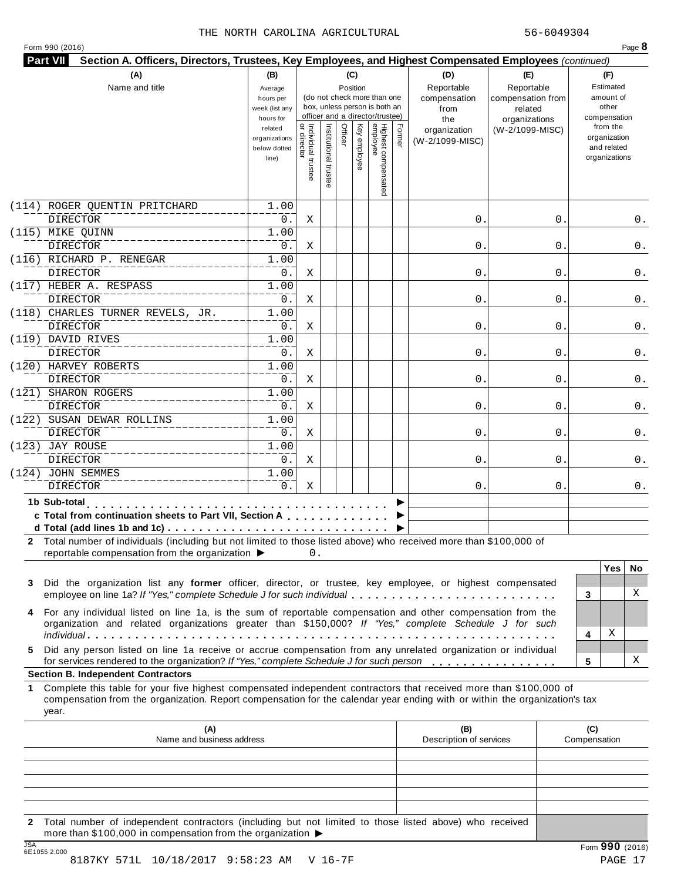|  | Form 990 (2016) |  |
|--|-----------------|--|
|  |                 |  |

| (A)<br>Name and title                                                                                                                                                                                                                                                                                                                             | (B)<br>Average<br>hours per<br>week (list any<br>hours for<br>related |                                   | (do not check more than one<br>box, unless person is both an<br>officer and a director/trustee) | (C)<br>Position<br>Ķey |                                 |        | (D)<br>Reportable<br>compensation<br>from<br>the<br>organization | (E)<br>Reportable<br>compensation from<br>related<br>organizations<br>(W-2/1099-MISC) |                     | (F)<br>Estimated<br>amount of<br>other<br>compensation<br>from the |          |
|---------------------------------------------------------------------------------------------------------------------------------------------------------------------------------------------------------------------------------------------------------------------------------------------------------------------------------------------------|-----------------------------------------------------------------------|-----------------------------------|-------------------------------------------------------------------------------------------------|------------------------|---------------------------------|--------|------------------------------------------------------------------|---------------------------------------------------------------------------------------|---------------------|--------------------------------------------------------------------|----------|
|                                                                                                                                                                                                                                                                                                                                                   | organizations<br>below dotted<br>line)                                | Individual trustee<br>or director | Officer<br>Institutional truste                                                                 | employee               | Highest compensated<br>employee | Former | (W-2/1099-MISC)                                                  |                                                                                       |                     | organization<br>and related<br>organizations                       |          |
| (114) ROGER QUENTIN PRITCHARD<br><b>DIRECTOR</b>                                                                                                                                                                                                                                                                                                  | 1.00<br>0.                                                            | Χ                                 |                                                                                                 |                        |                                 |        | $\mathsf{O}$ .                                                   | 0                                                                                     |                     |                                                                    | 0.       |
| (115) MIKE QUINN<br><b>DIRECTOR</b>                                                                                                                                                                                                                                                                                                               | 1.00<br>0.                                                            | Χ                                 |                                                                                                 |                        |                                 |        | $\mathsf{O}$ .                                                   | 0                                                                                     |                     |                                                                    | 0.       |
| (116) RICHARD P. RENEGAR<br><b>DIRECTOR</b>                                                                                                                                                                                                                                                                                                       | 1.00<br>0.                                                            | Χ                                 |                                                                                                 |                        |                                 |        | $\mathbf{0}$ .                                                   | 0                                                                                     |                     |                                                                    | 0.       |
| (117) HEBER A. RESPASS<br><b>DIRECTOR</b>                                                                                                                                                                                                                                                                                                         | 1.00<br>0.                                                            | Χ                                 |                                                                                                 |                        |                                 |        | $\mathsf{O}$ .                                                   | 0                                                                                     |                     |                                                                    | 0.       |
| (118) CHARLES TURNER REVELS, JR.<br><b>DIRECTOR</b>                                                                                                                                                                                                                                                                                               | 1.00<br>0.                                                            | Χ                                 |                                                                                                 |                        |                                 |        | $\mathbf 0$ .                                                    | 0                                                                                     |                     |                                                                    | 0.       |
| (119) DAVID RIVES<br><b>DIRECTOR</b><br>(120) HARVEY ROBERTS                                                                                                                                                                                                                                                                                      | 1.00<br>0.                                                            | Χ                                 |                                                                                                 |                        |                                 |        | $\mathbf{0}$ .                                                   | 0                                                                                     |                     |                                                                    | 0.       |
| <b>DIRECTOR</b><br>(121) SHARON ROGERS                                                                                                                                                                                                                                                                                                            | 1.00<br>0.<br>1.00                                                    | Χ                                 |                                                                                                 |                        |                                 |        | $\mathbf 0$ .                                                    | 0                                                                                     |                     |                                                                    | 0.       |
| <b>DIRECTOR</b><br>(122) SUSAN DEWAR ROLLINS                                                                                                                                                                                                                                                                                                      | 0.<br>1.00                                                            | Χ                                 |                                                                                                 |                        |                                 |        | $0$ .                                                            | 0                                                                                     |                     |                                                                    | 0.       |
| <b>DIRECTOR</b><br>(123) JAY ROUSE                                                                                                                                                                                                                                                                                                                | 0.<br>1.00                                                            | Χ                                 |                                                                                                 |                        |                                 |        | $\mathbf{0}$ .                                                   | 0                                                                                     |                     |                                                                    | 0.       |
| <b>DIRECTOR</b><br>(124) JOHN SEMMES                                                                                                                                                                                                                                                                                                              | 0.<br>1.00                                                            | Χ                                 |                                                                                                 |                        |                                 |        | $\mathbf 0$ .                                                    | 0                                                                                     |                     |                                                                    | 0.       |
| <b>DIRECTOR</b><br>1b Sub-total enterprise substitutions of the substitution of the substitution of the substitution of the substitution of the substitution of the Substitution of the Substitution of the Substitution of the Substitution of t                                                                                                 | 0.                                                                    | Χ                                 |                                                                                                 |                        |                                 |        | 0.                                                               | 0                                                                                     |                     |                                                                    | 0.       |
| c Total from continuation sheets to Part VII, Section A<br>d Total (add lines 1b and 1c) $\ldots \ldots \ldots \ldots \ldots \ldots \ldots \ldots \ldots \ldots \ldots$<br>2 Total number of individuals (including but not limited to those listed above) who received more than \$100,000 of<br>reportable compensation from the organization ▶ |                                                                       | 0.                                |                                                                                                 |                        |                                 |        |                                                                  |                                                                                       |                     |                                                                    |          |
| Did the organization list any former officer, director, or trustee, key employee, or highest compensated<br>3<br>employee on line 1a? If "Yes," complete Schedule J for such individual                                                                                                                                                           |                                                                       |                                   |                                                                                                 |                        |                                 |        |                                                                  |                                                                                       | 3                   | <b>Yes</b>                                                         | No.<br>X |
| For any individual listed on line 1a, is the sum of reportable compensation and other compensation from the<br>4<br>organization and related organizations greater than \$150,000? If "Yes," complete Schedule J for such                                                                                                                         |                                                                       |                                   |                                                                                                 |                        |                                 |        |                                                                  |                                                                                       |                     | Χ                                                                  |          |
| Did any person listed on line 1a receive or accrue compensation from any unrelated organization or individual<br>5<br>for services rendered to the organization? If "Yes," complete Schedule J for such person                                                                                                                                    |                                                                       |                                   |                                                                                                 |                        |                                 |        |                                                                  |                                                                                       | 4<br>5              |                                                                    | х        |
| <b>Section B. Independent Contractors</b>                                                                                                                                                                                                                                                                                                         |                                                                       |                                   |                                                                                                 |                        |                                 |        |                                                                  |                                                                                       |                     |                                                                    |          |
| 1 Complete this table for your five highest compensated independent contractors that received more than \$100,000 of<br>compensation from the organization. Report compensation for the calendar year ending with or within the organization's tax<br>year.                                                                                       |                                                                       |                                   |                                                                                                 |                        |                                 |        |                                                                  |                                                                                       |                     |                                                                    |          |
| (A)<br>Name and business address                                                                                                                                                                                                                                                                                                                  |                                                                       |                                   |                                                                                                 |                        |                                 |        | (B)<br>Description of services                                   |                                                                                       | (C)<br>Compensation |                                                                    |          |
|                                                                                                                                                                                                                                                                                                                                                   |                                                                       |                                   |                                                                                                 |                        |                                 |        |                                                                  |                                                                                       |                     |                                                                    |          |
|                                                                                                                                                                                                                                                                                                                                                   |                                                                       |                                   |                                                                                                 |                        |                                 |        |                                                                  |                                                                                       |                     |                                                                    |          |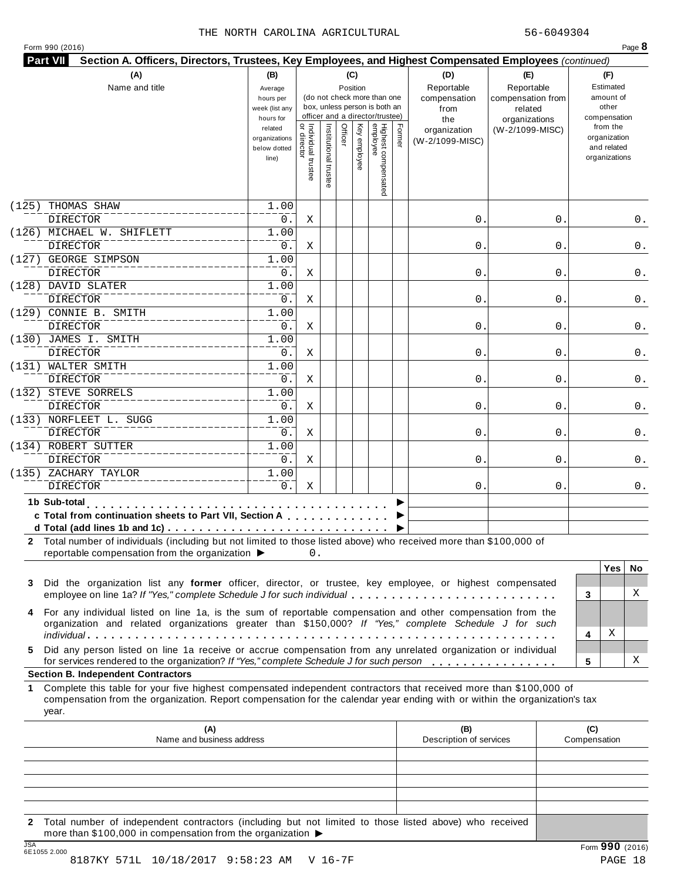|  |  |  | Form 990 (2016) |  |
|--|--|--|-----------------|--|
|--|--|--|-----------------|--|

| (A)<br>Name and title                                                                                                                                                                                                                                           | (B)<br>Average<br>hours per<br>week (list any<br>hours for |                                   | (do not check more than one<br>box, unless person is both an<br>officer and a director/trustee) | (C)<br>Position |                                 |        | (D)<br>Reportable<br>compensation<br>from<br>the | (E)<br>Reportable<br>compensation from<br>related<br>organizations | (F)<br>Estimated<br>amount of<br>other<br>compensation   |
|-----------------------------------------------------------------------------------------------------------------------------------------------------------------------------------------------------------------------------------------------------------------|------------------------------------------------------------|-----------------------------------|-------------------------------------------------------------------------------------------------|-----------------|---------------------------------|--------|--------------------------------------------------|--------------------------------------------------------------------|----------------------------------------------------------|
|                                                                                                                                                                                                                                                                 | related<br>organizations<br>below dotted<br>line)          | Individual trustee<br>or director | Officer<br>Institutional truste                                                                 | Ķey<br>employee | Highest compensated<br>employee | Former | organization<br>(W-2/1099-MISC)                  | (W-2/1099-MISC)                                                    | from the<br>organization<br>and related<br>organizations |
| (125)<br>THOMAS SHAW                                                                                                                                                                                                                                            | 1.00                                                       |                                   |                                                                                                 |                 |                                 |        |                                                  |                                                                    |                                                          |
| <b>DIRECTOR</b>                                                                                                                                                                                                                                                 | 0.                                                         | Χ                                 |                                                                                                 |                 |                                 |        | $\mathsf{O}$ .                                   | 0                                                                  | 0.                                                       |
| (126) MICHAEL W. SHIFLETT                                                                                                                                                                                                                                       | 1.00                                                       |                                   |                                                                                                 |                 |                                 |        |                                                  |                                                                    |                                                          |
| <b>DIRECTOR</b>                                                                                                                                                                                                                                                 | 0.                                                         | Χ                                 |                                                                                                 |                 |                                 |        | $\mathbf 0$ .                                    | 0                                                                  | 0.                                                       |
| (127) GEORGE SIMPSON                                                                                                                                                                                                                                            | 1.00                                                       |                                   |                                                                                                 |                 |                                 |        |                                                  |                                                                    |                                                          |
| <b>DIRECTOR</b>                                                                                                                                                                                                                                                 | 0.                                                         | Χ                                 |                                                                                                 |                 |                                 |        | $\mathbf{0}$ .                                   | 0                                                                  | 0.                                                       |
| (128) DAVID SLATER<br><b>DIRECTOR</b>                                                                                                                                                                                                                           | 1.00<br>0.                                                 |                                   |                                                                                                 |                 |                                 |        | $\mathsf{O}$ .                                   |                                                                    |                                                          |
| (129) CONNIE B. SMITH                                                                                                                                                                                                                                           | 1.00                                                       | Χ                                 |                                                                                                 |                 |                                 |        |                                                  | 0                                                                  | 0.                                                       |
| <b>DIRECTOR</b>                                                                                                                                                                                                                                                 | 0.                                                         | Χ                                 |                                                                                                 |                 |                                 |        | $\mathsf{O}$ .                                   | 0                                                                  | 0.                                                       |
| (130) JAMES I. SMITH                                                                                                                                                                                                                                            | 1.00                                                       |                                   |                                                                                                 |                 |                                 |        |                                                  |                                                                    |                                                          |
| <b>DIRECTOR</b>                                                                                                                                                                                                                                                 | 0.                                                         | Χ                                 |                                                                                                 |                 |                                 |        | $\mathbf{0}$ .                                   | 0                                                                  | 0.                                                       |
| (131) WALTER SMITH                                                                                                                                                                                                                                              | 1.00                                                       |                                   |                                                                                                 |                 |                                 |        |                                                  |                                                                    |                                                          |
| <b>DIRECTOR</b>                                                                                                                                                                                                                                                 | 0.                                                         | Χ                                 |                                                                                                 |                 |                                 |        | $\mathsf{O}$ .                                   | 0                                                                  | 0.                                                       |
| (132) STEVE SORRELS                                                                                                                                                                                                                                             | 1.00                                                       |                                   |                                                                                                 |                 |                                 |        |                                                  |                                                                    |                                                          |
| <b>DIRECTOR</b>                                                                                                                                                                                                                                                 | 0.                                                         | Χ                                 |                                                                                                 |                 |                                 |        | $\mathsf{O}$ .                                   | 0                                                                  | 0.                                                       |
| (133) NORFLEET L. SUGG                                                                                                                                                                                                                                          | 1.00                                                       |                                   |                                                                                                 |                 |                                 |        |                                                  |                                                                    |                                                          |
| <b>DIRECTOR</b>                                                                                                                                                                                                                                                 | 0.                                                         | Χ                                 |                                                                                                 |                 |                                 |        | $\mathbf{0}$ .                                   | 0                                                                  | 0.                                                       |
| (134) ROBERT SUTTER                                                                                                                                                                                                                                             | 1.00                                                       |                                   |                                                                                                 |                 |                                 |        |                                                  |                                                                    |                                                          |
| <b>DIRECTOR</b>                                                                                                                                                                                                                                                 | 0.                                                         | Χ                                 |                                                                                                 |                 |                                 |        | $\mathbf 0$ .                                    | 0                                                                  | 0.                                                       |
| (135) ZACHARY TAYLOR                                                                                                                                                                                                                                            | 1.00                                                       |                                   |                                                                                                 |                 |                                 |        |                                                  |                                                                    |                                                          |
| <b>DIRECTOR</b>                                                                                                                                                                                                                                                 | 0.                                                         | Χ                                 |                                                                                                 |                 |                                 |        | 0.                                               | 0                                                                  | 0.                                                       |
| 1b Sub-total<br>c Total from continuation sheets to Part VII, Section A<br>2 Total number of individuals (including but not limited to those listed above) who received more than \$100,000 of                                                                  |                                                            |                                   |                                                                                                 |                 |                                 |        |                                                  |                                                                    |                                                          |
| reportable compensation from the organization ▶                                                                                                                                                                                                                 |                                                            | 0.                                |                                                                                                 |                 |                                 |        |                                                  |                                                                    | <b>Yes</b><br>No.                                        |
| Did the organization list any former officer, director, or trustee, key employee, or highest compensated<br>employee on line 1a? If "Yes," complete Schedule J for such individual                                                                              |                                                            |                                   |                                                                                                 |                 |                                 |        |                                                  |                                                                    | X<br>3                                                   |
| For any individual listed on line 1a, is the sum of reportable compensation and other compensation from the<br>organization and related organizations greater than \$150,000? If "Yes," complete Schedule J for such                                            |                                                            |                                   |                                                                                                 |                 |                                 |        |                                                  |                                                                    | Χ<br>4                                                   |
| Did any person listed on line 1a receive or accrue compensation from any unrelated organization or individual<br>for services rendered to the organization? If "Yes," complete Schedule J for such person<br><b>Section B. Independent Contractors</b>          |                                                            |                                   |                                                                                                 |                 |                                 |        |                                                  |                                                                    | х<br>5                                                   |
| Complete this table for your five highest compensated independent contractors that received more than \$100,000 of<br>1.<br>compensation from the organization. Report compensation for the calendar year ending with or within the organization's tax<br>year. |                                                            |                                   |                                                                                                 |                 |                                 |        |                                                  |                                                                    |                                                          |
| (A)<br>Name and business address                                                                                                                                                                                                                                |                                                            |                                   |                                                                                                 |                 |                                 |        | (B)<br>Description of services                   |                                                                    | (C)<br>Compensation                                      |
|                                                                                                                                                                                                                                                                 |                                                            |                                   |                                                                                                 |                 |                                 |        |                                                  |                                                                    |                                                          |
|                                                                                                                                                                                                                                                                 |                                                            |                                   |                                                                                                 |                 |                                 |        |                                                  |                                                                    |                                                          |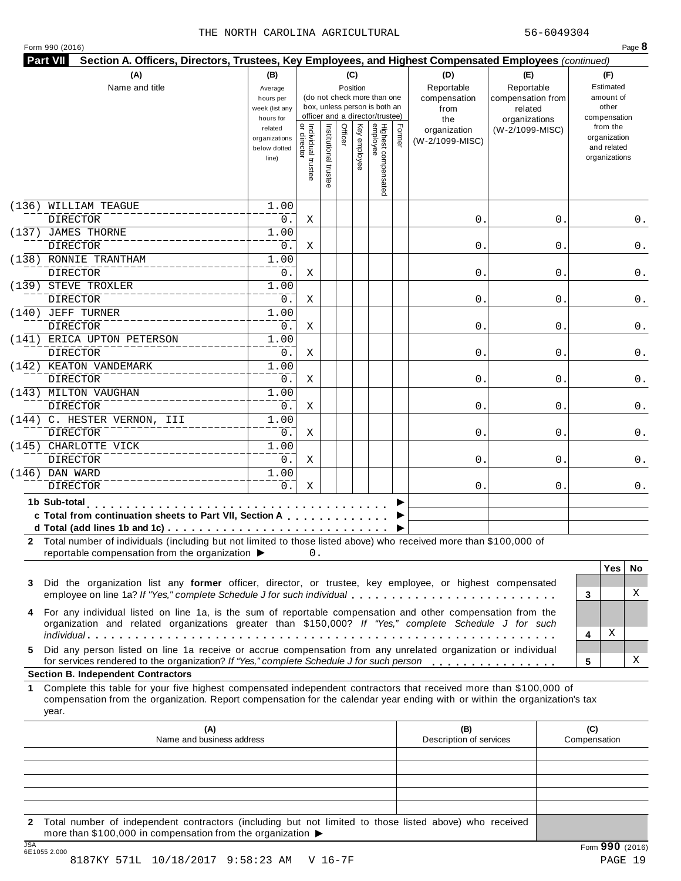| Form 990 (2016) |  |
|-----------------|--|
|-----------------|--|

| Highest compensated<br>employee<br>Individual trustee<br>or director<br>Institutional trus<br>Officer<br>Κey<br>Former<br>from the<br>related<br>(W-2/1099-MISC)<br>organization<br>organization<br>organizations<br>employee<br>(W-2/1099-MISC)<br>and related<br>below dotted<br>organizations<br>line)<br>(136) WILLIAM TEAGUE<br>1.00<br><b>DIRECTOR</b><br>0.<br>$\mathsf{O}$ .<br>Χ<br>0<br>(137) JAMES THORNE<br>1.00<br><b>DIRECTOR</b><br>0.<br>Χ<br>$0$ .<br>0<br>(138) RONNIE TRANTHAM<br>1.00<br><b>DIRECTOR</b><br>$0$ .<br>$\mathbf{0}$ .<br>Χ<br>0<br>(139) STEVE TROXLER<br>1.00<br><b>DIRECTOR</b><br>0.<br>Χ<br>$\mathbf{0}$ .<br>0<br>(140) JEFF TURNER<br>1.00<br><b>DIRECTOR</b><br>0.<br>Χ<br>$\mathbf{0}$ .<br>0<br>0.<br>(141) ERICA UPTON PETERSON<br>1.00<br><b>DIRECTOR</b><br>0.<br>$\mathsf{O}$ .<br>Χ<br>0<br>0.<br>(142) KEATON VANDEMARK<br>1.00<br><b>DIRECTOR</b><br>0.<br>$\mathsf{O}$ .<br>Χ<br>0<br>(143) MILTON VAUGHAN<br>1.00<br><b>DIRECTOR</b><br>0.<br>Χ<br>$\mathbf{0}$ .<br>0<br>(144) C. HESTER VERNON, III<br>1.00<br><b>DIRECTOR</b><br>0.<br>$\mathsf{O}$ .<br>Χ<br>0<br>(145) CHARLOTTE VICK<br>1.00<br>$0$ .<br><b>DIRECTOR</b><br>Χ<br>0.<br>0<br>$(146)$ DAN WARD<br>1.00<br>$0$ .<br><b>DIRECTOR</b><br>Χ<br>0.<br>0<br>1b Sub-total<br>c Total from continuation sheets to Part VII, Section A<br>2 Total number of individuals (including but not limited to those listed above) who received more than \$100,000 of<br>reportable compensation from the organization ▶<br>0.<br><b>Yes</b><br>Did the organization list any former officer, director, or trustee, key employee, or highest compensated<br>X<br>employee on line 1a? If "Yes," complete Schedule J for such individual<br>3<br>For any individual listed on line 1a, is the sum of reportable compensation and other compensation from the<br>organization and related organizations greater than \$150,000? If "Yes," complete Schedule J for such<br>Χ<br>4<br>Did any person listed on line 1a receive or accrue compensation from any unrelated organization or individual<br>for services rendered to the organization? If "Yes," complete Schedule J for such person<br>5<br><b>Section B. Independent Contractors</b><br>Complete this table for your five highest compensated independent contractors that received more than \$100,000 of<br>compensation from the organization. Report compensation for the calendar year ending with or within the organization's tax<br>year.<br>(A)<br>(B)<br>(C)<br>Name and business address<br>Description of services<br>Compensation |        | (A)<br>Name and title | (B)<br>Average<br>hours per<br>week (list any<br>hours for |  | (C)<br>Position | (do not check more than one<br>box, unless person is both an<br>officer and a director/trustee) | (D)<br>Reportable<br>compensation<br>from<br>the | (E)<br>Reportable<br>compensation from<br>related<br>organizations | (F)<br>Estimated<br>amount of<br>other<br>compensation |
|----------------------------------------------------------------------------------------------------------------------------------------------------------------------------------------------------------------------------------------------------------------------------------------------------------------------------------------------------------------------------------------------------------------------------------------------------------------------------------------------------------------------------------------------------------------------------------------------------------------------------------------------------------------------------------------------------------------------------------------------------------------------------------------------------------------------------------------------------------------------------------------------------------------------------------------------------------------------------------------------------------------------------------------------------------------------------------------------------------------------------------------------------------------------------------------------------------------------------------------------------------------------------------------------------------------------------------------------------------------------------------------------------------------------------------------------------------------------------------------------------------------------------------------------------------------------------------------------------------------------------------------------------------------------------------------------------------------------------------------------------------------------------------------------------------------------------------------------------------------------------------------------------------------------------------------------------------------------------------------------------------------------------------------------------------------------------------------------------------------------------------------------------------------------------------------------------------------------------------------------------------------------------------------------------------------------------------------------------------------------------------------------------------------------------------------------------------------------------------------------------------------------------------------------------------------------------------------------------------------|--------|-----------------------|------------------------------------------------------------|--|-----------------|-------------------------------------------------------------------------------------------------|--------------------------------------------------|--------------------------------------------------------------------|--------------------------------------------------------|
|                                                                                                                                                                                                                                                                                                                                                                                                                                                                                                                                                                                                                                                                                                                                                                                                                                                                                                                                                                                                                                                                                                                                                                                                                                                                                                                                                                                                                                                                                                                                                                                                                                                                                                                                                                                                                                                                                                                                                                                                                                                                                                                                                                                                                                                                                                                                                                                                                                                                                                                                                                                                                |        |                       |                                                            |  |                 |                                                                                                 |                                                  |                                                                    |                                                        |
|                                                                                                                                                                                                                                                                                                                                                                                                                                                                                                                                                                                                                                                                                                                                                                                                                                                                                                                                                                                                                                                                                                                                                                                                                                                                                                                                                                                                                                                                                                                                                                                                                                                                                                                                                                                                                                                                                                                                                                                                                                                                                                                                                                                                                                                                                                                                                                                                                                                                                                                                                                                                                |        |                       |                                                            |  |                 |                                                                                                 |                                                  |                                                                    |                                                        |
|                                                                                                                                                                                                                                                                                                                                                                                                                                                                                                                                                                                                                                                                                                                                                                                                                                                                                                                                                                                                                                                                                                                                                                                                                                                                                                                                                                                                                                                                                                                                                                                                                                                                                                                                                                                                                                                                                                                                                                                                                                                                                                                                                                                                                                                                                                                                                                                                                                                                                                                                                                                                                |        |                       |                                                            |  |                 |                                                                                                 |                                                  |                                                                    | 0.                                                     |
|                                                                                                                                                                                                                                                                                                                                                                                                                                                                                                                                                                                                                                                                                                                                                                                                                                                                                                                                                                                                                                                                                                                                                                                                                                                                                                                                                                                                                                                                                                                                                                                                                                                                                                                                                                                                                                                                                                                                                                                                                                                                                                                                                                                                                                                                                                                                                                                                                                                                                                                                                                                                                |        |                       |                                                            |  |                 |                                                                                                 |                                                  |                                                                    |                                                        |
|                                                                                                                                                                                                                                                                                                                                                                                                                                                                                                                                                                                                                                                                                                                                                                                                                                                                                                                                                                                                                                                                                                                                                                                                                                                                                                                                                                                                                                                                                                                                                                                                                                                                                                                                                                                                                                                                                                                                                                                                                                                                                                                                                                                                                                                                                                                                                                                                                                                                                                                                                                                                                |        |                       |                                                            |  |                 |                                                                                                 |                                                  |                                                                    | 0.                                                     |
|                                                                                                                                                                                                                                                                                                                                                                                                                                                                                                                                                                                                                                                                                                                                                                                                                                                                                                                                                                                                                                                                                                                                                                                                                                                                                                                                                                                                                                                                                                                                                                                                                                                                                                                                                                                                                                                                                                                                                                                                                                                                                                                                                                                                                                                                                                                                                                                                                                                                                                                                                                                                                |        |                       |                                                            |  |                 |                                                                                                 |                                                  |                                                                    |                                                        |
|                                                                                                                                                                                                                                                                                                                                                                                                                                                                                                                                                                                                                                                                                                                                                                                                                                                                                                                                                                                                                                                                                                                                                                                                                                                                                                                                                                                                                                                                                                                                                                                                                                                                                                                                                                                                                                                                                                                                                                                                                                                                                                                                                                                                                                                                                                                                                                                                                                                                                                                                                                                                                |        |                       |                                                            |  |                 |                                                                                                 |                                                  |                                                                    | 0.                                                     |
|                                                                                                                                                                                                                                                                                                                                                                                                                                                                                                                                                                                                                                                                                                                                                                                                                                                                                                                                                                                                                                                                                                                                                                                                                                                                                                                                                                                                                                                                                                                                                                                                                                                                                                                                                                                                                                                                                                                                                                                                                                                                                                                                                                                                                                                                                                                                                                                                                                                                                                                                                                                                                |        |                       |                                                            |  |                 |                                                                                                 |                                                  |                                                                    |                                                        |
|                                                                                                                                                                                                                                                                                                                                                                                                                                                                                                                                                                                                                                                                                                                                                                                                                                                                                                                                                                                                                                                                                                                                                                                                                                                                                                                                                                                                                                                                                                                                                                                                                                                                                                                                                                                                                                                                                                                                                                                                                                                                                                                                                                                                                                                                                                                                                                                                                                                                                                                                                                                                                |        |                       |                                                            |  |                 |                                                                                                 |                                                  |                                                                    | 0.                                                     |
|                                                                                                                                                                                                                                                                                                                                                                                                                                                                                                                                                                                                                                                                                                                                                                                                                                                                                                                                                                                                                                                                                                                                                                                                                                                                                                                                                                                                                                                                                                                                                                                                                                                                                                                                                                                                                                                                                                                                                                                                                                                                                                                                                                                                                                                                                                                                                                                                                                                                                                                                                                                                                |        |                       |                                                            |  |                 |                                                                                                 |                                                  |                                                                    |                                                        |
|                                                                                                                                                                                                                                                                                                                                                                                                                                                                                                                                                                                                                                                                                                                                                                                                                                                                                                                                                                                                                                                                                                                                                                                                                                                                                                                                                                                                                                                                                                                                                                                                                                                                                                                                                                                                                                                                                                                                                                                                                                                                                                                                                                                                                                                                                                                                                                                                                                                                                                                                                                                                                |        |                       |                                                            |  |                 |                                                                                                 |                                                  |                                                                    |                                                        |
|                                                                                                                                                                                                                                                                                                                                                                                                                                                                                                                                                                                                                                                                                                                                                                                                                                                                                                                                                                                                                                                                                                                                                                                                                                                                                                                                                                                                                                                                                                                                                                                                                                                                                                                                                                                                                                                                                                                                                                                                                                                                                                                                                                                                                                                                                                                                                                                                                                                                                                                                                                                                                |        |                       |                                                            |  |                 |                                                                                                 |                                                  |                                                                    |                                                        |
|                                                                                                                                                                                                                                                                                                                                                                                                                                                                                                                                                                                                                                                                                                                                                                                                                                                                                                                                                                                                                                                                                                                                                                                                                                                                                                                                                                                                                                                                                                                                                                                                                                                                                                                                                                                                                                                                                                                                                                                                                                                                                                                                                                                                                                                                                                                                                                                                                                                                                                                                                                                                                |        |                       |                                                            |  |                 |                                                                                                 |                                                  |                                                                    |                                                        |
|                                                                                                                                                                                                                                                                                                                                                                                                                                                                                                                                                                                                                                                                                                                                                                                                                                                                                                                                                                                                                                                                                                                                                                                                                                                                                                                                                                                                                                                                                                                                                                                                                                                                                                                                                                                                                                                                                                                                                                                                                                                                                                                                                                                                                                                                                                                                                                                                                                                                                                                                                                                                                |        |                       |                                                            |  |                 |                                                                                                 |                                                  |                                                                    | 0.                                                     |
|                                                                                                                                                                                                                                                                                                                                                                                                                                                                                                                                                                                                                                                                                                                                                                                                                                                                                                                                                                                                                                                                                                                                                                                                                                                                                                                                                                                                                                                                                                                                                                                                                                                                                                                                                                                                                                                                                                                                                                                                                                                                                                                                                                                                                                                                                                                                                                                                                                                                                                                                                                                                                |        |                       |                                                            |  |                 |                                                                                                 |                                                  |                                                                    |                                                        |
|                                                                                                                                                                                                                                                                                                                                                                                                                                                                                                                                                                                                                                                                                                                                                                                                                                                                                                                                                                                                                                                                                                                                                                                                                                                                                                                                                                                                                                                                                                                                                                                                                                                                                                                                                                                                                                                                                                                                                                                                                                                                                                                                                                                                                                                                                                                                                                                                                                                                                                                                                                                                                |        |                       |                                                            |  |                 |                                                                                                 |                                                  |                                                                    | 0.                                                     |
|                                                                                                                                                                                                                                                                                                                                                                                                                                                                                                                                                                                                                                                                                                                                                                                                                                                                                                                                                                                                                                                                                                                                                                                                                                                                                                                                                                                                                                                                                                                                                                                                                                                                                                                                                                                                                                                                                                                                                                                                                                                                                                                                                                                                                                                                                                                                                                                                                                                                                                                                                                                                                |        |                       |                                                            |  |                 |                                                                                                 |                                                  |                                                                    |                                                        |
|                                                                                                                                                                                                                                                                                                                                                                                                                                                                                                                                                                                                                                                                                                                                                                                                                                                                                                                                                                                                                                                                                                                                                                                                                                                                                                                                                                                                                                                                                                                                                                                                                                                                                                                                                                                                                                                                                                                                                                                                                                                                                                                                                                                                                                                                                                                                                                                                                                                                                                                                                                                                                |        |                       |                                                            |  |                 |                                                                                                 |                                                  |                                                                    | 0.                                                     |
|                                                                                                                                                                                                                                                                                                                                                                                                                                                                                                                                                                                                                                                                                                                                                                                                                                                                                                                                                                                                                                                                                                                                                                                                                                                                                                                                                                                                                                                                                                                                                                                                                                                                                                                                                                                                                                                                                                                                                                                                                                                                                                                                                                                                                                                                                                                                                                                                                                                                                                                                                                                                                |        |                       |                                                            |  |                 |                                                                                                 |                                                  |                                                                    |                                                        |
|                                                                                                                                                                                                                                                                                                                                                                                                                                                                                                                                                                                                                                                                                                                                                                                                                                                                                                                                                                                                                                                                                                                                                                                                                                                                                                                                                                                                                                                                                                                                                                                                                                                                                                                                                                                                                                                                                                                                                                                                                                                                                                                                                                                                                                                                                                                                                                                                                                                                                                                                                                                                                |        |                       |                                                            |  |                 |                                                                                                 |                                                  |                                                                    | 0.                                                     |
|                                                                                                                                                                                                                                                                                                                                                                                                                                                                                                                                                                                                                                                                                                                                                                                                                                                                                                                                                                                                                                                                                                                                                                                                                                                                                                                                                                                                                                                                                                                                                                                                                                                                                                                                                                                                                                                                                                                                                                                                                                                                                                                                                                                                                                                                                                                                                                                                                                                                                                                                                                                                                |        |                       |                                                            |  |                 |                                                                                                 |                                                  |                                                                    |                                                        |
|                                                                                                                                                                                                                                                                                                                                                                                                                                                                                                                                                                                                                                                                                                                                                                                                                                                                                                                                                                                                                                                                                                                                                                                                                                                                                                                                                                                                                                                                                                                                                                                                                                                                                                                                                                                                                                                                                                                                                                                                                                                                                                                                                                                                                                                                                                                                                                                                                                                                                                                                                                                                                |        |                       |                                                            |  |                 |                                                                                                 |                                                  |                                                                    | 0.                                                     |
|                                                                                                                                                                                                                                                                                                                                                                                                                                                                                                                                                                                                                                                                                                                                                                                                                                                                                                                                                                                                                                                                                                                                                                                                                                                                                                                                                                                                                                                                                                                                                                                                                                                                                                                                                                                                                                                                                                                                                                                                                                                                                                                                                                                                                                                                                                                                                                                                                                                                                                                                                                                                                |        |                       |                                                            |  |                 |                                                                                                 |                                                  |                                                                    |                                                        |
|                                                                                                                                                                                                                                                                                                                                                                                                                                                                                                                                                                                                                                                                                                                                                                                                                                                                                                                                                                                                                                                                                                                                                                                                                                                                                                                                                                                                                                                                                                                                                                                                                                                                                                                                                                                                                                                                                                                                                                                                                                                                                                                                                                                                                                                                                                                                                                                                                                                                                                                                                                                                                | 3      |                       |                                                            |  |                 |                                                                                                 |                                                  |                                                                    | No.                                                    |
|                                                                                                                                                                                                                                                                                                                                                                                                                                                                                                                                                                                                                                                                                                                                                                                                                                                                                                                                                                                                                                                                                                                                                                                                                                                                                                                                                                                                                                                                                                                                                                                                                                                                                                                                                                                                                                                                                                                                                                                                                                                                                                                                                                                                                                                                                                                                                                                                                                                                                                                                                                                                                | 4<br>5 |                       |                                                            |  |                 |                                                                                                 |                                                  |                                                                    |                                                        |
|                                                                                                                                                                                                                                                                                                                                                                                                                                                                                                                                                                                                                                                                                                                                                                                                                                                                                                                                                                                                                                                                                                                                                                                                                                                                                                                                                                                                                                                                                                                                                                                                                                                                                                                                                                                                                                                                                                                                                                                                                                                                                                                                                                                                                                                                                                                                                                                                                                                                                                                                                                                                                |        |                       |                                                            |  |                 |                                                                                                 |                                                  |                                                                    | Χ                                                      |
|                                                                                                                                                                                                                                                                                                                                                                                                                                                                                                                                                                                                                                                                                                                                                                                                                                                                                                                                                                                                                                                                                                                                                                                                                                                                                                                                                                                                                                                                                                                                                                                                                                                                                                                                                                                                                                                                                                                                                                                                                                                                                                                                                                                                                                                                                                                                                                                                                                                                                                                                                                                                                | 1.     |                       |                                                            |  |                 |                                                                                                 |                                                  |                                                                    |                                                        |
|                                                                                                                                                                                                                                                                                                                                                                                                                                                                                                                                                                                                                                                                                                                                                                                                                                                                                                                                                                                                                                                                                                                                                                                                                                                                                                                                                                                                                                                                                                                                                                                                                                                                                                                                                                                                                                                                                                                                                                                                                                                                                                                                                                                                                                                                                                                                                                                                                                                                                                                                                                                                                |        |                       |                                                            |  |                 |                                                                                                 |                                                  |                                                                    |                                                        |
|                                                                                                                                                                                                                                                                                                                                                                                                                                                                                                                                                                                                                                                                                                                                                                                                                                                                                                                                                                                                                                                                                                                                                                                                                                                                                                                                                                                                                                                                                                                                                                                                                                                                                                                                                                                                                                                                                                                                                                                                                                                                                                                                                                                                                                                                                                                                                                                                                                                                                                                                                                                                                |        |                       |                                                            |  |                 |                                                                                                 |                                                  |                                                                    |                                                        |
|                                                                                                                                                                                                                                                                                                                                                                                                                                                                                                                                                                                                                                                                                                                                                                                                                                                                                                                                                                                                                                                                                                                                                                                                                                                                                                                                                                                                                                                                                                                                                                                                                                                                                                                                                                                                                                                                                                                                                                                                                                                                                                                                                                                                                                                                                                                                                                                                                                                                                                                                                                                                                |        |                       |                                                            |  |                 |                                                                                                 |                                                  |                                                                    |                                                        |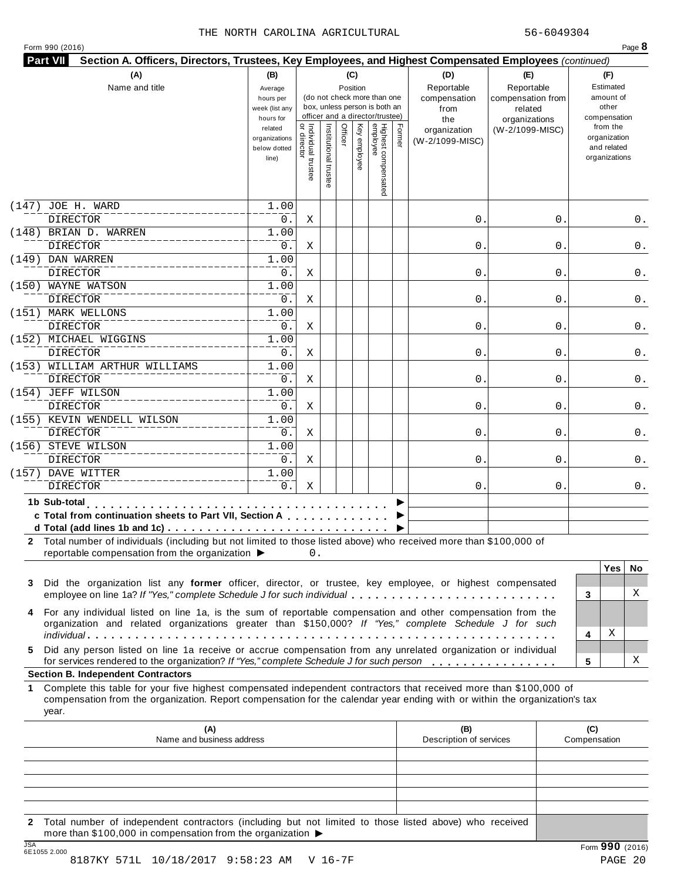|  |  |  | Form 990 (2016) |  |
|--|--|--|-----------------|--|
|--|--|--|-----------------|--|

| Highest compensated<br>employee<br>Individual trustee<br>Officer<br>Former<br>Institutional truste<br>Ķey<br>from the<br>related<br>(W-2/1099-MISC)<br>organization<br>organization<br>organizations<br>y employee<br>(W-2/1099-MISC)<br>and related<br>below dotted<br>organizations<br>line)<br>JOE H. WARD<br>1.00<br><b>DIRECTOR</b><br>0.<br>0<br>0<br>Χ<br>(148) BRIAN D. WARREN<br>1.00<br><b>DIRECTOR</b><br>$\mathsf{O}$<br>0.<br>Χ<br>0<br>0.<br>(149) DAN WARREN<br>1.00<br><b>DIRECTOR</b><br>0.<br>0<br>Χ<br>0<br>0.<br>1.00<br><b>DIRECTOR</b><br>0.<br>0<br>Χ<br>0<br>(151) MARK WELLONS<br>1.00<br><b>DIRECTOR</b><br>0.<br>0<br>Χ<br>0<br>1.00<br><b>DIRECTOR</b><br>0.<br>0<br>0<br>Χ<br>(153) WILLIAM ARTHUR WILLIAMS<br>1.00<br><b>DIRECTOR</b><br>0.<br>0<br>Χ<br>0<br>0.<br>(154) JEFF WILSON<br>1.00<br><b>DIRECTOR</b><br>0.<br>0<br>0<br>Χ<br>0.<br>(155) KEVIN WENDELL WILSON<br>1.00<br><b>DIRECTOR</b><br>0.<br>0<br>Χ<br>0<br>1.00<br><b>DIRECTOR</b><br>0.<br>0<br>Χ<br>0<br>1.00<br><b>DIRECTOR</b><br>0.<br>Χ<br>0.<br>0<br>1b Sub-total<br>.<br>c Total from continuation sheets to Part VII, Section A<br>2 Total number of individuals (including but not limited to those listed above) who received more than \$100,000 of<br>reportable compensation from the organization ▶<br>0.<br><b>Yes</b><br>Did the organization list any former officer, director, or trustee, key employee, or highest compensated<br>employee on line 1a? If "Yes," complete Schedule J for such individual<br>3<br>4 For any individual listed on line 1a, is the sum of reportable compensation and other compensation from the<br>organization and related organizations greater than \$150,000? If "Yes," complete Schedule J for such<br>Χ<br>4<br>Did any person listed on line 1a receive or accrue compensation from any unrelated organization or individual<br>х<br>for services rendered to the organization? If "Yes," complete Schedule J for such person<br>5<br><b>Section B. Independent Contractors</b><br>Complete this table for your five highest compensated independent contractors that received more than \$100,000 of<br>1.<br>compensation from the organization. Report compensation for the calendar year ending with or within the organization's tax<br>year.<br>(A)<br>(B)<br>(C)<br>Name and business address<br>Description of services<br>Compensation |                       | (A)<br>(B)<br>(C)<br>(D)<br>Name and title<br>Reportable<br>Reportable<br>Position<br>Average<br>(do not check more than one<br>compensation<br>hours per<br>box, unless person is both an<br>week (list any<br>from<br>related<br>officer and a director/trustee)<br>hours for<br>the |  |  |  |  |  |  | (E)<br>compensation from<br>organizations | (F)<br>Estimated<br>amount of<br>other<br>compensation |
|-----------------------------------------------------------------------------------------------------------------------------------------------------------------------------------------------------------------------------------------------------------------------------------------------------------------------------------------------------------------------------------------------------------------------------------------------------------------------------------------------------------------------------------------------------------------------------------------------------------------------------------------------------------------------------------------------------------------------------------------------------------------------------------------------------------------------------------------------------------------------------------------------------------------------------------------------------------------------------------------------------------------------------------------------------------------------------------------------------------------------------------------------------------------------------------------------------------------------------------------------------------------------------------------------------------------------------------------------------------------------------------------------------------------------------------------------------------------------------------------------------------------------------------------------------------------------------------------------------------------------------------------------------------------------------------------------------------------------------------------------------------------------------------------------------------------------------------------------------------------------------------------------------------------------------------------------------------------------------------------------------------------------------------------------------------------------------------------------------------------------------------------------------------------------------------------------------------------------------------------------------------------------------------------------------------------------------------------------------------------------------------------------------------|-----------------------|----------------------------------------------------------------------------------------------------------------------------------------------------------------------------------------------------------------------------------------------------------------------------------------|--|--|--|--|--|--|-------------------------------------------|--------------------------------------------------------|
|                                                                                                                                                                                                                                                                                                                                                                                                                                                                                                                                                                                                                                                                                                                                                                                                                                                                                                                                                                                                                                                                                                                                                                                                                                                                                                                                                                                                                                                                                                                                                                                                                                                                                                                                                                                                                                                                                                                                                                                                                                                                                                                                                                                                                                                                                                                                                                                                           |                       |                                                                                                                                                                                                                                                                                        |  |  |  |  |  |  |                                           |                                                        |
|                                                                                                                                                                                                                                                                                                                                                                                                                                                                                                                                                                                                                                                                                                                                                                                                                                                                                                                                                                                                                                                                                                                                                                                                                                                                                                                                                                                                                                                                                                                                                                                                                                                                                                                                                                                                                                                                                                                                                                                                                                                                                                                                                                                                                                                                                                                                                                                                           | (147)                 |                                                                                                                                                                                                                                                                                        |  |  |  |  |  |  |                                           |                                                        |
|                                                                                                                                                                                                                                                                                                                                                                                                                                                                                                                                                                                                                                                                                                                                                                                                                                                                                                                                                                                                                                                                                                                                                                                                                                                                                                                                                                                                                                                                                                                                                                                                                                                                                                                                                                                                                                                                                                                                                                                                                                                                                                                                                                                                                                                                                                                                                                                                           |                       |                                                                                                                                                                                                                                                                                        |  |  |  |  |  |  |                                           | 0.                                                     |
|                                                                                                                                                                                                                                                                                                                                                                                                                                                                                                                                                                                                                                                                                                                                                                                                                                                                                                                                                                                                                                                                                                                                                                                                                                                                                                                                                                                                                                                                                                                                                                                                                                                                                                                                                                                                                                                                                                                                                                                                                                                                                                                                                                                                                                                                                                                                                                                                           |                       |                                                                                                                                                                                                                                                                                        |  |  |  |  |  |  |                                           |                                                        |
|                                                                                                                                                                                                                                                                                                                                                                                                                                                                                                                                                                                                                                                                                                                                                                                                                                                                                                                                                                                                                                                                                                                                                                                                                                                                                                                                                                                                                                                                                                                                                                                                                                                                                                                                                                                                                                                                                                                                                                                                                                                                                                                                                                                                                                                                                                                                                                                                           |                       |                                                                                                                                                                                                                                                                                        |  |  |  |  |  |  |                                           |                                                        |
|                                                                                                                                                                                                                                                                                                                                                                                                                                                                                                                                                                                                                                                                                                                                                                                                                                                                                                                                                                                                                                                                                                                                                                                                                                                                                                                                                                                                                                                                                                                                                                                                                                                                                                                                                                                                                                                                                                                                                                                                                                                                                                                                                                                                                                                                                                                                                                                                           |                       |                                                                                                                                                                                                                                                                                        |  |  |  |  |  |  |                                           |                                                        |
|                                                                                                                                                                                                                                                                                                                                                                                                                                                                                                                                                                                                                                                                                                                                                                                                                                                                                                                                                                                                                                                                                                                                                                                                                                                                                                                                                                                                                                                                                                                                                                                                                                                                                                                                                                                                                                                                                                                                                                                                                                                                                                                                                                                                                                                                                                                                                                                                           | (150) WAYNE WATSON    |                                                                                                                                                                                                                                                                                        |  |  |  |  |  |  |                                           |                                                        |
|                                                                                                                                                                                                                                                                                                                                                                                                                                                                                                                                                                                                                                                                                                                                                                                                                                                                                                                                                                                                                                                                                                                                                                                                                                                                                                                                                                                                                                                                                                                                                                                                                                                                                                                                                                                                                                                                                                                                                                                                                                                                                                                                                                                                                                                                                                                                                                                                           |                       |                                                                                                                                                                                                                                                                                        |  |  |  |  |  |  |                                           | 0.                                                     |
|                                                                                                                                                                                                                                                                                                                                                                                                                                                                                                                                                                                                                                                                                                                                                                                                                                                                                                                                                                                                                                                                                                                                                                                                                                                                                                                                                                                                                                                                                                                                                                                                                                                                                                                                                                                                                                                                                                                                                                                                                                                                                                                                                                                                                                                                                                                                                                                                           |                       |                                                                                                                                                                                                                                                                                        |  |  |  |  |  |  |                                           |                                                        |
|                                                                                                                                                                                                                                                                                                                                                                                                                                                                                                                                                                                                                                                                                                                                                                                                                                                                                                                                                                                                                                                                                                                                                                                                                                                                                                                                                                                                                                                                                                                                                                                                                                                                                                                                                                                                                                                                                                                                                                                                                                                                                                                                                                                                                                                                                                                                                                                                           |                       |                                                                                                                                                                                                                                                                                        |  |  |  |  |  |  |                                           | 0.                                                     |
|                                                                                                                                                                                                                                                                                                                                                                                                                                                                                                                                                                                                                                                                                                                                                                                                                                                                                                                                                                                                                                                                                                                                                                                                                                                                                                                                                                                                                                                                                                                                                                                                                                                                                                                                                                                                                                                                                                                                                                                                                                                                                                                                                                                                                                                                                                                                                                                                           | (152) MICHAEL WIGGINS |                                                                                                                                                                                                                                                                                        |  |  |  |  |  |  |                                           |                                                        |
|                                                                                                                                                                                                                                                                                                                                                                                                                                                                                                                                                                                                                                                                                                                                                                                                                                                                                                                                                                                                                                                                                                                                                                                                                                                                                                                                                                                                                                                                                                                                                                                                                                                                                                                                                                                                                                                                                                                                                                                                                                                                                                                                                                                                                                                                                                                                                                                                           |                       |                                                                                                                                                                                                                                                                                        |  |  |  |  |  |  |                                           | 0.                                                     |
|                                                                                                                                                                                                                                                                                                                                                                                                                                                                                                                                                                                                                                                                                                                                                                                                                                                                                                                                                                                                                                                                                                                                                                                                                                                                                                                                                                                                                                                                                                                                                                                                                                                                                                                                                                                                                                                                                                                                                                                                                                                                                                                                                                                                                                                                                                                                                                                                           |                       |                                                                                                                                                                                                                                                                                        |  |  |  |  |  |  |                                           |                                                        |
|                                                                                                                                                                                                                                                                                                                                                                                                                                                                                                                                                                                                                                                                                                                                                                                                                                                                                                                                                                                                                                                                                                                                                                                                                                                                                                                                                                                                                                                                                                                                                                                                                                                                                                                                                                                                                                                                                                                                                                                                                                                                                                                                                                                                                                                                                                                                                                                                           |                       |                                                                                                                                                                                                                                                                                        |  |  |  |  |  |  |                                           |                                                        |
|                                                                                                                                                                                                                                                                                                                                                                                                                                                                                                                                                                                                                                                                                                                                                                                                                                                                                                                                                                                                                                                                                                                                                                                                                                                                                                                                                                                                                                                                                                                                                                                                                                                                                                                                                                                                                                                                                                                                                                                                                                                                                                                                                                                                                                                                                                                                                                                                           |                       |                                                                                                                                                                                                                                                                                        |  |  |  |  |  |  |                                           |                                                        |
|                                                                                                                                                                                                                                                                                                                                                                                                                                                                                                                                                                                                                                                                                                                                                                                                                                                                                                                                                                                                                                                                                                                                                                                                                                                                                                                                                                                                                                                                                                                                                                                                                                                                                                                                                                                                                                                                                                                                                                                                                                                                                                                                                                                                                                                                                                                                                                                                           |                       |                                                                                                                                                                                                                                                                                        |  |  |  |  |  |  |                                           |                                                        |
|                                                                                                                                                                                                                                                                                                                                                                                                                                                                                                                                                                                                                                                                                                                                                                                                                                                                                                                                                                                                                                                                                                                                                                                                                                                                                                                                                                                                                                                                                                                                                                                                                                                                                                                                                                                                                                                                                                                                                                                                                                                                                                                                                                                                                                                                                                                                                                                                           |                       |                                                                                                                                                                                                                                                                                        |  |  |  |  |  |  |                                           | 0.                                                     |
|                                                                                                                                                                                                                                                                                                                                                                                                                                                                                                                                                                                                                                                                                                                                                                                                                                                                                                                                                                                                                                                                                                                                                                                                                                                                                                                                                                                                                                                                                                                                                                                                                                                                                                                                                                                                                                                                                                                                                                                                                                                                                                                                                                                                                                                                                                                                                                                                           | (156) STEVE WILSON    |                                                                                                                                                                                                                                                                                        |  |  |  |  |  |  |                                           |                                                        |
|                                                                                                                                                                                                                                                                                                                                                                                                                                                                                                                                                                                                                                                                                                                                                                                                                                                                                                                                                                                                                                                                                                                                                                                                                                                                                                                                                                                                                                                                                                                                                                                                                                                                                                                                                                                                                                                                                                                                                                                                                                                                                                                                                                                                                                                                                                                                                                                                           |                       |                                                                                                                                                                                                                                                                                        |  |  |  |  |  |  |                                           | 0.                                                     |
|                                                                                                                                                                                                                                                                                                                                                                                                                                                                                                                                                                                                                                                                                                                                                                                                                                                                                                                                                                                                                                                                                                                                                                                                                                                                                                                                                                                                                                                                                                                                                                                                                                                                                                                                                                                                                                                                                                                                                                                                                                                                                                                                                                                                                                                                                                                                                                                                           | (157) DAVE WITTER     |                                                                                                                                                                                                                                                                                        |  |  |  |  |  |  |                                           |                                                        |
|                                                                                                                                                                                                                                                                                                                                                                                                                                                                                                                                                                                                                                                                                                                                                                                                                                                                                                                                                                                                                                                                                                                                                                                                                                                                                                                                                                                                                                                                                                                                                                                                                                                                                                                                                                                                                                                                                                                                                                                                                                                                                                                                                                                                                                                                                                                                                                                                           |                       |                                                                                                                                                                                                                                                                                        |  |  |  |  |  |  |                                           | 0.                                                     |
|                                                                                                                                                                                                                                                                                                                                                                                                                                                                                                                                                                                                                                                                                                                                                                                                                                                                                                                                                                                                                                                                                                                                                                                                                                                                                                                                                                                                                                                                                                                                                                                                                                                                                                                                                                                                                                                                                                                                                                                                                                                                                                                                                                                                                                                                                                                                                                                                           |                       |                                                                                                                                                                                                                                                                                        |  |  |  |  |  |  |                                           |                                                        |
|                                                                                                                                                                                                                                                                                                                                                                                                                                                                                                                                                                                                                                                                                                                                                                                                                                                                                                                                                                                                                                                                                                                                                                                                                                                                                                                                                                                                                                                                                                                                                                                                                                                                                                                                                                                                                                                                                                                                                                                                                                                                                                                                                                                                                                                                                                                                                                                                           |                       |                                                                                                                                                                                                                                                                                        |  |  |  |  |  |  |                                           | No.                                                    |
|                                                                                                                                                                                                                                                                                                                                                                                                                                                                                                                                                                                                                                                                                                                                                                                                                                                                                                                                                                                                                                                                                                                                                                                                                                                                                                                                                                                                                                                                                                                                                                                                                                                                                                                                                                                                                                                                                                                                                                                                                                                                                                                                                                                                                                                                                                                                                                                                           | 3                     |                                                                                                                                                                                                                                                                                        |  |  |  |  |  |  |                                           | X                                                      |
|                                                                                                                                                                                                                                                                                                                                                                                                                                                                                                                                                                                                                                                                                                                                                                                                                                                                                                                                                                                                                                                                                                                                                                                                                                                                                                                                                                                                                                                                                                                                                                                                                                                                                                                                                                                                                                                                                                                                                                                                                                                                                                                                                                                                                                                                                                                                                                                                           |                       |                                                                                                                                                                                                                                                                                        |  |  |  |  |  |  |                                           |                                                        |
|                                                                                                                                                                                                                                                                                                                                                                                                                                                                                                                                                                                                                                                                                                                                                                                                                                                                                                                                                                                                                                                                                                                                                                                                                                                                                                                                                                                                                                                                                                                                                                                                                                                                                                                                                                                                                                                                                                                                                                                                                                                                                                                                                                                                                                                                                                                                                                                                           | 5                     |                                                                                                                                                                                                                                                                                        |  |  |  |  |  |  |                                           |                                                        |
|                                                                                                                                                                                                                                                                                                                                                                                                                                                                                                                                                                                                                                                                                                                                                                                                                                                                                                                                                                                                                                                                                                                                                                                                                                                                                                                                                                                                                                                                                                                                                                                                                                                                                                                                                                                                                                                                                                                                                                                                                                                                                                                                                                                                                                                                                                                                                                                                           |                       |                                                                                                                                                                                                                                                                                        |  |  |  |  |  |  |                                           |                                                        |
|                                                                                                                                                                                                                                                                                                                                                                                                                                                                                                                                                                                                                                                                                                                                                                                                                                                                                                                                                                                                                                                                                                                                                                                                                                                                                                                                                                                                                                                                                                                                                                                                                                                                                                                                                                                                                                                                                                                                                                                                                                                                                                                                                                                                                                                                                                                                                                                                           |                       |                                                                                                                                                                                                                                                                                        |  |  |  |  |  |  |                                           |                                                        |
|                                                                                                                                                                                                                                                                                                                                                                                                                                                                                                                                                                                                                                                                                                                                                                                                                                                                                                                                                                                                                                                                                                                                                                                                                                                                                                                                                                                                                                                                                                                                                                                                                                                                                                                                                                                                                                                                                                                                                                                                                                                                                                                                                                                                                                                                                                                                                                                                           |                       |                                                                                                                                                                                                                                                                                        |  |  |  |  |  |  |                                           |                                                        |
|                                                                                                                                                                                                                                                                                                                                                                                                                                                                                                                                                                                                                                                                                                                                                                                                                                                                                                                                                                                                                                                                                                                                                                                                                                                                                                                                                                                                                                                                                                                                                                                                                                                                                                                                                                                                                                                                                                                                                                                                                                                                                                                                                                                                                                                                                                                                                                                                           |                       |                                                                                                                                                                                                                                                                                        |  |  |  |  |  |  |                                           |                                                        |
|                                                                                                                                                                                                                                                                                                                                                                                                                                                                                                                                                                                                                                                                                                                                                                                                                                                                                                                                                                                                                                                                                                                                                                                                                                                                                                                                                                                                                                                                                                                                                                                                                                                                                                                                                                                                                                                                                                                                                                                                                                                                                                                                                                                                                                                                                                                                                                                                           |                       |                                                                                                                                                                                                                                                                                        |  |  |  |  |  |  |                                           |                                                        |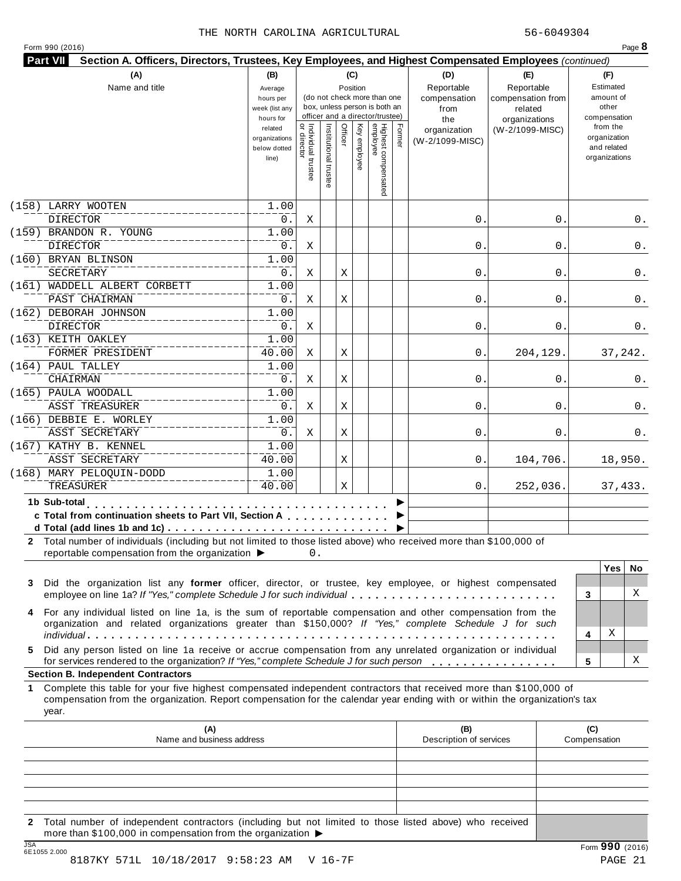|  | Form 990 (2016) |  |
|--|-----------------|--|
|  |                 |  |

|                                                                                                                                                                                                                                                  |                |                                   |                                 |              |                                 |        | Section A. Officers, Directors, Trustees, Key Employees, and Highest Compensated Employees (continued) |                   |                     |               |          |
|--------------------------------------------------------------------------------------------------------------------------------------------------------------------------------------------------------------------------------------------------|----------------|-----------------------------------|---------------------------------|--------------|---------------------------------|--------|--------------------------------------------------------------------------------------------------------|-------------------|---------------------|---------------|----------|
| (A)                                                                                                                                                                                                                                              | (B)            |                                   |                                 | (C)          |                                 |        | (D)                                                                                                    | (E)               |                     | (F)           |          |
| Name and title                                                                                                                                                                                                                                   | Average        |                                   |                                 | Position     |                                 |        | Reportable                                                                                             | Reportable        |                     | Estimated     |          |
|                                                                                                                                                                                                                                                  | hours per      |                                   | (do not check more than one     |              |                                 |        | compensation                                                                                           | compensation from |                     | amount of     |          |
|                                                                                                                                                                                                                                                  | week (list any |                                   | box, unless person is both an   |              |                                 |        | from                                                                                                   | related           |                     | other         |          |
|                                                                                                                                                                                                                                                  | hours for      |                                   | officer and a director/trustee) |              |                                 |        | the                                                                                                    | organizations     |                     | compensation  |          |
|                                                                                                                                                                                                                                                  | related        |                                   | Officer                         |              |                                 | Former | organization                                                                                           | (W-2/1099-MISC)   |                     | from the      |          |
|                                                                                                                                                                                                                                                  | organizations  |                                   |                                 |              |                                 |        | (W-2/1099-MISC)                                                                                        |                   |                     | organization  |          |
|                                                                                                                                                                                                                                                  | below dotted   |                                   |                                 |              |                                 |        |                                                                                                        |                   |                     | and related   |          |
|                                                                                                                                                                                                                                                  | line)          |                                   |                                 | Key employee |                                 |        |                                                                                                        |                   |                     | organizations |          |
|                                                                                                                                                                                                                                                  |                | Individual trustee<br>or director | Institutional trust             |              |                                 |        |                                                                                                        |                   |                     |               |          |
|                                                                                                                                                                                                                                                  |                |                                   |                                 |              | Highest compensated<br>employee |        |                                                                                                        |                   |                     |               |          |
| (158)<br>LARRY WOOTEN                                                                                                                                                                                                                            | 1.00           |                                   |                                 |              |                                 |        |                                                                                                        |                   |                     |               |          |
| <b>DIRECTOR</b>                                                                                                                                                                                                                                  | 0.             | Χ                                 |                                 |              |                                 |        | 0                                                                                                      | 0                 |                     |               | 0.       |
| (159)<br>BRANDON R. YOUNG                                                                                                                                                                                                                        | 1.00           |                                   |                                 |              |                                 |        |                                                                                                        |                   |                     |               |          |
| <b>DIRECTOR</b>                                                                                                                                                                                                                                  | 0.             |                                   |                                 |              |                                 |        | 0                                                                                                      | 0                 |                     |               |          |
|                                                                                                                                                                                                                                                  |                | Χ                                 |                                 |              |                                 |        |                                                                                                        |                   |                     |               | 0.       |
| (160)<br>BRYAN BLINSON                                                                                                                                                                                                                           | 1.00           |                                   |                                 |              |                                 |        |                                                                                                        |                   |                     |               |          |
| SECRETARY                                                                                                                                                                                                                                        | 0.             | Χ                                 | Χ                               |              |                                 |        | 0                                                                                                      | 0                 |                     |               | 0.       |
| (161)<br>WADDELL ALBERT CORBETT                                                                                                                                                                                                                  | 1.00           |                                   |                                 |              |                                 |        |                                                                                                        |                   |                     |               |          |
| PAST CHAIRMAN                                                                                                                                                                                                                                    | 0.             | Χ                                 | Χ                               |              |                                 |        | 0                                                                                                      | 0                 |                     |               | 0.       |
|                                                                                                                                                                                                                                                  |                |                                   |                                 |              |                                 |        |                                                                                                        |                   |                     |               |          |
| (162) DEBORAH JOHNSON                                                                                                                                                                                                                            | 1.00           |                                   |                                 |              |                                 |        |                                                                                                        |                   |                     |               |          |
| <b>DIRECTOR</b>                                                                                                                                                                                                                                  | 0.             | Χ                                 |                                 |              |                                 |        | 0                                                                                                      | 0                 |                     |               | 0.       |
| (163) KEITH OAKLEY                                                                                                                                                                                                                               | 1.00           |                                   |                                 |              |                                 |        |                                                                                                        |                   |                     |               |          |
| FORMER PRESIDENT                                                                                                                                                                                                                                 | 40.00          | Χ                                 | Χ                               |              |                                 |        | 0                                                                                                      | 204,129.          |                     | 37,242.       |          |
|                                                                                                                                                                                                                                                  |                |                                   |                                 |              |                                 |        |                                                                                                        |                   |                     |               |          |
| (164) PAUL TALLEY                                                                                                                                                                                                                                | 1.00           |                                   |                                 |              |                                 |        |                                                                                                        |                   |                     |               |          |
| <b>CHAIRMAN</b>                                                                                                                                                                                                                                  | 0.             | Χ                                 | Χ                               |              |                                 |        | 0                                                                                                      | 0                 |                     |               | 0.       |
| (165) PAULA WOODALL                                                                                                                                                                                                                              | 1.00           |                                   |                                 |              |                                 |        |                                                                                                        |                   |                     |               |          |
| <b>ASST TREASURER</b>                                                                                                                                                                                                                            | 0.             | Χ                                 | Χ                               |              |                                 |        | 0                                                                                                      | 0                 |                     |               | 0.       |
|                                                                                                                                                                                                                                                  |                |                                   |                                 |              |                                 |        |                                                                                                        |                   |                     |               |          |
| (166) DEBBIE E. WORLEY                                                                                                                                                                                                                           | 1.00           |                                   |                                 |              |                                 |        |                                                                                                        |                   |                     |               |          |
| ASST SECRETARY                                                                                                                                                                                                                                   | 0.             | Χ                                 | Χ                               |              |                                 |        | 0                                                                                                      | 0                 |                     |               | 0.       |
| (167) KATHY B. KENNEL                                                                                                                                                                                                                            | 1.00           |                                   |                                 |              |                                 |        |                                                                                                        |                   |                     |               |          |
| ASST SECRETARY                                                                                                                                                                                                                                   | 40.00          |                                   | Χ                               |              |                                 |        | 0.                                                                                                     | 104,706.          |                     | 18,950.       |          |
|                                                                                                                                                                                                                                                  | 1.00           |                                   |                                 |              |                                 |        |                                                                                                        |                   |                     |               |          |
| (168) MARY PELOQUIN-DODD                                                                                                                                                                                                                         |                |                                   |                                 |              |                                 |        |                                                                                                        |                   |                     |               |          |
| TREASURER                                                                                                                                                                                                                                        | 40.00          |                                   | Χ                               |              |                                 |        | 0.                                                                                                     | 252,036.          |                     | 37, 433.      |          |
| 1b Sub-total<br>.                                                                                                                                                                                                                                |                |                                   |                                 |              |                                 |        |                                                                                                        |                   |                     |               |          |
| c Total from continuation sheets to Part VII, Section A                                                                                                                                                                                          |                |                                   |                                 |              |                                 |        |                                                                                                        |                   |                     |               |          |
|                                                                                                                                                                                                                                                  |                |                                   |                                 |              |                                 |        |                                                                                                        |                   |                     |               |          |
|                                                                                                                                                                                                                                                  |                |                                   |                                 |              |                                 |        |                                                                                                        |                   |                     |               |          |
|                                                                                                                                                                                                                                                  |                |                                   |                                 |              |                                 |        |                                                                                                        |                   |                     |               |          |
|                                                                                                                                                                                                                                                  |                | 0.                                |                                 |              |                                 |        |                                                                                                        |                   |                     |               |          |
| reportable compensation from the organization ▶                                                                                                                                                                                                  |                |                                   |                                 |              |                                 |        |                                                                                                        |                   |                     | <b>Yes</b>    |          |
| Did the organization list any former officer, director, or trustee, key employee, or highest compensated                                                                                                                                         |                |                                   |                                 |              |                                 |        |                                                                                                        |                   |                     |               |          |
| employee on line 1a? If "Yes," complete Schedule J for such individual                                                                                                                                                                           |                |                                   |                                 |              |                                 |        |                                                                                                        |                   | 3                   |               |          |
|                                                                                                                                                                                                                                                  |                |                                   |                                 |              |                                 |        |                                                                                                        |                   |                     |               | No.<br>Χ |
| For any individual listed on line 1a, is the sum of reportable compensation and other compensation from the                                                                                                                                      |                |                                   |                                 |              |                                 |        |                                                                                                        |                   |                     |               |          |
| organization and related organizations greater than \$150,000? If "Yes," complete Schedule J for such                                                                                                                                            |                |                                   |                                 |              |                                 |        |                                                                                                        |                   |                     |               |          |
|                                                                                                                                                                                                                                                  |                |                                   |                                 |              |                                 |        |                                                                                                        |                   | 4                   | Χ             |          |
| Did any person listed on line 1a receive or accrue compensation from any unrelated organization or individual                                                                                                                                    |                |                                   |                                 |              |                                 |        |                                                                                                        |                   |                     |               |          |
|                                                                                                                                                                                                                                                  |                |                                   |                                 |              |                                 |        |                                                                                                        |                   | 5                   |               |          |
| 2 Total number of individuals (including but not limited to those listed above) who received more than \$100,000 of<br>3<br>4<br>5<br>for services rendered to the organization? If "Yes," complete Schedule J for such person                   |                |                                   |                                 |              |                                 |        |                                                                                                        |                   |                     |               | X        |
|                                                                                                                                                                                                                                                  |                |                                   |                                 |              |                                 |        |                                                                                                        |                   |                     |               |          |
| Complete this table for your five highest compensated independent contractors that received more than \$100,000 of<br>compensation from the organization. Report compensation for the calendar year ending with or within the organization's tax |                |                                   |                                 |              |                                 |        |                                                                                                        |                   |                     |               |          |
| year.                                                                                                                                                                                                                                            |                |                                   |                                 |              |                                 |        |                                                                                                        |                   |                     |               |          |
| (A)<br>Name and business address                                                                                                                                                                                                                 |                |                                   |                                 |              |                                 |        | (B)<br>Description of services                                                                         |                   | (C)<br>Compensation |               |          |
|                                                                                                                                                                                                                                                  |                |                                   |                                 |              |                                 |        |                                                                                                        |                   |                     |               |          |
|                                                                                                                                                                                                                                                  |                |                                   |                                 |              |                                 |        |                                                                                                        |                   |                     |               |          |
| <b>Section B. Independent Contractors</b><br>1.                                                                                                                                                                                                  |                |                                   |                                 |              |                                 |        |                                                                                                        |                   |                     |               |          |
|                                                                                                                                                                                                                                                  |                |                                   |                                 |              |                                 |        |                                                                                                        |                   |                     |               |          |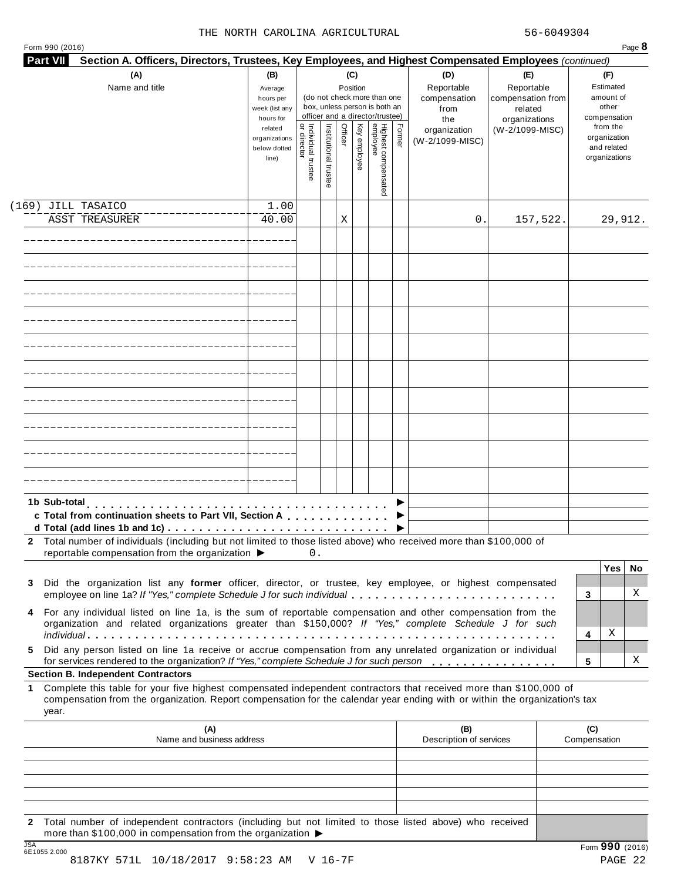|  | Form 990 (2016) |  |
|--|-----------------|--|

| (A)<br>Name and title                                                                                                                                                                                                                                                                                       | (B)<br>Average<br>hours per<br>week (list any<br>hours for |                                           |                       |         | (C)<br>Position | (do not check more than one<br>box, unless person is both an<br>officer and a director/trustee) |        | (D)<br>Reportable<br>compensation<br>from<br>the | (E)<br>Reportable<br>compensation from<br>related<br>organizations | (F)<br>Estimated<br>amount of<br>other<br>compensation   |
|-------------------------------------------------------------------------------------------------------------------------------------------------------------------------------------------------------------------------------------------------------------------------------------------------------------|------------------------------------------------------------|-------------------------------------------|-----------------------|---------|-----------------|-------------------------------------------------------------------------------------------------|--------|--------------------------------------------------|--------------------------------------------------------------------|----------------------------------------------------------|
|                                                                                                                                                                                                                                                                                                             | related<br>organizations<br>below dotted<br>line)          | <br>  Individual trustee<br>  or director | Institutional trustee | Officer | Key employee    | Highest compensated<br>employee                                                                 | Former | organization<br>(W-2/1099-MISC)                  | (W-2/1099-MISC)                                                    | from the<br>organization<br>and related<br>organizations |
| (169) JILL TASAICO                                                                                                                                                                                                                                                                                          | 1.00                                                       |                                           |                       |         |                 |                                                                                                 |        |                                                  |                                                                    |                                                          |
| <b>ASST TREASURER</b>                                                                                                                                                                                                                                                                                       | 40.00                                                      |                                           |                       | Χ       |                 |                                                                                                 |        | 0.                                               | 157,522.                                                           | 29,912.                                                  |
|                                                                                                                                                                                                                                                                                                             |                                                            |                                           |                       |         |                 |                                                                                                 |        |                                                  |                                                                    |                                                          |
|                                                                                                                                                                                                                                                                                                             |                                                            |                                           |                       |         |                 |                                                                                                 |        |                                                  |                                                                    |                                                          |
|                                                                                                                                                                                                                                                                                                             |                                                            |                                           |                       |         |                 |                                                                                                 |        |                                                  |                                                                    |                                                          |
|                                                                                                                                                                                                                                                                                                             |                                                            |                                           |                       |         |                 |                                                                                                 |        |                                                  |                                                                    |                                                          |
|                                                                                                                                                                                                                                                                                                             |                                                            |                                           |                       |         |                 |                                                                                                 |        |                                                  |                                                                    |                                                          |
|                                                                                                                                                                                                                                                                                                             |                                                            |                                           |                       |         |                 |                                                                                                 |        |                                                  |                                                                    |                                                          |
|                                                                                                                                                                                                                                                                                                             |                                                            |                                           |                       |         |                 |                                                                                                 |        |                                                  |                                                                    |                                                          |
| 1b Sub-total<br>c Total from continuation sheets to Part VII, Section A                                                                                                                                                                                                                                     |                                                            |                                           |                       |         |                 |                                                                                                 |        |                                                  |                                                                    |                                                          |
| 2 Total number of individuals (including but not limited to those listed above) who received more than \$100,000 of<br>reportable compensation from the organization ▶                                                                                                                                      |                                                            | 0.                                        |                       |         |                 |                                                                                                 |        |                                                  |                                                                    |                                                          |
| Did the organization list any former officer, director, or trustee, key employee, or highest compensated<br>3<br>employee on line 1a? If "Yes," complete Schedule J for such individual                                                                                                                     |                                                            |                                           |                       |         |                 |                                                                                                 |        |                                                  |                                                                    | Yes<br>No.<br>X<br>3                                     |
| For any individual listed on line 1a, is the sum of reportable compensation and other compensation from the<br>4<br>organization and related organizations greater than \$150,000? If "Yes," complete Schedule J for such                                                                                   |                                                            |                                           |                       |         |                 |                                                                                                 |        |                                                  |                                                                    | Χ<br>4                                                   |
| Did any person listed on line 1a receive or accrue compensation from any unrelated organization or individual<br>5.<br>for services rendered to the organization? If "Yes," complete Schedule J for such person                                                                                             |                                                            |                                           |                       |         |                 |                                                                                                 |        |                                                  |                                                                    | х<br>5                                                   |
| <b>Section B. Independent Contractors</b><br>Complete this table for your five highest compensated independent contractors that received more than \$100,000 of<br>1<br>compensation from the organization. Report compensation for the calendar year ending with or within the organization's tax<br>year. |                                                            |                                           |                       |         |                 |                                                                                                 |        |                                                  |                                                                    |                                                          |
| (A)                                                                                                                                                                                                                                                                                                         |                                                            |                                           |                       |         |                 |                                                                                                 |        | (B)<br>Description of services                   |                                                                    | (C)<br>Compensation                                      |
| Name and business address                                                                                                                                                                                                                                                                                   |                                                            |                                           |                       |         |                 |                                                                                                 |        |                                                  |                                                                    |                                                          |
|                                                                                                                                                                                                                                                                                                             |                                                            |                                           |                       |         |                 |                                                                                                 |        |                                                  |                                                                    |                                                          |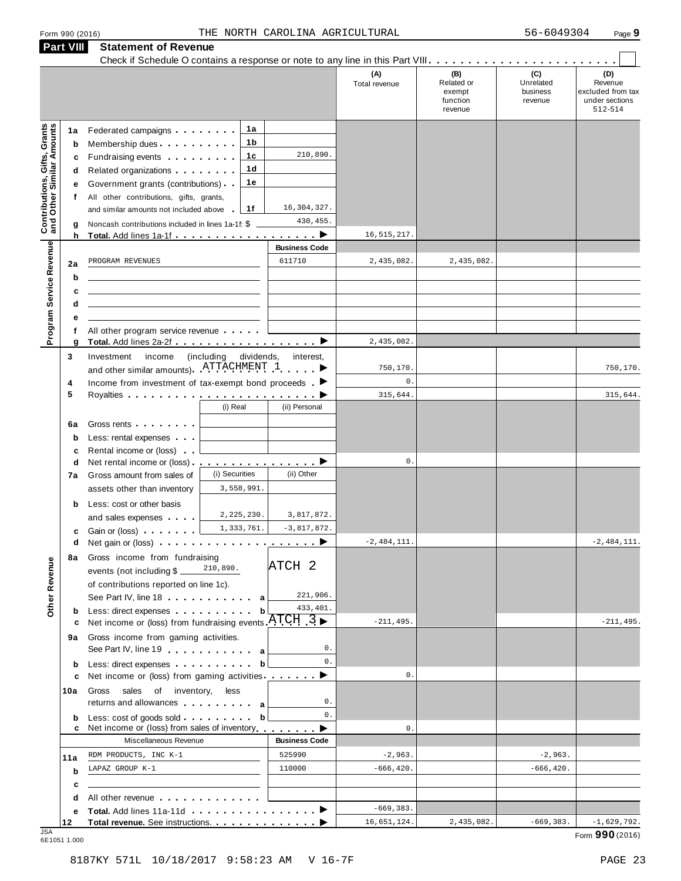|                                                                  | <b>Part VIII</b>                 | <b>Statement of Revenue</b>                                                                                                                                                                                                                                                                                                                                                                                                                                                                                                      |                                               |                                       |                           |                                                    |                                         |                                                                  |
|------------------------------------------------------------------|----------------------------------|----------------------------------------------------------------------------------------------------------------------------------------------------------------------------------------------------------------------------------------------------------------------------------------------------------------------------------------------------------------------------------------------------------------------------------------------------------------------------------------------------------------------------------|-----------------------------------------------|---------------------------------------|---------------------------|----------------------------------------------------|-----------------------------------------|------------------------------------------------------------------|
|                                                                  |                                  |                                                                                                                                                                                                                                                                                                                                                                                                                                                                                                                                  |                                               |                                       | (A)<br>Total revenue      | (B)<br>Related or<br>exempt<br>function<br>revenue | (C)<br>Unrelated<br>business<br>revenue | (D)<br>Revenue<br>excluded from tax<br>under sections<br>512-514 |
| <b>Contributions, Gifts, Grants</b><br>and Other Similar Amounts | 1a<br>b<br>c<br>d<br>е<br>f<br>g | Federated campaigns <b>Federated</b><br>Membership dues<br>Fundraising events <b>Fundraising</b><br>Related organizations <b>contains</b> and <b>Related</b> organizations <b>and</b> a set of the set of the set of the set of the set of the set of the set of the set of the set of the set of the set of the set of the set of the set of the<br>Government grants (contributions)<br>All other contributions, gifts, grants,<br>and similar amounts not included above<br>Noncash contributions included in lines 1a-1f: \$ | 1a<br>1 b<br>1c<br>1 <sub>d</sub><br>1е<br>1f | 210,890.<br>16, 304, 327.<br>430,455. |                           |                                                    |                                         |                                                                  |
|                                                                  | h                                | Total. Add lines 1a-1f                                                                                                                                                                                                                                                                                                                                                                                                                                                                                                           |                                               | ▸                                     | 16, 515, 217.             |                                                    |                                         |                                                                  |
| Program Service Revenue                                          | 2a<br>b<br>c                     | PROGRAM REVENUES                                                                                                                                                                                                                                                                                                                                                                                                                                                                                                                 |                                               | <b>Business Code</b><br>611710        | 2,435,082.                | 2,435,082.                                         |                                         |                                                                  |
|                                                                  | d<br>е<br>f<br>g                 | All other program service revenue<br>Total. Add lines 2a-2f                                                                                                                                                                                                                                                                                                                                                                                                                                                                      |                                               | ▸                                     | 2,435,082.                |                                                    |                                         |                                                                  |
|                                                                  | 3<br>4                           | Investment<br>income<br>and other similar amounts). ATTACHMENT 1<br>Income from investment of tax-exempt bond proceeds $\blacksquare$                                                                                                                                                                                                                                                                                                                                                                                            | (including<br>dividends,                      | interest,                             | 750,170<br>$\mathbf 0$ .  |                                                    |                                         | 750,170.                                                         |
|                                                                  | 5<br>6a<br>$\mathbf b$           | Gross rents <b>Container and Container</b><br>Less: rental expenses                                                                                                                                                                                                                                                                                                                                                                                                                                                              | (i) Real                                      | (ii) Personal                         | 315,644                   |                                                    |                                         | 315,644.                                                         |
|                                                                  | c<br>d<br>7a                     | Rental income or (loss)<br>Net rental income or (loss).<br>Gross amount from sales of<br>assets other than inventory                                                                                                                                                                                                                                                                                                                                                                                                             | <u>.</u> D<br>(i) Securities<br>3,558,991.    | (ii) Other                            | $\mathbf 0$ .             |                                                    |                                         |                                                                  |
|                                                                  | b<br>с<br>d                      | Less: cost or other basis<br>and sales expenses<br>Gain or (loss) <b>contains the container</b>                                                                                                                                                                                                                                                                                                                                                                                                                                  | 2,225,230.<br>1,333,761.                      | 3,817,872.<br>$-3,817,872.$           | $-2,484,111.$             |                                                    |                                         | $-2,484,111.$                                                    |
| <b>Other Revenue</b>                                             | 8а                               | Gross income from fundraising<br>events (not including \$<br>of contributions reported on line 1c).<br>See Part IV, line 18 and the same state of the same state of the same state of the same state of the same state of the same state of the same state of the same state of the same state of the same state of the same state of                                                                                                                                                                                            | 210,890.                                      | ATCH 2<br>221,906.                    |                           |                                                    |                                         |                                                                  |
|                                                                  | b<br>с<br>9а                     | Less: direct expenses<br>Net income or (loss) from fundraising events $ATCH$ 3<br>Gross income from gaming activities.                                                                                                                                                                                                                                                                                                                                                                                                           | b                                             | 433, 401.<br>$0$ .                    | $-211, 495.$              |                                                    |                                         | $-211, 495.$                                                     |
|                                                                  | b<br>c                           | See Part IV, line 19 a<br>Less: direct expenses<br>Net income or (loss) from gaming activities ________ ▶                                                                                                                                                                                                                                                                                                                                                                                                                        | b                                             | 0.                                    | $\mathbb O$ .             |                                                    |                                         |                                                                  |
|                                                                  | 10a                              | Gross sales of inventory, less<br>returns and allowances and allowances                                                                                                                                                                                                                                                                                                                                                                                                                                                          |                                               | 0.                                    |                           |                                                    |                                         |                                                                  |
|                                                                  | b<br>c                           | Less: cost of goods sold<br>Net income or (loss) from sales of inventory                                                                                                                                                                                                                                                                                                                                                                                                                                                         | b                                             | 0.                                    | $\mathbb O$ .             |                                                    |                                         |                                                                  |
|                                                                  |                                  | Miscellaneous Revenue                                                                                                                                                                                                                                                                                                                                                                                                                                                                                                            |                                               | <b>Business Code</b>                  |                           |                                                    |                                         |                                                                  |
|                                                                  | 11a<br>b<br>c                    | RDM PRODUCTS, INC K-1<br>LAPAZ GROUP K-1                                                                                                                                                                                                                                                                                                                                                                                                                                                                                         |                                               | 525990<br>110000                      | $-2,963.$<br>$-666, 420.$ |                                                    | $-2,963.$<br>$-666, 420.$               |                                                                  |
|                                                                  | d                                | All other revenue entitled and the state of the state of the state of the state of the state of the state of the state of the state of the state of the state of the state of the state of the state of the state of the state                                                                                                                                                                                                                                                                                                   |                                               |                                       |                           |                                                    |                                         |                                                                  |
|                                                                  | е                                |                                                                                                                                                                                                                                                                                                                                                                                                                                                                                                                                  |                                               |                                       | $-669, 383.$              |                                                    |                                         |                                                                  |
| .ISA                                                             | 12                               | Total revenue. See instructions.                                                                                                                                                                                                                                                                                                                                                                                                                                                                                                 |                                               |                                       | 16,651,124.               | 2,435,082.                                         | $-669,383.$                             | $-1,629,792.$                                                    |

JSA Form **990** (2016) 6E1051 1.000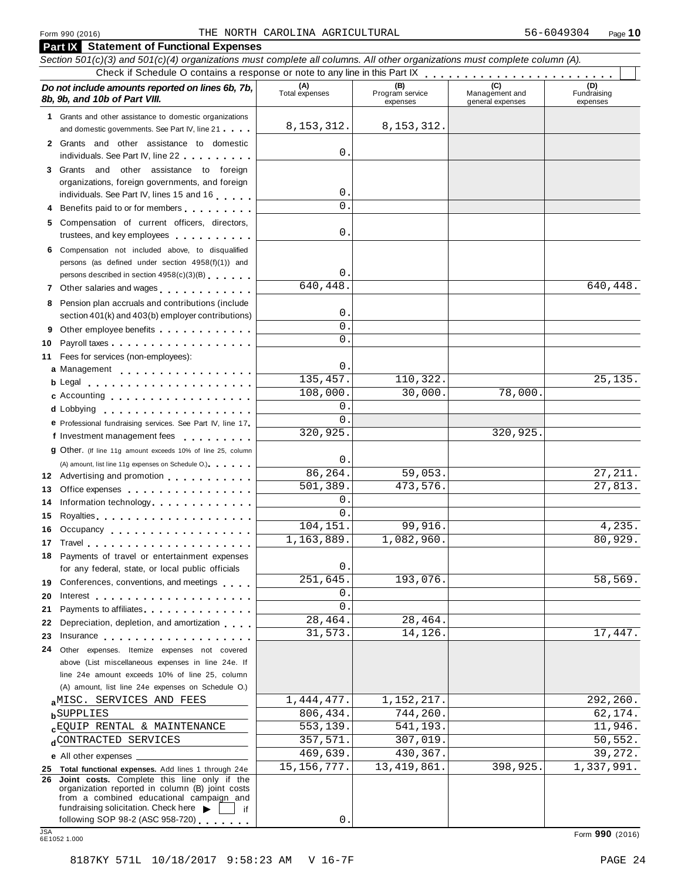#### Form <sup>990</sup> (2016) Page **10** THE NORTH CAROLINA AGRICULTURAL 56-6049304

| <b>Part IX</b> Statement of Functional Expenses                                                                                                                                                                                      |                       |                                    |                                    |                                |
|--------------------------------------------------------------------------------------------------------------------------------------------------------------------------------------------------------------------------------------|-----------------------|------------------------------------|------------------------------------|--------------------------------|
| Section 501(c)(3) and 501(c)(4) organizations must complete all columns. All other organizations must complete column (A).                                                                                                           |                       |                                    |                                    |                                |
| Check if Schedule O contains a response or note to any line in this Part IX                                                                                                                                                          |                       |                                    |                                    |                                |
| Do not include amounts reported on lines 6b, 7b,<br>8b, 9b, and 10b of Part VIII.                                                                                                                                                    | (A)<br>Total expenses | (B)<br>Program service<br>expenses | Management and<br>general expenses | (D)<br>Fundraising<br>expenses |
| 1 Grants and other assistance to domestic organizations<br>and domestic governments. See Part IV, line 21                                                                                                                            | 8, 153, 312.          | 8, 153, 312.                       |                                    |                                |
| Grants and other assistance to domestic<br>2<br>individuals. See Part IV, line 22                                                                                                                                                    | 0                     |                                    |                                    |                                |
| 3 Grants and other assistance to foreign                                                                                                                                                                                             |                       |                                    |                                    |                                |
| organizations, foreign governments, and foreign                                                                                                                                                                                      |                       |                                    |                                    |                                |
| individuals. See Part IV, lines 15 and 16                                                                                                                                                                                            | 0                     |                                    |                                    |                                |
| Benefits paid to or for members<br>4                                                                                                                                                                                                 | $\Omega$              |                                    |                                    |                                |
| Compensation of current officers, directors,                                                                                                                                                                                         |                       |                                    |                                    |                                |
| trustees, and key employees                                                                                                                                                                                                          | 0                     |                                    |                                    |                                |
| Compensation not included above, to disqualified<br>6.                                                                                                                                                                               |                       |                                    |                                    |                                |
| persons (as defined under section 4958(f)(1)) and                                                                                                                                                                                    |                       |                                    |                                    |                                |
| persons described in section 4958(c)(3)(B)                                                                                                                                                                                           | 0                     |                                    |                                    |                                |
| 7 Other salaries and wages                                                                                                                                                                                                           | 640, 448.             |                                    |                                    | 640,448.                       |
| Pension plan accruals and contributions (include<br>8                                                                                                                                                                                |                       |                                    |                                    |                                |
| section 401(k) and 403(b) employer contributions)                                                                                                                                                                                    | 0                     |                                    |                                    |                                |
| Other employee benefits<br>9                                                                                                                                                                                                         | $\Omega$              |                                    |                                    |                                |
| 10                                                                                                                                                                                                                                   | $\Omega$              |                                    |                                    |                                |
| Fees for services (non-employees):<br>11                                                                                                                                                                                             |                       |                                    |                                    |                                |
| a Management                                                                                                                                                                                                                         | 0                     |                                    |                                    |                                |
| <b>b</b> Legal <b>contained contained contained contained contained <b>contained contained </b></b>                                                                                                                                  | 135,457.              | 110,322.                           |                                    | 25,135.                        |
| c Accounting                                                                                                                                                                                                                         | 108,000.              | 30,000.                            | 78,000.                            |                                |
|                                                                                                                                                                                                                                      | 0                     |                                    |                                    |                                |
| e Professional fundraising services. See Part IV, line 17                                                                                                                                                                            | $\Omega$              |                                    |                                    |                                |
| f Investment management fees                                                                                                                                                                                                         | 320,925.              |                                    | 320,925.                           |                                |
| 9 Other. (If line 11g amount exceeds 10% of line 25, column                                                                                                                                                                          |                       |                                    |                                    |                                |
| (A) amount, list line 11g expenses on Schedule O.)                                                                                                                                                                                   | 0                     |                                    |                                    |                                |
| 12 Advertising and promotion                                                                                                                                                                                                         | 86,264.               | 59,053.                            |                                    | 27, 211.                       |
| Office expenses example and the set of the set of the set of the set of the set of the set of the set of the set of the set of the set of the set of the set of the set of the set of the set of the set of the set of the set<br>13 | 501,389.              | 473,576.                           |                                    | 27,813.                        |
| Information technology<br>14                                                                                                                                                                                                         | 0                     |                                    |                                    |                                |
| Royalties<br>15                                                                                                                                                                                                                      | 0                     |                                    |                                    |                                |
| 16<br>Occupancy                                                                                                                                                                                                                      | 104,151.              | 99,916.                            |                                    | 4,235.                         |
|                                                                                                                                                                                                                                      | 1,163,889.            | 1,082,960                          |                                    | $\overline{80}$ , 929.         |
| 18 Payments of travel or entertainment expenses                                                                                                                                                                                      |                       |                                    |                                    |                                |
| for any federal, state, or local public officials                                                                                                                                                                                    | 0                     |                                    |                                    |                                |
| Conferences, conventions, and meetings<br>19                                                                                                                                                                                         | 251,645.              | 193,076.                           |                                    | 58,569.                        |
| 20                                                                                                                                                                                                                                   | 0                     |                                    |                                    |                                |
| Payments to affiliates <b>Exercise Services</b><br>21                                                                                                                                                                                | 0                     |                                    |                                    |                                |
| Depreciation, depletion, and amortization<br>22                                                                                                                                                                                      | 28,464.               | 28,464.                            |                                    |                                |
| Insurance in the contract of the contract of the contract of the contract of the contract of the contract of the contract of the contract of the contract of the contract of the contract of the contract of the contract of t<br>23 | 31,573.               | 14,126.                            |                                    | 17,447.                        |
| Other expenses. Itemize expenses not covered<br>24                                                                                                                                                                                   |                       |                                    |                                    |                                |
| above (List miscellaneous expenses in line 24e. If                                                                                                                                                                                   |                       |                                    |                                    |                                |
| line 24e amount exceeds 10% of line 25, column                                                                                                                                                                                       |                       |                                    |                                    |                                |
| (A) amount, list line 24e expenses on Schedule O.)                                                                                                                                                                                   |                       |                                    |                                    |                                |
| aMISC. SERVICES AND FEES                                                                                                                                                                                                             | 1,444,477.            | 1,152,217.                         |                                    | 292,260.                       |
| <b>b</b> SUPPLIES                                                                                                                                                                                                                    | 806,434.              | 744,260.                           |                                    | 62,174.                        |
| <b>cEQUIP RENTAL &amp; MAINTENANCE</b>                                                                                                                                                                                               | 553,139.              | 541,193.                           |                                    | 11,946.                        |
| dCONTRACTED SERVICES                                                                                                                                                                                                                 | 357,571.              | 307,019.                           |                                    | 50,552.                        |
| e All other expenses __                                                                                                                                                                                                              | 469,639.              | 430,367.                           |                                    | 39,272.                        |
| 25 Total functional expenses. Add lines 1 through 24e                                                                                                                                                                                | 15, 156, 777.         | 13, 419, 861.                      | 398,925.                           | 1,337,991.                     |
| 26 Joint costs. Complete this line only if the<br>organization reported in column (B) joint costs<br>from a combined educational campaign and<br>fundraising solicitation. Check here                                                |                       |                                    |                                    |                                |
| if<br>following SOP 98-2 (ASC 958-720)                                                                                                                                                                                               | 0                     |                                    |                                    |                                |
| <b>JSA</b><br>6E1052 1.000                                                                                                                                                                                                           |                       |                                    |                                    | Form 990 (2016)                |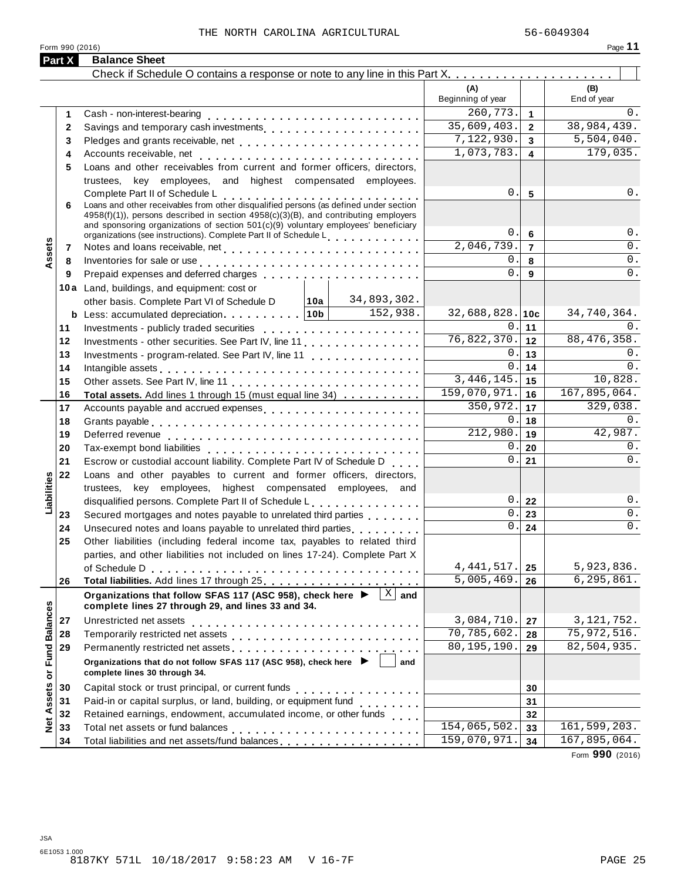Form <sup>990</sup> (2016) Page **11**

| (A)<br>(B)<br>Beginning of year<br>End of year<br>260,773.<br>$\mathbf{1}$<br>1<br>35,609,403.<br>$\overline{2}$<br>$\mathbf{2}$<br>7,122,930.<br>$\overline{\mathbf{3}}$<br>3<br>1,073,783.<br>$\overline{\mathbf{4}}$<br>4<br>Loans and other receivables from current and former officers, directors,<br>5<br>trustees, key employees, and highest compensated employees.<br>$\mathsf{O}$ .<br>5<br>Complete Part II of Schedule L<br>Loans and other receivables from other disqualified persons (as defined under section<br>6<br>4958(f)(1)), persons described in section 4958(c)(3)(B), and contributing employers<br>and sponsoring organizations of section 501(c)(9) voluntary employees' beneficiary<br>0.<br>6<br>organizations (see instructions). Complete Part II of Schedule L<br>ssets<br>2,046,739.<br>$\overline{7}$<br>7<br>0<br>8<br>Inventories for sale or use enterprise response to the contract of the contract of the state of the contract of<br>8<br>$\Omega$<br>Prepaid expenses and deferred charges entitled as a set of the set of the set of the set of the set of the set of the set of the set of the set of the set of the set of the set of the set of the set of the set of the set o<br>9<br>9<br>10a Land, buildings, and equipment: cost or<br>34,893,302.<br>other basis. Complete Part VI of Schedule D<br>∣10a I<br>152,938.<br>32,688,828.10c<br>34,740,364.<br><b>b</b> Less: accumulated depreciation. 10b<br>0.<br>11<br>11<br>76,822,370.<br>88, 476, 358.<br>12<br>Investments - other securities. See Part IV, line 11.<br>12<br>0<br>13<br>Investments - program-related. See Part IV, line 11<br>13<br>0.<br>0<br>14<br>14<br>Intangible assets experience in the contract of the contract of the contract of the contract of the contract of<br>3, 446, 145.<br>10,828.<br>15<br>15<br>159,070,971.<br>167,895,064.<br>16<br>16<br>Total assets. Add lines 1 through 15 (must equal line 34)<br>350,972.<br>329,038.<br>17<br>17<br>Accounts payable and accrued expenses<br>$\mathsf{O}$ .<br>0.<br>18<br>18<br>212,980.<br>42,987.<br>19<br>19<br>$\mathbf 0$ .<br>20<br>20<br>$\mathbf{0}$<br>21<br>21<br>Escrow or custodial account liability. Complete Part IV of Schedule D.<br>Loans and other payables to current and former officers, directors,<br>22<br>Liabilities<br>trustees, key employees, highest compensated employees, and<br>0.<br>disqualified persons. Complete Part II of Schedule L.<br>22<br>$\mathbf 0$<br>23<br>Secured mortgages and notes payable to unrelated third parties<br>23<br>$\mathbf 0$ .<br>24<br>24<br>25<br>Other liabilities (including federal income tax, payables to related third<br>parties, and other liabilities not included on lines 17-24). Complete Part X<br>4, 441, 517.<br>5,923,836.<br>25<br>Total liabilities. Add lines 17 through 25 [1] [1]<br>5,005,469.<br>6,295,861.<br>26<br>26<br>$\sqrt{X}$ and<br>Organizations that follow SFAS 117 (ASC 958), check here ▶<br><b>Fund Balances</b><br>complete lines 27 through 29, and lines 33 and 34.<br>3,084,710.<br>Unrestricted net assets<br>27<br>27<br>70,785,602.<br>28<br>28<br>$\overline{80,195}$ , 190.<br>29<br>Permanently restricted net assets<br>included: interact in the restricted net assets<br>interacts: interacts: interacts: interacts: interacts: interacts: interacts: interacts: interacts: interacts: interacts: interacts: intera<br>29<br>Organizations that do not follow SFAS 117 (ASC 958), check here ▶<br>and<br>Net Assets or<br>complete lines 30 through 34.<br>30<br>30<br>31<br>31<br>Retained earnings, endowment, accumulated income, or other funds<br>32<br>32<br>154,065,502.<br>33<br>33 | Part X | <b>Balance Sheet</b>                           |              |    |              |
|-------------------------------------------------------------------------------------------------------------------------------------------------------------------------------------------------------------------------------------------------------------------------------------------------------------------------------------------------------------------------------------------------------------------------------------------------------------------------------------------------------------------------------------------------------------------------------------------------------------------------------------------------------------------------------------------------------------------------------------------------------------------------------------------------------------------------------------------------------------------------------------------------------------------------------------------------------------------------------------------------------------------------------------------------------------------------------------------------------------------------------------------------------------------------------------------------------------------------------------------------------------------------------------------------------------------------------------------------------------------------------------------------------------------------------------------------------------------------------------------------------------------------------------------------------------------------------------------------------------------------------------------------------------------------------------------------------------------------------------------------------------------------------------------------------------------------------------------------------------------------------------------------------------------------------------------------------------------------------------------------------------------------------------------------------------------------------------------------------------------------------------------------------------------------------------------------------------------------------------------------------------------------------------------------------------------------------------------------------------------------------------------------------------------------------------------------------------------------------------------------------------------------------------------------------------------------------------------------------------------------------------------------------------------------------------------------------------------------------------------------------------------------------------------------------------------------------------------------------------------------------------------------------------------------------------------------------------------------------------------------------------------------------------------------------------------------------------------------------------------------------------------------------------------------------------------------------------------------------------------------------------------------------------------------------------------------------------------------------------------------------------------------------------------------------------------------------------------------------------------------------------------------------------------------------------------------------------------------------------------------------------------------------------------------------------------------------------|--------|------------------------------------------------|--------------|----|--------------|
|                                                                                                                                                                                                                                                                                                                                                                                                                                                                                                                                                                                                                                                                                                                                                                                                                                                                                                                                                                                                                                                                                                                                                                                                                                                                                                                                                                                                                                                                                                                                                                                                                                                                                                                                                                                                                                                                                                                                                                                                                                                                                                                                                                                                                                                                                                                                                                                                                                                                                                                                                                                                                                                                                                                                                                                                                                                                                                                                                                                                                                                                                                                                                                                                                                                                                                                                                                                                                                                                                                                                                                                                                                                                                                             |        |                                                |              |    |              |
|                                                                                                                                                                                                                                                                                                                                                                                                                                                                                                                                                                                                                                                                                                                                                                                                                                                                                                                                                                                                                                                                                                                                                                                                                                                                                                                                                                                                                                                                                                                                                                                                                                                                                                                                                                                                                                                                                                                                                                                                                                                                                                                                                                                                                                                                                                                                                                                                                                                                                                                                                                                                                                                                                                                                                                                                                                                                                                                                                                                                                                                                                                                                                                                                                                                                                                                                                                                                                                                                                                                                                                                                                                                                                                             |        |                                                |              |    |              |
|                                                                                                                                                                                                                                                                                                                                                                                                                                                                                                                                                                                                                                                                                                                                                                                                                                                                                                                                                                                                                                                                                                                                                                                                                                                                                                                                                                                                                                                                                                                                                                                                                                                                                                                                                                                                                                                                                                                                                                                                                                                                                                                                                                                                                                                                                                                                                                                                                                                                                                                                                                                                                                                                                                                                                                                                                                                                                                                                                                                                                                                                                                                                                                                                                                                                                                                                                                                                                                                                                                                                                                                                                                                                                                             |        |                                                |              |    | 0.           |
|                                                                                                                                                                                                                                                                                                                                                                                                                                                                                                                                                                                                                                                                                                                                                                                                                                                                                                                                                                                                                                                                                                                                                                                                                                                                                                                                                                                                                                                                                                                                                                                                                                                                                                                                                                                                                                                                                                                                                                                                                                                                                                                                                                                                                                                                                                                                                                                                                                                                                                                                                                                                                                                                                                                                                                                                                                                                                                                                                                                                                                                                                                                                                                                                                                                                                                                                                                                                                                                                                                                                                                                                                                                                                                             |        |                                                |              |    | 38,984,439.  |
|                                                                                                                                                                                                                                                                                                                                                                                                                                                                                                                                                                                                                                                                                                                                                                                                                                                                                                                                                                                                                                                                                                                                                                                                                                                                                                                                                                                                                                                                                                                                                                                                                                                                                                                                                                                                                                                                                                                                                                                                                                                                                                                                                                                                                                                                                                                                                                                                                                                                                                                                                                                                                                                                                                                                                                                                                                                                                                                                                                                                                                                                                                                                                                                                                                                                                                                                                                                                                                                                                                                                                                                                                                                                                                             |        |                                                |              |    | 5,504,040.   |
|                                                                                                                                                                                                                                                                                                                                                                                                                                                                                                                                                                                                                                                                                                                                                                                                                                                                                                                                                                                                                                                                                                                                                                                                                                                                                                                                                                                                                                                                                                                                                                                                                                                                                                                                                                                                                                                                                                                                                                                                                                                                                                                                                                                                                                                                                                                                                                                                                                                                                                                                                                                                                                                                                                                                                                                                                                                                                                                                                                                                                                                                                                                                                                                                                                                                                                                                                                                                                                                                                                                                                                                                                                                                                                             |        |                                                |              |    | 179,035.     |
|                                                                                                                                                                                                                                                                                                                                                                                                                                                                                                                                                                                                                                                                                                                                                                                                                                                                                                                                                                                                                                                                                                                                                                                                                                                                                                                                                                                                                                                                                                                                                                                                                                                                                                                                                                                                                                                                                                                                                                                                                                                                                                                                                                                                                                                                                                                                                                                                                                                                                                                                                                                                                                                                                                                                                                                                                                                                                                                                                                                                                                                                                                                                                                                                                                                                                                                                                                                                                                                                                                                                                                                                                                                                                                             |        |                                                |              |    |              |
|                                                                                                                                                                                                                                                                                                                                                                                                                                                                                                                                                                                                                                                                                                                                                                                                                                                                                                                                                                                                                                                                                                                                                                                                                                                                                                                                                                                                                                                                                                                                                                                                                                                                                                                                                                                                                                                                                                                                                                                                                                                                                                                                                                                                                                                                                                                                                                                                                                                                                                                                                                                                                                                                                                                                                                                                                                                                                                                                                                                                                                                                                                                                                                                                                                                                                                                                                                                                                                                                                                                                                                                                                                                                                                             |        |                                                |              |    |              |
|                                                                                                                                                                                                                                                                                                                                                                                                                                                                                                                                                                                                                                                                                                                                                                                                                                                                                                                                                                                                                                                                                                                                                                                                                                                                                                                                                                                                                                                                                                                                                                                                                                                                                                                                                                                                                                                                                                                                                                                                                                                                                                                                                                                                                                                                                                                                                                                                                                                                                                                                                                                                                                                                                                                                                                                                                                                                                                                                                                                                                                                                                                                                                                                                                                                                                                                                                                                                                                                                                                                                                                                                                                                                                                             |        |                                                |              |    | $0$ .        |
|                                                                                                                                                                                                                                                                                                                                                                                                                                                                                                                                                                                                                                                                                                                                                                                                                                                                                                                                                                                                                                                                                                                                                                                                                                                                                                                                                                                                                                                                                                                                                                                                                                                                                                                                                                                                                                                                                                                                                                                                                                                                                                                                                                                                                                                                                                                                                                                                                                                                                                                                                                                                                                                                                                                                                                                                                                                                                                                                                                                                                                                                                                                                                                                                                                                                                                                                                                                                                                                                                                                                                                                                                                                                                                             |        |                                                |              |    |              |
|                                                                                                                                                                                                                                                                                                                                                                                                                                                                                                                                                                                                                                                                                                                                                                                                                                                                                                                                                                                                                                                                                                                                                                                                                                                                                                                                                                                                                                                                                                                                                                                                                                                                                                                                                                                                                                                                                                                                                                                                                                                                                                                                                                                                                                                                                                                                                                                                                                                                                                                                                                                                                                                                                                                                                                                                                                                                                                                                                                                                                                                                                                                                                                                                                                                                                                                                                                                                                                                                                                                                                                                                                                                                                                             |        |                                                |              |    | $0$ .        |
|                                                                                                                                                                                                                                                                                                                                                                                                                                                                                                                                                                                                                                                                                                                                                                                                                                                                                                                                                                                                                                                                                                                                                                                                                                                                                                                                                                                                                                                                                                                                                                                                                                                                                                                                                                                                                                                                                                                                                                                                                                                                                                                                                                                                                                                                                                                                                                                                                                                                                                                                                                                                                                                                                                                                                                                                                                                                                                                                                                                                                                                                                                                                                                                                                                                                                                                                                                                                                                                                                                                                                                                                                                                                                                             |        |                                                |              |    | 0.           |
|                                                                                                                                                                                                                                                                                                                                                                                                                                                                                                                                                                                                                                                                                                                                                                                                                                                                                                                                                                                                                                                                                                                                                                                                                                                                                                                                                                                                                                                                                                                                                                                                                                                                                                                                                                                                                                                                                                                                                                                                                                                                                                                                                                                                                                                                                                                                                                                                                                                                                                                                                                                                                                                                                                                                                                                                                                                                                                                                                                                                                                                                                                                                                                                                                                                                                                                                                                                                                                                                                                                                                                                                                                                                                                             |        |                                                |              |    | $0$ .        |
|                                                                                                                                                                                                                                                                                                                                                                                                                                                                                                                                                                                                                                                                                                                                                                                                                                                                                                                                                                                                                                                                                                                                                                                                                                                                                                                                                                                                                                                                                                                                                                                                                                                                                                                                                                                                                                                                                                                                                                                                                                                                                                                                                                                                                                                                                                                                                                                                                                                                                                                                                                                                                                                                                                                                                                                                                                                                                                                                                                                                                                                                                                                                                                                                                                                                                                                                                                                                                                                                                                                                                                                                                                                                                                             |        |                                                |              |    | 0.           |
|                                                                                                                                                                                                                                                                                                                                                                                                                                                                                                                                                                                                                                                                                                                                                                                                                                                                                                                                                                                                                                                                                                                                                                                                                                                                                                                                                                                                                                                                                                                                                                                                                                                                                                                                                                                                                                                                                                                                                                                                                                                                                                                                                                                                                                                                                                                                                                                                                                                                                                                                                                                                                                                                                                                                                                                                                                                                                                                                                                                                                                                                                                                                                                                                                                                                                                                                                                                                                                                                                                                                                                                                                                                                                                             |        |                                                |              |    |              |
|                                                                                                                                                                                                                                                                                                                                                                                                                                                                                                                                                                                                                                                                                                                                                                                                                                                                                                                                                                                                                                                                                                                                                                                                                                                                                                                                                                                                                                                                                                                                                                                                                                                                                                                                                                                                                                                                                                                                                                                                                                                                                                                                                                                                                                                                                                                                                                                                                                                                                                                                                                                                                                                                                                                                                                                                                                                                                                                                                                                                                                                                                                                                                                                                                                                                                                                                                                                                                                                                                                                                                                                                                                                                                                             |        |                                                |              |    |              |
|                                                                                                                                                                                                                                                                                                                                                                                                                                                                                                                                                                                                                                                                                                                                                                                                                                                                                                                                                                                                                                                                                                                                                                                                                                                                                                                                                                                                                                                                                                                                                                                                                                                                                                                                                                                                                                                                                                                                                                                                                                                                                                                                                                                                                                                                                                                                                                                                                                                                                                                                                                                                                                                                                                                                                                                                                                                                                                                                                                                                                                                                                                                                                                                                                                                                                                                                                                                                                                                                                                                                                                                                                                                                                                             |        |                                                |              |    |              |
|                                                                                                                                                                                                                                                                                                                                                                                                                                                                                                                                                                                                                                                                                                                                                                                                                                                                                                                                                                                                                                                                                                                                                                                                                                                                                                                                                                                                                                                                                                                                                                                                                                                                                                                                                                                                                                                                                                                                                                                                                                                                                                                                                                                                                                                                                                                                                                                                                                                                                                                                                                                                                                                                                                                                                                                                                                                                                                                                                                                                                                                                                                                                                                                                                                                                                                                                                                                                                                                                                                                                                                                                                                                                                                             |        |                                                |              |    | 0.           |
|                                                                                                                                                                                                                                                                                                                                                                                                                                                                                                                                                                                                                                                                                                                                                                                                                                                                                                                                                                                                                                                                                                                                                                                                                                                                                                                                                                                                                                                                                                                                                                                                                                                                                                                                                                                                                                                                                                                                                                                                                                                                                                                                                                                                                                                                                                                                                                                                                                                                                                                                                                                                                                                                                                                                                                                                                                                                                                                                                                                                                                                                                                                                                                                                                                                                                                                                                                                                                                                                                                                                                                                                                                                                                                             |        |                                                |              |    |              |
|                                                                                                                                                                                                                                                                                                                                                                                                                                                                                                                                                                                                                                                                                                                                                                                                                                                                                                                                                                                                                                                                                                                                                                                                                                                                                                                                                                                                                                                                                                                                                                                                                                                                                                                                                                                                                                                                                                                                                                                                                                                                                                                                                                                                                                                                                                                                                                                                                                                                                                                                                                                                                                                                                                                                                                                                                                                                                                                                                                                                                                                                                                                                                                                                                                                                                                                                                                                                                                                                                                                                                                                                                                                                                                             |        |                                                |              |    | 0.           |
|                                                                                                                                                                                                                                                                                                                                                                                                                                                                                                                                                                                                                                                                                                                                                                                                                                                                                                                                                                                                                                                                                                                                                                                                                                                                                                                                                                                                                                                                                                                                                                                                                                                                                                                                                                                                                                                                                                                                                                                                                                                                                                                                                                                                                                                                                                                                                                                                                                                                                                                                                                                                                                                                                                                                                                                                                                                                                                                                                                                                                                                                                                                                                                                                                                                                                                                                                                                                                                                                                                                                                                                                                                                                                                             |        |                                                |              |    |              |
|                                                                                                                                                                                                                                                                                                                                                                                                                                                                                                                                                                                                                                                                                                                                                                                                                                                                                                                                                                                                                                                                                                                                                                                                                                                                                                                                                                                                                                                                                                                                                                                                                                                                                                                                                                                                                                                                                                                                                                                                                                                                                                                                                                                                                                                                                                                                                                                                                                                                                                                                                                                                                                                                                                                                                                                                                                                                                                                                                                                                                                                                                                                                                                                                                                                                                                                                                                                                                                                                                                                                                                                                                                                                                                             |        |                                                |              |    |              |
|                                                                                                                                                                                                                                                                                                                                                                                                                                                                                                                                                                                                                                                                                                                                                                                                                                                                                                                                                                                                                                                                                                                                                                                                                                                                                                                                                                                                                                                                                                                                                                                                                                                                                                                                                                                                                                                                                                                                                                                                                                                                                                                                                                                                                                                                                                                                                                                                                                                                                                                                                                                                                                                                                                                                                                                                                                                                                                                                                                                                                                                                                                                                                                                                                                                                                                                                                                                                                                                                                                                                                                                                                                                                                                             |        |                                                |              |    |              |
|                                                                                                                                                                                                                                                                                                                                                                                                                                                                                                                                                                                                                                                                                                                                                                                                                                                                                                                                                                                                                                                                                                                                                                                                                                                                                                                                                                                                                                                                                                                                                                                                                                                                                                                                                                                                                                                                                                                                                                                                                                                                                                                                                                                                                                                                                                                                                                                                                                                                                                                                                                                                                                                                                                                                                                                                                                                                                                                                                                                                                                                                                                                                                                                                                                                                                                                                                                                                                                                                                                                                                                                                                                                                                                             |        |                                                |              |    |              |
|                                                                                                                                                                                                                                                                                                                                                                                                                                                                                                                                                                                                                                                                                                                                                                                                                                                                                                                                                                                                                                                                                                                                                                                                                                                                                                                                                                                                                                                                                                                                                                                                                                                                                                                                                                                                                                                                                                                                                                                                                                                                                                                                                                                                                                                                                                                                                                                                                                                                                                                                                                                                                                                                                                                                                                                                                                                                                                                                                                                                                                                                                                                                                                                                                                                                                                                                                                                                                                                                                                                                                                                                                                                                                                             |        |                                                |              |    |              |
|                                                                                                                                                                                                                                                                                                                                                                                                                                                                                                                                                                                                                                                                                                                                                                                                                                                                                                                                                                                                                                                                                                                                                                                                                                                                                                                                                                                                                                                                                                                                                                                                                                                                                                                                                                                                                                                                                                                                                                                                                                                                                                                                                                                                                                                                                                                                                                                                                                                                                                                                                                                                                                                                                                                                                                                                                                                                                                                                                                                                                                                                                                                                                                                                                                                                                                                                                                                                                                                                                                                                                                                                                                                                                                             |        |                                                |              |    | 0.           |
|                                                                                                                                                                                                                                                                                                                                                                                                                                                                                                                                                                                                                                                                                                                                                                                                                                                                                                                                                                                                                                                                                                                                                                                                                                                                                                                                                                                                                                                                                                                                                                                                                                                                                                                                                                                                                                                                                                                                                                                                                                                                                                                                                                                                                                                                                                                                                                                                                                                                                                                                                                                                                                                                                                                                                                                                                                                                                                                                                                                                                                                                                                                                                                                                                                                                                                                                                                                                                                                                                                                                                                                                                                                                                                             |        |                                                |              |    | $0$ .        |
|                                                                                                                                                                                                                                                                                                                                                                                                                                                                                                                                                                                                                                                                                                                                                                                                                                                                                                                                                                                                                                                                                                                                                                                                                                                                                                                                                                                                                                                                                                                                                                                                                                                                                                                                                                                                                                                                                                                                                                                                                                                                                                                                                                                                                                                                                                                                                                                                                                                                                                                                                                                                                                                                                                                                                                                                                                                                                                                                                                                                                                                                                                                                                                                                                                                                                                                                                                                                                                                                                                                                                                                                                                                                                                             |        |                                                |              |    |              |
|                                                                                                                                                                                                                                                                                                                                                                                                                                                                                                                                                                                                                                                                                                                                                                                                                                                                                                                                                                                                                                                                                                                                                                                                                                                                                                                                                                                                                                                                                                                                                                                                                                                                                                                                                                                                                                                                                                                                                                                                                                                                                                                                                                                                                                                                                                                                                                                                                                                                                                                                                                                                                                                                                                                                                                                                                                                                                                                                                                                                                                                                                                                                                                                                                                                                                                                                                                                                                                                                                                                                                                                                                                                                                                             |        |                                                |              |    |              |
|                                                                                                                                                                                                                                                                                                                                                                                                                                                                                                                                                                                                                                                                                                                                                                                                                                                                                                                                                                                                                                                                                                                                                                                                                                                                                                                                                                                                                                                                                                                                                                                                                                                                                                                                                                                                                                                                                                                                                                                                                                                                                                                                                                                                                                                                                                                                                                                                                                                                                                                                                                                                                                                                                                                                                                                                                                                                                                                                                                                                                                                                                                                                                                                                                                                                                                                                                                                                                                                                                                                                                                                                                                                                                                             |        |                                                |              |    | 0.           |
|                                                                                                                                                                                                                                                                                                                                                                                                                                                                                                                                                                                                                                                                                                                                                                                                                                                                                                                                                                                                                                                                                                                                                                                                                                                                                                                                                                                                                                                                                                                                                                                                                                                                                                                                                                                                                                                                                                                                                                                                                                                                                                                                                                                                                                                                                                                                                                                                                                                                                                                                                                                                                                                                                                                                                                                                                                                                                                                                                                                                                                                                                                                                                                                                                                                                                                                                                                                                                                                                                                                                                                                                                                                                                                             |        |                                                |              |    | $0$ .        |
|                                                                                                                                                                                                                                                                                                                                                                                                                                                                                                                                                                                                                                                                                                                                                                                                                                                                                                                                                                                                                                                                                                                                                                                                                                                                                                                                                                                                                                                                                                                                                                                                                                                                                                                                                                                                                                                                                                                                                                                                                                                                                                                                                                                                                                                                                                                                                                                                                                                                                                                                                                                                                                                                                                                                                                                                                                                                                                                                                                                                                                                                                                                                                                                                                                                                                                                                                                                                                                                                                                                                                                                                                                                                                                             |        |                                                |              |    | $0$ .        |
|                                                                                                                                                                                                                                                                                                                                                                                                                                                                                                                                                                                                                                                                                                                                                                                                                                                                                                                                                                                                                                                                                                                                                                                                                                                                                                                                                                                                                                                                                                                                                                                                                                                                                                                                                                                                                                                                                                                                                                                                                                                                                                                                                                                                                                                                                                                                                                                                                                                                                                                                                                                                                                                                                                                                                                                                                                                                                                                                                                                                                                                                                                                                                                                                                                                                                                                                                                                                                                                                                                                                                                                                                                                                                                             |        |                                                |              |    |              |
|                                                                                                                                                                                                                                                                                                                                                                                                                                                                                                                                                                                                                                                                                                                                                                                                                                                                                                                                                                                                                                                                                                                                                                                                                                                                                                                                                                                                                                                                                                                                                                                                                                                                                                                                                                                                                                                                                                                                                                                                                                                                                                                                                                                                                                                                                                                                                                                                                                                                                                                                                                                                                                                                                                                                                                                                                                                                                                                                                                                                                                                                                                                                                                                                                                                                                                                                                                                                                                                                                                                                                                                                                                                                                                             |        |                                                |              |    |              |
|                                                                                                                                                                                                                                                                                                                                                                                                                                                                                                                                                                                                                                                                                                                                                                                                                                                                                                                                                                                                                                                                                                                                                                                                                                                                                                                                                                                                                                                                                                                                                                                                                                                                                                                                                                                                                                                                                                                                                                                                                                                                                                                                                                                                                                                                                                                                                                                                                                                                                                                                                                                                                                                                                                                                                                                                                                                                                                                                                                                                                                                                                                                                                                                                                                                                                                                                                                                                                                                                                                                                                                                                                                                                                                             |        |                                                |              |    |              |
|                                                                                                                                                                                                                                                                                                                                                                                                                                                                                                                                                                                                                                                                                                                                                                                                                                                                                                                                                                                                                                                                                                                                                                                                                                                                                                                                                                                                                                                                                                                                                                                                                                                                                                                                                                                                                                                                                                                                                                                                                                                                                                                                                                                                                                                                                                                                                                                                                                                                                                                                                                                                                                                                                                                                                                                                                                                                                                                                                                                                                                                                                                                                                                                                                                                                                                                                                                                                                                                                                                                                                                                                                                                                                                             |        |                                                |              |    |              |
|                                                                                                                                                                                                                                                                                                                                                                                                                                                                                                                                                                                                                                                                                                                                                                                                                                                                                                                                                                                                                                                                                                                                                                                                                                                                                                                                                                                                                                                                                                                                                                                                                                                                                                                                                                                                                                                                                                                                                                                                                                                                                                                                                                                                                                                                                                                                                                                                                                                                                                                                                                                                                                                                                                                                                                                                                                                                                                                                                                                                                                                                                                                                                                                                                                                                                                                                                                                                                                                                                                                                                                                                                                                                                                             |        |                                                |              |    |              |
|                                                                                                                                                                                                                                                                                                                                                                                                                                                                                                                                                                                                                                                                                                                                                                                                                                                                                                                                                                                                                                                                                                                                                                                                                                                                                                                                                                                                                                                                                                                                                                                                                                                                                                                                                                                                                                                                                                                                                                                                                                                                                                                                                                                                                                                                                                                                                                                                                                                                                                                                                                                                                                                                                                                                                                                                                                                                                                                                                                                                                                                                                                                                                                                                                                                                                                                                                                                                                                                                                                                                                                                                                                                                                                             |        |                                                |              |    |              |
|                                                                                                                                                                                                                                                                                                                                                                                                                                                                                                                                                                                                                                                                                                                                                                                                                                                                                                                                                                                                                                                                                                                                                                                                                                                                                                                                                                                                                                                                                                                                                                                                                                                                                                                                                                                                                                                                                                                                                                                                                                                                                                                                                                                                                                                                                                                                                                                                                                                                                                                                                                                                                                                                                                                                                                                                                                                                                                                                                                                                                                                                                                                                                                                                                                                                                                                                                                                                                                                                                                                                                                                                                                                                                                             |        |                                                |              |    | 3, 121, 752. |
|                                                                                                                                                                                                                                                                                                                                                                                                                                                                                                                                                                                                                                                                                                                                                                                                                                                                                                                                                                                                                                                                                                                                                                                                                                                                                                                                                                                                                                                                                                                                                                                                                                                                                                                                                                                                                                                                                                                                                                                                                                                                                                                                                                                                                                                                                                                                                                                                                                                                                                                                                                                                                                                                                                                                                                                                                                                                                                                                                                                                                                                                                                                                                                                                                                                                                                                                                                                                                                                                                                                                                                                                                                                                                                             |        |                                                |              |    | 75,972,516.  |
|                                                                                                                                                                                                                                                                                                                                                                                                                                                                                                                                                                                                                                                                                                                                                                                                                                                                                                                                                                                                                                                                                                                                                                                                                                                                                                                                                                                                                                                                                                                                                                                                                                                                                                                                                                                                                                                                                                                                                                                                                                                                                                                                                                                                                                                                                                                                                                                                                                                                                                                                                                                                                                                                                                                                                                                                                                                                                                                                                                                                                                                                                                                                                                                                                                                                                                                                                                                                                                                                                                                                                                                                                                                                                                             |        |                                                |              |    | 82,504,935.  |
|                                                                                                                                                                                                                                                                                                                                                                                                                                                                                                                                                                                                                                                                                                                                                                                                                                                                                                                                                                                                                                                                                                                                                                                                                                                                                                                                                                                                                                                                                                                                                                                                                                                                                                                                                                                                                                                                                                                                                                                                                                                                                                                                                                                                                                                                                                                                                                                                                                                                                                                                                                                                                                                                                                                                                                                                                                                                                                                                                                                                                                                                                                                                                                                                                                                                                                                                                                                                                                                                                                                                                                                                                                                                                                             |        |                                                |              |    |              |
|                                                                                                                                                                                                                                                                                                                                                                                                                                                                                                                                                                                                                                                                                                                                                                                                                                                                                                                                                                                                                                                                                                                                                                                                                                                                                                                                                                                                                                                                                                                                                                                                                                                                                                                                                                                                                                                                                                                                                                                                                                                                                                                                                                                                                                                                                                                                                                                                                                                                                                                                                                                                                                                                                                                                                                                                                                                                                                                                                                                                                                                                                                                                                                                                                                                                                                                                                                                                                                                                                                                                                                                                                                                                                                             |        |                                                |              |    |              |
|                                                                                                                                                                                                                                                                                                                                                                                                                                                                                                                                                                                                                                                                                                                                                                                                                                                                                                                                                                                                                                                                                                                                                                                                                                                                                                                                                                                                                                                                                                                                                                                                                                                                                                                                                                                                                                                                                                                                                                                                                                                                                                                                                                                                                                                                                                                                                                                                                                                                                                                                                                                                                                                                                                                                                                                                                                                                                                                                                                                                                                                                                                                                                                                                                                                                                                                                                                                                                                                                                                                                                                                                                                                                                                             |        |                                                |              |    |              |
|                                                                                                                                                                                                                                                                                                                                                                                                                                                                                                                                                                                                                                                                                                                                                                                                                                                                                                                                                                                                                                                                                                                                                                                                                                                                                                                                                                                                                                                                                                                                                                                                                                                                                                                                                                                                                                                                                                                                                                                                                                                                                                                                                                                                                                                                                                                                                                                                                                                                                                                                                                                                                                                                                                                                                                                                                                                                                                                                                                                                                                                                                                                                                                                                                                                                                                                                                                                                                                                                                                                                                                                                                                                                                                             |        |                                                |              |    |              |
|                                                                                                                                                                                                                                                                                                                                                                                                                                                                                                                                                                                                                                                                                                                                                                                                                                                                                                                                                                                                                                                                                                                                                                                                                                                                                                                                                                                                                                                                                                                                                                                                                                                                                                                                                                                                                                                                                                                                                                                                                                                                                                                                                                                                                                                                                                                                                                                                                                                                                                                                                                                                                                                                                                                                                                                                                                                                                                                                                                                                                                                                                                                                                                                                                                                                                                                                                                                                                                                                                                                                                                                                                                                                                                             |        |                                                |              |    | 161,599,203. |
|                                                                                                                                                                                                                                                                                                                                                                                                                                                                                                                                                                                                                                                                                                                                                                                                                                                                                                                                                                                                                                                                                                                                                                                                                                                                                                                                                                                                                                                                                                                                                                                                                                                                                                                                                                                                                                                                                                                                                                                                                                                                                                                                                                                                                                                                                                                                                                                                                                                                                                                                                                                                                                                                                                                                                                                                                                                                                                                                                                                                                                                                                                                                                                                                                                                                                                                                                                                                                                                                                                                                                                                                                                                                                                             | 34     | Total liabilities and net assets/fund balances | 159,070,971. | 34 | 167,895,064. |

Form **990** (2016)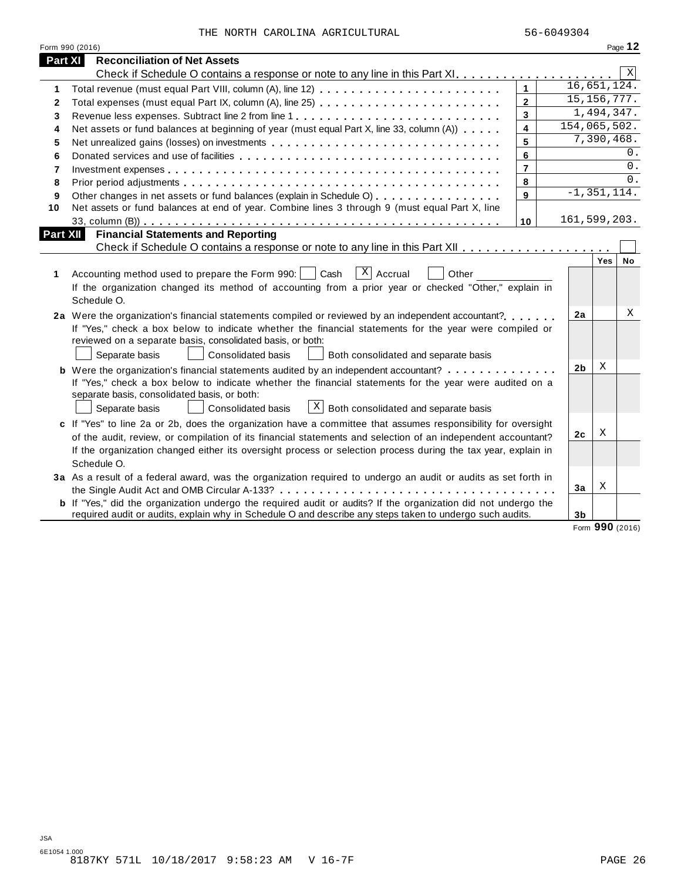|  |  |  | THE NORTH CAROLINA AGRICULTURAL |
|--|--|--|---------------------------------|
|--|--|--|---------------------------------|

|          | Form 990 (2016)                                                                                                       |                |                 |                 | Page 12   |
|----------|-----------------------------------------------------------------------------------------------------------------------|----------------|-----------------|-----------------|-----------|
| Part XI  | <b>Reconciliation of Net Assets</b>                                                                                   |                |                 |                 |           |
|          |                                                                                                                       |                |                 |                 | X         |
| 1        | Total revenue (must equal Part VIII, column (A), line 12)                                                             | $\mathbf{1}$   | 16,651,124.     |                 |           |
| 2        |                                                                                                                       | $\overline{2}$ | 15, 156, 777.   |                 |           |
| 3        |                                                                                                                       | 3              |                 | 1,494,347.      |           |
| 4        | Net assets or fund balances at beginning of year (must equal Part X, line 33, column (A))                             | 4              | 154,065,502.    |                 |           |
| 5        |                                                                                                                       | 5              |                 | 7,390,468.      |           |
| 6        |                                                                                                                       | 6              |                 |                 | 0.        |
| 7        |                                                                                                                       | $\overline{7}$ |                 |                 | 0.        |
| 8        |                                                                                                                       | 8              |                 |                 | 0.        |
| 9        | Other changes in net assets or fund balances (explain in Schedule O)                                                  | 9              | $-1, 351, 114.$ |                 |           |
| 10       | Net assets or fund balances at end of year. Combine lines 3 through 9 (must equal Part X, line                        |                |                 |                 |           |
|          |                                                                                                                       | 10             | 161,599,203.    |                 |           |
| Part XII | <b>Financial Statements and Reporting</b>                                                                             |                |                 |                 |           |
|          |                                                                                                                       |                |                 |                 |           |
|          |                                                                                                                       |                |                 | Yes             | <b>No</b> |
| 1        | $X$ Accrual<br>Cash<br>Accounting method used to prepare the Form 990:  <br>Other                                     |                |                 |                 |           |
|          | If the organization changed its method of accounting from a prior year or checked "Other," explain in                 |                |                 |                 |           |
|          | Schedule O.                                                                                                           |                |                 |                 |           |
|          | 2a Were the organization's financial statements compiled or reviewed by an independent accountant?                    |                | 2a              |                 | Χ         |
|          | If "Yes," check a box below to indicate whether the financial statements for the year were compiled or                |                |                 |                 |           |
|          | reviewed on a separate basis, consolidated basis, or both:                                                            |                |                 |                 |           |
|          | Separate basis<br><b>Consolidated basis</b><br>Both consolidated and separate basis                                   |                |                 |                 |           |
|          | <b>b</b> Were the organization's financial statements audited by an independent accountant?                           |                | 2 <sub>b</sub>  | Χ               |           |
|          | If "Yes," check a box below to indicate whether the financial statements for the year were audited on a               |                |                 |                 |           |
|          | separate basis, consolidated basis, or both:                                                                          |                |                 |                 |           |
|          | $\mathbb{E}$ Both consolidated and separate basis<br>Separate basis<br>Consolidated basis                             |                |                 |                 |           |
|          | c If "Yes" to line 2a or 2b, does the organization have a committee that assumes responsibility for oversight         |                |                 |                 |           |
|          | of the audit, review, or compilation of its financial statements and selection of an independent accountant?          |                | 2 <sub>c</sub>  | Χ               |           |
|          | If the organization changed either its oversight process or selection process during the tax year, explain in         |                |                 |                 |           |
|          | Schedule O.                                                                                                           |                |                 |                 |           |
|          | 3a As a result of a federal award, was the organization required to undergo an audit or audits as set forth in        |                |                 |                 |           |
|          |                                                                                                                       |                | 3a              | Χ               |           |
|          | <b>b</b> If "Yes," did the organization undergo the required audit or audits? If the organization did not undergo the |                |                 |                 |           |
|          | required audit or audits, explain why in Schedule O and describe any steps taken to undergo such audits.              |                | 3 <sub>b</sub>  |                 |           |
|          |                                                                                                                       |                |                 | Form 990 (2016) |           |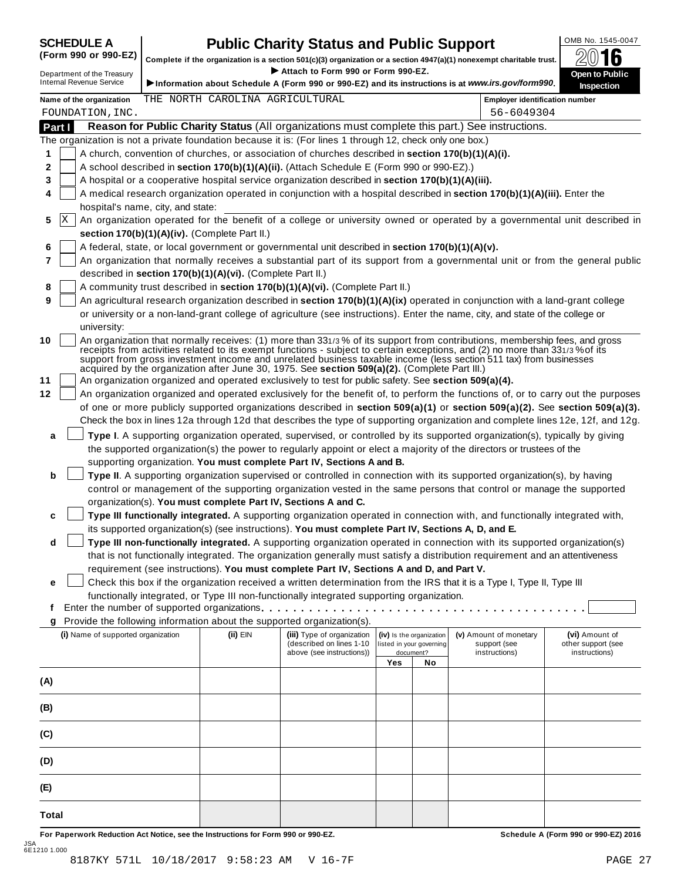# **SCHEDULE A Public Charity Status and Public Support**<br>(Form 990 or 990-EZ) complete if the organization is a section 501(c)(3) organization or a section 4947(a)(1) popeyempt charitable trust  $\oslash$  () **16**

(Form 990 or 990-EZ) complete if the organization is a section 501(c)(3) organization or a section 4947(a)(1) nonexempt charitable trust. 2016 <sup>D</sup> I **Attach to Form <sup>990</sup> or Form 990-EZ.** epartment of the Treasury **Open to Public**

|        |        | Department of the Treasury<br><b>Internal Revenue Service</b> |                                                            | ▶ Attach to Form 990 or Form 990-EZ.                                                                                                                                                           |     |                                       | Information about Schedule A (Form 990 or 990-EZ) and its instructions is at www.irs.gov/form990.                                                                                                                                                                                                                                                                               | <b>Open to Public</b><br>Inspection                                                                                              |
|--------|--------|---------------------------------------------------------------|------------------------------------------------------------|------------------------------------------------------------------------------------------------------------------------------------------------------------------------------------------------|-----|---------------------------------------|---------------------------------------------------------------------------------------------------------------------------------------------------------------------------------------------------------------------------------------------------------------------------------------------------------------------------------------------------------------------------------|----------------------------------------------------------------------------------------------------------------------------------|
|        |        | Name of the organization                                      | THE NORTH CAROLINA AGRICULTURAL                            |                                                                                                                                                                                                |     |                                       | <b>Employer identification number</b>                                                                                                                                                                                                                                                                                                                                           |                                                                                                                                  |
|        |        | FOUNDATION, INC.                                              |                                                            |                                                                                                                                                                                                |     |                                       | 56-6049304                                                                                                                                                                                                                                                                                                                                                                      |                                                                                                                                  |
|        | Part I |                                                               |                                                            |                                                                                                                                                                                                |     |                                       | Reason for Public Charity Status (All organizations must complete this part.) See instructions.                                                                                                                                                                                                                                                                                 |                                                                                                                                  |
|        |        |                                                               |                                                            | The organization is not a private foundation because it is: (For lines 1 through 12, check only one box.)                                                                                      |     |                                       |                                                                                                                                                                                                                                                                                                                                                                                 |                                                                                                                                  |
| 1      |        |                                                               |                                                            | A church, convention of churches, or association of churches described in section 170(b)(1)(A)(i).                                                                                             |     |                                       |                                                                                                                                                                                                                                                                                                                                                                                 |                                                                                                                                  |
| 2      |        |                                                               |                                                            | A school described in section 170(b)(1)(A)(ii). (Attach Schedule E (Form 990 or 990-EZ).)<br>A hospital or a cooperative hospital service organization described in section 170(b)(1)(A)(iii). |     |                                       |                                                                                                                                                                                                                                                                                                                                                                                 |                                                                                                                                  |
| 3<br>4 |        |                                                               |                                                            |                                                                                                                                                                                                |     |                                       | A medical research organization operated in conjunction with a hospital described in section 170(b)(1)(A)(iii). Enter the                                                                                                                                                                                                                                                       |                                                                                                                                  |
|        |        | hospital's name, city, and state:                             |                                                            |                                                                                                                                                                                                |     |                                       |                                                                                                                                                                                                                                                                                                                                                                                 |                                                                                                                                  |
| 5      | X      |                                                               |                                                            |                                                                                                                                                                                                |     |                                       |                                                                                                                                                                                                                                                                                                                                                                                 | An organization operated for the benefit of a college or university owned or operated by a governmental unit described in        |
|        |        |                                                               | section 170(b)(1)(A)(iv). (Complete Part II.)              |                                                                                                                                                                                                |     |                                       |                                                                                                                                                                                                                                                                                                                                                                                 |                                                                                                                                  |
| 6      |        |                                                               |                                                            | A federal, state, or local government or governmental unit described in section 170(b)(1)(A)(v).                                                                                               |     |                                       |                                                                                                                                                                                                                                                                                                                                                                                 |                                                                                                                                  |
| 7      |        |                                                               |                                                            |                                                                                                                                                                                                |     |                                       |                                                                                                                                                                                                                                                                                                                                                                                 | An organization that normally receives a substantial part of its support from a governmental unit or from the general public     |
|        |        |                                                               | described in section 170(b)(1)(A)(vi). (Complete Part II.) |                                                                                                                                                                                                |     |                                       |                                                                                                                                                                                                                                                                                                                                                                                 |                                                                                                                                  |
| 8      |        |                                                               |                                                            | A community trust described in section 170(b)(1)(A)(vi). (Complete Part II.)                                                                                                                   |     |                                       |                                                                                                                                                                                                                                                                                                                                                                                 |                                                                                                                                  |
| 9      |        |                                                               |                                                            |                                                                                                                                                                                                |     |                                       | An agricultural research organization described in section 170(b)(1)(A)(ix) operated in conjunction with a land-grant college                                                                                                                                                                                                                                                   |                                                                                                                                  |
|        |        |                                                               |                                                            |                                                                                                                                                                                                |     |                                       | or university or a non-land-grant college of agriculture (see instructions). Enter the name, city, and state of the college or                                                                                                                                                                                                                                                  |                                                                                                                                  |
|        |        | university:                                                   |                                                            |                                                                                                                                                                                                |     |                                       |                                                                                                                                                                                                                                                                                                                                                                                 |                                                                                                                                  |
| 10     |        |                                                               |                                                            | acquired by the organization after June 30, 1975. See section 509(a)(2). (Complete Part III.)                                                                                                  |     |                                       | An organization that normally receives: (1) more than 331/3% of its support from contributions, membership fees, and gross<br>receipts from activities related to its exempt functions - subject to certain exceptions, and (2) no more than 331/3% of its<br>support from gross investment income and unrelated business taxable income (less section 511 tax) from businesses |                                                                                                                                  |
| 11     |        |                                                               |                                                            | An organization organized and operated exclusively to test for public safety. See section 509(a)(4).                                                                                           |     |                                       |                                                                                                                                                                                                                                                                                                                                                                                 |                                                                                                                                  |
| 12     |        |                                                               |                                                            |                                                                                                                                                                                                |     |                                       |                                                                                                                                                                                                                                                                                                                                                                                 | An organization organized and operated exclusively for the benefit of, to perform the functions of, or to carry out the purposes |
|        |        |                                                               |                                                            |                                                                                                                                                                                                |     |                                       |                                                                                                                                                                                                                                                                                                                                                                                 | of one or more publicly supported organizations described in section 509(a)(1) or section 509(a)(2). See section 509(a)(3).      |
|        |        |                                                               |                                                            |                                                                                                                                                                                                |     |                                       | Check the box in lines 12a through 12d that describes the type of supporting organization and complete lines 12e, 12f, and 12g.                                                                                                                                                                                                                                                 |                                                                                                                                  |
| a      |        |                                                               |                                                            |                                                                                                                                                                                                |     |                                       | Type I. A supporting organization operated, supervised, or controlled by its supported organization(s), typically by giving                                                                                                                                                                                                                                                     |                                                                                                                                  |
|        |        |                                                               |                                                            |                                                                                                                                                                                                |     |                                       | the supported organization(s) the power to regularly appoint or elect a majority of the directors or trustees of the                                                                                                                                                                                                                                                            |                                                                                                                                  |
|        |        |                                                               |                                                            | supporting organization. You must complete Part IV, Sections A and B.                                                                                                                          |     |                                       |                                                                                                                                                                                                                                                                                                                                                                                 |                                                                                                                                  |
| b      |        |                                                               |                                                            |                                                                                                                                                                                                |     |                                       | Type II. A supporting organization supervised or controlled in connection with its supported organization(s), by having                                                                                                                                                                                                                                                         |                                                                                                                                  |
|        |        |                                                               |                                                            |                                                                                                                                                                                                |     |                                       | control or management of the supporting organization vested in the same persons that control or manage the supported                                                                                                                                                                                                                                                            |                                                                                                                                  |
|        |        |                                                               |                                                            | organization(s). You must complete Part IV, Sections A and C.                                                                                                                                  |     |                                       |                                                                                                                                                                                                                                                                                                                                                                                 |                                                                                                                                  |
| c      |        |                                                               |                                                            |                                                                                                                                                                                                |     |                                       | Type III functionally integrated. A supporting organization operated in connection with, and functionally integrated with,                                                                                                                                                                                                                                                      |                                                                                                                                  |
| d      |        |                                                               |                                                            | its supported organization(s) (see instructions). You must complete Part IV, Sections A, D, and E.                                                                                             |     |                                       | Type III non-functionally integrated. A supporting organization operated in connection with its supported organization(s)                                                                                                                                                                                                                                                       |                                                                                                                                  |
|        |        |                                                               |                                                            |                                                                                                                                                                                                |     |                                       | that is not functionally integrated. The organization generally must satisfy a distribution requirement and an attentiveness                                                                                                                                                                                                                                                    |                                                                                                                                  |
|        |        |                                                               |                                                            | requirement (see instructions). You must complete Part IV, Sections A and D, and Part V.                                                                                                       |     |                                       |                                                                                                                                                                                                                                                                                                                                                                                 |                                                                                                                                  |
| е      |        |                                                               |                                                            |                                                                                                                                                                                                |     |                                       | Check this box if the organization received a written determination from the IRS that it is a Type I, Type II, Type III                                                                                                                                                                                                                                                         |                                                                                                                                  |
|        |        |                                                               |                                                            | functionally integrated, or Type III non-functionally integrated supporting organization.                                                                                                      |     |                                       |                                                                                                                                                                                                                                                                                                                                                                                 |                                                                                                                                  |
| Ť.     |        |                                                               |                                                            | Enter the number of supported organizations.                                                                                                                                                   |     |                                       |                                                                                                                                                                                                                                                                                                                                                                                 |                                                                                                                                  |
|        |        |                                                               |                                                            | Provide the following information about the supported organization(s).                                                                                                                         |     |                                       |                                                                                                                                                                                                                                                                                                                                                                                 |                                                                                                                                  |
|        |        | (i) Name of supported organization                            | (ii) EIN                                                   | (iii) Type of organization                                                                                                                                                                     |     | (iv) Is the organization              | (v) Amount of monetary                                                                                                                                                                                                                                                                                                                                                          | (vi) Amount of                                                                                                                   |
|        |        |                                                               |                                                            | (described on lines 1-10<br>above (see instructions))                                                                                                                                          |     | listed in your governing<br>document? | support (see<br>instructions)                                                                                                                                                                                                                                                                                                                                                   | other support (see<br>instructions)                                                                                              |
|        |        |                                                               |                                                            |                                                                                                                                                                                                | Yes | No                                    |                                                                                                                                                                                                                                                                                                                                                                                 |                                                                                                                                  |
| (A)    |        |                                                               |                                                            |                                                                                                                                                                                                |     |                                       |                                                                                                                                                                                                                                                                                                                                                                                 |                                                                                                                                  |
| (B)    |        |                                                               |                                                            |                                                                                                                                                                                                |     |                                       |                                                                                                                                                                                                                                                                                                                                                                                 |                                                                                                                                  |
| (C)    |        |                                                               |                                                            |                                                                                                                                                                                                |     |                                       |                                                                                                                                                                                                                                                                                                                                                                                 |                                                                                                                                  |
| (D)    |        |                                                               |                                                            |                                                                                                                                                                                                |     |                                       |                                                                                                                                                                                                                                                                                                                                                                                 |                                                                                                                                  |
| (E)    |        |                                                               |                                                            |                                                                                                                                                                                                |     |                                       |                                                                                                                                                                                                                                                                                                                                                                                 |                                                                                                                                  |
| Total  |        |                                                               |                                                            |                                                                                                                                                                                                |     |                                       |                                                                                                                                                                                                                                                                                                                                                                                 |                                                                                                                                  |

For Paperwork Reduction Act Notice, see the Instructions for Form 990 or 990-EZ. Schedule A (Form 990 or 990-EZ) 2016 JSA 6E1210 1.000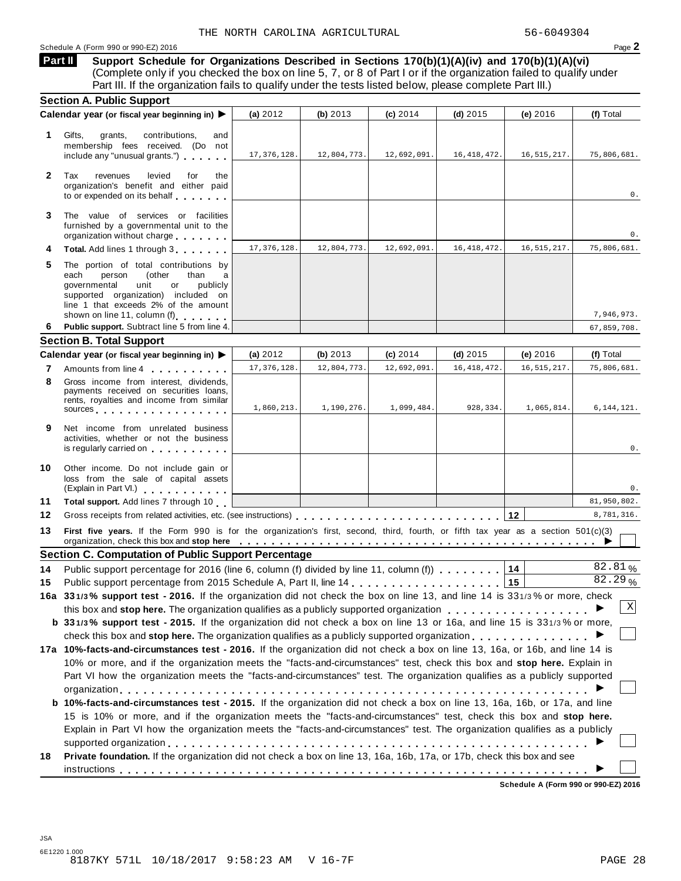Schedule A (Form 990 or 990-EZ) 2016 **Page 2** 

**Support Schedule for Organizations Described in Sections 170(b)(1)(A)(iv) and 170(b)(1)(A)(vi)** (Complete only if you checked the box on line 5, 7, or 8 of Part I or if the organization failed to qualify under Part III. If the organization fails to qualify under the tests listed below, please complete Part III.) **Part II**

|              | <b>Section A. Public Support</b>                                                                                                                                                                                                                                                                                                                                                     |               |             |             |               |               |              |
|--------------|--------------------------------------------------------------------------------------------------------------------------------------------------------------------------------------------------------------------------------------------------------------------------------------------------------------------------------------------------------------------------------------|---------------|-------------|-------------|---------------|---------------|--------------|
|              | Calendar year (or fiscal year beginning in) ▶                                                                                                                                                                                                                                                                                                                                        | (a) $2012$    | (b) $2013$  | (c) 2014    | $(d)$ 2015    | (e) 2016      | (f) Total    |
| 1            | Gifts,<br>contributions,<br>grants,<br>and<br>membership fees received. (Do not<br>include any "unusual grants.")                                                                                                                                                                                                                                                                    | 17, 376, 128. | 12,804,773. | 12,692,091. | 16, 418, 472. | 16, 515, 217. | 75,806,681.  |
| $\mathbf{2}$ | Tax<br>revenues<br>levied<br>for<br>the<br>organization's benefit and either paid<br>to or expended on its behalf                                                                                                                                                                                                                                                                    |               |             |             |               |               | 0.           |
| 3            | The value of services or facilities<br>furnished by a governmental unit to the<br>organization without charge                                                                                                                                                                                                                                                                        |               |             |             |               |               | 0.           |
| 4            | Total. Add lines 1 through 3                                                                                                                                                                                                                                                                                                                                                         | 17, 376, 128. | 12,804,773. | 12,692,091. | 16, 418, 472. | 16, 515, 217. | 75,806,681.  |
| 5            | The portion of total contributions by<br>each<br>person<br>(other<br>than<br>a<br>governmental<br>or<br>publicly<br>unit<br>supported organization) included on<br>line 1 that exceeds 2% of the amount                                                                                                                                                                              |               |             |             |               |               |              |
|              | shown on line 11, column (f)                                                                                                                                                                                                                                                                                                                                                         |               |             |             |               |               | 7,946,973.   |
| 6            | Public support. Subtract line 5 from line 4.                                                                                                                                                                                                                                                                                                                                         |               |             |             |               |               | 67,859,708.  |
|              | <b>Section B. Total Support</b><br>Calendar year (or fiscal year beginning in) ▶                                                                                                                                                                                                                                                                                                     | (a) $2012$    | (b) 2013    | (c) 2014    | $(d)$ 2015    | (e) 2016      | (f) Total    |
| 7            |                                                                                                                                                                                                                                                                                                                                                                                      | 17, 376, 128. | 12,804,773. | 12,692,091. | 16, 418, 472. | 16, 515, 217. | 75,806,681.  |
| 8            | Amounts from line 4<br>Gross income from interest, dividends,<br>payments received on securities loans,<br>rents, royalties and income from similar<br>sources experiences and the set of the set of the set of the set of the set of the set of the set of the set of the set of the set of the set of the set of the set of the set of the set of the set of the set of the set of | 1,860,213.    | 1,190,276.  | 1,099,484.  | 928,334.      | 1,065,814.    | 6, 144, 121. |
| 9            | Net income from unrelated business<br>activities, whether or not the business<br>is regularly carried on <b>the contract of the contract of the contract of the contract of the contract of the contract of the contract of the contract of the contract of the contract of the contract of the contract of the c</b>                                                                |               |             |             |               |               | 0.           |
| 10           | Other income. Do not include gain or<br>loss from the sale of capital assets<br>(Explain in Part VI.) <b>All Accords</b>                                                                                                                                                                                                                                                             |               |             |             |               |               | 0.           |
| 11           | Total support. Add lines 7 through 10                                                                                                                                                                                                                                                                                                                                                |               |             |             |               |               | 81,950,802.  |
| 12           |                                                                                                                                                                                                                                                                                                                                                                                      |               |             |             |               | 12            | 8,781,316.   |
| 13           | First five years. If the Form 990 is for the organization's first, second, third, fourth, or fifth tax year as a section 501(c)(3)<br>organization, check this box and stop here entitled by the state of the state of the state of the state of the state of the state of the state of the state of the state of the state of the state of the state of the state o                 |               |             |             |               |               |              |
|              | <b>Section C. Computation of Public Support Percentage</b>                                                                                                                                                                                                                                                                                                                           |               |             |             |               |               |              |
| 14           | Public support percentage for 2016 (line 6, column (f) divided by line 11, column (f)                                                                                                                                                                                                                                                                                                |               |             |             |               | 14            | 82.81%       |
| 15           |                                                                                                                                                                                                                                                                                                                                                                                      |               |             |             |               | 15            | 82.29%       |
|              | 16a 331/3% support test - 2016. If the organization did not check the box on line 13, and line 14 is 331/3% or more, check                                                                                                                                                                                                                                                           |               |             |             |               |               |              |
|              | this box and stop here. The organization qualifies as a publicly supported organization <b>the state of state of the state of the state of the state of the state of the state of the state of the state of the state of the sta</b>                                                                                                                                                 |               |             |             |               |               | X            |
|              | b 331/3% support test - 2015. If the organization did not check a box on line 13 or 16a, and line 15 is 331/3% or more,                                                                                                                                                                                                                                                              |               |             |             |               |               |              |
|              |                                                                                                                                                                                                                                                                                                                                                                                      |               |             |             |               |               |              |
|              | 17a 10%-facts-and-circumstances test - 2016. If the organization did not check a box on line 13, 16a, or 16b, and line 14 is                                                                                                                                                                                                                                                         |               |             |             |               |               |              |
|              | 10% or more, and if the organization meets the "facts-and-circumstances" test, check this box and stop here. Explain in                                                                                                                                                                                                                                                              |               |             |             |               |               |              |
|              |                                                                                                                                                                                                                                                                                                                                                                                      |               |             |             |               |               |              |
|              | Part VI how the organization meets the "facts-and-circumstances" test. The organization qualifies as a publicly supported                                                                                                                                                                                                                                                            |               |             |             |               |               |              |
|              |                                                                                                                                                                                                                                                                                                                                                                                      |               |             |             |               |               |              |
|              | <b>b 10%-facts-and-circumstances test - 2015.</b> If the organization did not check a box on line 13, 16a, 16b, or 17a, and line                                                                                                                                                                                                                                                     |               |             |             |               |               |              |
|              | 15 is 10% or more, and if the organization meets the "facts-and-circumstances" test, check this box and stop here.                                                                                                                                                                                                                                                                   |               |             |             |               |               |              |
|              | Explain in Part VI how the organization meets the "facts-and-circumstances" test. The organization qualifies as a publicly                                                                                                                                                                                                                                                           |               |             |             |               |               |              |
| 18           | Private foundation. If the organization did not check a box on line 13, 16a, 16b, 17a, or 17b, check this box and see                                                                                                                                                                                                                                                                |               |             |             |               |               |              |

**Schedule A (Form 990 or 990-EZ) 2016**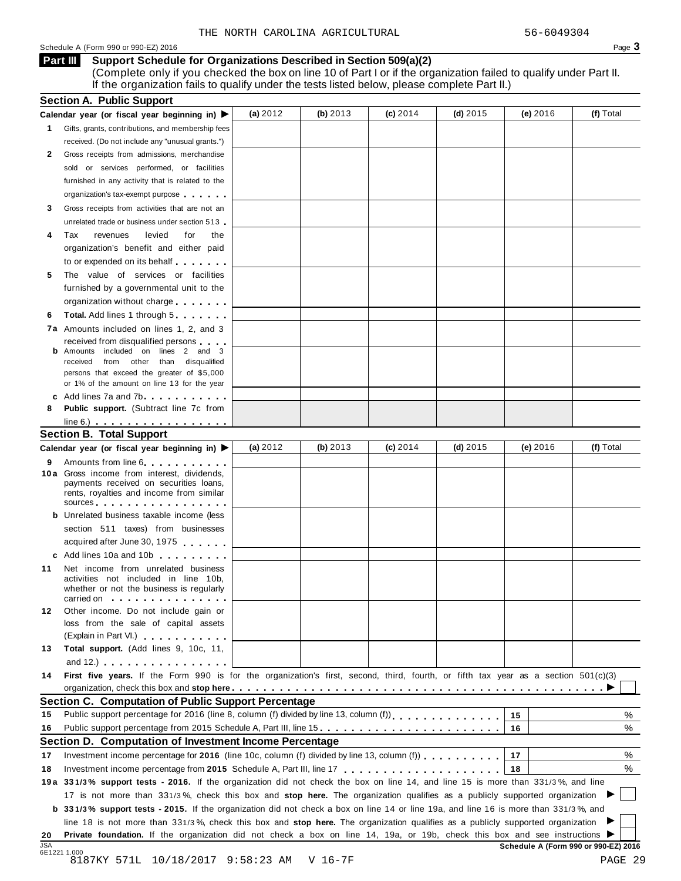#### Schedule A (Form 990 or 990-EZ) 2016  $\overline{\phantom{a}}$

#### **Support Schedule for Organizations Described in Section 509(a)(2) Part III**

(Complete only if you checked the box on line 10 of Part I or if the organization failed to qualify under Part II. If the organization fails to qualify under the tests listed below, please complete Part II.)

|          | <b>Section A. Public Support</b>                                                                                                                                                                                              |            |            |            |            |          |                                                                                                                                                                                                                                                                                                      |
|----------|-------------------------------------------------------------------------------------------------------------------------------------------------------------------------------------------------------------------------------|------------|------------|------------|------------|----------|------------------------------------------------------------------------------------------------------------------------------------------------------------------------------------------------------------------------------------------------------------------------------------------------------|
|          | Calendar year (or fiscal year beginning in) ▶                                                                                                                                                                                 | (a) $2012$ | (b) 2013   | $(c)$ 2014 | (d) $2015$ | (e) 2016 | (f) Total                                                                                                                                                                                                                                                                                            |
|          | Gifts, grants, contributions, and membership fees                                                                                                                                                                             |            |            |            |            |          |                                                                                                                                                                                                                                                                                                      |
|          | received. (Do not include any "unusual grants.")                                                                                                                                                                              |            |            |            |            |          |                                                                                                                                                                                                                                                                                                      |
|          | Gross receipts from admissions, merchandise                                                                                                                                                                                   |            |            |            |            |          |                                                                                                                                                                                                                                                                                                      |
|          | sold or services performed, or facilities                                                                                                                                                                                     |            |            |            |            |          |                                                                                                                                                                                                                                                                                                      |
|          | furnished in any activity that is related to the                                                                                                                                                                              |            |            |            |            |          |                                                                                                                                                                                                                                                                                                      |
|          | organization's tax-exempt purpose                                                                                                                                                                                             |            |            |            |            |          |                                                                                                                                                                                                                                                                                                      |
|          | Gross receipts from activities that are not an                                                                                                                                                                                |            |            |            |            |          |                                                                                                                                                                                                                                                                                                      |
|          | unrelated trade or business under section 513                                                                                                                                                                                 |            |            |            |            |          |                                                                                                                                                                                                                                                                                                      |
|          | revenues<br>levied<br>for<br>the                                                                                                                                                                                              |            |            |            |            |          |                                                                                                                                                                                                                                                                                                      |
|          | organization's benefit and either paid                                                                                                                                                                                        |            |            |            |            |          |                                                                                                                                                                                                                                                                                                      |
|          | to or expended on its behalf                                                                                                                                                                                                  |            |            |            |            |          |                                                                                                                                                                                                                                                                                                      |
|          | The value of services or facilities                                                                                                                                                                                           |            |            |            |            |          |                                                                                                                                                                                                                                                                                                      |
|          | furnished by a governmental unit to the                                                                                                                                                                                       |            |            |            |            |          |                                                                                                                                                                                                                                                                                                      |
|          | organization without charge                                                                                                                                                                                                   |            |            |            |            |          |                                                                                                                                                                                                                                                                                                      |
|          | <b>Total.</b> Add lines 1 through 5                                                                                                                                                                                           |            |            |            |            |          |                                                                                                                                                                                                                                                                                                      |
|          | 7a Amounts included on lines 1, 2, and 3                                                                                                                                                                                      |            |            |            |            |          |                                                                                                                                                                                                                                                                                                      |
|          | received from disqualified persons                                                                                                                                                                                            |            |            |            |            |          |                                                                                                                                                                                                                                                                                                      |
|          | <b>b</b> Amounts included on lines 2 and 3                                                                                                                                                                                    |            |            |            |            |          |                                                                                                                                                                                                                                                                                                      |
| received | from other than disqualified                                                                                                                                                                                                  |            |            |            |            |          |                                                                                                                                                                                                                                                                                                      |
|          | persons that exceed the greater of \$5,000                                                                                                                                                                                    |            |            |            |            |          |                                                                                                                                                                                                                                                                                                      |
|          | or 1% of the amount on line 13 for the year                                                                                                                                                                                   |            |            |            |            |          |                                                                                                                                                                                                                                                                                                      |
|          | c Add lines 7a and 7b.<br>Public support. (Subtract line 7c from                                                                                                                                                              |            |            |            |            |          |                                                                                                                                                                                                                                                                                                      |
|          |                                                                                                                                                                                                                               |            |            |            |            |          |                                                                                                                                                                                                                                                                                                      |
|          | $line 6.)$<br><b>Section B. Total Support</b>                                                                                                                                                                                 |            |            |            |            |          |                                                                                                                                                                                                                                                                                                      |
|          |                                                                                                                                                                                                                               | (a) $2012$ | (b) $2013$ | $(c)$ 2014 | (d) $2015$ | (e) 2016 | (f) Total                                                                                                                                                                                                                                                                                            |
|          | Calendar year (or fiscal year beginning in) ▶                                                                                                                                                                                 |            |            |            |            |          |                                                                                                                                                                                                                                                                                                      |
|          | Amounts from line 6<br>10 a Gross income from interest, dividends,                                                                                                                                                            |            |            |            |            |          |                                                                                                                                                                                                                                                                                                      |
|          | payments received on securities loans,                                                                                                                                                                                        |            |            |            |            |          |                                                                                                                                                                                                                                                                                                      |
|          | rents, royalties and income from similar                                                                                                                                                                                      |            |            |            |            |          |                                                                                                                                                                                                                                                                                                      |
|          | sources experiences and the set of the set of the set of the set of the set of the set of the set of the set of the set of the set of the set of the set of the set of the set of the set of the set of the set of the set of |            |            |            |            |          |                                                                                                                                                                                                                                                                                                      |
|          | <b>b</b> Unrelated business taxable income (less                                                                                                                                                                              |            |            |            |            |          |                                                                                                                                                                                                                                                                                                      |
|          | section 511 taxes) from businesses                                                                                                                                                                                            |            |            |            |            |          |                                                                                                                                                                                                                                                                                                      |
|          | acquired after June 30, 1975                                                                                                                                                                                                  |            |            |            |            |          |                                                                                                                                                                                                                                                                                                      |
|          | c Add lines 10a and 10b                                                                                                                                                                                                       |            |            |            |            |          |                                                                                                                                                                                                                                                                                                      |
|          | Net income from unrelated business                                                                                                                                                                                            |            |            |            |            |          |                                                                                                                                                                                                                                                                                                      |
|          | activities not included in line 10b,<br>whether or not the business is regularly                                                                                                                                              |            |            |            |            |          |                                                                                                                                                                                                                                                                                                      |
|          | carried on the set of the set of the set of the set of the set of the set of the set of the set of the set of                                                                                                                 |            |            |            |            |          |                                                                                                                                                                                                                                                                                                      |
|          | Other income. Do not include gain or                                                                                                                                                                                          |            |            |            |            |          |                                                                                                                                                                                                                                                                                                      |
|          | loss from the sale of capital assets                                                                                                                                                                                          |            |            |            |            |          |                                                                                                                                                                                                                                                                                                      |
|          | (Explain in Part VI.) <b>All and Strategies</b>                                                                                                                                                                               |            |            |            |            |          |                                                                                                                                                                                                                                                                                                      |
|          | Total support. (Add lines 9, 10c, 11,                                                                                                                                                                                         |            |            |            |            |          |                                                                                                                                                                                                                                                                                                      |
|          | and $12.$ ) $\ldots$ $\ldots$ $\ldots$ $\ldots$ $\ldots$                                                                                                                                                                      |            |            |            |            |          |                                                                                                                                                                                                                                                                                                      |
|          | First five years. If the Form 990 is for the organization's first, second, third, fourth, or fifth tax year as a section 501(c)(3)                                                                                            |            |            |            |            |          |                                                                                                                                                                                                                                                                                                      |
|          |                                                                                                                                                                                                                               |            |            |            |            |          |                                                                                                                                                                                                                                                                                                      |
|          | Section C. Computation of Public Support Percentage                                                                                                                                                                           |            |            |            |            |          |                                                                                                                                                                                                                                                                                                      |
|          | Public support percentage for 2016 (line 8, column (f) divided by line 13, column (f)).                                                                                                                                       |            |            |            |            | 15       | ℅                                                                                                                                                                                                                                                                                                    |
|          | Public support percentage from 2015 Schedule A, Part III, line 15.                                                                                                                                                            |            |            |            |            | 16       | %                                                                                                                                                                                                                                                                                                    |
|          | Section D. Computation of Investment Income Percentage                                                                                                                                                                        |            |            |            |            |          |                                                                                                                                                                                                                                                                                                      |
|          | Investment income percentage for 2016 (line 10c, column (f) divided by line 13, column (f) $\ldots$ ,,,,,,,,                                                                                                                  |            |            |            |            | 17       | %                                                                                                                                                                                                                                                                                                    |
|          |                                                                                                                                                                                                                               |            |            |            |            | 18       | $\%$                                                                                                                                                                                                                                                                                                 |
|          | 19a 331/3% support tests - 2016. If the organization did not check the box on line 14, and line 15 is more than 331/3%, and line                                                                                              |            |            |            |            |          |                                                                                                                                                                                                                                                                                                      |
|          | 17 is not more than 331/3%, check this box and stop here. The organization qualifies as a publicly supported organization                                                                                                     |            |            |            |            |          |                                                                                                                                                                                                                                                                                                      |
|          | <b>b</b> 331/3% support tests - 2015. If the organization did not check a box on line 14 or line 19a, and line 16 is more than 331/3%, and                                                                                    |            |            |            |            |          |                                                                                                                                                                                                                                                                                                      |
|          |                                                                                                                                                                                                                               |            |            |            |            |          |                                                                                                                                                                                                                                                                                                      |
|          |                                                                                                                                                                                                                               |            |            |            |            |          |                                                                                                                                                                                                                                                                                                      |
|          |                                                                                                                                                                                                                               |            |            |            |            |          |                                                                                                                                                                                                                                                                                                      |
|          | 8187KY 571L 10/18/2017 9:58:23 AM                                                                                                                                                                                             |            | V 16-7F    |            |            |          | line 18 is not more than 331/3%, check this box and stop here. The organization qualifies as a publicly supported organization<br>Private foundation. If the organization did not check a box on line 14, 19a, or 19b, check this box and see instructions ▶<br>Schedule A (Form 990 or 990-EZ) 2016 |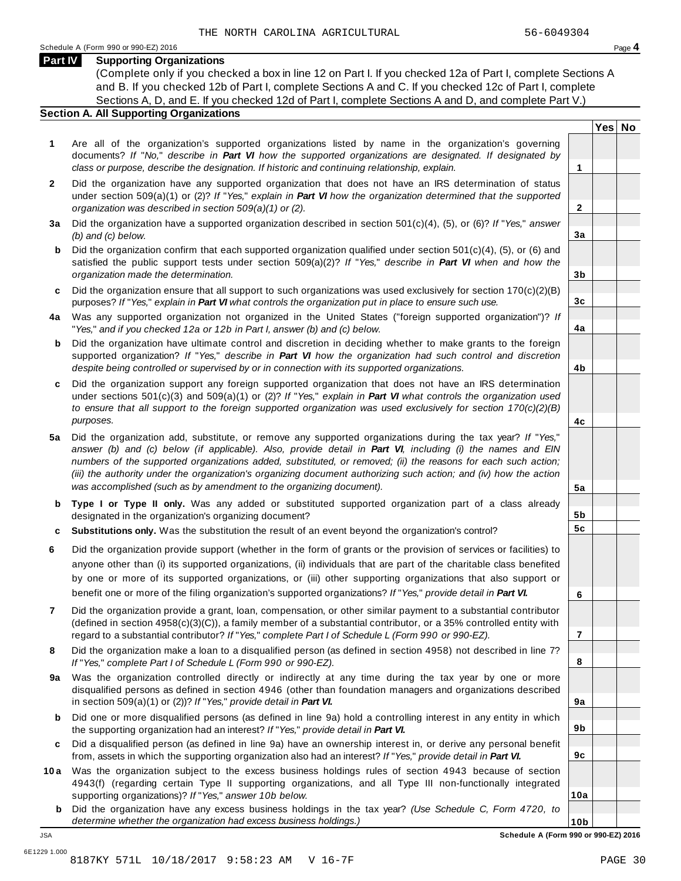**Yes No**

**2**

**3a**

**3b**

**3c**

**4a**

**4b**

**4c**

**5a**

**5b 5c**

**6**

**7**

**8**

**9a**

**9b**

**9c**

**10a**

#### **Part IV Supporting Organizations**

(Complete only if you checked a box in line 12 on Part I. If you checked 12a of Part I, complete Sections A and B. If you checked 12b of Part I, complete Sections A and C. If you checked 12c of Part I, complete Sections A, D, and E. If you checked 12d of Part I, complete Sections A and D, and complete Part V.)

#### **Section A. All Supporting Organizations**

- **1** Are all of the organization's supported organizations listed by name in the organization's governing documents? *If* "*No,*" *describe in Part VI how the supported organizations are designated. If designated by class or purpose, describe the designation. If historic and continuing relationship, explain.* **1**
- **2** Did the organization have any supported organization that does not have an IRS determination of status under section 509(a)(1) or (2)? *If*"*Yes,*" *explain in Part VI how the organization determined that the supported organization was described in section 509(a)(1) or (2).*
- **3 a** Did the organization have a supported organization described in section 501(c)(4), (5), or (6)? *If* "*Yes,*" *answer (b) and (c) below.*
- **b** Did the organization confirm that each supported organization qualified under section 501(c)(4), (5), or (6) and | satisfied the public support tests under section 509(a)(2)? *If* "*Yes,*" *describe in Part VI when and how the organization made the determination.*
- **c** Did the organization ensure that all support to such organizations was used exclusively for section 170(c)(2)(B) purposes? *If*"*Yes,*" *explain in Part VI what controls the organization put in place to ensure such use.*
- **4 a** Was any supported organization not organized in the United States ("foreign supported organization")? *If* "*Yes,*" *and if you checked 12a or 12b in Part I, answer (b) and (c) below.*
- **b** Did the organization have ultimate control and discretion in deciding whether to make grants to the foreign | supported organization? *If* "*Yes,*" *describe in Part VI how the organization had such control and discretion despite being controlled or supervised by or in connection with its supported organizations.*
- **c** Did the organization support any foreign supported organization that does not have an IRS determination | under sections 501(c)(3) and 509(a)(1) or (2)? *If* "*Yes,*" *explain in Part VI what controls the organization used to ensure that all support to the foreign supported organization was used exclusively for section 170(c)(2)(B) purposes.*
- **5 a** Did the organization add, substitute, or remove any supported organizations during the tax year? *If* "*Yes,*" answer (b) and (c) below (if applicable). Also, provide detail in Part VI, including (i) the names and EIN *numbers of the supported organizations added, substituted, or removed; (ii) the reasons for each such action;* (iii) the authority under the organization's organizing document authorizing such action; and (iv) how the action *was accomplished (such as by amendment to the organizing document).*
- **b** Type I or Type II only. Was any added or substituted supported organization part of a class already | designated in the organization's organizing document?
- **c Substitutions only.** Was the substitution the result of an event beyond the organization's control?
- **6** Did the organization provide support (whether in the form of grants or the provision of services or facilities) to anyone other than (i) its supported organizations, (ii) individuals that are part of the charitable class benefited by one or more of its supported organizations, or (iii) other supporting organizations that also support or benefit one or more of the filing organization's supported organizations? *If*"*Yes,*" *provide detail in Part VI.*
- **7** Did the organization provide a grant, loan, compensation, or other similar payment to a substantial contributor (defined in section 4958(c)(3)(C)), a family member of a substantial contributor, or a 35% controlled entity with regard to a substantial contributor? *If*"*Yes,*" *complete Part I of Schedule L (Form 990 or 990-EZ).*
- **8** Did the organization make a loan to a disqualified person (as defined in section 4958) not described in line 7? *If* "*Yes,*" *complete Part I of Schedule L (Form 990 or 990-EZ).*
- **a** Was the organization controlled directly or indirectly at any time during the tax year by one or more | **9** disqualified persons as defined in section 4946 (other than foundation managers and organizations described in section 509(a)(1) or (2))? *If*"*Yes,*" *provide detail in Part VI.*
- **b** Did one or more disqualified persons (as defined in line 9a) hold a controlling interest in any entity in which | the supporting organization had an interest? *If*"*Yes,*" *provide detail in Part VI.*
- **c** Did a disqualified person (as defined in line 9a) have an ownership interest in, or derive any personal benefit from, assets in which the supporting organization also had an interest? *If*"*Yes,*" *provide detail in Part VI.*
- **10a** Was the organization subject to the excess business holdings rules of section 4943 because of section | 4943(f) (regarding certain Type II supporting organizations, and all Type III non-functionally integrated supporting organizations)? *If*"*Yes,*" *answer 10b below.*
	- **b** Did the organization have any excess business holdings in the tax year? *(Use Schedule C, Form 4720, to determine whether the organization had excess business holdings.)*

**10b** JSA **Schedule A (Form 990 or 990-EZ) 2016**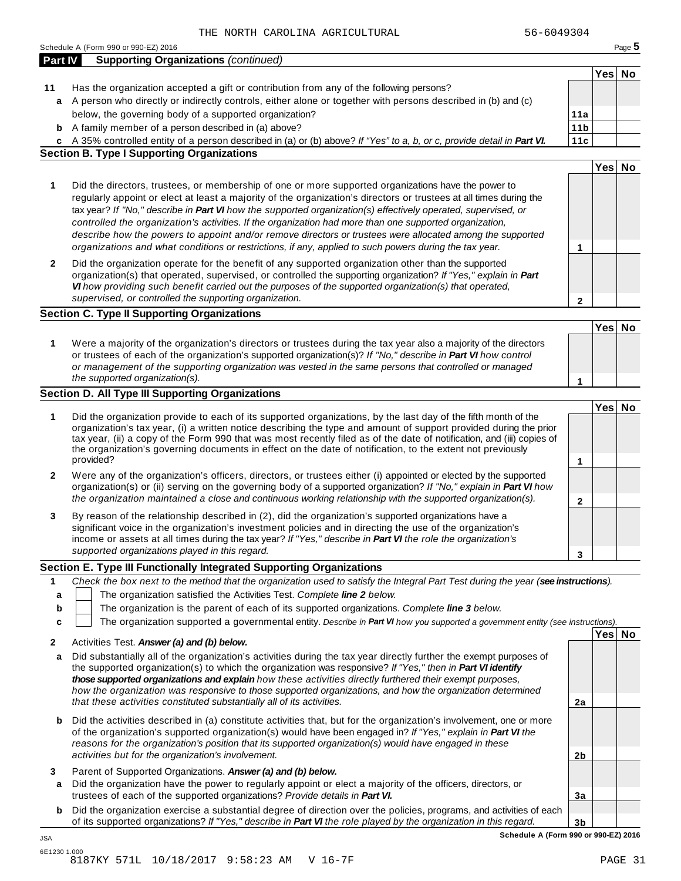|              | Schedule A (Form 990 or 990-EZ) 2016                                                                                                                                                                                                                                                                                                                                                                                                                                                                                                                                                                                                                                         |                 |        | Page $5$ |
|--------------|------------------------------------------------------------------------------------------------------------------------------------------------------------------------------------------------------------------------------------------------------------------------------------------------------------------------------------------------------------------------------------------------------------------------------------------------------------------------------------------------------------------------------------------------------------------------------------------------------------------------------------------------------------------------------|-----------------|--------|----------|
| Part IV      | <b>Supporting Organizations (continued)</b>                                                                                                                                                                                                                                                                                                                                                                                                                                                                                                                                                                                                                                  |                 |        |          |
|              |                                                                                                                                                                                                                                                                                                                                                                                                                                                                                                                                                                                                                                                                              |                 | Yes No |          |
| 11           | Has the organization accepted a gift or contribution from any of the following persons?                                                                                                                                                                                                                                                                                                                                                                                                                                                                                                                                                                                      |                 |        |          |
| a            | A person who directly or indirectly controls, either alone or together with persons described in (b) and (c)                                                                                                                                                                                                                                                                                                                                                                                                                                                                                                                                                                 |                 |        |          |
|              | below, the governing body of a supported organization?                                                                                                                                                                                                                                                                                                                                                                                                                                                                                                                                                                                                                       | 11a             |        |          |
| b            | A family member of a person described in (a) above?                                                                                                                                                                                                                                                                                                                                                                                                                                                                                                                                                                                                                          | 11 <sub>b</sub> |        |          |
|              | c A 35% controlled entity of a person described in (a) or (b) above? If "Yes" to a, b, or c, provide detail in Part VI.                                                                                                                                                                                                                                                                                                                                                                                                                                                                                                                                                      | 11c             |        |          |
|              | <b>Section B. Type I Supporting Organizations</b>                                                                                                                                                                                                                                                                                                                                                                                                                                                                                                                                                                                                                            |                 |        |          |
|              |                                                                                                                                                                                                                                                                                                                                                                                                                                                                                                                                                                                                                                                                              |                 | Yes No |          |
| 1            | Did the directors, trustees, or membership of one or more supported organizations have the power to<br>regularly appoint or elect at least a majority of the organization's directors or trustees at all times during the<br>tax year? If "No," describe in Part VI how the supported organization(s) effectively operated, supervised, or<br>controlled the organization's activities. If the organization had more than one supported organization,<br>describe how the powers to appoint and/or remove directors or trustees were allocated among the supported<br>organizations and what conditions or restrictions, if any, applied to such powers during the tax year. | 1               |        |          |
| $\mathbf{2}$ | Did the organization operate for the benefit of any supported organization other than the supported<br>organization(s) that operated, supervised, or controlled the supporting organization? If "Yes," explain in Part<br>VI how providing such benefit carried out the purposes of the supported organization(s) that operated,<br>supervised, or controlled the supporting organization.                                                                                                                                                                                                                                                                                   | $\mathbf{2}$    |        |          |
|              | <b>Section C. Type II Supporting Organizations</b>                                                                                                                                                                                                                                                                                                                                                                                                                                                                                                                                                                                                                           |                 |        |          |
|              |                                                                                                                                                                                                                                                                                                                                                                                                                                                                                                                                                                                                                                                                              |                 | Yes No |          |
| 1            | Were a majority of the organization's directors or trustees during the tax year also a majority of the directors<br>or trustees of each of the organization's supported organization(s)? If "No," describe in Part VI how control<br>or management of the supporting organization was vested in the same persons that controlled or managed                                                                                                                                                                                                                                                                                                                                  |                 |        |          |
|              | the supported organization(s).                                                                                                                                                                                                                                                                                                                                                                                                                                                                                                                                                                                                                                               | 1               |        |          |
|              | Section D. All Type III Supporting Organizations                                                                                                                                                                                                                                                                                                                                                                                                                                                                                                                                                                                                                             |                 |        |          |
|              |                                                                                                                                                                                                                                                                                                                                                                                                                                                                                                                                                                                                                                                                              |                 | Yes No |          |
| 1            | Did the organization provide to each of its supported organizations, by the last day of the fifth month of the<br>organization's tax year, (i) a written notice describing the type and amount of support provided during the prior<br>tax year, (ii) a copy of the Form 990 that was most recently filed as of the date of notification, and (iii) copies of<br>the organization's governing documents in effect on the date of notification, to the extent not previously<br>provided?                                                                                                                                                                                     |                 |        |          |
|              |                                                                                                                                                                                                                                                                                                                                                                                                                                                                                                                                                                                                                                                                              | 1               |        |          |
| 2            | Were any of the organization's officers, directors, or trustees either (i) appointed or elected by the supported<br>organization(s) or (ii) serving on the governing body of a supported organization? If "No," explain in Part VI how<br>the organization maintained a close and continuous working relationship with the supported organization(s).                                                                                                                                                                                                                                                                                                                        | $\mathbf 2$     |        |          |
| 3            | By reason of the relationship described in (2), did the organization's supported organizations have a<br>significant voice in the organization's investment policies and in directing the use of the organization's<br>income or assets at all times during the tax year? If "Yes," describe in Part VI the role the organization's<br>supported organizations played in this regard.                                                                                                                                                                                                                                                                                        | 3               |        |          |
|              | Section E. Type III Functionally Integrated Supporting Organizations                                                                                                                                                                                                                                                                                                                                                                                                                                                                                                                                                                                                         |                 |        |          |
| 1            | Check the box next to the method that the organization used to satisfy the Integral Part Test during the year (see instructions).                                                                                                                                                                                                                                                                                                                                                                                                                                                                                                                                            |                 |        |          |
| a            | The organization satisfied the Activities Test. Complete line 2 below.                                                                                                                                                                                                                                                                                                                                                                                                                                                                                                                                                                                                       |                 |        |          |
| b            | The organization is the parent of each of its supported organizations. Complete line 3 below.                                                                                                                                                                                                                                                                                                                                                                                                                                                                                                                                                                                |                 |        |          |
| c            | The organization supported a governmental entity. Describe in Part VI how you supported a government entity (see instructions).                                                                                                                                                                                                                                                                                                                                                                                                                                                                                                                                              |                 |        |          |
|              |                                                                                                                                                                                                                                                                                                                                                                                                                                                                                                                                                                                                                                                                              |                 | Yes No |          |
| 2            | Activities Test. Answer (a) and (b) below.                                                                                                                                                                                                                                                                                                                                                                                                                                                                                                                                                                                                                                   |                 |        |          |
| a            | Did substantially all of the organization's activities during the tax year directly further the exempt purposes of<br>the supported organization(s) to which the organization was responsive? If "Yes," then in Part VI identify<br>those supported organizations and explain how these activities directly furthered their exempt purposes,                                                                                                                                                                                                                                                                                                                                 |                 |        |          |
|              | how the organization was responsive to those supported organizations, and how the organization determined                                                                                                                                                                                                                                                                                                                                                                                                                                                                                                                                                                    |                 |        |          |
|              | that these activities constituted substantially all of its activities.                                                                                                                                                                                                                                                                                                                                                                                                                                                                                                                                                                                                       | 2a              |        |          |
| b            | Did the activities described in (a) constitute activities that, but for the organization's involvement, one or more<br>of the organization's supported organization(s) would have been engaged in? If "Yes," explain in Part VI the<br>reasons for the organization's position that its supported organization(s) would have engaged in these                                                                                                                                                                                                                                                                                                                                |                 |        |          |
|              | activities but for the organization's involvement.                                                                                                                                                                                                                                                                                                                                                                                                                                                                                                                                                                                                                           | 2 <sub>b</sub>  |        |          |
| 3            | Parent of Supported Organizations. Answer (a) and (b) below.                                                                                                                                                                                                                                                                                                                                                                                                                                                                                                                                                                                                                 |                 |        |          |
| a            | Did the organization have the power to regularly appoint or elect a majority of the officers, directors, or                                                                                                                                                                                                                                                                                                                                                                                                                                                                                                                                                                  |                 |        |          |
|              | trustees of each of the supported organizations? Provide details in Part VI.                                                                                                                                                                                                                                                                                                                                                                                                                                                                                                                                                                                                 | 3a              |        |          |
| b            | Did the organization exercise a substantial degree of direction over the policies, programs, and activities of each                                                                                                                                                                                                                                                                                                                                                                                                                                                                                                                                                          |                 |        |          |
|              | of its supported organizations? If "Yes," describe in Part VI the role played by the organization in this regard.                                                                                                                                                                                                                                                                                                                                                                                                                                                                                                                                                            |                 |        |          |

**Schedule A (Form 990 or 990-EZ) 2016**

JSA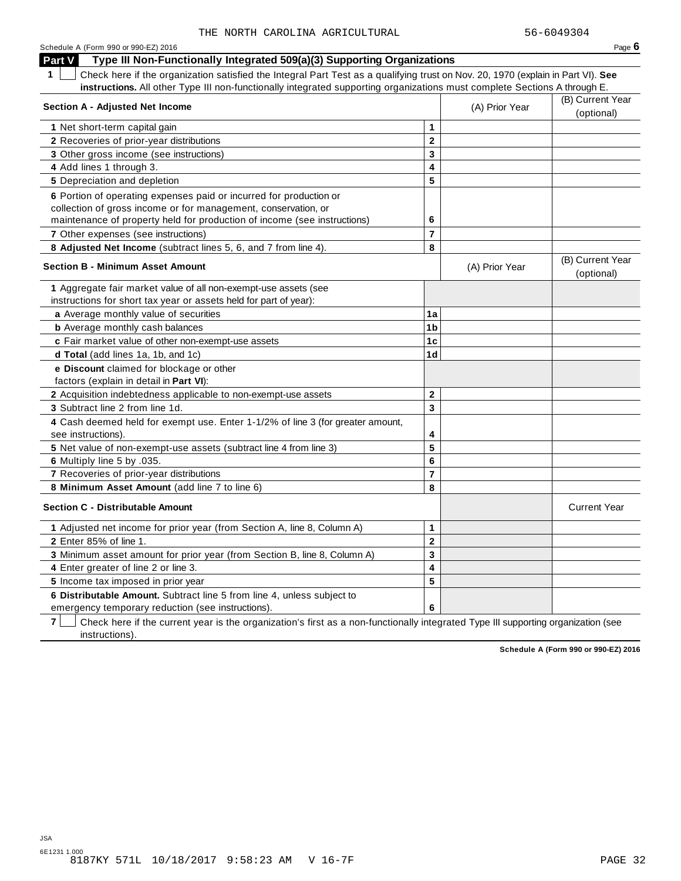| Schedule A (Form 990 or 990-EZ) 2016                                                                                                            |                         |                | Page 6                         |
|-------------------------------------------------------------------------------------------------------------------------------------------------|-------------------------|----------------|--------------------------------|
| Type III Non-Functionally Integrated 509(a)(3) Supporting Organizations<br><b>Part V</b>                                                        |                         |                |                                |
| $\mathbf 1$<br>Check here if the organization satisfied the Integral Part Test as a qualifying trust on Nov. 20, 1970 (explain in Part VI). See |                         |                |                                |
| instructions. All other Type III non-functionally integrated supporting organizations must complete Sections A through E.                       |                         |                |                                |
| Section A - Adjusted Net Income                                                                                                                 |                         | (A) Prior Year | (B) Current Year<br>(optional) |
| 1 Net short-term capital gain                                                                                                                   | $\mathbf{1}$            |                |                                |
| 2 Recoveries of prior-year distributions                                                                                                        | $\mathbf{2}$            |                |                                |
| 3 Other gross income (see instructions)                                                                                                         | $\overline{\mathbf{3}}$ |                |                                |
| 4 Add lines 1 through 3.                                                                                                                        | 4                       |                |                                |
| 5 Depreciation and depletion                                                                                                                    | 5                       |                |                                |
| 6 Portion of operating expenses paid or incurred for production or                                                                              |                         |                |                                |
| collection of gross income or for management, conservation, or                                                                                  |                         |                |                                |
| maintenance of property held for production of income (see instructions)                                                                        | 6                       |                |                                |
| 7 Other expenses (see instructions)                                                                                                             | $\overline{7}$          |                |                                |
| 8 Adjusted Net Income (subtract lines 5, 6, and 7 from line 4).                                                                                 | 8                       |                |                                |
| <b>Section B - Minimum Asset Amount</b>                                                                                                         |                         | (A) Prior Year | (B) Current Year<br>(optional) |
| 1 Aggregate fair market value of all non-exempt-use assets (see                                                                                 |                         |                |                                |
| instructions for short tax year or assets held for part of year):                                                                               |                         |                |                                |
| a Average monthly value of securities                                                                                                           | 1a                      |                |                                |
| <b>b</b> Average monthly cash balances                                                                                                          | 1 <sub>b</sub>          |                |                                |
| c Fair market value of other non-exempt-use assets                                                                                              | 1 <sub>c</sub>          |                |                                |
| d Total (add lines 1a, 1b, and 1c)                                                                                                              | 1 <sub>d</sub>          |                |                                |
| e Discount claimed for blockage or other                                                                                                        |                         |                |                                |
| factors (explain in detail in Part VI):                                                                                                         |                         |                |                                |
| 2 Acquisition indebtedness applicable to non-exempt-use assets                                                                                  | $\mathbf 2$             |                |                                |
| 3 Subtract line 2 from line 1d.                                                                                                                 | $\overline{3}$          |                |                                |
| 4 Cash deemed held for exempt use. Enter 1-1/2% of line 3 (for greater amount,                                                                  |                         |                |                                |
| see instructions).                                                                                                                              | 4                       |                |                                |
| 5 Net value of non-exempt-use assets (subtract line 4 from line 3)                                                                              | 5                       |                |                                |
| 6 Multiply line 5 by .035.                                                                                                                      | 6                       |                |                                |
| 7 Recoveries of prior-year distributions                                                                                                        | $\overline{7}$          |                |                                |
| 8 Minimum Asset Amount (add line 7 to line 6)                                                                                                   | 8                       |                |                                |
| <b>Section C - Distributable Amount</b>                                                                                                         |                         |                | <b>Current Year</b>            |
| 1 Adjusted net income for prior year (from Section A, line 8, Column A)                                                                         | $\mathbf{1}$            |                |                                |
| 2 Enter 85% of line 1.                                                                                                                          | $\mathbf 2$             |                |                                |
| 3 Minimum asset amount for prior year (from Section B, line 8, Column A)                                                                        | 3                       |                |                                |
| 4 Enter greater of line 2 or line 3.                                                                                                            | 4                       |                |                                |
| 5 Income tax imposed in prior year                                                                                                              | 5                       |                |                                |
| 6 Distributable Amount. Subtract line 5 from line 4, unless subject to                                                                          |                         |                |                                |
| emergency temporary reduction (see instructions).                                                                                               | 6                       |                |                                |

**7** | Check here if the current year is the organization's first as a non-functionally integrated Type III supporting organization (see instructions).

**Schedule A (Form 990 or 990-EZ) 2016**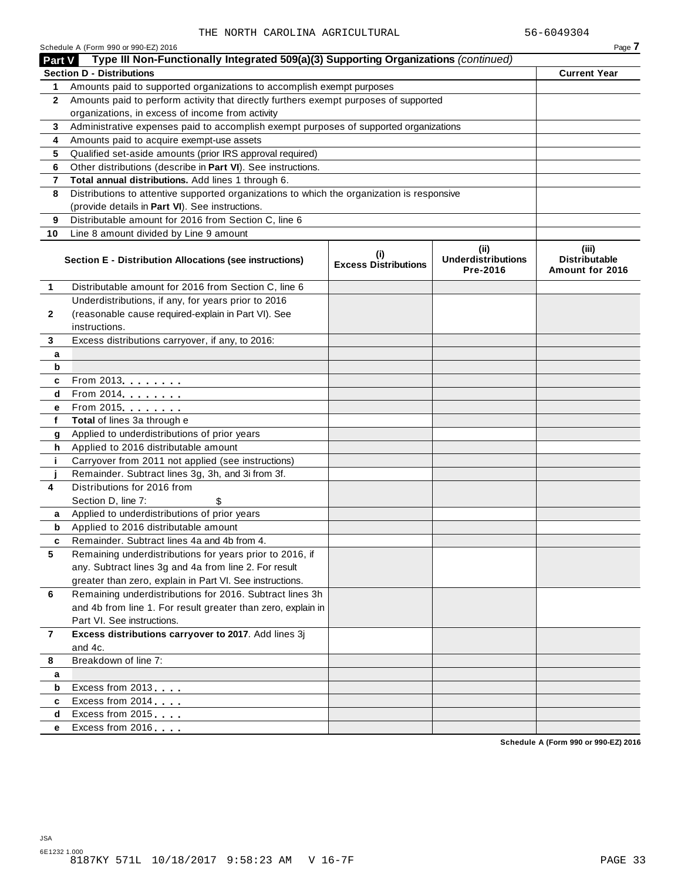|                | THE NORTH CAROLINA AGRICULTURAL                                                            |                                    |                                                | 56-6049304                                       |
|----------------|--------------------------------------------------------------------------------------------|------------------------------------|------------------------------------------------|--------------------------------------------------|
|                | Schedule A (Form 990 or 990-EZ) 2016                                                       |                                    |                                                | Page 7                                           |
| <b>Part V</b>  | Type III Non-Functionally Integrated 509(a)(3) Supporting Organizations (continued)        |                                    |                                                |                                                  |
|                | <b>Section D - Distributions</b>                                                           |                                    |                                                | <b>Current Year</b>                              |
| 1.             | Amounts paid to supported organizations to accomplish exempt purposes                      |                                    |                                                |                                                  |
| $\mathbf{2}$   | Amounts paid to perform activity that directly furthers exempt purposes of supported       |                                    |                                                |                                                  |
|                | organizations, in excess of income from activity                                           |                                    |                                                |                                                  |
| 3              | Administrative expenses paid to accomplish exempt purposes of supported organizations      |                                    |                                                |                                                  |
| 4              | Amounts paid to acquire exempt-use assets                                                  |                                    |                                                |                                                  |
| 5              | Qualified set-aside amounts (prior IRS approval required)                                  |                                    |                                                |                                                  |
| 6              | Other distributions (describe in Part VI). See instructions.                               |                                    |                                                |                                                  |
| 7              | Total annual distributions. Add lines 1 through 6.                                         |                                    |                                                |                                                  |
| 8              | Distributions to attentive supported organizations to which the organization is responsive |                                    |                                                |                                                  |
|                | (provide details in Part VI). See instructions.                                            |                                    |                                                |                                                  |
| 9              | Distributable amount for 2016 from Section C, line 6                                       |                                    |                                                |                                                  |
| 10             | Line 8 amount divided by Line 9 amount                                                     |                                    |                                                |                                                  |
|                | Section E - Distribution Allocations (see instructions)                                    | (i)<br><b>Excess Distributions</b> | (iii)<br><b>Underdistributions</b><br>Pre-2016 | (iii)<br><b>Distributable</b><br>Amount for 2016 |
| 1              | Distributable amount for 2016 from Section C, line 6                                       |                                    |                                                |                                                  |
|                | Underdistributions, if any, for years prior to 2016                                        |                                    |                                                |                                                  |
| $\mathbf{2}$   | (reasonable cause required-explain in Part VI). See                                        |                                    |                                                |                                                  |
|                | instructions.                                                                              |                                    |                                                |                                                  |
| 3              | Excess distributions carryover, if any, to 2016:                                           |                                    |                                                |                                                  |
| а              |                                                                                            |                                    |                                                |                                                  |
| b              |                                                                                            |                                    |                                                |                                                  |
| c              | From 2013 <b>Algebra</b>                                                                   |                                    |                                                |                                                  |
| d              | $\overline{\text{From}}$ 2014                                                              |                                    |                                                |                                                  |
| е              | From 2015.                                                                                 |                                    |                                                |                                                  |
| f              | Total of lines 3a through e                                                                |                                    |                                                |                                                  |
| g              | Applied to underdistributions of prior years                                               |                                    |                                                |                                                  |
| h              | Applied to 2016 distributable amount                                                       |                                    |                                                |                                                  |
| j.             | Carryover from 2011 not applied (see instructions)                                         |                                    |                                                |                                                  |
|                | Remainder. Subtract lines 3g, 3h, and 3i from 3f.                                          |                                    |                                                |                                                  |
| 4              | Distributions for 2016 from                                                                |                                    |                                                |                                                  |
|                | Section D, line 7:                                                                         |                                    |                                                |                                                  |
|                | \$<br>Applied to underdistributions of prior years                                         |                                    |                                                |                                                  |
| b              | Applied to 2016 distributable amount                                                       |                                    |                                                |                                                  |
|                | Remainder, Subtract lines 4a and 4b from 4.                                                |                                    |                                                |                                                  |
| c              | Remaining underdistributions for years prior to 2016, if                                   |                                    |                                                |                                                  |
| 5              |                                                                                            |                                    |                                                |                                                  |
|                | any. Subtract lines 3g and 4a from line 2. For result                                      |                                    |                                                |                                                  |
|                | greater than zero, explain in Part VI. See instructions.                                   |                                    |                                                |                                                  |
| 6              | Remaining underdistributions for 2016. Subtract lines 3h                                   |                                    |                                                |                                                  |
|                | and 4b from line 1. For result greater than zero, explain in                               |                                    |                                                |                                                  |
|                | Part VI. See instructions.                                                                 |                                    |                                                |                                                  |
| $\overline{7}$ | Excess distributions carryover to 2017. Add lines 3j                                       |                                    |                                                |                                                  |
|                | and 4c.                                                                                    |                                    |                                                |                                                  |
| 8              | Breakdown of line 7:                                                                       |                                    |                                                |                                                  |
| a              |                                                                                            |                                    |                                                |                                                  |
| b              | Excess from 2013                                                                           |                                    |                                                |                                                  |
| c              | Excess from 2014                                                                           |                                    |                                                |                                                  |
| d              | Excess from 2015                                                                           |                                    |                                                |                                                  |
| е              | Excess from 2016                                                                           |                                    |                                                |                                                  |

**Schedule A (Form 990 or 990-EZ) 2016**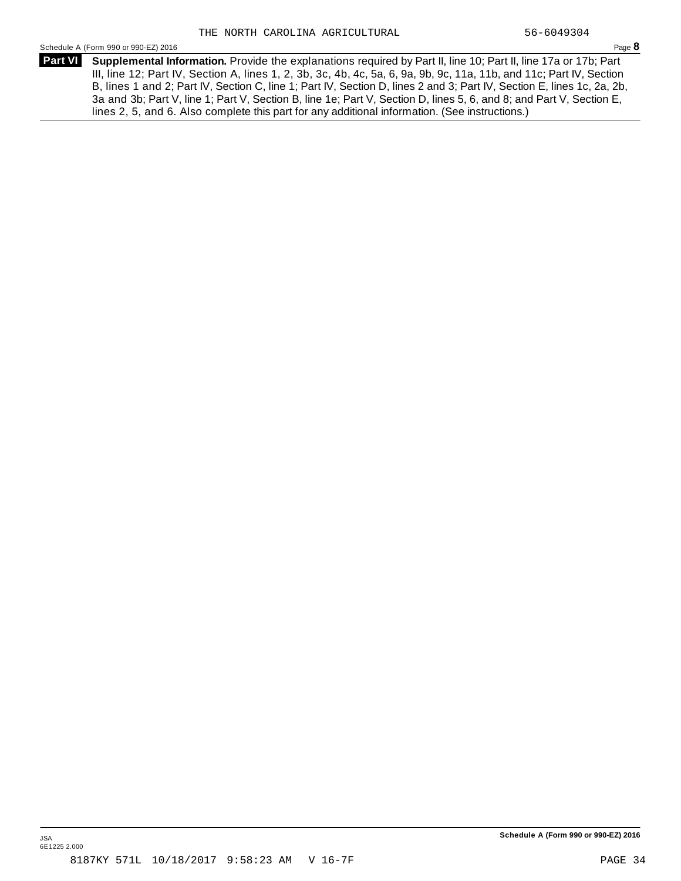Schedule <sup>A</sup> (Form <sup>990</sup> or 990-EZ) <sup>2016</sup> Page **8**

**Supplemental Information.** Provide the explanations required by Part II, line 10; Part II, line 17a or 17b; Part **Part VI** III, line 12; Part IV, Section A, lines 1, 2, 3b, 3c, 4b, 4c, 5a, 6, 9a, 9b, 9c, 11a, 11b, and 11c; Part IV, Section B, lines 1 and 2; Part IV, Section C, line 1; Part IV, Section D, lines 2 and 3; Part IV, Section E, lines 1c, 2a, 2b, 3a and 3b; Part V, line 1; Part V, Section B, line 1e; Part V, Section D, lines 5, 6, and 8; and Part V, Section E, lines 2, 5, and 6. Also complete this part for any additional information. (See instructions.)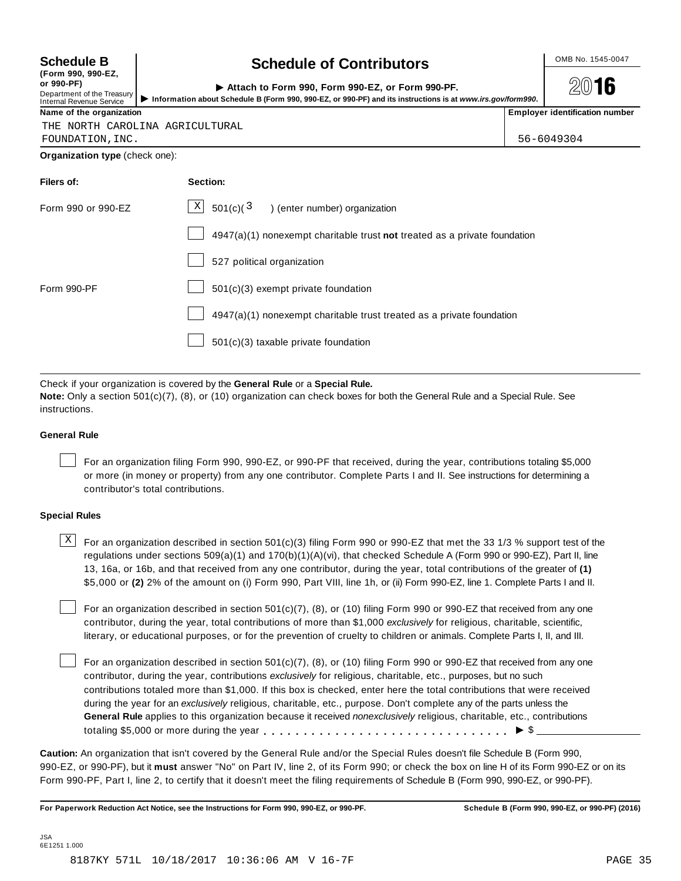| <b>Schedule B</b> |  |
|-------------------|--|
|-------------------|--|

|            | (I VIIII JJV, JJV-L <i>L</i> |  |
|------------|------------------------------|--|
| or 990-PF) |                              |  |

#### **(Form 990, 990-EZ,**

# **Schedule B chedule of Contributors**

**2016** 

| or 990-PF)<br>Department of the Treasury<br>Internal Revenue Service | Attach to Form 990. Form 990-EZ, or Form 990-PF.<br>Information about Schedule B (Form 990, 990-EZ, or 990-PF) and its instructions is at www.irs.gov/form990. |  | 2016                                  |
|----------------------------------------------------------------------|----------------------------------------------------------------------------------------------------------------------------------------------------------------|--|---------------------------------------|
| Name of the organization                                             |                                                                                                                                                                |  | <b>Employer identification number</b> |

THE NORTH CAROLINA AGRICULTURAL

FOUNDATION,INC. 56-6049304

**Organization type** (check one):

| Section:                                                                  |
|---------------------------------------------------------------------------|
| $\lfloor x \rfloor$ 501(c)( $\frac{3}{2}$ ) (enter number) organization   |
| 4947(a)(1) nonexempt charitable trust not treated as a private foundation |
| 527 political organization                                                |
| 501(c)(3) exempt private foundation                                       |
| 4947(a)(1) nonexempt charitable trust treated as a private foundation     |
| 501(c)(3) taxable private foundation                                      |
|                                                                           |

Check if your organization is covered by the **General Rule** or a **Special Rule.**

**Note:** Only a section 501(c)(7), (8), or (10) organization can check boxes for both the General Rule and a Special Rule. See instructions.

#### **General Rule**

For an organization filing Form 990, 990-EZ, or 990-PF that received, during the year, contributions totaling \$5,000 or more (in money or property) from any one contributor. Complete Parts I and II. See instructions for determining a contributor's total contributions.

#### **Special Rules**

 $\text{X}$  For an organization described in section 501(c)(3) filing Form 990 or 990-EZ that met the 33 1/3 % support test of the regulations under sections 509(a)(1) and 170(b)(1)(A)(vi), that checked Schedule A (Form 990 or 990-EZ), Part II, line 13, 16a, or 16b, and that received from any one contributor, during the year, total contributions of the greater of **(1)** \$5,000 or **(2)** 2% of the amount on (i) Form 990, Part VIII, line 1h, or (ii) Form 990-EZ, line 1. Complete Parts I and II.

For an organization described in section 501(c)(7), (8), or (10) filing Form 990 or 990-EZ that received from any one contributor, during the year, total contributions of more than \$1,000 *exclusively* for religious, charitable, scientific, literary, or educational purposes, or for the prevention of cruelty to children or animals. Complete Parts I, II, and III.

For an organization described in section 501(c)(7), (8), or (10) filing Form 990 or 990-EZ that received from any one contributor, during the year, contributions *exclusively* for religious, charitable, etc., purposes, but no such contributions totaled more than \$1,000. If this box is checked, enter here the total contributions that were received during the year for an *exclusively* religious, charitable, etc., purpose. Don't complete any of the parts unless the **General Rule** applies to this organization because it received *nonexclusively* religious, charitable, etc., contributions totaling \$5,000 or more during the year m m m m m m m m m m m m m m m m m m m m m m m m m m m m m m m I \$

**Caution:** An organization that isn't covered by the General Rule and/or the Special Rules doesn't file Schedule B (Form 990, 990-EZ, or 990-PF), but it **must** answer "No" on Part IV, line 2, of its Form 990; or check the box on line H of its Form 990-EZ or on its Form 990-PF, Part I, line 2, to certify that it doesn't meet the filing requirements of Schedule B (Form 990, 990-EZ, or 990-PF).

For Paperwork Reduction Act Notice, see the Instructions for Form 990, 990-EZ, or 990-PF. Schedule B (Form 990, 990-EZ, or 990-PF) (2016)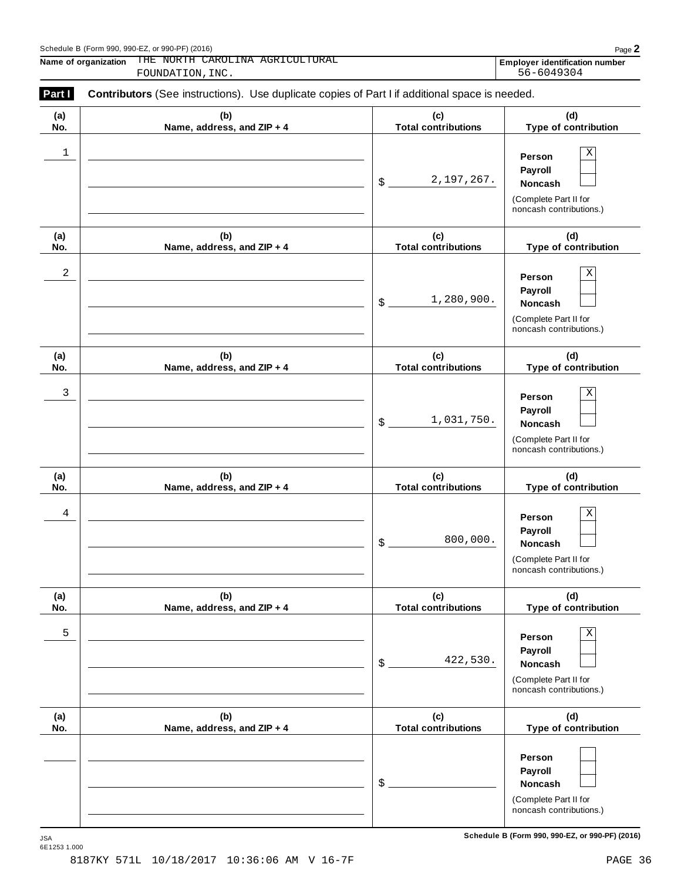### Schedule <sup>B</sup> (Form 990, 990-EZ, or 990-PF) (2016) Page **2**

**Name of organization Employer identification number** THE NORTH CAROLINA AGRICULTURAL FOUNDATION, INC.

| (a)        | (b)                        | (c)                         | (d)                                                                                             |
|------------|----------------------------|-----------------------------|-------------------------------------------------------------------------------------------------|
| No.        | Name, address, and ZIP + 4 | <b>Total contributions</b>  | Type of contribution                                                                            |
| 1          |                            | 2,197,267.<br>$$$ .         | $\mathbf X$<br>Person<br>Payroll<br>Noncash<br>(Complete Part II for<br>noncash contributions.) |
| (a)        | (b)                        | (c)                         | (d)                                                                                             |
| No.        | Name, address, and ZIP + 4 | <b>Total contributions</b>  | Type of contribution                                                                            |
| $\sqrt{2}$ |                            | 1,280,900.<br>$\mathsf S$ . | $\mathbf X$<br>Person<br>Payroll<br>Noncash<br>(Complete Part II for<br>noncash contributions.) |
| (a)        | (b)                        | (c)                         | (d)                                                                                             |
| No.        | Name, address, and ZIP + 4 | <b>Total contributions</b>  | Type of contribution                                                                            |
| 3          |                            | 1,031,750.<br>$\mathsf S$ . | $\mathbf X$<br>Person<br>Payroll<br>Noncash<br>(Complete Part II for<br>noncash contributions.) |
| (a)        | (b)                        | (c)                         | (d)                                                                                             |
| No.        | Name, address, and ZIP + 4 | <b>Total contributions</b>  | Type of contribution                                                                            |
| 4          |                            | 800,000.<br>\$              | $\mathbf X$<br>Person<br>Payroll<br>Noncash<br>(Complete Part II for<br>noncash contributions.) |
| (a)        | (b)                        | (c)                         | (d)                                                                                             |
| No.        | Name, address, and ZIP + 4 | <b>Total contributions</b>  | Type of contribution                                                                            |
| 5          |                            | 422,530.<br>$$^{\circ}$     | Χ<br>Person<br>Payroll<br><b>Noncash</b><br>(Complete Part II for<br>noncash contributions.)    |
| (a)        | (b)                        | (c)                         | (d)                                                                                             |
| No.        | Name, address, and ZIP + 4 | <b>Total contributions</b>  | Type of contribution                                                                            |
|            |                            | \$                          | Person<br>Payroll<br><b>Noncash</b><br>(Complete Part II for<br>noncash contributions.)         |

 $S$ chedule B (Form 990, 990-EZ, or 990-PF) (2016)

JSA<br>6E1253 1.000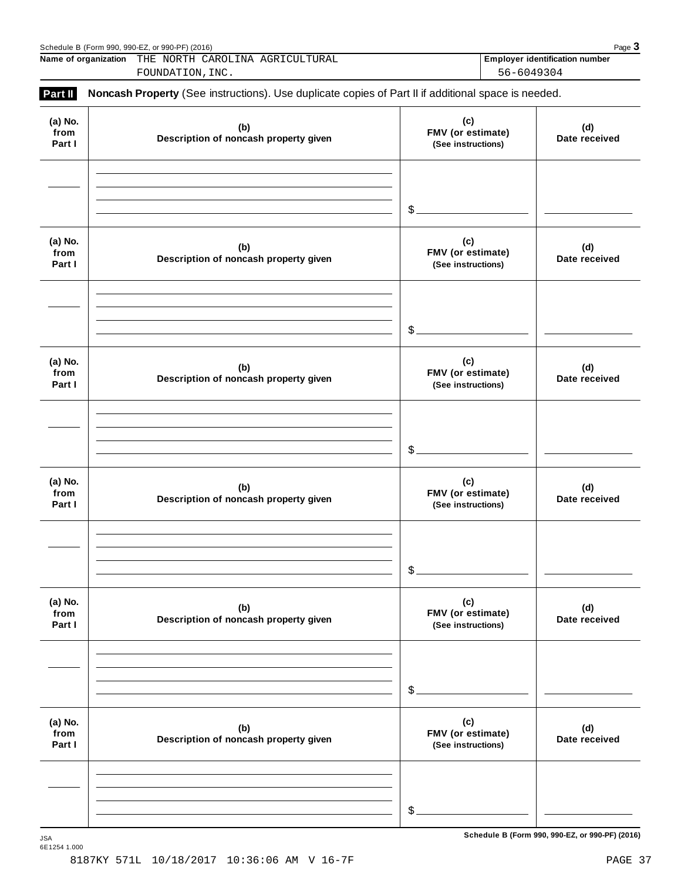|                           | Schedule B (Form 990, 990-EZ, or 990-PF) (2016)<br>Name of organization THE NORTH CAROLINA AGRICULTURAL |                                                | Page 3<br><b>Employer identification number</b> |
|---------------------------|---------------------------------------------------------------------------------------------------------|------------------------------------------------|-------------------------------------------------|
|                           | FOUNDATION, INC.                                                                                        | 56-6049304                                     |                                                 |
| Part II                   | Noncash Property (See instructions). Use duplicate copies of Part II if additional space is needed.     |                                                |                                                 |
| (a) No.<br>from<br>Part I | (b)<br>Description of noncash property given                                                            | (c)<br>FMV (or estimate)<br>(See instructions) | (d)<br>Date received                            |
|                           |                                                                                                         | $\frac{1}{2}$                                  |                                                 |
| (a) No.<br>from<br>Part I | (b)<br>Description of noncash property given                                                            | (c)<br>FMV (or estimate)<br>(See instructions) | (d)<br>Date received                            |
|                           |                                                                                                         | \$.                                            |                                                 |
| (a) No.<br>from<br>Part I | (b)<br>Description of noncash property given                                                            | (c)<br>FMV (or estimate)<br>(See instructions) | (d)<br>Date received                            |
|                           |                                                                                                         | $\frac{1}{2}$                                  |                                                 |
| (a) No.<br>from<br>Part I | (b)<br>Description of noncash property given                                                            | (c)<br>FMV (or estimate)<br>(See instructions) | (d)<br>Date received                            |
|                           |                                                                                                         | $\mathcal{S}_{-}$                              |                                                 |
| (a) No.<br>from<br>Part I | (b)<br>Description of noncash property given                                                            | (c)<br>FMV (or estimate)<br>(See instructions) | (d)<br>Date received                            |
|                           |                                                                                                         | $$$ .                                          |                                                 |
| (a) No.<br>from<br>Part I | (b)<br>Description of noncash property given                                                            | (c)<br>FMV (or estimate)<br>(See instructions) | (d)<br>Date received                            |
|                           |                                                                                                         |                                                |                                                 |
|                           |                                                                                                         | $\frac{1}{2}$                                  |                                                 |

 $S$ chedule B (Form 990, 990-EZ, or 990-PF) (2016)

6E1254 1.000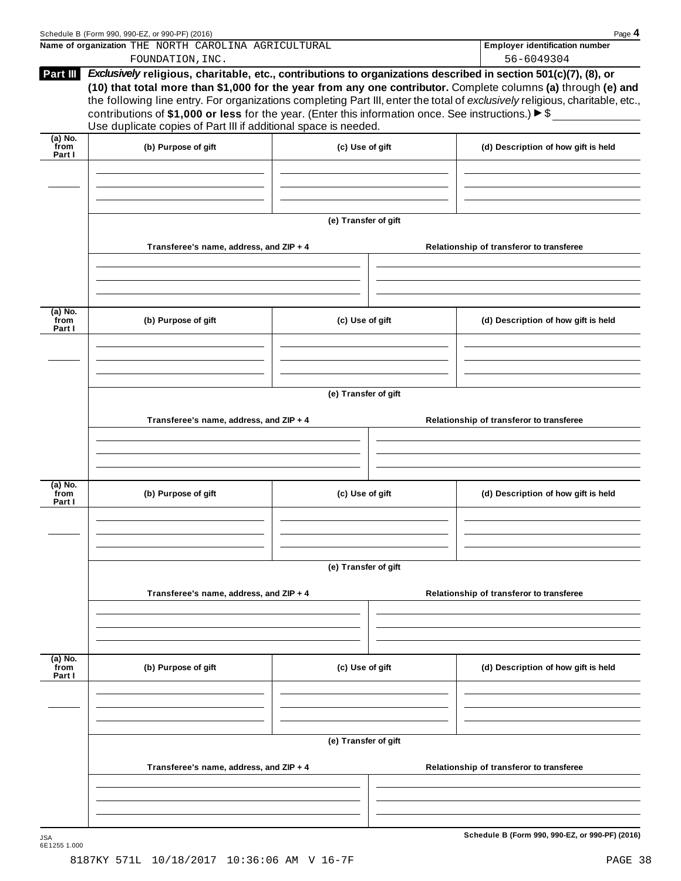|                           | Schedule B (Form 990, 990-EZ, or 990-PF) (2016)<br>Name of organization THE NORTH CAROLINA AGRICULTURAL                                                                                     |                      | Page 4<br><b>Employer identification number</b>                                                                                                                                                                                                                                                                                                                  |
|---------------------------|---------------------------------------------------------------------------------------------------------------------------------------------------------------------------------------------|----------------------|------------------------------------------------------------------------------------------------------------------------------------------------------------------------------------------------------------------------------------------------------------------------------------------------------------------------------------------------------------------|
|                           | FOUNDATION, INC.                                                                                                                                                                            |                      | 56-6049304                                                                                                                                                                                                                                                                                                                                                       |
| Part III                  | contributions of \$1,000 or less for the year. (Enter this information once. See instructions.) $\blacktriangleright$ \$<br>Use duplicate copies of Part III if additional space is needed. |                      | Exclusively religious, charitable, etc., contributions to organizations described in section 501(c)(7), (8), or<br>(10) that total more than \$1,000 for the year from any one contributor. Complete columns (a) through (e) and<br>the following line entry. For organizations completing Part III, enter the total of exclusively religious, charitable, etc., |
| $(a)$ No.<br>from         |                                                                                                                                                                                             | (c) Use of gift      |                                                                                                                                                                                                                                                                                                                                                                  |
| Part I                    | (b) Purpose of gift                                                                                                                                                                         |                      | (d) Description of how gift is held                                                                                                                                                                                                                                                                                                                              |
|                           |                                                                                                                                                                                             | (e) Transfer of gift |                                                                                                                                                                                                                                                                                                                                                                  |
|                           | Transferee's name, address, and ZIP + 4                                                                                                                                                     |                      | Relationship of transferor to transferee                                                                                                                                                                                                                                                                                                                         |
| (a) No.<br>from           |                                                                                                                                                                                             |                      |                                                                                                                                                                                                                                                                                                                                                                  |
| Part I                    | (b) Purpose of gift                                                                                                                                                                         | (c) Use of gift      | (d) Description of how gift is held                                                                                                                                                                                                                                                                                                                              |
|                           |                                                                                                                                                                                             |                      |                                                                                                                                                                                                                                                                                                                                                                  |
|                           | Transferee's name, address, and ZIP + 4                                                                                                                                                     | (e) Transfer of gift | Relationship of transferor to transferee                                                                                                                                                                                                                                                                                                                         |
|                           |                                                                                                                                                                                             |                      |                                                                                                                                                                                                                                                                                                                                                                  |
|                           |                                                                                                                                                                                             |                      |                                                                                                                                                                                                                                                                                                                                                                  |
| (a) No.<br>from<br>Part I | (b) Purpose of gift                                                                                                                                                                         | (c) Use of gift      | (d) Description of how gift is held                                                                                                                                                                                                                                                                                                                              |
|                           |                                                                                                                                                                                             |                      |                                                                                                                                                                                                                                                                                                                                                                  |
|                           | Transferee's name, address, and ZIP + 4                                                                                                                                                     | (e) Transfer of gift | Relationship of transferor to transferee                                                                                                                                                                                                                                                                                                                         |
|                           |                                                                                                                                                                                             |                      |                                                                                                                                                                                                                                                                                                                                                                  |
|                           |                                                                                                                                                                                             |                      |                                                                                                                                                                                                                                                                                                                                                                  |
| (a) No.<br>from<br>Part I | (b) Purpose of gift                                                                                                                                                                         | (c) Use of gift      | (d) Description of how gift is held                                                                                                                                                                                                                                                                                                                              |
|                           |                                                                                                                                                                                             |                      |                                                                                                                                                                                                                                                                                                                                                                  |
|                           |                                                                                                                                                                                             | (e) Transfer of gift |                                                                                                                                                                                                                                                                                                                                                                  |
|                           | Transferee's name, address, and ZIP + 4                                                                                                                                                     |                      | Relationship of transferor to transferee                                                                                                                                                                                                                                                                                                                         |
|                           |                                                                                                                                                                                             |                      |                                                                                                                                                                                                                                                                                                                                                                  |
|                           |                                                                                                                                                                                             |                      |                                                                                                                                                                                                                                                                                                                                                                  |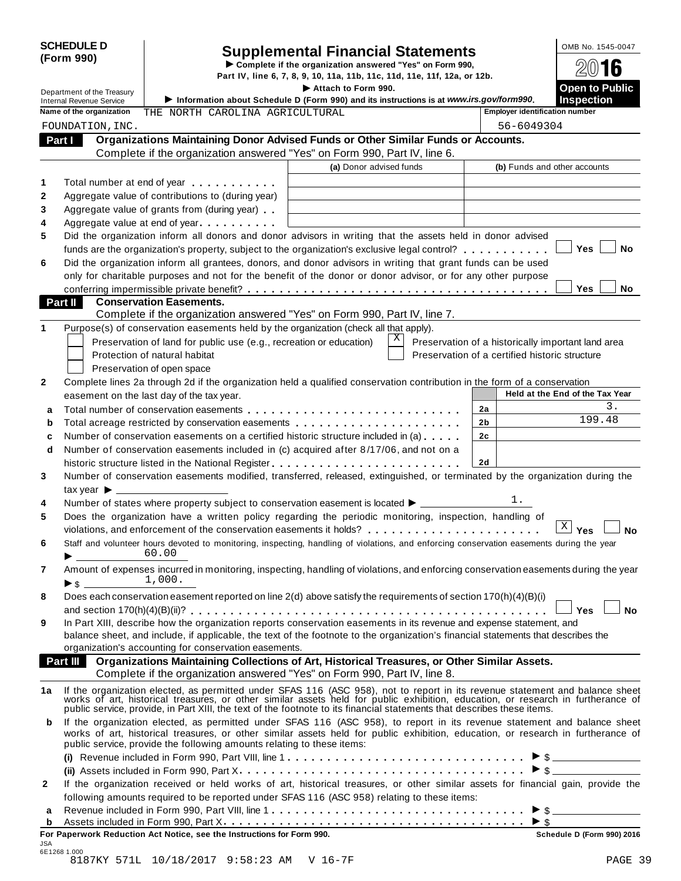JSA 6E1268 1.000

# SCHEDULE D<br>
Supplemental Financial Statements<br>
Form 990)<br>
Part IV, line 6, 7, 8, 9, 10, 11a, 11b, 11c, 11d, 11e, 11f, 12a, or 12b.

Department of the Treasury Integration of the Treasury Integration about School of Germ 000) and its instructions is at unusuits courier media on the **Department** of the Treasury Integration about School of Germ 000) and i **INSERVICE III.** Internal Revenue Service III. Information about Schedule D (Form 990) and its instructions is at *www.irs.gov/form990*. Inspection<br>Note of the aggregation attention at a service in a service in a service **Name of the organization Employer identification number** THE NORTH CAROLINA AGRICULTURAL **Organizations Maintaining Donor Advised Funds or Other Similar Funds or Accounts. Part I Complete if the organizations Maintaining Donor Advised Funds or Other Similar Funds<br>Complete if the organization answered "Yes" on Form 990, Part IV, line 6. (a)** Donor advised funds **(b)** Funds and other accounts **1 2 3 4 5 6** Total number at end of year  $\dots\dots\dots\dots$ Aggregate value of contributions to (during year) Aggregate value of contributions to (during year)<br>Aggregate value of grants from (during year) Aggregate value of grants from (during year)<br>Aggregate value at end of year Did the organization inform all donors and donor advisors in writing that the assets held in donor advised funds are the organization's property, subject to the organization's exclusive legal control? **manual manual m m**  $\blacksquare$  Yes  $\blacksquare$  No Did the organization inform all grantees, donors, and donor advisors in writing that grant funds can be used only for charitable purposes and not for the benefit of the donor or donor advisor, or for any other purpose conferring impermissible private benefit? m m m m m m m m m m m m m m m m m m m m m m m m m m m m m m m m m m m m m m **Yes No Conservation Easements. Part II** Conservation Easements.<br>Complete if the organization answered "Yes" on Form 990, Part IV, line 7. **1** Purpose(s) of conservation easements held by the organization (check all that apply). Preservation of land for public use (e.g., recreation or education) Protection of natural habitat Preservation of open space Preservation of a historically important land area Preservation of a certified historic structure **2** Complete lines 2a through 2d if the organization held a qualified conservation contribution in the form of a conservation easement on the last day of the tax year. **Held at the End** of the Tax Year **2a 2b 2c 2d a** Total number of conservation easements m m m m m m m m m m m m m m m m m m m m m m m m m m m **a** Total number of conservation easements ............................<br>**b** Total acreage restricted by conservation easements ..................... **b** Total acreage restricted by conservation easements<br>**c** Number of conservation easements on a certified historic structure included in (a) . . . . . . **d** Number of conservation easements included in (c) acquired after 8/17/06, and not on a  $\mid$ historic structure listed in the National Register m m m m m m m m m m m m m m m m m m m m m m m m **3 4 5 6 7 8 9** Number of conservation easements modified, transferred, released, extinguished, or terminated by the organization during the tax vear  $\blacktriangleright$ Number of states where property subject to conservation easement is located  $\blacktriangleright$ Does the organization have a written policy regarding the periodic monitoring, inspection, handling of violations, and enforcement of the conservation easements it holds? m m m m m m m m m m m m m m m m m m m m m m **Yes No** Staff and volunteer hours devoted to monitoring, inspecting, handling of violations, and enforcing conservation easements during the year  $60.00$ Amount of expenses incurred in monitoring, inspecting, handling of violations, and enforcing conservation easements during the year  $\blacktriangleright$  s Does each conservation easement reported on line 2(d) above satisfy the requirements of section 170(h)(4)(B)(i) and section 170(h)(4)(B)(ii)? m m m m m m m m m m m m m m m m m m m m m m m m m m m m m m m m m m m m m m m m m m m m m **Yes No** In Part XIII, describe how the organization reports conservation easements in its revenue and expense statement, and balance sheet, and include, if applicable, the text of the footnote to the organization's financial statements that describes the organization's accounting for conservation easements. **Organizations Maintaining Collections of Art, Historical Treasures, or Other Similar Assets. Part III Organizations Maintaining Collections of Art, Historical Treasures, or Organization answered "Yes" on Form 990, Part IV, line 8.** 1a If the organization elected, as permitted under SFAS 116 (ASC 958), not to report in its revenue statement and balance sheet<br>works of art, historical treasures, or other similar assets held for public exhibition, educat public service, provide, in Part XIII, the text of the footnote to its financial statements that describes these items. **b** If the organization elected, as permitted under SFAS 116 (ASC 958), to report in its revenue statement and balance sheet works of art, historical treasures, or other similar assets held for public exhibition, education, or research in furtherance of public service, provide the following amounts relating to these items: **(i)** I Revenue included in Form 990, Part VIII, line 1 m m m m m m m m m m m m m m m m m m m m m m m m m m m m m m \$ **(ii)** Assets included in Form 990, Part X m m m m m m m m m m m m m m m m m m m m m m m m m m m m m m m m m m m m I \$ **2** If the organization received or held works of art, historical treasures, or other similar assets for financial gain, provide the following amounts required to be reported under SFAS 116 (ASC 958) relating to these items: following amounts required to be reported under SFAS 116 (ASC 958) relating to these items:<br>**a** Revenue included in Form 990, Part VIII, line 1 **a** a more contained in Form 200, Dart Y. Assets included in Form 990, Part X **<sup>b</sup>** m m m m m m m m m m m m m m m m m m m m m m m m m m m m m m m m m m m m m m I \$ **For Paperwork Reduction Act Notice, see the Instructions for Form 990. Schedule D (Form 990) 2016** FOUNDATION,INC. 56-6049304 X 3. 199.48 1.  $X \mid \mathsf{Yes}$ 60.00 1,000.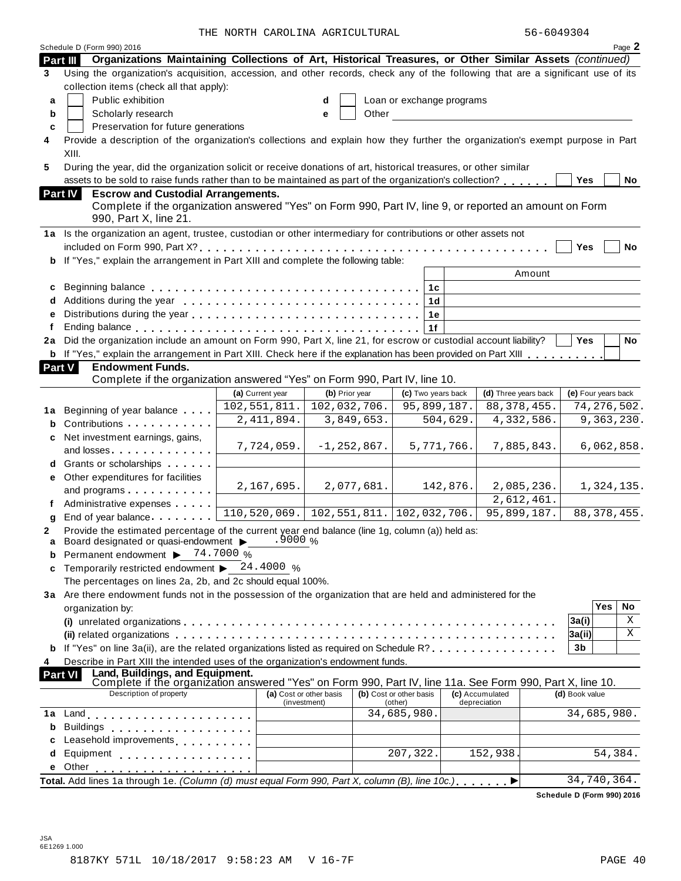| 56-6049304 |  |
|------------|--|
|------------|--|

|        | Schedule D (Form 990) 2016                                                                                                                                                                                                     |                  |                                         |            |                                    |            |                                 |                            |         | Page 2        |  |
|--------|--------------------------------------------------------------------------------------------------------------------------------------------------------------------------------------------------------------------------------|------------------|-----------------------------------------|------------|------------------------------------|------------|---------------------------------|----------------------------|---------|---------------|--|
|        | Organizations Maintaining Collections of Art, Historical Treasures, or Other Similar Assets (continued)<br>Part III                                                                                                            |                  |                                         |            |                                    |            |                                 |                            |         |               |  |
| 3      | Using the organization's acquisition, accession, and other records, check any of the following that are a significant use of its                                                                                               |                  |                                         |            |                                    |            |                                 |                            |         |               |  |
|        | collection items (check all that apply):                                                                                                                                                                                       |                  |                                         |            |                                    |            |                                 |                            |         |               |  |
| a      | Public exhibition                                                                                                                                                                                                              |                  | d                                       |            | Loan or exchange programs          |            |                                 |                            |         |               |  |
| b      | Scholarly research<br>Other<br>е                                                                                                                                                                                               |                  |                                         |            |                                    |            |                                 |                            |         |               |  |
| C      | Preservation for future generations                                                                                                                                                                                            |                  |                                         |            |                                    |            |                                 |                            |         |               |  |
| 4      | Provide a description of the organization's collections and explain how they further the organization's exempt purpose in Part                                                                                                 |                  |                                         |            |                                    |            |                                 |                            |         |               |  |
|        | XIII.                                                                                                                                                                                                                          |                  |                                         |            |                                    |            |                                 |                            |         |               |  |
| 5      | During the year, did the organization solicit or receive donations of art, historical treasures, or other similar                                                                                                              |                  |                                         |            |                                    |            |                                 |                            |         |               |  |
|        | assets to be sold to raise funds rather than to be maintained as part of the organization's collection?                                                                                                                        |                  |                                         |            |                                    |            |                                 | Yes                        |         | No            |  |
|        | <b>Escrow and Custodial Arrangements.</b><br>Part IV                                                                                                                                                                           |                  |                                         |            |                                    |            |                                 |                            |         |               |  |
|        | Complete if the organization answered "Yes" on Form 990, Part IV, line 9, or reported an amount on Form                                                                                                                        |                  |                                         |            |                                    |            |                                 |                            |         |               |  |
|        | 990, Part X, line 21.                                                                                                                                                                                                          |                  |                                         |            |                                    |            |                                 |                            |         |               |  |
|        | 1a Is the organization an agent, trustee, custodian or other intermediary for contributions or other assets not                                                                                                                |                  |                                         |            |                                    |            |                                 |                            |         |               |  |
|        |                                                                                                                                                                                                                                |                  |                                         |            |                                    |            |                                 | Yes                        |         | <b>No</b>     |  |
|        | If "Yes," explain the arrangement in Part XIII and complete the following table:                                                                                                                                               |                  |                                         |            |                                    |            | Amount                          |                            |         |               |  |
|        |                                                                                                                                                                                                                                |                  |                                         |            |                                    |            |                                 |                            |         |               |  |
| c      |                                                                                                                                                                                                                                |                  |                                         |            | 1c                                 |            |                                 |                            |         |               |  |
| d<br>e |                                                                                                                                                                                                                                |                  |                                         |            | 1 <sub>d</sub>                     |            |                                 |                            |         |               |  |
| f      |                                                                                                                                                                                                                                |                  |                                         |            | 1e<br>1f                           |            |                                 |                            |         |               |  |
| 2a     | Did the organization include an amount on Form 990, Part X, line 21, for escrow or custodial account liability?                                                                                                                |                  |                                         |            |                                    |            |                                 | Yes                        |         | <b>No</b>     |  |
|        | <b>b</b> If "Yes," explain the arrangement in Part XIII. Check here if the explanation has been provided on Part XIII                                                                                                          |                  |                                         |            |                                    |            |                                 |                            |         |               |  |
|        | <b>Part V</b><br><b>Endowment Funds.</b>                                                                                                                                                                                       |                  |                                         |            |                                    |            |                                 |                            |         |               |  |
|        | Complete if the organization answered "Yes" on Form 990, Part IV, line 10.                                                                                                                                                     |                  |                                         |            |                                    |            |                                 |                            |         |               |  |
|        |                                                                                                                                                                                                                                | (a) Current year | (b) Prior year                          |            | (c) Two years back                 |            | (d) Three years back            | (e) Four years back        |         |               |  |
| 1a     | Beginning of year balance                                                                                                                                                                                                      | 102,551,811.     | 102,032,706.                            |            | 95,899,187.                        |            | 88, 378, 455.                   |                            |         | 74, 276, 502. |  |
| b      | Contributions                                                                                                                                                                                                                  | 2, 411, 894.     |                                         | 3,849,653. |                                    | 504,629.   | 4,332,586.                      |                            |         | 9,363,230.    |  |
| c      | Net investment earnings, gains,                                                                                                                                                                                                |                  |                                         |            |                                    |            |                                 |                            |         |               |  |
|        | and losses                                                                                                                                                                                                                     | 7,724,059.       | $-1, 252, 867.$                         |            |                                    | 5,771,766. | 7,885,843.                      |                            |         | 6,062,858.    |  |
|        | Grants or scholarships                                                                                                                                                                                                         |                  |                                         |            |                                    |            |                                 |                            |         |               |  |
| е      | Other expenditures for facilities                                                                                                                                                                                              |                  |                                         |            |                                    |            |                                 |                            |         |               |  |
|        | and programs                                                                                                                                                                                                                   | 2,167,695.       |                                         | 2,077,681. |                                    | 142,876.   | 2,085,236.                      |                            |         | 1,324,135.    |  |
|        | Administrative expenses                                                                                                                                                                                                        |                  |                                         |            |                                    |            | 2,612,461.                      |                            |         |               |  |
| g      | End of year balance                                                                                                                                                                                                            | 110,520,069.     | 102, 551, 811.   102, 032, 706.         |            |                                    |            | 95,899,187.                     |                            |         | 88, 378, 455. |  |
| 2      | Provide the estimated percentage of the current year end balance (line 1g, column (a)) held as:                                                                                                                                |                  |                                         |            |                                    |            |                                 |                            |         |               |  |
| a      | Board designated or quasi-endowment > 9000 %                                                                                                                                                                                   |                  |                                         |            |                                    |            |                                 |                            |         |               |  |
| b      | Permanent endowment $\triangleright$ 74.7000 %                                                                                                                                                                                 |                  |                                         |            |                                    |            |                                 |                            |         |               |  |
| C      | Temporarily restricted endowment $\blacktriangleright$ 24.4000 %                                                                                                                                                               |                  |                                         |            |                                    |            |                                 |                            |         |               |  |
|        | The percentages on lines 2a, 2b, and 2c should equal 100%.                                                                                                                                                                     |                  |                                         |            |                                    |            |                                 |                            |         |               |  |
|        | 3a Are there endowment funds not in the possession of the organization that are held and administered for the                                                                                                                  |                  |                                         |            |                                    |            |                                 |                            | Yes     | No            |  |
|        | organization by:                                                                                                                                                                                                               |                  |                                         |            |                                    |            |                                 |                            |         | Χ             |  |
|        |                                                                                                                                                                                                                                |                  |                                         |            |                                    |            |                                 | 3a(i)                      |         | X             |  |
|        | If "Yes" on line 3a(ii), are the related organizations listed as required on Schedule R?                                                                                                                                       |                  |                                         |            |                                    |            |                                 | 3a(ii) <br>3b              |         |               |  |
| 4      | Describe in Part XIII the intended uses of the organization's endowment funds.                                                                                                                                                 |                  |                                         |            |                                    |            |                                 |                            |         |               |  |
|        | <b>Part VI</b>                                                                                                                                                                                                                 |                  |                                         |            |                                    |            |                                 |                            |         |               |  |
|        | Land, Buildings, and Equipment.<br>Complete if the organization answered "Yes" on Form 990, Part IV, line 11a. See Form 990, Part X, line 10.                                                                                  |                  |                                         |            |                                    |            |                                 |                            |         |               |  |
|        | Description of property                                                                                                                                                                                                        |                  | (a) Cost or other basis<br>(investment) |            | (b) Cost or other basis<br>(other) |            | (c) Accumulated<br>depreciation | (d) Book value             |         |               |  |
| 1a     | Land experience and the series of the series of the series of the series of the series of the series of the series of the series of the series of the series of the series of the series of the series of the series of the se |                  |                                         |            | 34,685,980.                        |            |                                 | 34,685,980.                |         |               |  |
| b      | <b>Buildings</b><br>. <b>.</b> .                                                                                                                                                                                               |                  |                                         |            |                                    |            |                                 |                            |         |               |  |
| c      | Leasehold improvements [1, 1, 1, 1, 1, 1]                                                                                                                                                                                      |                  |                                         |            |                                    |            |                                 |                            |         |               |  |
| d      | Equipment experience and the set of the set of the set of the set of the set of the set of the set of the set of the set of the set of the set of the set of the set of the set of the set of the set of the set of the set of |                  |                                         |            | 207, 322.                          |            | 152,938.                        |                            | 54,384. |               |  |
| е      | Other                                                                                                                                                                                                                          |                  |                                         |            |                                    |            |                                 |                            |         |               |  |
|        | Total. Add lines 1a through 1e. (Column (d) must equal Form 990, Part X, column (B), line 10c.)                                                                                                                                |                  |                                         |            |                                    |            |                                 | 34,740,364.                |         |               |  |
|        |                                                                                                                                                                                                                                |                  |                                         |            |                                    |            |                                 | Schedule D (Form 990) 2016 |         |               |  |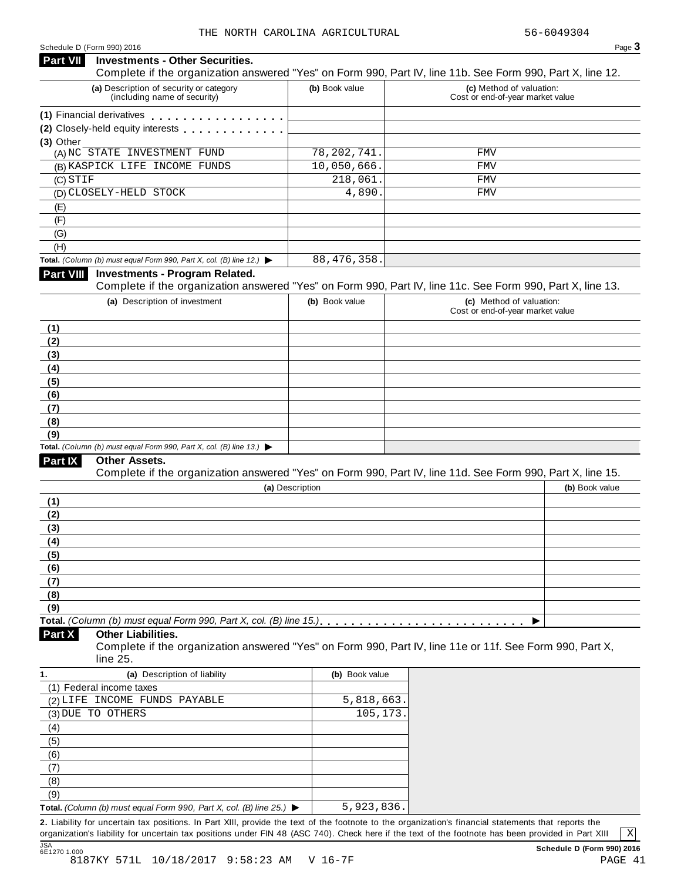#### **Investments - Other Securities. Part VII** Investments - Other Securities.<br>Complete if the organization answered "Yes" on Form 990, Part IV, line 11b. See Form 990, Part X, line 12. **(a)** Description of security or category (including name of security) **(b)** Book value **(c)** Method of valuation: Cost or end-of-year market value **(1)** Financial derivatives **(2)** Closely-held equity interests **(3)** Other (A) NC STATE INVESTMENT FUND 78,202,741. FMV (B) KASPICK LIFE INCOME FUNDS 10,050,666. FMV (C) (D) CLOSELY-HELD STOCK 4,890. FMV (E) (F)  $\overline{(G)}$ (H) **Total.** *(Column (b) must equal Form 990, Part X, col. (B) line 12.)* I **Investments - Program Related.** Complete if the organization answered "Yes" on Form 990, Part IV, line 11c. See Form 990, Part X, line 13. **(a)** Description of investment **(b)** Book value **(c)** Method of valuation: Cost or end-of-year market value **(1) (2) (3) (4) (5) (6) (7) (8) (9) Total.** *(Column (b) must equal Form 990, Part X, col. (B) line 13.)* I **Other Assets.** Complete if the organization answered "Yes" on Form 990, Part IV, line 11d. See Form 990, Part X, line 15. **(a)** Description **(b)** Book value **(1) (2) (3) (4) (5) (6) (7) (8) (9)**  $\blacksquare$   $\blacksquare$   $\blacksquare$   $\blacksquare$   $\lozenge$   $\lozenge$   $\blacksquare$   $\blacksquare$   $\blacksquare$   $\blacksquare$   $\blacksquare$   $\blacksquare$   $\blacksquare$   $\blacksquare$   $\blacksquare$   $\blacksquare$   $\blacksquare$   $\blacksquare$   $\blacksquare$   $\blacksquare$   $\blacksquare$   $\blacksquare$   $\blacksquare$   $\blacksquare$   $\blacksquare$   $\blacksquare$   $\blacksquare$   $\blacksquare$   $\blacksquare$   $\blacksquare$   $\blacksquare$   $\blacks$ **Other Liabilities.** Complete if the organization answered "Yes" on Form 990, Part IV, line 11e or 11f. See Form 990, Part X, line 25. **Part X 1. (a)** Description of liability **(b)** Book value (1) Federal income taxes (2) LIFE INCOME FUNDS PAYABLE 5,818,663. (3) DUE TO OTHERS (3) 2015, 173. (4) (5) (6) (7) (8) (9) **Total.** *(Column (b) must equal Form 990, Part X, col. (B) line 25.)* I **2.** Liability for uncertain tax positions. In Part XIII, provide the text of the footnote to the organization's financial statements that reports the  $STIF$  FMV 88,476,358. 5,923,836.

organization's liability for uncertain tax positions under FIN 48 (ASC 740). Check here if the text of the footnote has been provided in Part XIII

X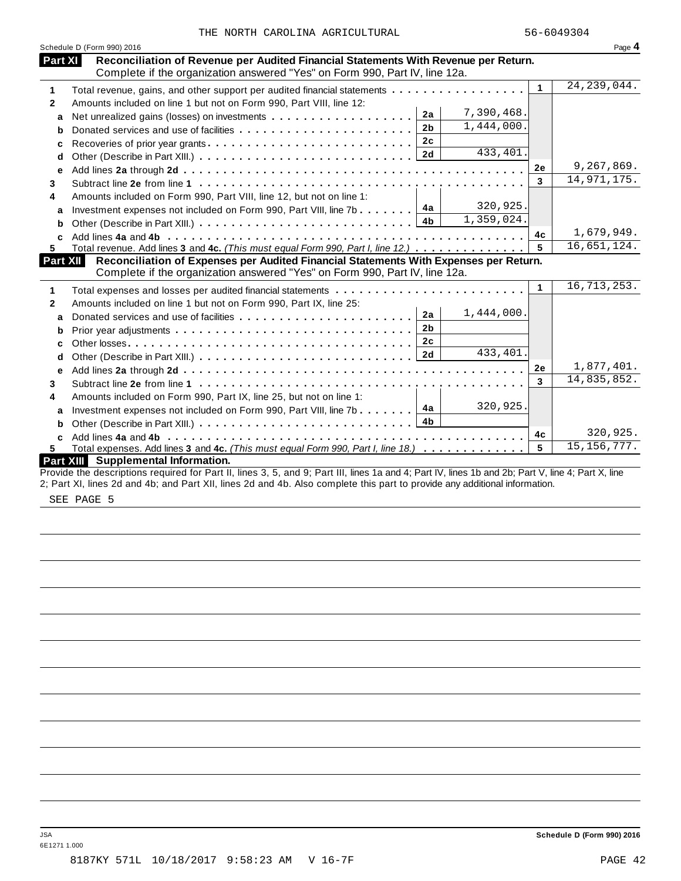|  |  |  | THE NORTH CAROLINA AGRICULTURAL |
|--|--|--|---------------------------------|
|--|--|--|---------------------------------|

|                   | Schedule D (Form 990) 2016<br>Reconciliation of Revenue per Audited Financial Statements With Revenue per Return.<br>Part XI |              | Page 4                                   |
|-------------------|------------------------------------------------------------------------------------------------------------------------------|--------------|------------------------------------------|
|                   | Complete if the organization answered "Yes" on Form 990, Part IV, line 12a.                                                  |              |                                          |
| 1                 | Total revenue, gains, and other support per audited financial statements                                                     | $\mathbf{1}$ | 24, 239, 044.                            |
| $\mathbf{2}$      | Amounts included on line 1 but not on Form 990, Part VIII, line 12:                                                          |              |                                          |
| a                 | 7,390,468.<br>2a<br>Net unrealized gains (losses) on investments                                                             |              |                                          |
| b                 | 1,444,000.<br>2 <sub>b</sub>                                                                                                 |              |                                          |
| c                 | 2 <sub>c</sub><br>Recoveries of prior year grants                                                                            |              |                                          |
| d                 | 433, 401.<br>2d                                                                                                              |              |                                          |
| е                 |                                                                                                                              | 2e           | 9,267,869.                               |
| 3                 |                                                                                                                              | 3            | 14,971,175.                              |
| 4                 | Amounts included on Form 990, Part VIII, line 12, but not on line 1:                                                         |              |                                          |
| a                 | 320,925.<br>4a<br>Investment expenses not included on Form 990, Part VIII, line 7b                                           |              |                                          |
| b                 | 1,359,024.<br>4 <sub>b</sub>                                                                                                 |              |                                          |
| c                 |                                                                                                                              | 4c           | 1,679,949.                               |
| 5.                | Total revenue. Add lines 3 and 4c. (This must equal Form 990, Part I, line 12.)                                              | 5            | 16,651,124.                              |
|                   | Reconciliation of Expenses per Audited Financial Statements With Expenses per Return.<br><b>Part XII</b>                     |              |                                          |
|                   | Complete if the organization answered "Yes" on Form 990, Part IV, line 12a.                                                  |              |                                          |
| 1                 |                                                                                                                              | $\mathbf 1$  | 16,713,253.                              |
| $\mathbf{2}$      | Amounts included on line 1 but not on Form 990, Part IX, line 25:                                                            |              |                                          |
| a                 | 1,444,000.<br>2a<br>Donated services and use of facilities                                                                   |              |                                          |
| b                 | 2 <sub>b</sub>                                                                                                               |              |                                          |
| c                 | 2 <sub>c</sub>                                                                                                               |              |                                          |
| d                 | 433, 401.<br>2d                                                                                                              |              |                                          |
|                   |                                                                                                                              | 2e           | 1,877,401.                               |
|                   |                                                                                                                              |              |                                          |
| е                 |                                                                                                                              | 3            |                                          |
|                   |                                                                                                                              |              |                                          |
|                   | Amounts included on Form 990, Part IX, line 25, but not on line 1:<br>320,925.<br>4a                                         |              |                                          |
| a                 | Investment expenses not included on Form 990, Part VIII, line 7b<br>4 <sub>b</sub>                                           |              |                                          |
| b                 |                                                                                                                              | 4c           |                                          |
| 3<br>4<br>C<br>5. | Total expenses. Add lines 3 and 4c. (This must equal Form 990, Part I, line 18.) $\ldots \ldots \ldots \ldots$               | 5            | 14,835,852.<br>320,925.<br>15, 156, 777. |

SEE PAGE 5

6E1271 1.000

JSA **Schedule D (Form 990) 2016**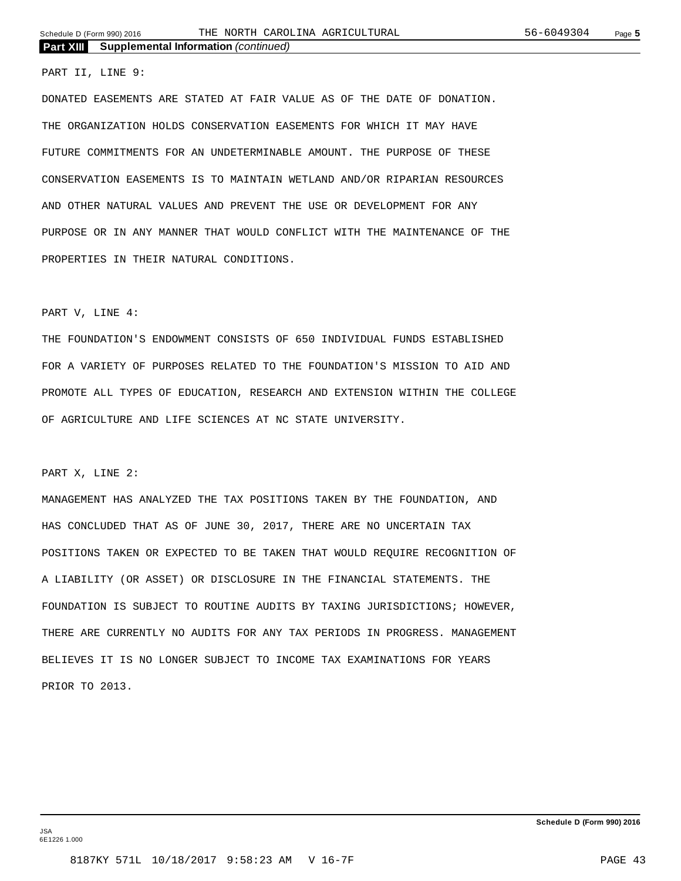#### PART II, LINE 9:

DONATED EASEMENTS ARE STATED AT FAIR VALUE AS OF THE DATE OF DONATION. THE ORGANIZATION HOLDS CONSERVATION EASEMENTS FOR WHICH IT MAY HAVE FUTURE COMMITMENTS FOR AN UNDETERMINABLE AMOUNT. THE PURPOSE OF THESE CONSERVATION EASEMENTS IS TO MAINTAIN WETLAND AND/OR RIPARIAN RESOURCES AND OTHER NATURAL VALUES AND PREVENT THE USE OR DEVELOPMENT FOR ANY PURPOSE OR IN ANY MANNER THAT WOULD CONFLICT WITH THE MAINTENANCE OF THE PROPERTIES IN THEIR NATURAL CONDITIONS.

#### PART V, LINE 4:

THE FOUNDATION'S ENDOWMENT CONSISTS OF 650 INDIVIDUAL FUNDS ESTABLISHED FOR A VARIETY OF PURPOSES RELATED TO THE FOUNDATION'S MISSION TO AID AND PROMOTE ALL TYPES OF EDUCATION, RESEARCH AND EXTENSION WITHIN THE COLLEGE OF AGRICULTURE AND LIFE SCIENCES AT NC STATE UNIVERSITY.

#### PART X, LINE 2:

MANAGEMENT HAS ANALYZED THE TAX POSITIONS TAKEN BY THE FOUNDATION, AND HAS CONCLUDED THAT AS OF JUNE 30, 2017, THERE ARE NO UNCERTAIN TAX POSITIONS TAKEN OR EXPECTED TO BE TAKEN THAT WOULD REQUIRE RECOGNITION OF A LIABILITY (OR ASSET) OR DISCLOSURE IN THE FINANCIAL STATEMENTS. THE FOUNDATION IS SUBJECT TO ROUTINE AUDITS BY TAXING JURISDICTIONS; HOWEVER, THERE ARE CURRENTLY NO AUDITS FOR ANY TAX PERIODS IN PROGRESS. MANAGEMENT BELIEVES IT IS NO LONGER SUBJECT TO INCOME TAX EXAMINATIONS FOR YEARS PRIOR TO 2013.

JSA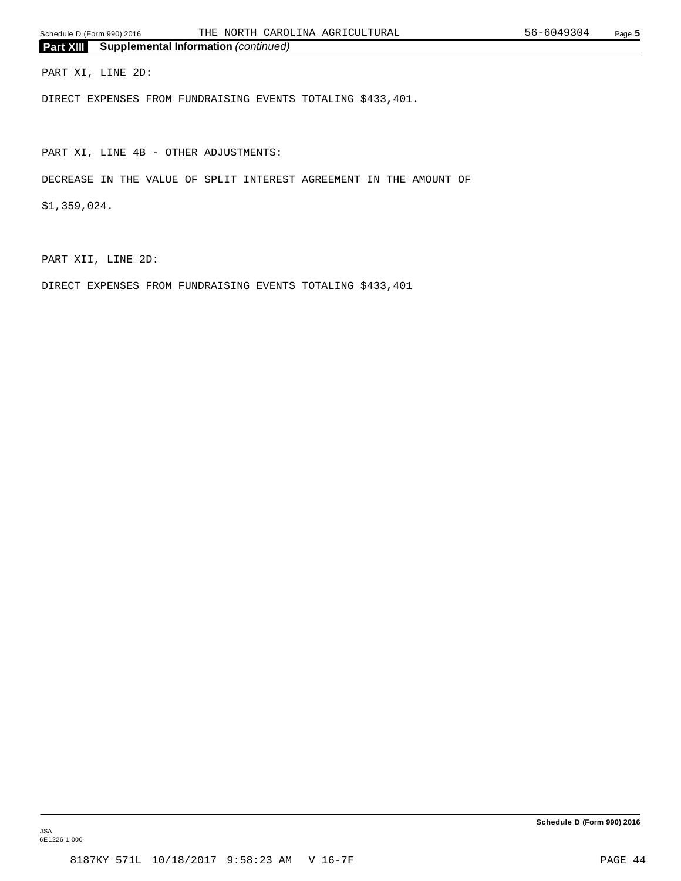PART XI, LINE 2D:

DIRECT EXPENSES FROM FUNDRAISING EVENTS TOTALING \$433,401.

PART XI, LINE 4B - OTHER ADJUSTMENTS:

DECREASE IN THE VALUE OF SPLIT INTEREST AGREEMENT IN THE AMOUNT OF

\$1,359,024.

PART XII, LINE 2D:

DIRECT EXPENSES FROM FUNDRAISING EVENTS TOTALING \$433,401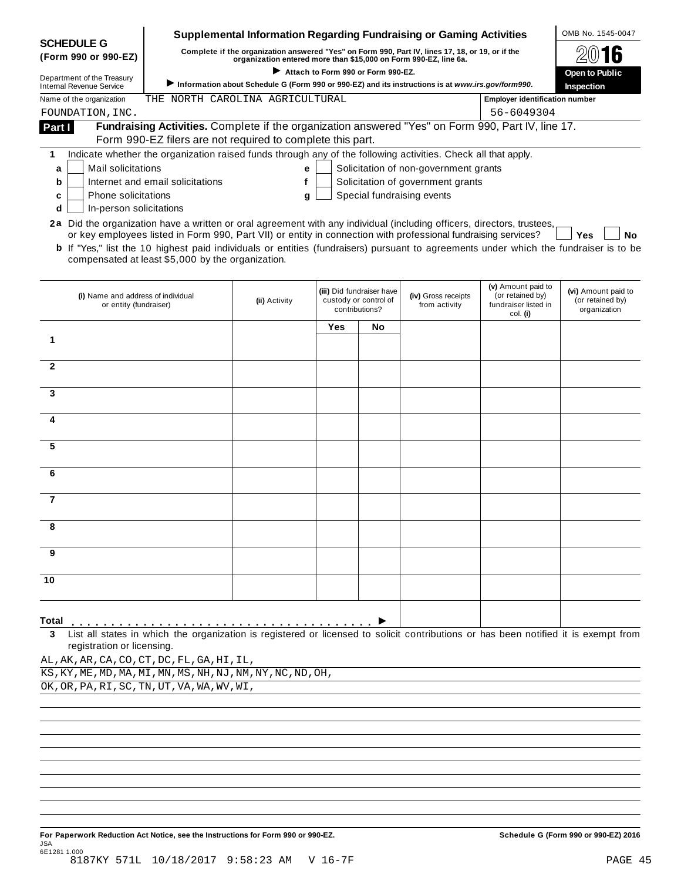|                                                                                                                                              |                                                                                                                                     | <b>Supplemental Information Regarding Fundraising or Gaming Activities</b> |                                                          |                           |                                                                            |                                        | OMB No. 1545-0047                |  |  |  |  |
|----------------------------------------------------------------------------------------------------------------------------------------------|-------------------------------------------------------------------------------------------------------------------------------------|----------------------------------------------------------------------------|----------------------------------------------------------|---------------------------|----------------------------------------------------------------------------|----------------------------------------|----------------------------------|--|--|--|--|
| <b>SCHEDULE G</b><br>(Form 990 or 990-EZ)                                                                                                    | Complete if the organization answered "Yes" on Form 990, Part IV, lines 17, 18, or 19, or if the                                    |                                                                            |                                                          |                           |                                                                            |                                        |                                  |  |  |  |  |
|                                                                                                                                              | organization entered more than \$15,000 on Form 990-EZ, line 6a.<br>Attach to Form 990 or Form 990-EZ.                              |                                                                            |                                                          |                           |                                                                            |                                        |                                  |  |  |  |  |
| Department of the Treasury<br><b>Internal Revenue Service</b>                                                                                | Information about Schedule G (Form 990 or 990-EZ) and its instructions is at www.irs.gov/form990.                                   |                                                                            |                                                          |                           |                                                                            |                                        |                                  |  |  |  |  |
| Name of the organization                                                                                                                     | <b>Employer identification number</b>                                                                                               |                                                                            |                                                          |                           |                                                                            |                                        |                                  |  |  |  |  |
| FOUNDATION, INC.                                                                                                                             |                                                                                                                                     |                                                                            |                                                          |                           |                                                                            | 56-6049304                             |                                  |  |  |  |  |
| Part I                                                                                                                                       | Fundraising Activities. Complete if the organization answered "Yes" on Form 990, Part IV, line 17.                                  |                                                                            |                                                          |                           |                                                                            |                                        |                                  |  |  |  |  |
|                                                                                                                                              | Form 990-EZ filers are not required to complete this part.                                                                          |                                                                            |                                                          |                           |                                                                            |                                        |                                  |  |  |  |  |
| 1                                                                                                                                            | Indicate whether the organization raised funds through any of the following activities. Check all that apply.                       |                                                                            |                                                          |                           |                                                                            |                                        |                                  |  |  |  |  |
| Mail solicitations<br>a                                                                                                                      |                                                                                                                                     | е                                                                          |                                                          |                           | Solicitation of non-government grants<br>Solicitation of government grants |                                        |                                  |  |  |  |  |
| b<br>Phone solicitations<br>c                                                                                                                | Internet and email solicitations                                                                                                    | f                                                                          |                                                          |                           | Special fundraising events                                                 |                                        |                                  |  |  |  |  |
| In-person solicitations<br>d                                                                                                                 |                                                                                                                                     | g                                                                          |                                                          |                           |                                                                            |                                        |                                  |  |  |  |  |
| 2a Did the organization have a written or oral agreement with any individual (including officers, directors, trustees,                       |                                                                                                                                     |                                                                            |                                                          |                           |                                                                            |                                        |                                  |  |  |  |  |
|                                                                                                                                              | or key employees listed in Form 990, Part VII) or entity in connection with professional fundraising services?                      |                                                                            |                                                          |                           |                                                                            |                                        | <b>Yes</b><br>No                 |  |  |  |  |
| <b>b</b> If "Yes," list the 10 highest paid individuals or entities (fundraisers) pursuant to agreements under which the fundraiser is to be |                                                                                                                                     |                                                                            |                                                          |                           |                                                                            |                                        |                                  |  |  |  |  |
|                                                                                                                                              | compensated at least \$5,000 by the organization.                                                                                   |                                                                            |                                                          |                           |                                                                            |                                        |                                  |  |  |  |  |
|                                                                                                                                              |                                                                                                                                     |                                                                            |                                                          |                           |                                                                            |                                        |                                  |  |  |  |  |
| (i) Name and address of individual                                                                                                           |                                                                                                                                     |                                                                            |                                                          | (iii) Did fundraiser have | (iv) Gross receipts                                                        | (v) Amount paid to<br>(or retained by) | (vi) Amount paid to              |  |  |  |  |
| or entity (fundraiser)                                                                                                                       |                                                                                                                                     | (ii) Activity                                                              | custody or control of<br>from activity<br>contributions? |                           |                                                                            | fundraiser listed in<br>col. (i)       | (or retained by)<br>organization |  |  |  |  |
|                                                                                                                                              |                                                                                                                                     |                                                                            | Yes                                                      | No.                       |                                                                            |                                        |                                  |  |  |  |  |
| 1                                                                                                                                            |                                                                                                                                     |                                                                            |                                                          |                           |                                                                            |                                        |                                  |  |  |  |  |
|                                                                                                                                              |                                                                                                                                     |                                                                            |                                                          |                           |                                                                            |                                        |                                  |  |  |  |  |
| $\mathbf{2}$                                                                                                                                 |                                                                                                                                     |                                                                            |                                                          |                           |                                                                            |                                        |                                  |  |  |  |  |
|                                                                                                                                              |                                                                                                                                     |                                                                            |                                                          |                           |                                                                            |                                        |                                  |  |  |  |  |
| 3                                                                                                                                            |                                                                                                                                     |                                                                            |                                                          |                           |                                                                            |                                        |                                  |  |  |  |  |
| 4                                                                                                                                            |                                                                                                                                     |                                                                            |                                                          |                           |                                                                            |                                        |                                  |  |  |  |  |
|                                                                                                                                              |                                                                                                                                     |                                                                            |                                                          |                           |                                                                            |                                        |                                  |  |  |  |  |
| 5                                                                                                                                            |                                                                                                                                     |                                                                            |                                                          |                           |                                                                            |                                        |                                  |  |  |  |  |
|                                                                                                                                              |                                                                                                                                     |                                                                            |                                                          |                           |                                                                            |                                        |                                  |  |  |  |  |
| 6                                                                                                                                            |                                                                                                                                     |                                                                            |                                                          |                           |                                                                            |                                        |                                  |  |  |  |  |
|                                                                                                                                              |                                                                                                                                     |                                                                            |                                                          |                           |                                                                            |                                        |                                  |  |  |  |  |
| 7                                                                                                                                            |                                                                                                                                     |                                                                            |                                                          |                           |                                                                            |                                        |                                  |  |  |  |  |
|                                                                                                                                              |                                                                                                                                     |                                                                            |                                                          |                           |                                                                            |                                        |                                  |  |  |  |  |
|                                                                                                                                              |                                                                                                                                     |                                                                            |                                                          |                           |                                                                            |                                        |                                  |  |  |  |  |
| 9                                                                                                                                            |                                                                                                                                     |                                                                            |                                                          |                           |                                                                            |                                        |                                  |  |  |  |  |
|                                                                                                                                              |                                                                                                                                     |                                                                            |                                                          |                           |                                                                            |                                        |                                  |  |  |  |  |
| 10                                                                                                                                           |                                                                                                                                     |                                                                            |                                                          |                           |                                                                            |                                        |                                  |  |  |  |  |
|                                                                                                                                              |                                                                                                                                     |                                                                            |                                                          |                           |                                                                            |                                        |                                  |  |  |  |  |
|                                                                                                                                              |                                                                                                                                     |                                                                            |                                                          |                           |                                                                            |                                        |                                  |  |  |  |  |
| Total                                                                                                                                        |                                                                                                                                     |                                                                            |                                                          |                           |                                                                            |                                        |                                  |  |  |  |  |
| 3                                                                                                                                            | List all states in which the organization is registered or licensed to solicit contributions or has been notified it is exempt from |                                                                            |                                                          |                           |                                                                            |                                        |                                  |  |  |  |  |
| registration or licensing.                                                                                                                   |                                                                                                                                     |                                                                            |                                                          |                           |                                                                            |                                        |                                  |  |  |  |  |
| AL, AK, AR, CA, CO, CT, DC, FL, GA, HI, IL,                                                                                                  |                                                                                                                                     |                                                                            |                                                          |                           |                                                                            |                                        |                                  |  |  |  |  |

 $\overline{KS,KY,KW}$ , ME, MD, MA, MI, MN, MS, NH, NJ, NM, NY, NC, ND, OH,

OK,OR,PA,RI,SC,TN,UT,VA,WA,WV,WI,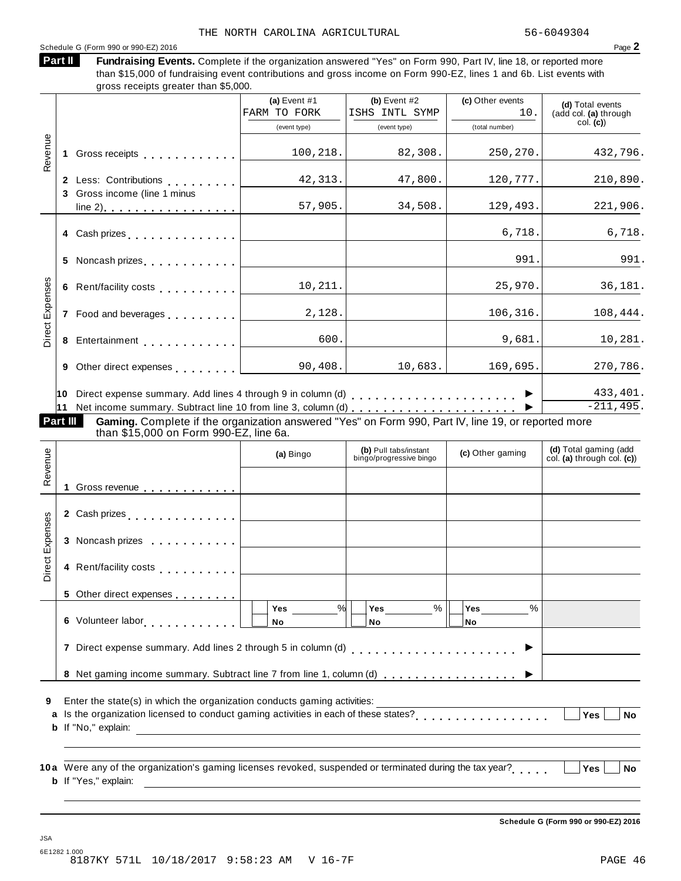#### Schedule <sup>G</sup> (Form <sup>990</sup> or 990-EZ) <sup>2016</sup> Page **2**

| Fundraising Events. Complete if the organization answered "Yes" on Form 990, Part IV, line 18, or reported more    |  |
|--------------------------------------------------------------------------------------------------------------------|--|
| than \$15,000 of fundraising event contributions and gross income on Form 990-EZ, lines 1 and 6b. List events with |  |

than \$15,000 of fundraising event contributions and gross income on Form 990-EZ, lines 1 and 6b. List events with gross receipts greater than \$5,000. **Part II**

|                        |                                                                                                                                                                                                                               | (a) Event $#1$<br>FARM TO FORK | (b) Event $#2$<br>ISHS INTL SYMP                 | (c) Other events<br>10. | (d) Total events<br>(add col. (a) through           |
|------------------------|-------------------------------------------------------------------------------------------------------------------------------------------------------------------------------------------------------------------------------|--------------------------------|--------------------------------------------------|-------------------------|-----------------------------------------------------|
|                        |                                                                                                                                                                                                                               | (event type)                   | (event type)                                     | (total number)          | col. (c)                                            |
| Revenue                |                                                                                                                                                                                                                               | 100,218.                       | 82,308.                                          | 250,270.                | 432,796.                                            |
|                        | 2 Less: Contributions [19]                                                                                                                                                                                                    | 42,313.                        | 47,800.                                          | 120,777.                | 210,890.                                            |
|                        | 3 Gross income (line 1 minus                                                                                                                                                                                                  | 57,905.                        | 34,508.                                          | 129,493.                | 221,906.                                            |
|                        | 4 Cash prizes <u>  _ _ _ _ _ _ _ _ _ _</u>                                                                                                                                                                                    |                                |                                                  | 6,718.                  | 6,718.                                              |
|                        | 5 Noncash prizes [1994]                                                                                                                                                                                                       |                                |                                                  | 991.                    | 991.                                                |
|                        |                                                                                                                                                                                                                               | 10,211.                        |                                                  | 25,970.                 | 36,181.                                             |
| <b>Direct Expenses</b> | 7 Food and beverages                                                                                                                                                                                                          | 2,128.                         |                                                  | 106, 316.               | 108,444.                                            |
|                        | 8 Entertainment [1999]                                                                                                                                                                                                        | 600.                           |                                                  | 9,681.                  | 10,281.                                             |
|                        | 9 Other direct expenses [                                                                                                                                                                                                     | 90, 408.                       | 10,683.                                          | 169,695.                | 270,786.                                            |
|                        |                                                                                                                                                                                                                               |                                |                                                  |                         | 433,401.<br>$-211,495.$                             |
| <b>Part III</b>        | Gaming. Complete if the organization answered "Yes" on Form 990, Part IV, line 19, or reported more                                                                                                                           |                                |                                                  |                         |                                                     |
|                        | than \$15,000 on Form 990-EZ, line 6a.                                                                                                                                                                                        |                                |                                                  |                         |                                                     |
| Revenue                |                                                                                                                                                                                                                               | (a) Bingo                      | (b) Pull tabs/instant<br>bingo/progressive bingo | (c) Other gaming        | (d) Total gaming (add<br>col. (a) through col. (c)) |
|                        | 1 Gross revenue                                                                                                                                                                                                               |                                |                                                  |                         |                                                     |
|                        | 2 Cash prizes entertainment and prints and prize and prize and prints are all the contract of the contract of the contract of the contract of the contract of the contract of the contract of the contract of the contract of |                                |                                                  |                         |                                                     |
|                        | 3 Noncash prizes                                                                                                                                                                                                              |                                |                                                  |                         |                                                     |
| Direct Expenses        | 4 Rent/facility costs                                                                                                                                                                                                         |                                |                                                  |                         |                                                     |
|                        |                                                                                                                                                                                                                               |                                |                                                  |                         |                                                     |
|                        |                                                                                                                                                                                                                               | %<br>Yes                       | Yes<br>$\%$                                      | Yes<br>$\%$             |                                                     |

**6** Volunteer labor **manual** m m m m m m m m m **7** Direct expense summary. Add lines 2 through 5 in column (d) m m m m m m m m m m m m m m m m m m m m m I **8** Net gaming income summary. Subtract line 7 from line 1, column (d)  $\ldots$  . . . . . . . . . . . . . . .  $\blacktriangleright$ **No No No** % % %

**9** Enter the state(s) in which the organization conducts gaming activities:

Is the organization licensed to conduct gaming activities in each of these states? **a** m m m m m m m m m m m m m m m m m **Yes No b** If "No," explain:

**10** Were any of the organization's gaming licenses revoked, suspended or terminated during the tax year? **a** m m m m m **Yes No b** If "Yes," explain:

**Schedule G (Form 990 or 990-EZ) 2016**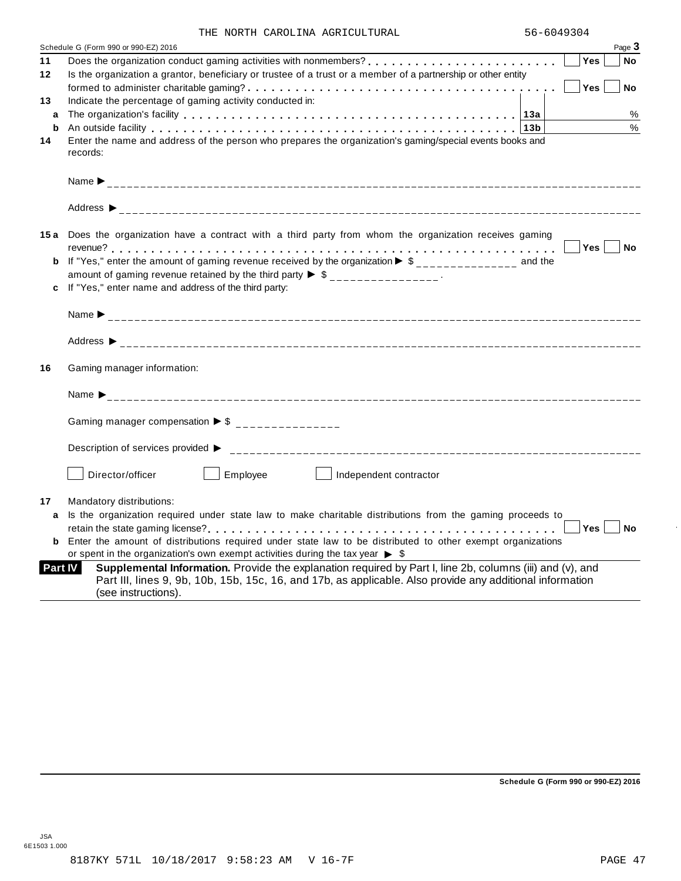|  |  |  | THE NORTH CAROLINA AGRICULTURAL |
|--|--|--|---------------------------------|
|--|--|--|---------------------------------|

|         | Page 3<br>Schedule G (Form 990 or 990-EZ) 2016                                                                                                                                                                                                           |
|---------|----------------------------------------------------------------------------------------------------------------------------------------------------------------------------------------------------------------------------------------------------------|
| 11      | <b>Yes</b><br>No                                                                                                                                                                                                                                         |
| $12 \,$ | Is the organization a grantor, beneficiary or trustee of a trust or a member of a partnership or other entity                                                                                                                                            |
|         | Yes<br><b>No</b>                                                                                                                                                                                                                                         |
| 13      | Indicate the percentage of gaming activity conducted in:                                                                                                                                                                                                 |
| a       | %                                                                                                                                                                                                                                                        |
| b       | %<br>An outside facility enterpreteration of the control of the control of the control of the control of the control of the control of the control of the control of the control of the control of the control of the control of th                      |
| 14      | Enter the name and address of the person who prepares the organization's gaming/special events books and<br>records:                                                                                                                                     |
|         |                                                                                                                                                                                                                                                          |
|         |                                                                                                                                                                                                                                                          |
|         | 15a Does the organization have a contract with a third party from whom the organization receives gaming                                                                                                                                                  |
|         | Yes No                                                                                                                                                                                                                                                   |
|         | <b>b</b> If "Yes," enter the amount of gaming revenue received by the organization $\triangleright$ \$______________ and the                                                                                                                             |
|         | amount of gaming revenue retained by the third party $\triangleright$ \$ ________________.                                                                                                                                                               |
|         | c If "Yes," enter name and address of the third party:                                                                                                                                                                                                   |
|         |                                                                                                                                                                                                                                                          |
|         |                                                                                                                                                                                                                                                          |
| 16      | Gaming manager information:                                                                                                                                                                                                                              |
|         |                                                                                                                                                                                                                                                          |
|         | Gaming manager compensation $\triangleright$ \$ _______________                                                                                                                                                                                          |
|         | Description of services provided ▶                                                                                                                                                                                                                       |
|         | Employee<br>Director/officer<br>Independent contractor                                                                                                                                                                                                   |
| 17      | Mandatory distributions:                                                                                                                                                                                                                                 |
| a       | Is the organization required under state law to make charitable distributions from the gaming proceeds to                                                                                                                                                |
|         | Yes <sub>1</sub><br>i No                                                                                                                                                                                                                                 |
|         | Enter the amount of distributions required under state law to be distributed to other exempt organizations                                                                                                                                               |
|         | or spent in the organization's own exempt activities during the tax year $\triangleright$ \$                                                                                                                                                             |
|         | Supplemental Information. Provide the explanation required by Part I, line 2b, columns (iii) and (v), and<br>Part IV<br>Part III, lines 9, 9b, 10b, 15b, 15c, 16, and 17b, as applicable. Also provide any additional information<br>(see instructions). |

**Schedule G (Form 990 or 990-EZ) 2016**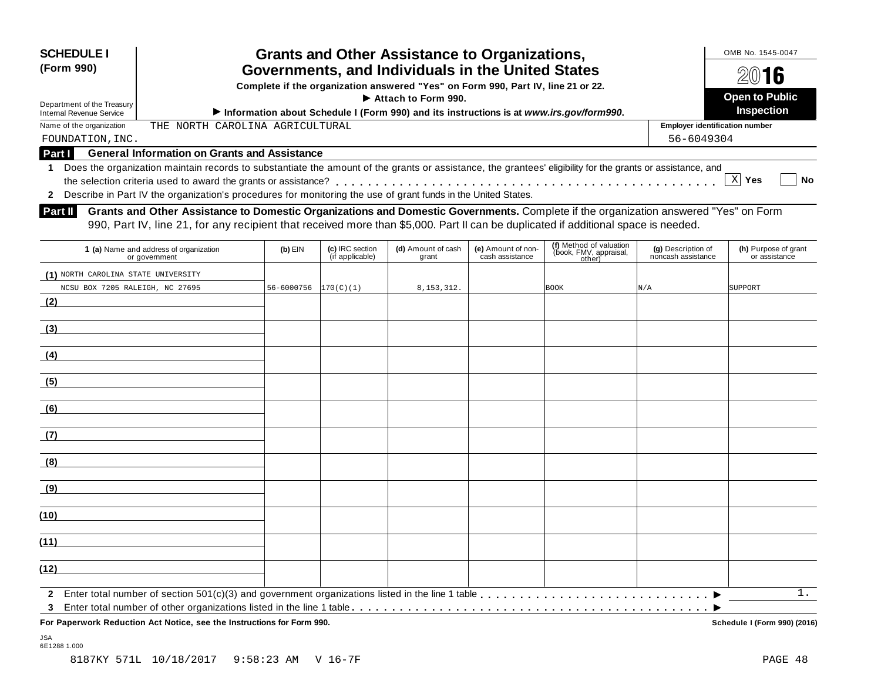| <b>SCHEDULE I</b><br>(Form 990)<br>Department of the Treasury<br><b>Internal Revenue Service</b><br>Name of the organization | <b>Grants and Other Assistance to Organizations,</b><br>Governments, and Individuals in the United States<br>Complete if the organization answered "Yes" on Form 990, Part IV, line 21 or 22.<br>Information about Schedule I (Form 990) and its instructions is at www.irs.gov/form990.<br>THE NORTH CAROLINA AGRICULTURAL                                                                                                                                                                                                                              | <b>Employer identification number</b> | OMB No. 1545-0047<br>16<br><b>Open to Public</b><br>Inspection |                             |                                       |                                                             |                                          |                                       |
|------------------------------------------------------------------------------------------------------------------------------|----------------------------------------------------------------------------------------------------------------------------------------------------------------------------------------------------------------------------------------------------------------------------------------------------------------------------------------------------------------------------------------------------------------------------------------------------------------------------------------------------------------------------------------------------------|---------------------------------------|----------------------------------------------------------------|-----------------------------|---------------------------------------|-------------------------------------------------------------|------------------------------------------|---------------------------------------|
| FOUNDATION, INC.                                                                                                             |                                                                                                                                                                                                                                                                                                                                                                                                                                                                                                                                                          |                                       |                                                                |                             |                                       |                                                             | 56-6049304                               |                                       |
| <b>Part I</b>                                                                                                                | <b>General Information on Grants and Assistance</b>                                                                                                                                                                                                                                                                                                                                                                                                                                                                                                      |                                       |                                                                |                             |                                       |                                                             |                                          |                                       |
| <b>Part II</b>                                                                                                               | Does the organization maintain records to substantiate the amount of the grants or assistance, the grantees' eligibility for the grants or assistance, and<br>Describe in Part IV the organization's procedures for monitoring the use of grant funds in the United States.<br>Grants and Other Assistance to Domestic Organizations and Domestic Governments. Complete if the organization answered "Yes" on Form<br>990, Part IV, line 21, for any recipient that received more than \$5,000. Part II can be duplicated if additional space is needed. |                                       |                                                                |                             |                                       |                                                             |                                          | X Yes<br><b>No</b>                    |
|                                                                                                                              | 1 (a) Name and address of organization<br>or government                                                                                                                                                                                                                                                                                                                                                                                                                                                                                                  | $(b)$ EIN                             | (c) IRC section<br>(if applicable)                             | (d) Amount of cash<br>grant | (e) Amount of non-<br>cash assistance | (f) Method of valuation<br>(book, FMV, appraisal,<br>other) | (g) Description of<br>noncash assistance | (h) Purpose of grant<br>or assistance |
| (1) NORTH CAROLINA STATE UNIVERSITY                                                                                          |                                                                                                                                                                                                                                                                                                                                                                                                                                                                                                                                                          |                                       |                                                                |                             |                                       |                                                             |                                          |                                       |
| NCSU BOX 7205 RALEIGH, NC 27695                                                                                              |                                                                                                                                                                                                                                                                                                                                                                                                                                                                                                                                                          | 56-6000756                            | 170(C)(1)                                                      | 8, 153, 312.                |                                       | <b>BOOK</b>                                                 | N/A                                      | SUPPORT                               |
| (2)                                                                                                                          |                                                                                                                                                                                                                                                                                                                                                                                                                                                                                                                                                          |                                       |                                                                |                             |                                       |                                                             |                                          |                                       |
| (3)                                                                                                                          |                                                                                                                                                                                                                                                                                                                                                                                                                                                                                                                                                          |                                       |                                                                |                             |                                       |                                                             |                                          |                                       |
| (4)                                                                                                                          |                                                                                                                                                                                                                                                                                                                                                                                                                                                                                                                                                          |                                       |                                                                |                             |                                       |                                                             |                                          |                                       |
| (5)                                                                                                                          |                                                                                                                                                                                                                                                                                                                                                                                                                                                                                                                                                          |                                       |                                                                |                             |                                       |                                                             |                                          |                                       |
| (6)                                                                                                                          |                                                                                                                                                                                                                                                                                                                                                                                                                                                                                                                                                          |                                       |                                                                |                             |                                       |                                                             |                                          |                                       |

| (8)  |  |  |  |  |  |  |  |
|------|--|--|--|--|--|--|--|
| (9)  |  |  |  |  |  |  |  |
| (10) |  |  |  |  |  |  |  |
| (11) |  |  |  |  |  |  |  |
| (12) |  |  |  |  |  |  |  |
|      |  |  |  |  |  |  |  |
|      |  |  |  |  |  |  |  |
|      |  |  |  |  |  |  |  |

**(7)**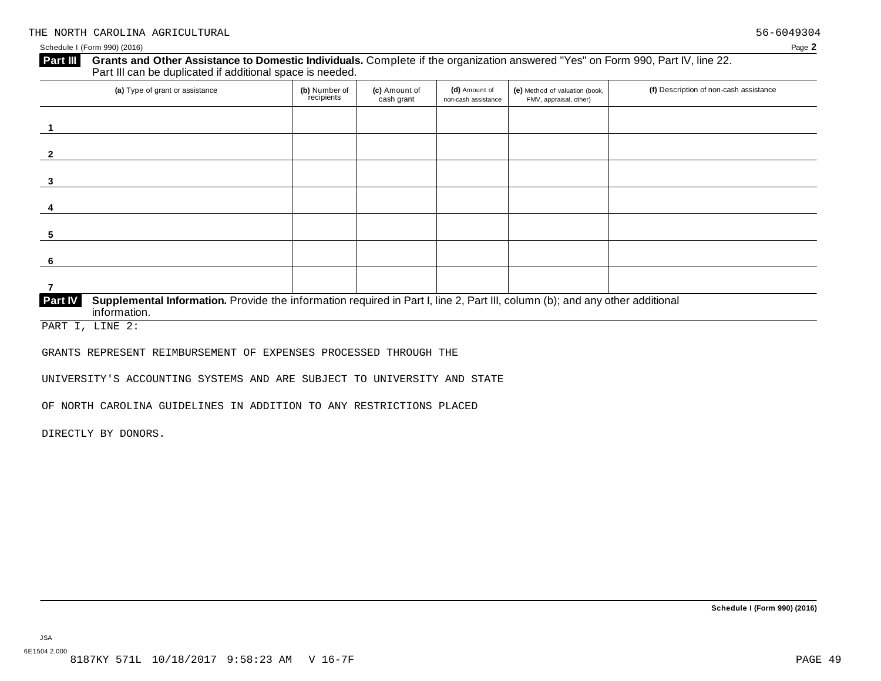#### **Grants and Other Assistance to Domestic Individuals.** Complete ifthe organization answered "Yes" on Form 990, Part IV, line 22. **Part III** Grants and Other Assistance to Domestic Individuals<br>Part III can be duplicated if additional space is needed. (a) Type of grant or assistance **(b)** Number of **(c)** Amount of **(d)** Amount of **(e)** Method of valuation (book, **(f)** Description of non-cash assistance FMV, appraisal, other) **(b)** Number of recipients **(d)** Amount of non-cash assistance **(c)** Amount of cash grant

| $\cdots$                                                                                                                                                       | recipients | $\cdot$ $\cdot$<br>cash grant | non-cash assistance | $\cdots$<br>FMV, appraisal, other) |  |
|----------------------------------------------------------------------------------------------------------------------------------------------------------------|------------|-------------------------------|---------------------|------------------------------------|--|
|                                                                                                                                                                |            |                               |                     |                                    |  |
|                                                                                                                                                                |            |                               |                     |                                    |  |
|                                                                                                                                                                |            |                               |                     |                                    |  |
| $\overline{\mathbf{2}}$                                                                                                                                        |            |                               |                     |                                    |  |
|                                                                                                                                                                |            |                               |                     |                                    |  |
| 3                                                                                                                                                              |            |                               |                     |                                    |  |
|                                                                                                                                                                |            |                               |                     |                                    |  |
| 4                                                                                                                                                              |            |                               |                     |                                    |  |
|                                                                                                                                                                |            |                               |                     |                                    |  |
| 5                                                                                                                                                              |            |                               |                     |                                    |  |
|                                                                                                                                                                |            |                               |                     |                                    |  |
| 6                                                                                                                                                              |            |                               |                     |                                    |  |
|                                                                                                                                                                |            |                               |                     |                                    |  |
|                                                                                                                                                                |            |                               |                     |                                    |  |
| Supplemental Information. Provide the information required in Part I, line 2, Part III, column (b); and any other additional<br><b>Part IV</b><br>information. |            |                               |                     |                                    |  |
|                                                                                                                                                                |            |                               |                     |                                    |  |

PART I, LINE 2:

GRANTS REPRESENT REIMBURSEMENT OF EXPENSES PROCESSED THROUGH THE

UNIVERSITY'S ACCOUNTING SYSTEMS AND ARE SUBJECT TO UNIVERSITY AND STATE

OF NORTH CAROLINA GUIDELINES IN ADDITION TO ANY RESTRICTIONS PLACED

DIRECTLY BY DONORS.

**Schedule I (Form 990) (2016)**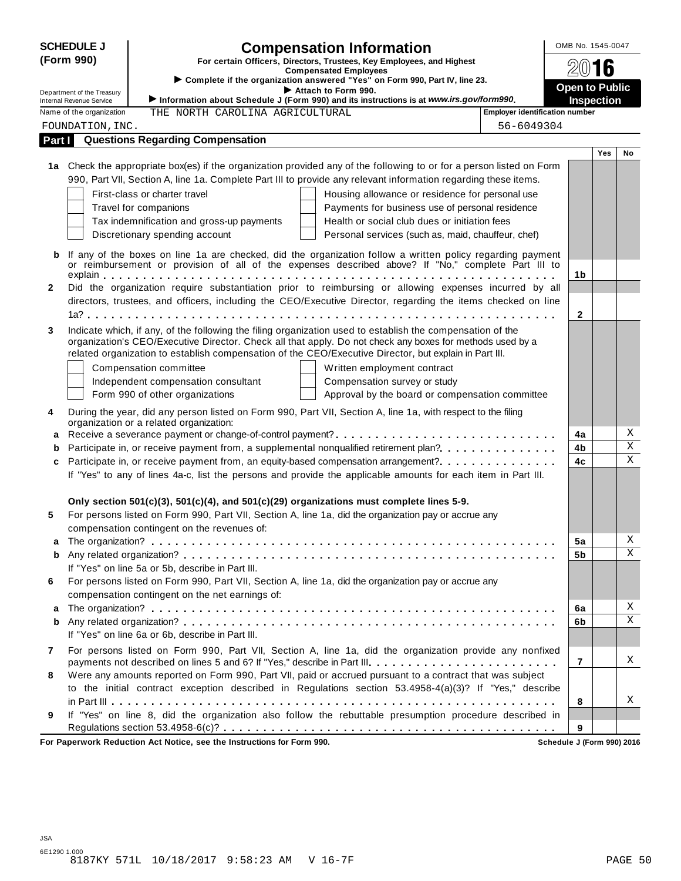| <b>SCHEDULE J</b> |                                                             |                                                  | <b>Compensation Information</b>                                                                                                                                                                                     | OMB No. 1545-0047     |                   |             |
|-------------------|-------------------------------------------------------------|--------------------------------------------------|---------------------------------------------------------------------------------------------------------------------------------------------------------------------------------------------------------------------|-----------------------|-------------------|-------------|
|                   | (Form 990)                                                  |                                                  | For certain Officers, Directors, Trustees, Key Employees, and Highest                                                                                                                                               |                       |                   |             |
|                   |                                                             |                                                  | <b>Compensated Employees</b><br>Complete if the organization answered "Yes" on Form 990, Part IV, line 23.                                                                                                          |                       | 2016              |             |
|                   | Department of the Treasury                                  |                                                  | Attach to Form 990.                                                                                                                                                                                                 | <b>Open to Public</b> |                   |             |
|                   | <b>Internal Revenue Service</b><br>Name of the organization | THE NORTH CAROLINA AGRICULTURAL                  | Information about Schedule J (Form 990) and its instructions is at www.irs.gov/form990.<br><b>Employer identification number</b>                                                                                    |                       | <b>Inspection</b> |             |
|                   | FOUNDATION, INC.                                            |                                                  | 56-6049304                                                                                                                                                                                                          |                       |                   |             |
| Part I            |                                                             | <b>Questions Regarding Compensation</b>          |                                                                                                                                                                                                                     |                       |                   |             |
|                   |                                                             |                                                  |                                                                                                                                                                                                                     |                       | <b>Yes</b>        | No          |
|                   |                                                             |                                                  | 1a Check the appropriate box(es) if the organization provided any of the following to or for a person listed on Form                                                                                                |                       |                   |             |
|                   |                                                             |                                                  | 990, Part VII, Section A, line 1a. Complete Part III to provide any relevant information regarding these items.                                                                                                     |                       |                   |             |
|                   |                                                             | First-class or charter travel                    | Housing allowance or residence for personal use                                                                                                                                                                     |                       |                   |             |
|                   |                                                             | Travel for companions                            | Payments for business use of personal residence                                                                                                                                                                     |                       |                   |             |
|                   |                                                             | Tax indemnification and gross-up payments        | Health or social club dues or initiation fees                                                                                                                                                                       |                       |                   |             |
|                   |                                                             | Discretionary spending account                   | Personal services (such as, maid, chauffeur, chef)                                                                                                                                                                  |                       |                   |             |
| b                 |                                                             |                                                  | If any of the boxes on line 1a are checked, did the organization follow a written policy regarding payment                                                                                                          |                       |                   |             |
|                   |                                                             |                                                  | or reimbursement or provision of all of the expenses described above? If "No," complete Part III to                                                                                                                 |                       |                   |             |
|                   |                                                             |                                                  |                                                                                                                                                                                                                     | 1b                    |                   |             |
| $\mathbf{2}$      |                                                             |                                                  | Did the organization require substantiation prior to reimbursing or allowing expenses incurred by all                                                                                                               |                       |                   |             |
|                   |                                                             |                                                  | directors, trustees, and officers, including the CEO/Executive Director, regarding the items checked on line                                                                                                        |                       |                   |             |
|                   |                                                             |                                                  |                                                                                                                                                                                                                     | $\mathbf{2}$          |                   |             |
| 3                 |                                                             |                                                  | Indicate which, if any, of the following the filing organization used to establish the compensation of the                                                                                                          |                       |                   |             |
|                   |                                                             |                                                  | organization's CEO/Executive Director. Check all that apply. Do not check any boxes for methods used by a<br>related organization to establish compensation of the CEO/Executive Director, but explain in Part III. |                       |                   |             |
|                   |                                                             | Compensation committee                           | Written employment contract                                                                                                                                                                                         |                       |                   |             |
|                   |                                                             | Independent compensation consultant              | Compensation survey or study                                                                                                                                                                                        |                       |                   |             |
|                   |                                                             | Form 990 of other organizations                  | Approval by the board or compensation committee                                                                                                                                                                     |                       |                   |             |
| 4                 |                                                             |                                                  | During the year, did any person listed on Form 990, Part VII, Section A, line 1a, with respect to the filing                                                                                                        |                       |                   |             |
|                   |                                                             | organization or a related organization:          |                                                                                                                                                                                                                     |                       |                   | Χ           |
| а                 |                                                             |                                                  |                                                                                                                                                                                                                     | 4a                    |                   | $\mathbf X$ |
| b<br>c            |                                                             |                                                  | Participate in, or receive payment from, a supplemental nonqualified retirement plan?<br>Participate in, or receive payment from, an equity-based compensation arrangement?                                         | 4b<br>4c              |                   | $\mathbf X$ |
|                   |                                                             |                                                  | If "Yes" to any of lines 4a-c, list the persons and provide the applicable amounts for each item in Part III.                                                                                                       |                       |                   |             |
|                   |                                                             |                                                  |                                                                                                                                                                                                                     |                       |                   |             |
|                   |                                                             |                                                  | Only section $501(c)(3)$ , $501(c)(4)$ , and $501(c)(29)$ organizations must complete lines 5-9.                                                                                                                    |                       |                   |             |
| 5                 |                                                             |                                                  | For persons listed on Form 990, Part VII, Section A, line 1a, did the organization pay or accrue any                                                                                                                |                       |                   |             |
|                   |                                                             | compensation contingent on the revenues of:      |                                                                                                                                                                                                                     |                       |                   |             |
| а                 |                                                             |                                                  |                                                                                                                                                                                                                     | 5a                    |                   | Χ           |
| b                 |                                                             |                                                  |                                                                                                                                                                                                                     | 5b                    |                   | Χ           |
|                   |                                                             | If "Yes" on line 5a or 5b, describe in Part III. |                                                                                                                                                                                                                     |                       |                   |             |
| 6                 |                                                             |                                                  | For persons listed on Form 990, Part VII, Section A, line 1a, did the organization pay or accrue any                                                                                                                |                       |                   |             |
|                   |                                                             | compensation contingent on the net earnings of:  |                                                                                                                                                                                                                     |                       |                   |             |
| a                 |                                                             |                                                  |                                                                                                                                                                                                                     | 6a                    |                   | Χ<br>Χ      |
| b                 |                                                             |                                                  |                                                                                                                                                                                                                     | 6b                    |                   |             |
|                   |                                                             | If "Yes" on line 6a or 6b, describe in Part III. |                                                                                                                                                                                                                     |                       |                   |             |
| 7                 |                                                             |                                                  | For persons listed on Form 990, Part VII, Section A, line 1a, did the organization provide any nonfixed<br>payments not described on lines 5 and 6? If "Yes," describe in Part III.                                 | $\overline{7}$        |                   | X           |
| 8                 |                                                             |                                                  | Were any amounts reported on Form 990, Part VII, paid or accrued pursuant to a contract that was subject                                                                                                            |                       |                   |             |
|                   |                                                             |                                                  | to the initial contract exception described in Regulations section 53.4958-4(a)(3)? If "Yes," describe                                                                                                              |                       |                   |             |
|                   |                                                             |                                                  |                                                                                                                                                                                                                     | 8                     |                   | X           |
| 9                 |                                                             |                                                  | If "Yes" on line 8, did the organization also follow the rebuttable presumption procedure described in                                                                                                              |                       |                   |             |
|                   |                                                             |                                                  |                                                                                                                                                                                                                     | 9                     |                   |             |

**For Paperwork Reduction Act Notice, see the Instructions for Form 990. Schedule J (Form 990) 2016**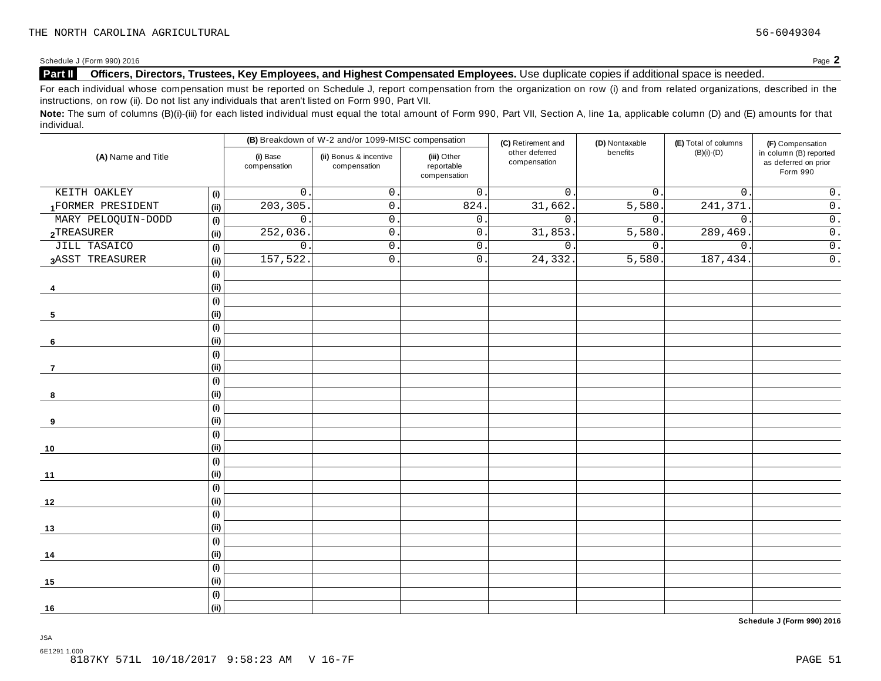Schedule <sup>J</sup> (Form 990) <sup>2016</sup> Page **2**

#### **Part II Officers, Directors, Trustees, Key Employees, and Highest Compensated Employees.** Use duplicate copies ifadditional space is needed.

For each individual whose compensation must be reported on Schedule J, report compensation from the organization on row (i) and from related organizations, described in the instructions, on row (ii). Do not list any individuals that aren't listed on Form 990, Part VII.

Note: The sum of columns (B)(i)-(iii) for each listed individual must equal the total amount of Form 990, Part VII, Section A, line 1a, applicable column (D) and (E) amounts for that individual.

|                     |                              |                          | (B) Breakdown of W-2 and/or 1099-MISC compensation |                                           | (C) Retirement and             | (D) Nontaxable   | (E) Total of columns | (F) Compensation                                           |
|---------------------|------------------------------|--------------------------|----------------------------------------------------|-------------------------------------------|--------------------------------|------------------|----------------------|------------------------------------------------------------|
| (A) Name and Title  |                              | (i) Base<br>compensation | (ii) Bonus & incentive<br>compensation             | (iii) Other<br>reportable<br>compensation | other deferred<br>compensation | benefits         | $(B)(i)-(D)$         | in column (B) reported<br>as deferred on prior<br>Form 990 |
| KEITH OAKLEY        | (i)                          | $\mathsf{O}$             | $\mathsf{O}\xspace$                                | $\mathsf{0}$ .                            | $\mathbf 0$ .                  | $\overline{0}$ . | $\mathsf{O}$ .       | $\overline{0}$ .                                           |
| 1FORMER PRESIDENT   | (i)                          | 203, 305                 | 0.                                                 | 824                                       | 31,662.                        | 5,580.           | 241,371              | $\overline{0}$ .                                           |
| MARY PELOQUIN-DODD  | (i)                          | $\mathsf{O}$             | $\mathbf{0}$ .                                     | $\mathsf{0}$ .                            | $0$ .                          | $\mathbf{0}$ .   | $\mathbf{0}$ .       | $\overline{0}$ .                                           |
| 2TREASURER          | (i)                          | 252,036                  | $\mathsf{O}$ .                                     | $0\,$ .                                   | 31,853.                        | 5,580.           | 289,469.             | $\overline{0}$ .                                           |
| <b>JILL TASAICO</b> | (i)                          | $\mathsf{O}$ .           | $\mathsf{O}$ .                                     | $\mathsf{0}$ .                            | $\overline{0}$ .               | $\overline{0}$ . | $\mathbf 0$ .        | $\overline{0}$ .                                           |
| 3ASST TREASURER     | (i)                          | 157,522                  | $\mathsf{O}$ .                                     | $\mathsf{0}$ .                            | 24,332.                        | 5,580.           | 187,434.             | $\overline{0}$ .                                           |
|                     | (i)                          |                          |                                                    |                                           |                                |                  |                      |                                                            |
| 4                   | (i)                          |                          |                                                    |                                           |                                |                  |                      |                                                            |
|                     | (i)                          |                          |                                                    |                                           |                                |                  |                      |                                                            |
| 5                   | (ii)                         |                          |                                                    |                                           |                                |                  |                      |                                                            |
|                     | $\qquad \qquad \textbf{(i)}$ |                          |                                                    |                                           |                                |                  |                      |                                                            |
| 6                   | (i)                          |                          |                                                    |                                           |                                |                  |                      |                                                            |
|                     | (i)                          |                          |                                                    |                                           |                                |                  |                      |                                                            |
| 7                   | (i)                          |                          |                                                    |                                           |                                |                  |                      |                                                            |
|                     | (i)                          |                          |                                                    |                                           |                                |                  |                      |                                                            |
| 8                   | (i)                          |                          |                                                    |                                           |                                |                  |                      |                                                            |
|                     | (i)                          |                          |                                                    |                                           |                                |                  |                      |                                                            |
| 9                   | (i)                          |                          |                                                    |                                           |                                |                  |                      |                                                            |
|                     | (i)                          |                          |                                                    |                                           |                                |                  |                      |                                                            |
| 10                  | (i)                          |                          |                                                    |                                           |                                |                  |                      |                                                            |
|                     | (i)                          |                          |                                                    |                                           |                                |                  |                      |                                                            |
| 11                  | (i)                          |                          |                                                    |                                           |                                |                  |                      |                                                            |
|                     | (i)                          |                          |                                                    |                                           |                                |                  |                      |                                                            |
| 12                  | (i)                          |                          |                                                    |                                           |                                |                  |                      |                                                            |
|                     | (i)                          |                          |                                                    |                                           |                                |                  |                      |                                                            |
| 13                  | (ii)                         |                          |                                                    |                                           |                                |                  |                      |                                                            |
|                     | (i)                          |                          |                                                    |                                           |                                |                  |                      |                                                            |
| 14                  | (i)                          |                          |                                                    |                                           |                                |                  |                      |                                                            |
|                     | (i)                          |                          |                                                    |                                           |                                |                  |                      |                                                            |
| 15                  | (i)                          |                          |                                                    |                                           |                                |                  |                      |                                                            |
|                     | (i)                          |                          |                                                    |                                           |                                |                  |                      |                                                            |
| 16                  | (ii)                         |                          |                                                    |                                           |                                |                  |                      |                                                            |

**Schedule J (Form 990) 2016**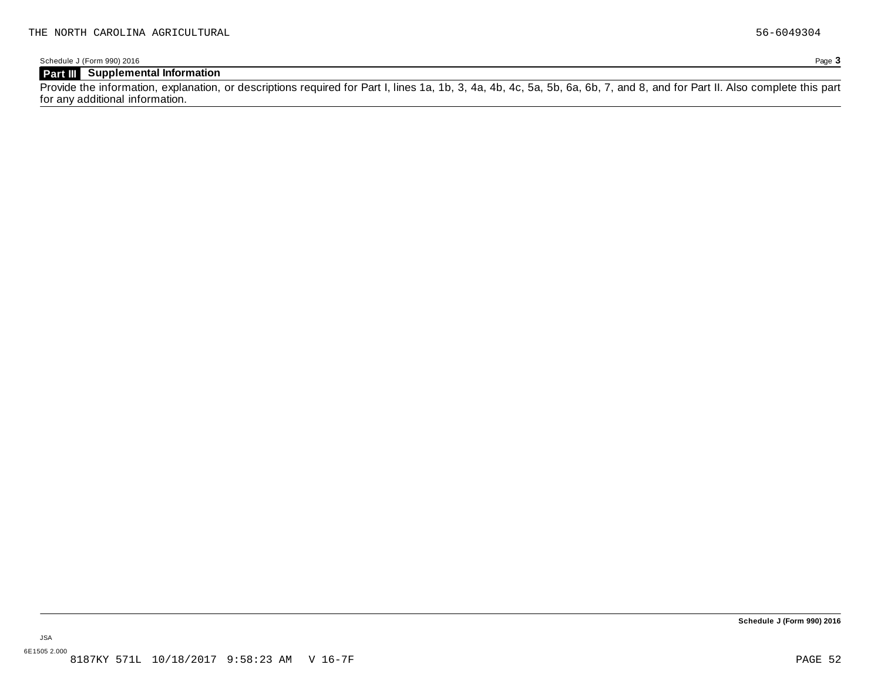Schedule J (Form 990) 2016 Page **3**

### **Part III Supplemental Information**

Provide the information, explanation, or descriptions required for Part I, lines 1a, 1b, 3, 4a, 4b, 4c, 5a, 5b, 6a, 6b, 7, and 8, and for Part II. Also complete this part for any additional information.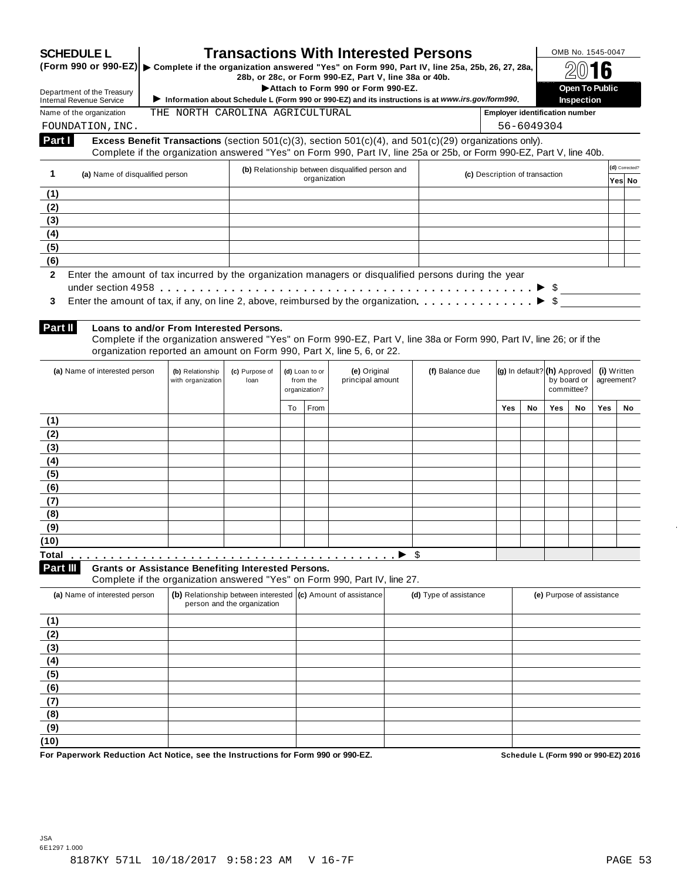| <b>SCHEDULE L</b><br>(Form 990 or 990-EZ)                                                                                                                                                                                    |                                                            |                                                              |                              |              | <b>Transactions With Interested Persons</b>                                                                                                            |                                             |                                       |                           |            | OMB No. 1545-0047         |     |                |
|------------------------------------------------------------------------------------------------------------------------------------------------------------------------------------------------------------------------------|------------------------------------------------------------|--------------------------------------------------------------|------------------------------|--------------|--------------------------------------------------------------------------------------------------------------------------------------------------------|---------------------------------------------|---------------------------------------|---------------------------|------------|---------------------------|-----|----------------|
|                                                                                                                                                                                                                              |                                                            |                                                              |                              |              | Complete if the organization answered "Yes" on Form 990, Part IV, line 25a, 25b, 26, 27, 28a,<br>28b, or 28c, or Form 990-EZ, Part V, line 38a or 40b. |                                             |                                       |                           |            |                           |     |                |
| Department of the Treasury                                                                                                                                                                                                   |                                                            |                                                              |                              |              | Attach to Form 990 or Form 990-EZ.                                                                                                                     |                                             |                                       |                           |            | Open To Public            |     |                |
| <b>Internal Revenue Service</b><br>Name of the organization                                                                                                                                                                  | THE NORTH CAROLINA AGRICULTURAL                            |                                                              |                              |              | Information about Schedule L (Form 990 or 990-EZ) and its instructions is at www.irs.gov/form990.                                                      |                                             | <b>Employer identification number</b> |                           |            | <b>Inspection</b>         |     |                |
| FOUNDATION, INC.                                                                                                                                                                                                             |                                                            |                                                              |                              |              |                                                                                                                                                        |                                             |                                       | 56-6049304                |            |                           |     |                |
| Part I                                                                                                                                                                                                                       |                                                            |                                                              |                              |              | Excess Benefit Transactions (section $501(c)(3)$ , section $501(c)(4)$ , and $501(c)(29)$ organizations only).                                         |                                             |                                       |                           |            |                           |     |                |
|                                                                                                                                                                                                                              |                                                            |                                                              |                              |              | Complete if the organization answered "Yes" on Form 990, Part IV, line 25a or 25b, or Form 990-EZ, Part V, line 40b.                                   |                                             |                                       |                           |            |                           |     |                |
| 1<br>(a) Name of disqualified person                                                                                                                                                                                         |                                                            |                                                              |                              | organization | (b) Relationship between disqualified person and                                                                                                       |                                             | (c) Description of transaction        |                           |            |                           |     | (d) Corrected? |
| (1)                                                                                                                                                                                                                          |                                                            |                                                              |                              |              |                                                                                                                                                        |                                             |                                       |                           |            |                           |     | Yes∣ No        |
| (2)                                                                                                                                                                                                                          |                                                            |                                                              |                              |              |                                                                                                                                                        |                                             |                                       |                           |            |                           |     |                |
| (3)                                                                                                                                                                                                                          |                                                            |                                                              |                              |              |                                                                                                                                                        |                                             |                                       |                           |            |                           |     |                |
| (4)                                                                                                                                                                                                                          |                                                            |                                                              |                              |              |                                                                                                                                                        |                                             |                                       |                           |            |                           |     |                |
| (5)                                                                                                                                                                                                                          |                                                            |                                                              |                              |              |                                                                                                                                                        |                                             |                                       |                           |            |                           |     |                |
| (6)                                                                                                                                                                                                                          |                                                            |                                                              |                              |              |                                                                                                                                                        |                                             |                                       |                           |            |                           |     |                |
| Enter the amount of tax incurred by the organization managers or disqualified persons during the year<br>$\mathbf{2}$                                                                                                        |                                                            |                                                              |                              |              |                                                                                                                                                        |                                             |                                       |                           |            |                           |     |                |
| — The Fig. 2016 Fig. 2016 Fig. 2016 Fig. 2016 Fig. 2016 Fig. 2016 Fig. 2016 Fig. 2016 Fig. 2016 Fig. 2016 Fig. 2016 Fig. 2016 Fig. 2016 Fig. 2016 Fig. 2016 Fig. 2016 Fig. 2016 Fig. 2016 Fig. 2016 Fig. 2016 Fig. 2016 Fig. |                                                            |                                                              |                              |              |                                                                                                                                                        |                                             |                                       |                           |            |                           |     |                |
| Enter the amount of tax, if any, on line 2, above, reimbursed by the organization. $\ldots$ , $\ldots$ , $\ldots$ , $\blacktriangleright$ \$<br>3                                                                            |                                                            |                                                              |                              |              |                                                                                                                                                        |                                             |                                       |                           |            |                           |     |                |
|                                                                                                                                                                                                                              |                                                            |                                                              |                              |              |                                                                                                                                                        |                                             |                                       |                           |            |                           |     |                |
| Part II                                                                                                                                                                                                                      | Loans to and/or From Interested Persons.                   |                                                              |                              |              |                                                                                                                                                        |                                             |                                       |                           |            |                           |     |                |
|                                                                                                                                                                                                                              |                                                            |                                                              |                              |              | Complete if the organization answered "Yes" on Form 990-EZ, Part V, line 38a or Form 990, Part IV, line 26; or if the                                  |                                             |                                       |                           |            |                           |     |                |
|                                                                                                                                                                                                                              |                                                            |                                                              |                              |              | organization reported an amount on Form 990, Part X, line 5, 6, or 22.                                                                                 |                                             |                                       |                           |            |                           |     |                |
| (a) Name of interested person                                                                                                                                                                                                | (b) Relationship                                           | (c) Purpose of                                               | (d) Loan to or               |              | (e) Original                                                                                                                                           | (f) Balance due                             |                                       |                           |            |                           |     |                |
|                                                                                                                                                                                                                              | with organization                                          | loan                                                         | principal amount<br>from the |              |                                                                                                                                                        | (g) In default? (h) Approved<br>by board or |                                       | (i) Written<br>agreement? |            |                           |     |                |
|                                                                                                                                                                                                                              |                                                            | organization?                                                |                              |              |                                                                                                                                                        |                                             | committee?                            |                           |            |                           |     |                |
|                                                                                                                                                                                                                              |                                                            |                                                              | To                           | From         |                                                                                                                                                        |                                             | <b>Yes</b>                            | No                        | <b>Yes</b> | No                        | Yes | No.            |
| (1)                                                                                                                                                                                                                          |                                                            |                                                              |                              |              |                                                                                                                                                        |                                             |                                       |                           |            |                           |     |                |
| (2)                                                                                                                                                                                                                          |                                                            |                                                              |                              |              |                                                                                                                                                        |                                             |                                       |                           |            |                           |     |                |
| (3)                                                                                                                                                                                                                          |                                                            |                                                              |                              |              |                                                                                                                                                        |                                             |                                       |                           |            |                           |     |                |
| (4)                                                                                                                                                                                                                          |                                                            |                                                              |                              |              |                                                                                                                                                        |                                             |                                       |                           |            |                           |     |                |
| (5)                                                                                                                                                                                                                          |                                                            |                                                              |                              |              |                                                                                                                                                        |                                             |                                       |                           |            |                           |     |                |
| (6)                                                                                                                                                                                                                          |                                                            |                                                              |                              |              |                                                                                                                                                        |                                             |                                       |                           |            |                           |     |                |
| (7)                                                                                                                                                                                                                          |                                                            |                                                              |                              |              |                                                                                                                                                        |                                             |                                       |                           |            |                           |     |                |
| (8)                                                                                                                                                                                                                          |                                                            |                                                              |                              |              |                                                                                                                                                        |                                             |                                       |                           |            |                           |     |                |
| (9)                                                                                                                                                                                                                          |                                                            |                                                              |                              |              |                                                                                                                                                        |                                             |                                       |                           |            |                           |     |                |
| (10)                                                                                                                                                                                                                         |                                                            |                                                              |                              |              |                                                                                                                                                        |                                             |                                       |                           |            |                           |     |                |
| <b>Total</b>                                                                                                                                                                                                                 |                                                            |                                                              |                              |              | $\blacktriangleright$ \$                                                                                                                               |                                             |                                       |                           |            |                           |     |                |
| Part III                                                                                                                                                                                                                     | <b>Grants or Assistance Benefiting Interested Persons.</b> |                                                              |                              |              |                                                                                                                                                        |                                             |                                       |                           |            |                           |     |                |
|                                                                                                                                                                                                                              |                                                            |                                                              |                              |              | Complete if the organization answered "Yes" on Form 990, Part IV, line 27.                                                                             |                                             |                                       |                           |            |                           |     |                |
| (a) Name of interested person                                                                                                                                                                                                |                                                            | (b) Relationship between interested (c) Amount of assistance |                              |              |                                                                                                                                                        | (d) Type of assistance                      |                                       |                           |            | (e) Purpose of assistance |     |                |
|                                                                                                                                                                                                                              |                                                            | person and the organization                                  |                              |              |                                                                                                                                                        |                                             |                                       |                           |            |                           |     |                |
|                                                                                                                                                                                                                              |                                                            |                                                              |                              |              |                                                                                                                                                        |                                             |                                       |                           |            |                           |     |                |
|                                                                                                                                                                                                                              |                                                            |                                                              |                              |              |                                                                                                                                                        |                                             |                                       |                           |            |                           |     |                |
|                                                                                                                                                                                                                              |                                                            |                                                              |                              |              |                                                                                                                                                        |                                             |                                       |                           |            |                           |     |                |
|                                                                                                                                                                                                                              |                                                            |                                                              |                              |              |                                                                                                                                                        |                                             |                                       |                           |            |                           |     |                |
|                                                                                                                                                                                                                              |                                                            |                                                              |                              |              |                                                                                                                                                        |                                             |                                       |                           |            |                           |     |                |
|                                                                                                                                                                                                                              |                                                            |                                                              |                              |              |                                                                                                                                                        |                                             |                                       |                           |            |                           |     |                |
|                                                                                                                                                                                                                              |                                                            |                                                              |                              |              |                                                                                                                                                        |                                             |                                       |                           |            |                           |     |                |
|                                                                                                                                                                                                                              |                                                            |                                                              |                              |              |                                                                                                                                                        |                                             |                                       |                           |            |                           |     |                |
| (1)<br>(2)<br>(3)<br>(4)<br>(5)<br>(6)<br>(7)<br>(8)                                                                                                                                                                         |                                                            |                                                              |                              |              |                                                                                                                                                        |                                             |                                       |                           |            |                           |     |                |
| (9)<br>(10)                                                                                                                                                                                                                  |                                                            |                                                              |                              |              |                                                                                                                                                        |                                             |                                       |                           |            |                           |     |                |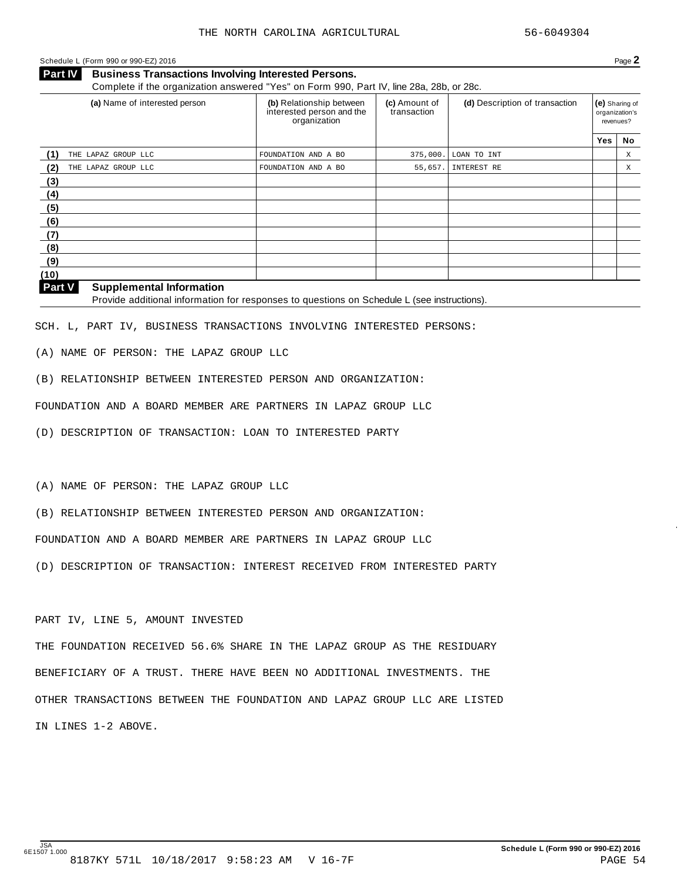#### Schedule <sup>L</sup> (Form <sup>990</sup> or 990-EZ) <sup>2016</sup> Page **2**

**Business Transactions Involving Interested Persons. Part IV** Business Transactions Involving Interested Persons.<br>Complete if the organization answered "Yes" on Form 990, Part IV, line 28a, 28b, or 28c.

| (a) Name of interested person | (b) Relationship between<br>interested person and the<br>organization | (c) Amount of<br>transaction | (d) Description of transaction |     | (e) Sharing of<br>organization's<br>revenues? |
|-------------------------------|-----------------------------------------------------------------------|------------------------------|--------------------------------|-----|-----------------------------------------------|
|                               |                                                                       |                              |                                | Yes | No                                            |
| THE LAPAZ GROUP LLC           | FOUNDATION AND A BO                                                   | 375,000.                     | LOAN TO INT                    |     | X                                             |
| (2)<br>THE LAPAZ GROUP LLC    | FOUNDATION AND A BO                                                   | 55,657.                      | INTEREST RE                    |     | Χ                                             |
| (3)                           |                                                                       |                              |                                |     |                                               |
| (4)                           |                                                                       |                              |                                |     |                                               |
| (5)                           |                                                                       |                              |                                |     |                                               |
| (6)                           |                                                                       |                              |                                |     |                                               |
| (7)                           |                                                                       |                              |                                |     |                                               |
| (8)                           |                                                                       |                              |                                |     |                                               |
| (9)                           |                                                                       |                              |                                |     |                                               |
| (10)                          |                                                                       |                              |                                |     |                                               |

#### **Supplemental Information**

**Part V** Supplemental Information<br>Provide additional information for responses to questions on Schedule L (see instructions).

SCH. L, PART IV, BUSINESS TRANSACTIONS INVOLVING INTERESTED PERSONS:

(A) NAME OF PERSON: THE LAPAZ GROUP LLC

(B) RELATIONSHIP BETWEEN INTERESTED PERSON AND ORGANIZATION:

FOUNDATION AND A BOARD MEMBER ARE PARTNERS IN LAPAZ GROUP LLC

(D) DESCRIPTION OF TRANSACTION: LOAN TO INTERESTED PARTY

(A) NAME OF PERSON: THE LAPAZ GROUP LLC

(B) RELATIONSHIP BETWEEN INTERESTED PERSON AND ORGANIZATION:

FOUNDATION AND A BOARD MEMBER ARE PARTNERS IN LAPAZ GROUP LLC

(D) DESCRIPTION OF TRANSACTION: INTEREST RECEIVED FROM INTERESTED PARTY

PART IV, LINE 5, AMOUNT INVESTED

THE FOUNDATION RECEIVED 56.6% SHARE IN THE LAPAZ GROUP AS THE RESIDUARY BENEFICIARY OF A TRUST. THERE HAVE BEEN NO ADDITIONAL INVESTMENTS. THE OTHER TRANSACTIONS BETWEEN THE FOUNDATION AND LAPAZ GROUP LLC ARE LISTED IN LINES 1-2 ABOVE.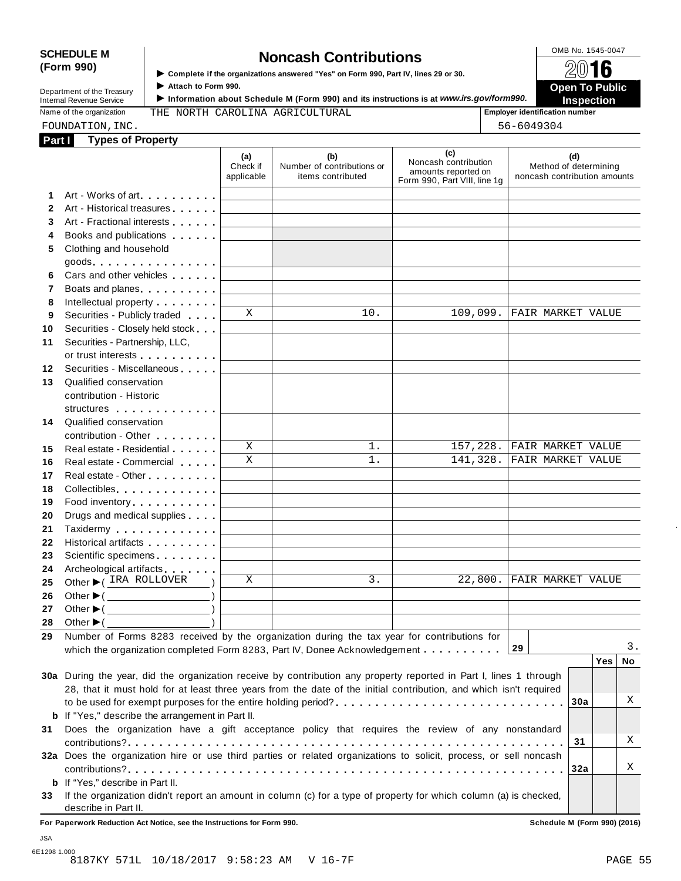# SCHEDULE M **SCHEDULE** M **SCHEDULE** M **SCHEDULE** M **SCHEDULE** M **SCHEDULE** M **SCHEDULE** M **SCHEDULE** M **SCHEDULE** M **SCHEDULE** M **SCHEDULE** M **SCHEDULE** M **SCHEDULE** M **SCHEDULE** M **SCHEDULE** M **SCHEDULE** M **SCHEDULE** M **SC**

**(Form 990)** I **Complete if the organizations answered "Yes" on Form 990, Part IV, lines <sup>29</sup> or 30.** À¾µº

I ► Complete if the organizations answered "Yes" on Form 990, Part IV, lines 29 or 30.<br>Department of the Treasury Attach to Form 990.<br>Department of the Treasury **Department of the Treasury Department of the United States Internal Revenue Service** III information about Schedule M (Form 990) and its instructions is at *www.irs.gov/form990.* Inspection<br>
Name of the organization THE NORTH CAROLINA AGRICULTURAL FEMPLARE INSPECTION

Name of the organization **THE NORTH CAROLINA AGRICULTURAL interpretation in the set of the organization number** 

|              | FOUNDATION, INC.                                                                                                                                                                                                               |                               |                                                        |                                                                                    | 56-6049304                                                   |
|--------------|--------------------------------------------------------------------------------------------------------------------------------------------------------------------------------------------------------------------------------|-------------------------------|--------------------------------------------------------|------------------------------------------------------------------------------------|--------------------------------------------------------------|
| Part I       | <b>Types of Property</b>                                                                                                                                                                                                       |                               |                                                        |                                                                                    |                                                              |
|              |                                                                                                                                                                                                                                | (a)<br>Check if<br>applicable | (b)<br>Number of contributions or<br>items contributed | (c)<br>Noncash contribution<br>amounts reported on<br>Form 990, Part VIII, line 1g | (d)<br>Method of determining<br>noncash contribution amounts |
| 1            | Art - Works of art                                                                                                                                                                                                             |                               |                                                        |                                                                                    |                                                              |
| $\mathbf{2}$ | Art - Historical treasures                                                                                                                                                                                                     |                               |                                                        |                                                                                    |                                                              |
| 3            | Art - Fractional interests                                                                                                                                                                                                     |                               |                                                        |                                                                                    |                                                              |
| 4            | Books and publications expansion and publications                                                                                                                                                                              |                               |                                                        |                                                                                    |                                                              |
| 5            | Clothing and household<br>$goods$                                                                                                                                                                                              |                               |                                                        |                                                                                    |                                                              |
| 6.           | Cars and other vehicles                                                                                                                                                                                                        |                               |                                                        |                                                                                    |                                                              |
| 7            | Boats and planes experience and planes                                                                                                                                                                                         |                               |                                                        |                                                                                    |                                                              |
| 8            | Intellectual property <b>Algebra</b>                                                                                                                                                                                           |                               |                                                        |                                                                                    |                                                              |
| 9            | Securities - Publicly traded                                                                                                                                                                                                   | X                             | 10.                                                    | 109,099.                                                                           | FAIR MARKET VALUE                                            |
| 10           | Securities - Closely held stock                                                                                                                                                                                                |                               |                                                        |                                                                                    |                                                              |
| 11           | Securities - Partnership, LLC,                                                                                                                                                                                                 |                               |                                                        |                                                                                    |                                                              |
|              | or trust interests experience that the set of the set of the set of the set of the set of the set of the set of the set of the set of the set of the set of the set of the set of the set of the set of the set of the set of  |                               |                                                        |                                                                                    |                                                              |
| 12           | Securities - Miscellaneous                                                                                                                                                                                                     |                               |                                                        |                                                                                    |                                                              |
| 13           | Qualified conservation                                                                                                                                                                                                         |                               |                                                        |                                                                                    |                                                              |
|              | contribution - Historic                                                                                                                                                                                                        |                               |                                                        |                                                                                    |                                                              |
|              | structures experiences                                                                                                                                                                                                         |                               |                                                        |                                                                                    |                                                              |
| 14           | Qualified conservation                                                                                                                                                                                                         |                               |                                                        |                                                                                    |                                                              |
|              | contribution - Other <b>All Accords</b>                                                                                                                                                                                        | X                             | 1.                                                     | 157,228.                                                                           | FAIR MARKET VALUE                                            |
| 15<br>16     | Real estate - Residential<br>Real estate - Commercial                                                                                                                                                                          | $\mathbf X$                   | 1.                                                     | 141,328.                                                                           | FAIR MARKET VALUE                                            |
| 17           |                                                                                                                                                                                                                                |                               |                                                        |                                                                                    |                                                              |
| 18           | Collectibles <b>Collectibles Collectibles</b>                                                                                                                                                                                  |                               |                                                        |                                                                                    |                                                              |
| 19           | Food inventory                                                                                                                                                                                                                 |                               |                                                        |                                                                                    |                                                              |
| 20           | Drugs and medical supplies                                                                                                                                                                                                     |                               |                                                        |                                                                                    |                                                              |
| 21           | Taxidermy extended to the set of the set of the set of the set of the set of the set of the set of the set of the set of the set of the set of the set of the set of the set of the set of the set of the set of the set of th |                               |                                                        |                                                                                    |                                                              |
| 22           | Historical artifacts <b>All Accords</b>                                                                                                                                                                                        |                               |                                                        |                                                                                    |                                                              |
| 23           | Scientific specimens <b>Scientific specimens</b>                                                                                                                                                                               |                               |                                                        |                                                                                    |                                                              |
| 24           | Archeological artifacts                                                                                                                                                                                                        |                               |                                                        |                                                                                    |                                                              |
| 25           | Other CIRA ROLLOVER                                                                                                                                                                                                            | X                             | 3.                                                     | 22,800.                                                                            | <b>FAIR MARKET VALUE</b>                                     |
| 26           | Other $\blacktriangleright$ (<br>$\overline{\phantom{a}}$                                                                                                                                                                      |                               |                                                        |                                                                                    |                                                              |
| 27           | Other $\blacktriangleright$ (                                                                                                                                                                                                  |                               |                                                        |                                                                                    |                                                              |
| 28           | Other $\blacktriangleright$ (                                                                                                                                                                                                  |                               |                                                        |                                                                                    |                                                              |
| 29           | Number of Forms 8283 received by the organization during the tax year for contributions for                                                                                                                                    |                               |                                                        |                                                                                    |                                                              |
|              | which the organization completed Form 8283, Part IV, Donee Acknowledgement                                                                                                                                                     |                               |                                                        |                                                                                    | 3.<br>29                                                     |
|              |                                                                                                                                                                                                                                |                               |                                                        |                                                                                    | Yes<br>No.                                                   |
|              | 30a During the year, did the organization receive by contribution any property reported in Part I, lines 1 through                                                                                                             |                               |                                                        |                                                                                    |                                                              |
|              | 28, that it must hold for at least three years from the date of the initial contribution, and which isn't required                                                                                                             |                               |                                                        |                                                                                    | Χ                                                            |
|              |                                                                                                                                                                                                                                |                               |                                                        |                                                                                    | 30a                                                          |
|              | <b>b</b> If "Yes," describe the arrangement in Part II.                                                                                                                                                                        |                               |                                                        |                                                                                    |                                                              |
| 31           | Does the organization have a gift acceptance policy that requires the review of any nonstandard                                                                                                                                |                               |                                                        |                                                                                    | Χ<br>31                                                      |
|              | 32a Does the organization hire or use third parties or related organizations to solicit, process, or sell noncash                                                                                                              |                               |                                                        |                                                                                    |                                                              |
|              |                                                                                                                                                                                                                                |                               |                                                        |                                                                                    | Χ<br>32a                                                     |
|              | <b>b</b> If "Yes," describe in Part II.                                                                                                                                                                                        |                               |                                                        |                                                                                    |                                                              |
| 33           | If the organization didn't report an amount in column (c) for a type of property for which column (a) is checked,                                                                                                              |                               |                                                        |                                                                                    |                                                              |
|              | describe in Part II.                                                                                                                                                                                                           |                               |                                                        |                                                                                    |                                                              |

**For Paperwork Reduction Act Notice, see the Instructions for Form 990. Schedule M (Form 990) (2016)**

6E1298 1.000 8187KY 571L 10/18/2017 9:58:23 AM V 16-7F PAGE 55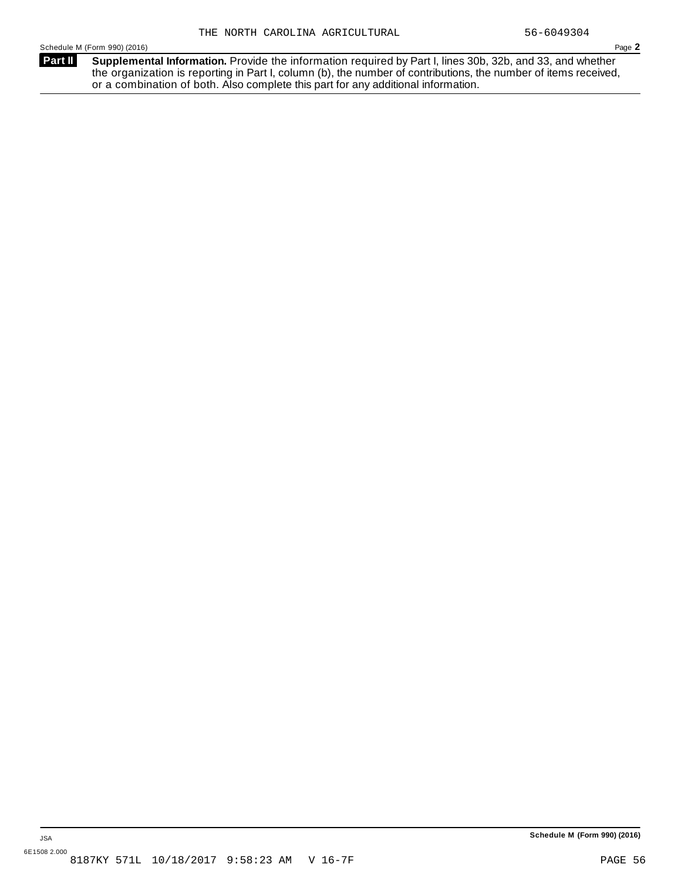**Supplemental Information.** Provide the information required by Part I, lines 30b, 32b, and 33, and whether the organization is reporting in Part I, column (b), the number of contributions, the number of items received, or a combination of both. Also complete this part for any additional information. **Part II**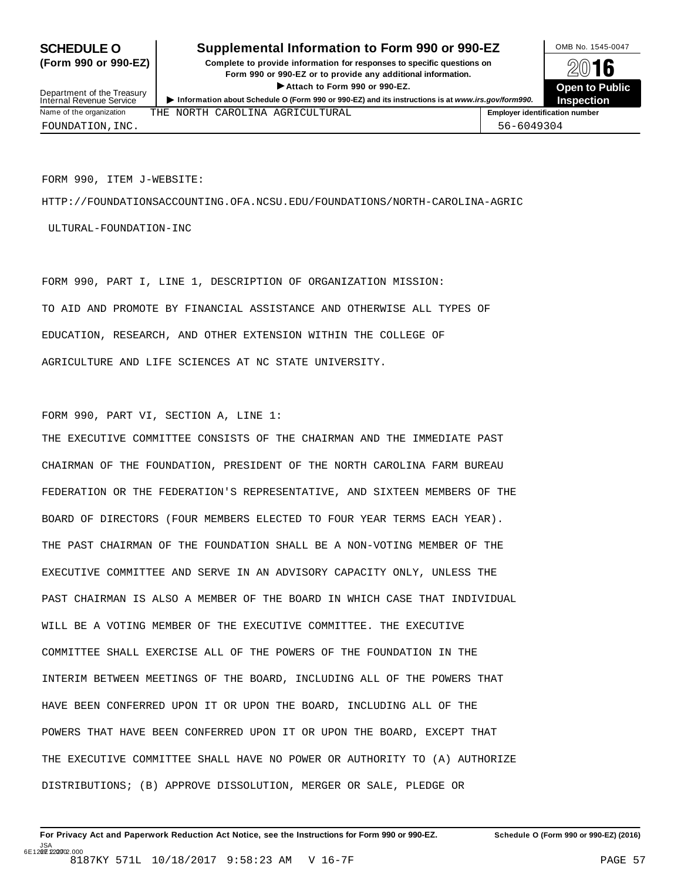### **SCHEDULE O** Supplemental Information to Form 990 or 990-EZ DMB No. 1545-0047

**(Form 990 or 990-EZ) Complete to provide information for responses to specific questions on** plete to provide information for responses to specific questions on  $\mathbb{Z}^{\square}$  **16 EV I C**<br>
■ Attach to Form 990 or 990-EZ. Den to Public<br>
■ Public Corporation Attach to Form 990 or 990-EZ.



Department of the Treasury<br>Internal Revenue Service FOUNDATION,INC. 56-6049304

FORM 990, ITEM J-WEBSITE:

HTTP://FOUNDATIONSACCOUNTING.OFA.NCSU.EDU/FOUNDATIONS/NORTH-CAROLINA-AGRIC

ULTURAL-FOUNDATION-INC

FORM 990, PART I, LINE 1, DESCRIPTION OF ORGANIZATION MISSION: TO AID AND PROMOTE BY FINANCIAL ASSISTANCE AND OTHERWISE ALL TYPES OF EDUCATION, RESEARCH, AND OTHER EXTENSION WITHIN THE COLLEGE OF AGRICULTURE AND LIFE SCIENCES AT NC STATE UNIVERSITY.

FORM 990, PART VI, SECTION A, LINE 1:

THE EXECUTIVE COMMITTEE CONSISTS OF THE CHAIRMAN AND THE IMMEDIATE PAST CHAIRMAN OF THE FOUNDATION, PRESIDENT OF THE NORTH CAROLINA FARM BUREAU FEDERATION OR THE FEDERATION'S REPRESENTATIVE, AND SIXTEEN MEMBERS OF THE BOARD OF DIRECTORS (FOUR MEMBERS ELECTED TO FOUR YEAR TERMS EACH YEAR). THE PAST CHAIRMAN OF THE FOUNDATION SHALL BE A NON-VOTING MEMBER OF THE EXECUTIVE COMMITTEE AND SERVE IN AN ADVISORY CAPACITY ONLY, UNLESS THE PAST CHAIRMAN IS ALSO A MEMBER OF THE BOARD IN WHICH CASE THAT INDIVIDUAL WILL BE A VOTING MEMBER OF THE EXECUTIVE COMMITTEE. THE EXECUTIVE COMMITTEE SHALL EXERCISE ALL OF THE POWERS OF THE FOUNDATION IN THE INTERIM BETWEEN MEETINGS OF THE BOARD, INCLUDING ALL OF THE POWERS THAT HAVE BEEN CONFERRED UPON IT OR UPON THE BOARD, INCLUDING ALL OF THE POWERS THAT HAVE BEEN CONFERRED UPON IT OR UPON THE BOARD, EXCEPT THAT THE EXECUTIVE COMMITTEE SHALL HAVE NO POWER OR AUTHORITY TO (A) AUTHORIZE DISTRIBUTIONS; (B) APPROVE DISSOLUTION, MERGER OR SALE, PLEDGE OR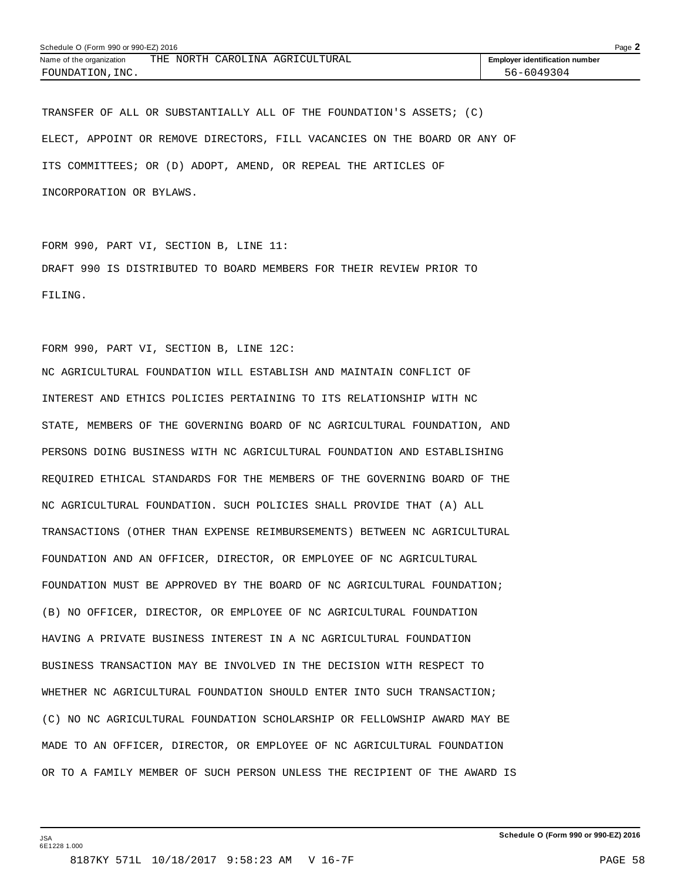| Schedule O (Form 990 or 990-EZ) 2016 |  |  |  |                                 |                                       | Page 2 |
|--------------------------------------|--|--|--|---------------------------------|---------------------------------------|--------|
| Name of the organization             |  |  |  | THE NORTH CAROLINA AGRICULTURAL | <b>Employer identification number</b> |        |
| FOUNDATION, INC.                     |  |  |  |                                 | 56-6049304                            |        |

TRANSFER OF ALL OR SUBSTANTIALLY ALL OF THE FOUNDATION'S ASSETS; (C) ELECT, APPOINT OR REMOVE DIRECTORS, FILL VACANCIES ON THE BOARD OR ANY OF ITS COMMITTEES; OR (D) ADOPT, AMEND, OR REPEAL THE ARTICLES OF INCORPORATION OR BYLAWS.

FORM 990, PART VI, SECTION B, LINE 11: DRAFT 990 IS DISTRIBUTED TO BOARD MEMBERS FOR THEIR REVIEW PRIOR TO FILING.

FORM 990, PART VI, SECTION B, LINE 12C:

NC AGRICULTURAL FOUNDATION WILL ESTABLISH AND MAINTAIN CONFLICT OF INTEREST AND ETHICS POLICIES PERTAINING TO ITS RELATIONSHIP WITH NC STATE, MEMBERS OF THE GOVERNING BOARD OF NC AGRICULTURAL FOUNDATION, AND PERSONS DOING BUSINESS WITH NC AGRICULTURAL FOUNDATION AND ESTABLISHING REQUIRED ETHICAL STANDARDS FOR THE MEMBERS OF THE GOVERNING BOARD OF THE NC AGRICULTURAL FOUNDATION. SUCH POLICIES SHALL PROVIDE THAT (A) ALL TRANSACTIONS (OTHER THAN EXPENSE REIMBURSEMENTS) BETWEEN NC AGRICULTURAL FOUNDATION AND AN OFFICER, DIRECTOR, OR EMPLOYEE OF NC AGRICULTURAL FOUNDATION MUST BE APPROVED BY THE BOARD OF NC AGRICULTURAL FOUNDATION; (B) NO OFFICER, DIRECTOR, OR EMPLOYEE OF NC AGRICULTURAL FOUNDATION HAVING A PRIVATE BUSINESS INTEREST IN A NC AGRICULTURAL FOUNDATION BUSINESS TRANSACTION MAY BE INVOLVED IN THE DECISION WITH RESPECT TO WHETHER NC AGRICULTURAL FOUNDATION SHOULD ENTER INTO SUCH TRANSACTION; (C) NO NC AGRICULTURAL FOUNDATION SCHOLARSHIP OR FELLOWSHIP AWARD MAY BE MADE TO AN OFFICER, DIRECTOR, OR EMPLOYEE OF NC AGRICULTURAL FOUNDATION OR TO A FAMILY MEMBER OF SUCH PERSON UNLESS THE RECIPIENT OF THE AWARD IS

JSA 6E1228 1.000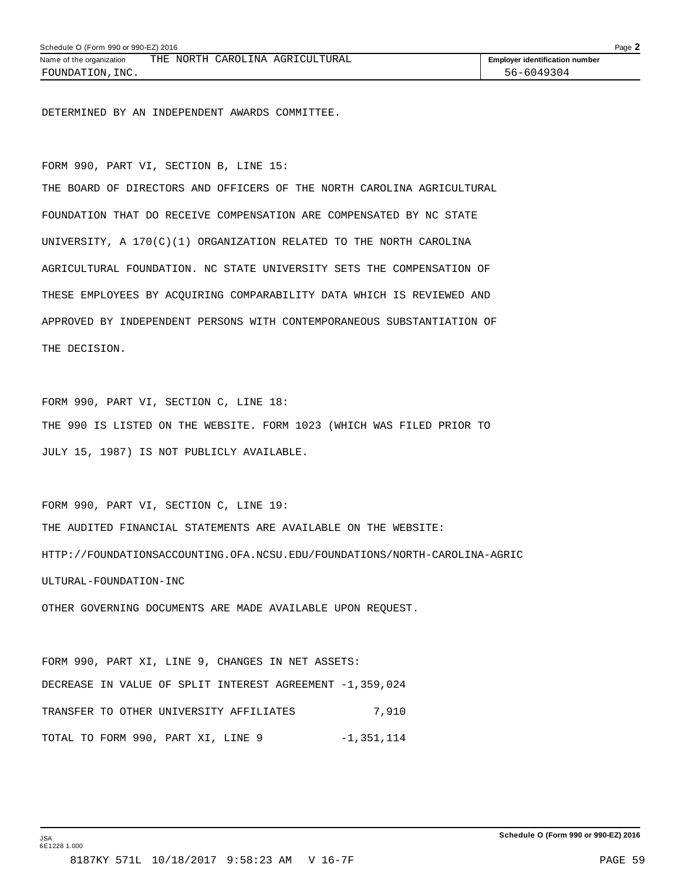DETERMINED BY AN INDEPENDENT AWARDS COMMITTEE.

FORM 990, PART VI, SECTION B, LINE 15:

THE BOARD OF DIRECTORS AND OFFICERS OF THE NORTH CAROLINA AGRICULTURAL FOUNDATION THAT DO RECEIVE COMPENSATION ARE COMPENSATED BY NC STATE UNIVERSITY, A 170(C)(1) ORGANIZATION RELATED TO THE NORTH CAROLINA AGRICULTURAL FOUNDATION. NC STATE UNIVERSITY SETS THE COMPENSATION OF THESE EMPLOYEES BY ACQUIRING COMPARABILITY DATA WHICH IS REVIEWED AND APPROVED BY INDEPENDENT PERSONS WITH CONTEMPORANEOUS SUBSTANTIATION OF THE DECISION.

FORM 990, PART VI, SECTION C, LINE 18: THE 990 IS LISTED ON THE WEBSITE. FORM 1023 (WHICH WAS FILED PRIOR TO JULY 15, 1987) IS NOT PUBLICLY AVAILABLE.

FORM 990, PART VI, SECTION C, LINE 19: THE AUDITED FINANCIAL STATEMENTS ARE AVAILABLE ON THE WEBSITE: HTTP://FOUNDATIONSACCOUNTING.OFA.NCSU.EDU/FOUNDATIONS/NORTH-CAROLINA-AGRIC ULTURAL-FOUNDATION-INC

OTHER GOVERNING DOCUMENTS ARE MADE AVAILABLE UPON REQUEST.

FORM 990, PART XI, LINE 9, CHANGES IN NET ASSETS: DECREASE IN VALUE OF SPLIT INTEREST AGREEMENT -1,359,024 TRANSFER TO OTHER UNIVERSITY AFFILIATES  $7,910$ TOTAL TO FORM 990, PART XI, LINE 9 -1,351,114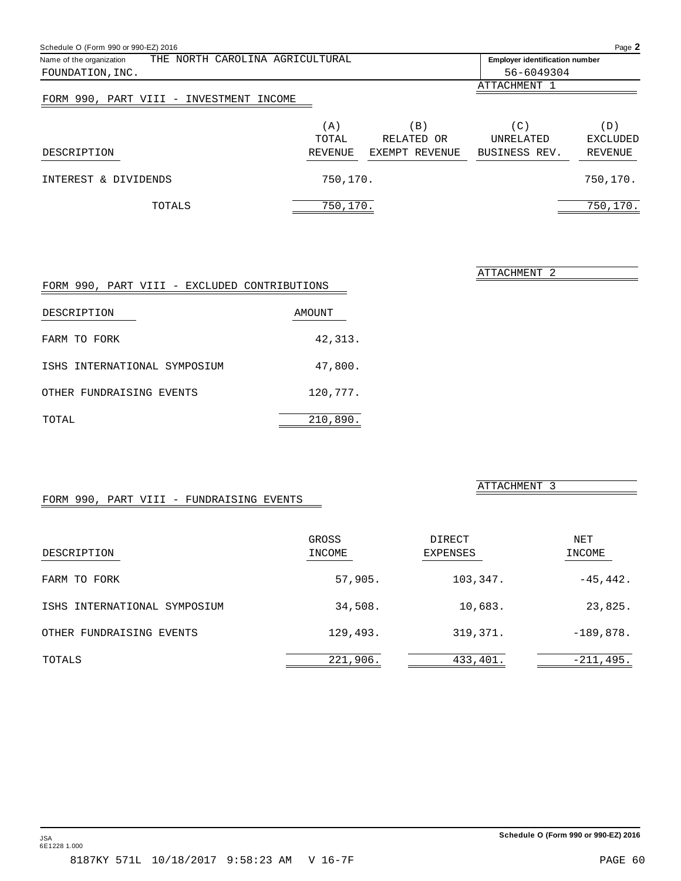| Schedule O (Form 990 or 990-EZ) 2016                        |                                       |                |                  | Page 2   |
|-------------------------------------------------------------|---------------------------------------|----------------|------------------|----------|
| THE NORTH CAROLINA AGRICULTURAL<br>Name of the organization | <b>Employer identification number</b> |                |                  |          |
| FOUNDATION, INC.                                            |                                       |                | 56-6049304       |          |
|                                                             |                                       |                | ATTACHMENT 1     |          |
| FORM 990, PART VIII - INVESTMENT INCOME                     |                                       |                |                  |          |
|                                                             | (A)                                   | B)             | (C)              | (D)      |
|                                                             | TOTAL                                 | RELATED OR     | <b>UNRELATED</b> | EXCLUDED |
| DESCRIPTION                                                 | REVENUE                               | EXEMPT REVENUE | BUSINESS REV.    | REVENUE  |
| INTEREST & DIVIDENDS                                        | 750,170.                              |                |                  | 750,170. |
| TOTALS                                                      | 750,170.                              |                |                  | 750,170. |

| FORM 990, PART VIII - EXCLUDED CONTRIBUTIONS |          |
|----------------------------------------------|----------|
| DESCRIPTION                                  | AMOUNT   |
| FARM TO FORK                                 | 42,313.  |
| ISHS INTERNATIONAL SYMPOSIUM                 | 47,800.  |
| OTHER FUNDRAISING EVENTS                     | 120,777. |
| TOTAL                                        | 210,890. |

ATTACHMENT 3

ATTACHMENT 2

# FORM 990, PART VIII - FUNDRAISING EVENTS

| DESCRIPTION                  | GROSS<br>INCOME | DIRECT<br>EXPENSES | NET<br>INCOME |
|------------------------------|-----------------|--------------------|---------------|
| FARM TO FORK                 | 57,905.         | 103,347.           | $-45, 442.$   |
| ISHS INTERNATIONAL SYMPOSIUM | 34,508.         | 10,683.            | 23,825.       |
| OTHER FUNDRAISING EVENTS     | 129,493.        | 319,371.           | $-189,878.$   |
| TOTALS                       | 221,906.        | 433,401.           | $-211,495.$   |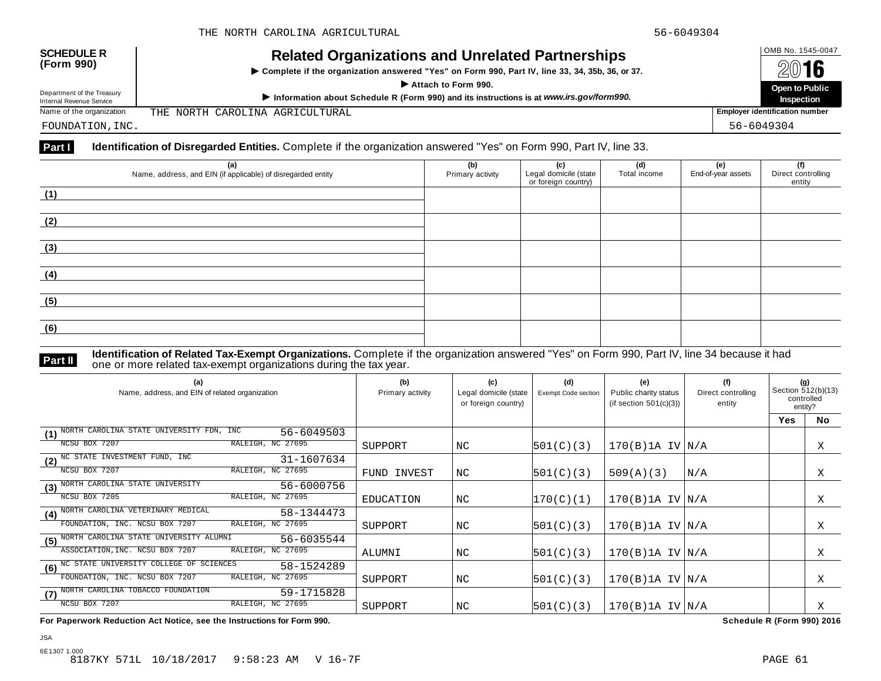| <b>SCHEDULE R</b><br>(Form 990)                        | <b>Related Organizations and Unrelated Partnerships</b><br>▶ Complete if the organization answered "Yes" on Form 990, Part IV, line 33, 34, 35b, 36, or 37.<br>Attach to Form 990. | OMB No. 1545-0047<br>2016             |  |
|--------------------------------------------------------|------------------------------------------------------------------------------------------------------------------------------------------------------------------------------------|---------------------------------------|--|
|                                                        |                                                                                                                                                                                    | Open to Public                        |  |
| Department of the Treasury<br>Internal Revenue Service | Information about Schedule R (Form 990) and its instructions is at www.irs.gov/form990.                                                                                            | Inspection                            |  |
| Name of the organization                               | THE NORTH CAROLINA AGRICULTURAL                                                                                                                                                    | <b>Employer identification number</b> |  |
| FOUNDATION, INC.                                       |                                                                                                                                                                                    | 56-6049304                            |  |

#### **Part I Identification of Disregarded Entities.** Complete if the organization answered "Yes" on Form 990, Part IV, line 33.

| (a)<br>Name, address, and EIN (if applicable) of disregarded entity | (b)<br>Primary activity | (c)<br>Legal domicile (state<br>or foreign country) | (d)<br>Total income | (e)<br>End-of-year assets | (f)<br>Direct controlling<br>entity |
|---------------------------------------------------------------------|-------------------------|-----------------------------------------------------|---------------------|---------------------------|-------------------------------------|
| (1)                                                                 |                         |                                                     |                     |                           |                                     |
| (2)                                                                 |                         |                                                     |                     |                           |                                     |
| (3)                                                                 |                         |                                                     |                     |                           |                                     |
| (4)                                                                 |                         |                                                     |                     |                           |                                     |
| (5)                                                                 |                         |                                                     |                     |                           |                                     |
| (6)                                                                 |                         |                                                     |                     |                           |                                     |

JSA

**Part II Identification of Related Tax-Exempt Organizations.** Complete if the organization answered "Yes" on Form 990, Part IV, line 34 because it had<br>The one or more related tax-exempt organizations during the tax year.

| (a)<br>Name, address, and EIN of related organization         | (b)<br>Primary activity | (c)<br>Legal domicile (state<br>or foreign country) | (d)<br>Exempt Code section | (e)<br>Public charity status<br>(if section $501(c)(3)$ ) | (f)<br>Direct controlling<br>entity | (g)<br>Section 512(b)(13)<br>controlled<br>entity? |           |
|---------------------------------------------------------------|-------------------------|-----------------------------------------------------|----------------------------|-----------------------------------------------------------|-------------------------------------|----------------------------------------------------|-----------|
|                                                               |                         |                                                     |                            |                                                           |                                     | <b>Yes</b>                                         | <b>No</b> |
| NORTH CAROLINA STATE UNIVERSITY FDN, INC<br>56-6049503<br>(1) |                         |                                                     |                            |                                                           |                                     |                                                    |           |
| NCSU BOX 7207<br>RALEIGH, NC 27695                            | SUPPORT                 | NC.                                                 | 501(C)(3)                  | $170(B)$ 1A IV $ N/A$                                     |                                     |                                                    | Χ         |
| (2) <sup>NC</sup> STATE INVESTMENT FUND, INC<br>31-1607634    |                         |                                                     |                            |                                                           |                                     |                                                    |           |
| NCSU BOX 7207<br>RALEIGH, NC 27695                            | FUND INVEST             | ΝC                                                  | 501(C)(3)                  | 509(A)(3)                                                 | N/A                                 |                                                    | Χ         |
| NORTH CAROLINA STATE UNIVERSITY<br>56-6000756<br>(3)          |                         |                                                     |                            |                                                           |                                     |                                                    |           |
| RALEIGH, NC 27695<br>NCSU BOX 7205                            | EDUCATION               | NC                                                  | 170(C)(1)                  | $170(B)$ 1A IV $N/A$                                      |                                     |                                                    | X         |
| NORTH CAROLINA VETERINARY MEDICAL<br>58-1344473<br>(4)        |                         |                                                     |                            |                                                           |                                     |                                                    |           |
| RALEIGH, NC 27695<br>FOUNDATION, INC. NCSU BOX 7207           | SUPPORT                 | NC                                                  | 501(C)(3)                  | $170(B)$ 1A IV $ N/A$                                     |                                     |                                                    | Χ         |
| NORTH CAROLINA STATE UNIVERSITY ALUMNI<br>56-6035544<br>(5)   |                         |                                                     |                            |                                                           |                                     |                                                    |           |
| ASSOCIATION, INC. NCSU BOX 7207<br>RALEIGH, NC 27695          | ALUMNI                  | ΝC                                                  | 501(C)(3)                  | $170(B)$ 1A IV $N/A$                                      |                                     |                                                    | X         |
| (6) NC STATE UNIVERSITY COLLEGE OF SCIENCES<br>58-1524289     |                         |                                                     |                            |                                                           |                                     |                                                    |           |
| RALEIGH, NC 27695<br>FOUNDATION, INC. NCSU BOX 7207           | SUPPORT                 | NC                                                  | 501(C)(3)                  | $170(B)$ 1A IV $N/A$                                      |                                     |                                                    | Χ         |
| NORTH CAROLINA TOBACCO FOUNDATION<br>59-1715828<br>(7)        |                         |                                                     |                            |                                                           |                                     |                                                    |           |
| NCSU BOX 7207<br>RALEIGH, NC 27695                            | SUPPORT                 | ΝC                                                  | 501(C)(3)                  | $170(B)$ 1A IV $ N/A$                                     |                                     |                                                    | Χ         |

**For Paperwork Reduction Act Notice, see the Instructions for Form 990. Schedule R (Form 990) 2016**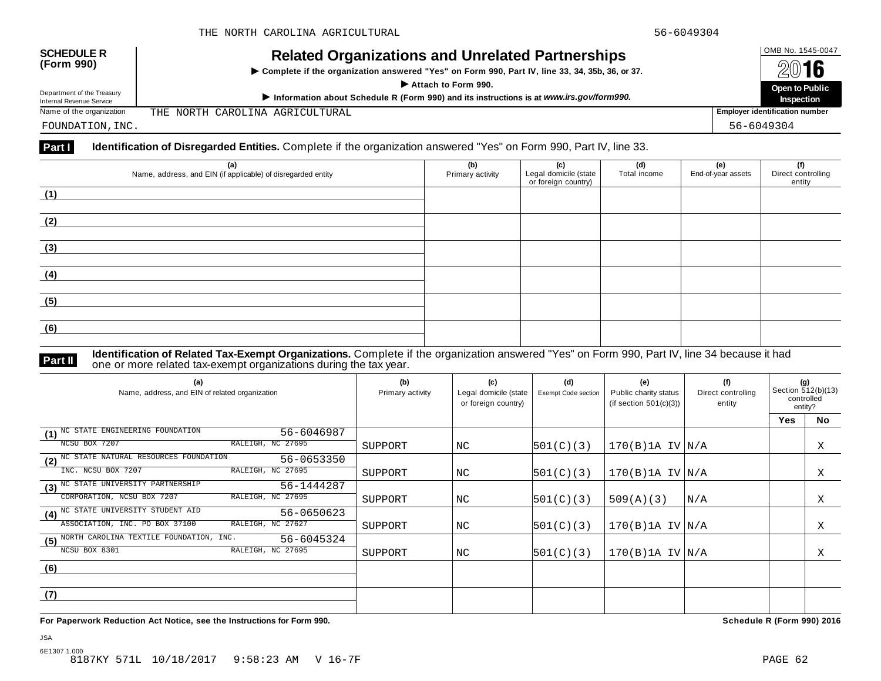| <b>SCHEDULE R</b><br>(Form 990)                        | <b>Related Organizations and Unrelated Partnerships</b><br>► Complete if the organization answered "Yes" on Form 990, Part IV, line 33, 34, 35b, 36, or 37.<br>Attach to Form 990. | OMB No. 1545-0047<br>2016<br><b>Open to Public</b> |  |  |
|--------------------------------------------------------|------------------------------------------------------------------------------------------------------------------------------------------------------------------------------------|----------------------------------------------------|--|--|
| Department of the Treasury<br>Internal Revenue Service | Information about Schedule R (Form 990) and its instructions is at www.irs.gov/form990.                                                                                            | Inspection                                         |  |  |
| Name of the organization                               | THE NORTH CAROLINA AGRICULTURAL                                                                                                                                                    | <b>Employer identification number</b>              |  |  |
| FOUNDATION, INC.                                       |                                                                                                                                                                                    | 56-6049304                                         |  |  |

# **Part I Identification of Disregarded Entities.** Complete if the organization answered "Yes" on Form 990, Part IV, line 33.

| (a)<br>Name, address, and EIN (if applicable) of disregarded entity | (b)<br>Primary activity | (c)<br>Legal domicile (state<br>or foreign country) | (d)<br>Total income | (e)<br>End-of-year assets | (f)<br>Direct controlling<br>entity |
|---------------------------------------------------------------------|-------------------------|-----------------------------------------------------|---------------------|---------------------------|-------------------------------------|
| (1)                                                                 |                         |                                                     |                     |                           |                                     |
| (2)                                                                 |                         |                                                     |                     |                           |                                     |
| (3)                                                                 |                         |                                                     |                     |                           |                                     |
| (4)                                                                 |                         |                                                     |                     |                           |                                     |
| (5)                                                                 |                         |                                                     |                     |                           |                                     |
| (6)                                                                 |                         |                                                     |                     |                           |                                     |

**Part II Identification of Related Tax-Exempt Organizations.** Complete if the organization answered "Yes" on Form 990, Part IV, line 34 because it had<br>The one or more related tax-exempt organizations during the tax year.

| (a)<br>Name, address, and EIN of related organization        | (b)<br>Primary activity | (c)<br>Legal domicile (state<br>or foreign country) | (d)<br><b>Exempt Code section</b> | (e)<br>Public charity status<br>(if section $501(c)(3)$ ) | (f)<br>Direct controlling<br>entity | (g)<br>Section 512(b)(13)<br>controlled<br>entity? |    |
|--------------------------------------------------------------|-------------------------|-----------------------------------------------------|-----------------------------------|-----------------------------------------------------------|-------------------------------------|----------------------------------------------------|----|
|                                                              |                         |                                                     |                                   |                                                           |                                     | <b>Yes</b>                                         | No |
| NC STATE ENGINEERING FOUNDATION<br>$56 - 6046987$<br>(1)     |                         |                                                     |                                   |                                                           |                                     |                                                    |    |
| RALEIGH, NC 27695<br>NCSU BOX 7207                           | SUPPORT                 | NC                                                  | 501(C)(3)                         | $170(B)$ 1A IV $N/A$                                      |                                     |                                                    | Χ  |
| (2) NC STATE NATURAL RESOURCES FOUNDATION<br>56-0653350      |                         |                                                     |                                   |                                                           |                                     |                                                    |    |
| RALEIGH, NC 27695<br>INC. NCSU BOX 7207                      | SUPPORT                 | NC.                                                 | 501(C)(3)                         | $170(B)$ 1A IV $N/A$                                      |                                     |                                                    | X  |
| (3) <sup>NC</sup> STATE UNIVERSITY PARTNERSHIP<br>56-1444287 |                         |                                                     |                                   |                                                           |                                     |                                                    |    |
| CORPORATION, NCSU BOX 7207<br>RALEIGH, NC 27695              | SUPPORT                 | NC                                                  | 501(C)(3)                         | 509(A)(3)                                                 | N/A                                 |                                                    | X  |
| (4) <sup>NC</sup> STATE UNIVERSITY STUDENT AID<br>56-0650623 |                         |                                                     |                                   |                                                           |                                     |                                                    |    |
| ASSOCIATION, INC. PO BOX 37100<br>RALEIGH, NC 27627          | SUPPORT                 | NC                                                  | 501(C)(3)                         | $170(B)$ 1A IV $N/A$                                      |                                     |                                                    | Χ  |
| (5) NORTH CAROLINA TEXTILE FOUNDATION, INC.<br>56-6045324    |                         |                                                     |                                   |                                                           |                                     |                                                    |    |
| RALEIGH, NC 27695<br>NCSU BOX 8301                           | SUPPORT                 | NC.                                                 | 501(C)(3)                         | $170(B)$ 1A IV $ N/A$                                     |                                     |                                                    | Χ  |
| (6)                                                          |                         |                                                     |                                   |                                                           |                                     |                                                    |    |
|                                                              |                         |                                                     |                                   |                                                           |                                     |                                                    |    |
| (7)                                                          |                         |                                                     |                                   |                                                           |                                     |                                                    |    |
|                                                              |                         |                                                     |                                   |                                                           |                                     |                                                    |    |

**For Paperwork Reduction Act Notice, see the Instructions for Form 990. Schedule R (Form 990) 2016**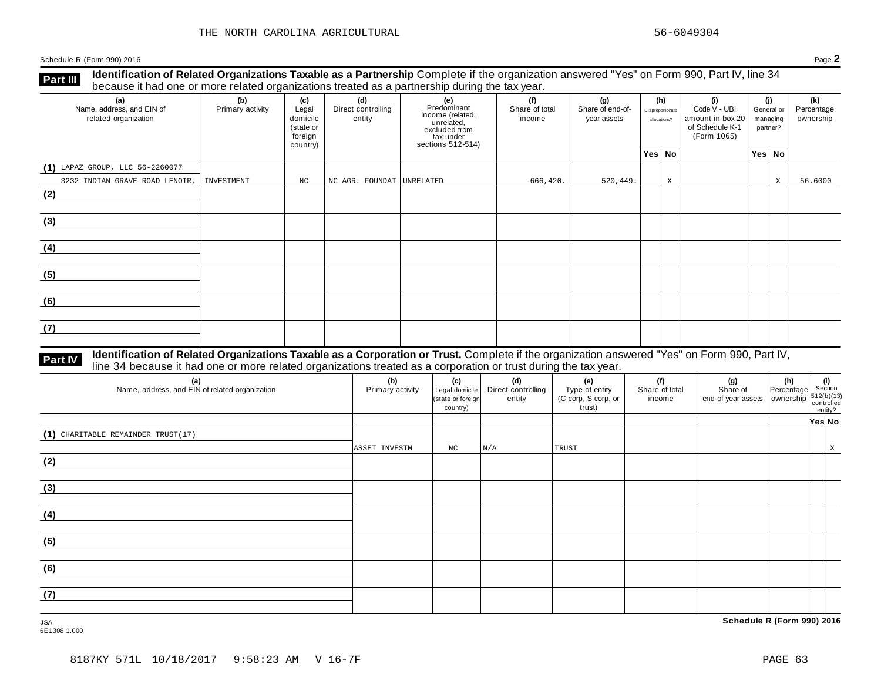Schedule <sup>R</sup> (Form 990) <sup>2016</sup> Page **2**

**Identification of Related Organizations Taxable as a Partnership** Complete if the organization answered "Yes" on Form 990, Part IV, line 34 **because it had one or more related organizations Taxable as a Partnership** Complete in the organization of the tax year.

| (a)<br>Name, address, and EIN of<br>related organization | (b)<br>Primary activity | (c)<br>Legal<br>domicile<br>(state or<br>foreign<br>country) | (d)<br>Direct controlling<br>entity | (e)<br>Predominant<br>income (related,<br>unrelated,<br>excluded from<br>tax under<br>sections 512-514) | (f)<br>Share of total<br>income | (g)<br>Share of end-of-<br>year assets | (h)<br>Disproportionate<br>allocations? |             | (i)<br>Code V - UBI<br>amount in box 20<br>of Schedule K-1<br>(Form 1065) | (j)<br>General or<br>managing<br>partner? |        | (k)<br>Percentage<br>ownership |
|----------------------------------------------------------|-------------------------|--------------------------------------------------------------|-------------------------------------|---------------------------------------------------------------------------------------------------------|---------------------------------|----------------------------------------|-----------------------------------------|-------------|---------------------------------------------------------------------------|-------------------------------------------|--------|--------------------------------|
|                                                          |                         |                                                              |                                     |                                                                                                         |                                 |                                        | Yes No                                  |             |                                                                           |                                           | Yes No |                                |
| $(1)$ LAPAZ GROUP, LLC 56-2260077                        |                         |                                                              |                                     |                                                                                                         |                                 |                                        |                                         |             |                                                                           |                                           |        |                                |
| 3232 INDIAN GRAVE ROAD LENOIR,                           | INVESTMENT              | NC                                                           | NC AGR. FOUNDAT UNRELATED           |                                                                                                         | $-666, 420.$                    | 520,449.                               |                                         | $\mathbf X$ |                                                                           |                                           | $\,$ X | 56.6000                        |
| (2)                                                      |                         |                                                              |                                     |                                                                                                         |                                 |                                        |                                         |             |                                                                           |                                           |        |                                |
| (3)                                                      |                         |                                                              |                                     |                                                                                                         |                                 |                                        |                                         |             |                                                                           |                                           |        |                                |
| (4)                                                      |                         |                                                              |                                     |                                                                                                         |                                 |                                        |                                         |             |                                                                           |                                           |        |                                |
| (5)                                                      |                         |                                                              |                                     |                                                                                                         |                                 |                                        |                                         |             |                                                                           |                                           |        |                                |
| (6)                                                      |                         |                                                              |                                     |                                                                                                         |                                 |                                        |                                         |             |                                                                           |                                           |        |                                |
| (7)                                                      |                         |                                                              |                                     |                                                                                                         |                                 |                                        |                                         |             |                                                                           |                                           |        |                                |

#### **Identification of Related Organizations Taxable as a Corporation or Trust.** Complete if the organization answered "Yes" on Form 990, Part IV, **Part IV** dentification of Related Organizations Taxable as a Corporation or Trust. Complete if the organization ans larger thad one or more related organizations treated as a corporation or trust during the tax year.

| (a)<br>Name, address, and EIN of related organization | (b)<br>Primary activity | (c)<br>Legal domicile<br>(state or foreign<br>country) | (d)<br>Direct controlling<br>entity | (e)<br>Type of entity<br>(C corp, S corp, or<br>trust) | (f)<br>Share of total<br>income | (g)<br>Share of<br>$\left  \begin{array}{c} 0 & 0 & 0 \\ 0 & 0 & 0 \\ 0 & 0 & 0 \end{array} \right $ and-of-year assets $\left  \begin{array}{c} 0 & 0 & 0 \\ 0 & 0 & 0 \\ 0 & 0 & 0 \end{array} \right $ controlled | $\begin{vmatrix} \n\textbf{(h)} \\ \n\text{Percentage} \n\end{vmatrix}$ Section | entity? |   |
|-------------------------------------------------------|-------------------------|--------------------------------------------------------|-------------------------------------|--------------------------------------------------------|---------------------------------|----------------------------------------------------------------------------------------------------------------------------------------------------------------------------------------------------------------------|---------------------------------------------------------------------------------|---------|---|
|                                                       |                         |                                                        |                                     |                                                        |                                 |                                                                                                                                                                                                                      |                                                                                 | Yes No  |   |
| (1) CHARITABLE REMAINDER TRUST(17)                    |                         |                                                        |                                     |                                                        |                                 |                                                                                                                                                                                                                      |                                                                                 |         |   |
|                                                       | ASSET INVESTM           | NC                                                     | N/A                                 | TRUST                                                  |                                 |                                                                                                                                                                                                                      |                                                                                 |         | X |
| (2)                                                   |                         |                                                        |                                     |                                                        |                                 |                                                                                                                                                                                                                      |                                                                                 |         |   |
|                                                       |                         |                                                        |                                     |                                                        |                                 |                                                                                                                                                                                                                      |                                                                                 |         |   |
| (3)                                                   |                         |                                                        |                                     |                                                        |                                 |                                                                                                                                                                                                                      |                                                                                 |         |   |
|                                                       |                         |                                                        |                                     |                                                        |                                 |                                                                                                                                                                                                                      |                                                                                 |         |   |
| (4)                                                   |                         |                                                        |                                     |                                                        |                                 |                                                                                                                                                                                                                      |                                                                                 |         |   |
|                                                       |                         |                                                        |                                     |                                                        |                                 |                                                                                                                                                                                                                      |                                                                                 |         |   |
| (5)                                                   |                         |                                                        |                                     |                                                        |                                 |                                                                                                                                                                                                                      |                                                                                 |         |   |
|                                                       |                         |                                                        |                                     |                                                        |                                 |                                                                                                                                                                                                                      |                                                                                 |         |   |
| (6)                                                   |                         |                                                        |                                     |                                                        |                                 |                                                                                                                                                                                                                      |                                                                                 |         |   |
|                                                       |                         |                                                        |                                     |                                                        |                                 |                                                                                                                                                                                                                      |                                                                                 |         |   |
| (7)                                                   |                         |                                                        |                                     |                                                        |                                 |                                                                                                                                                                                                                      |                                                                                 |         |   |
|                                                       |                         |                                                        |                                     |                                                        |                                 |                                                                                                                                                                                                                      |                                                                                 |         |   |

6E1308 1.000

JSA **Schedule R (Form 990) 2016**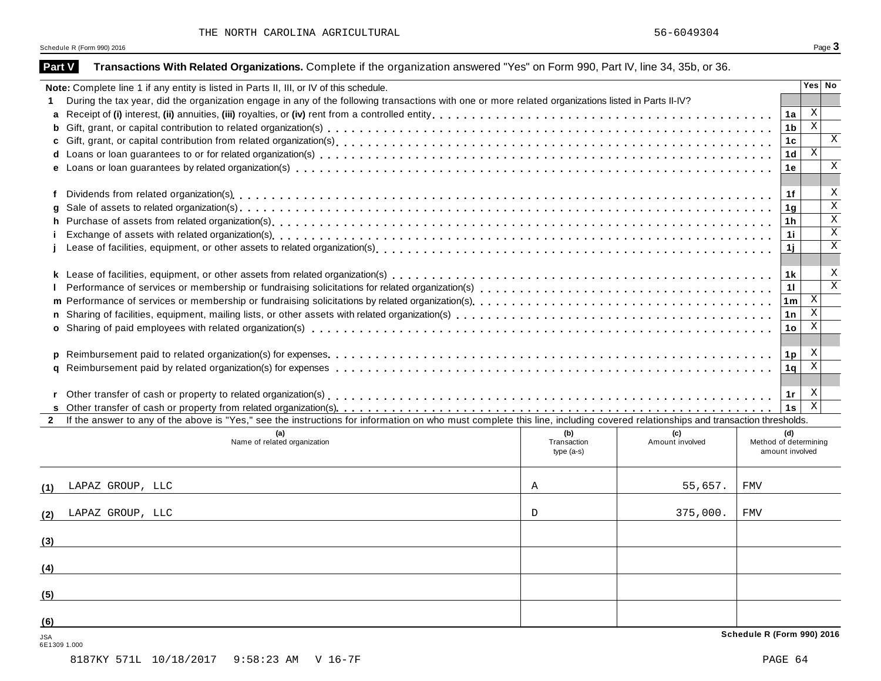| Part V       | Transactions With Related Organizations. Complete if the organization answered "Yes" on Form 990, Part IV, line 34, 35b, or 36.                                              |              |                        |                              |                |                           |  |  |  |  |
|--------------|------------------------------------------------------------------------------------------------------------------------------------------------------------------------------|--------------|------------------------|------------------------------|----------------|---------------------------|--|--|--|--|
|              | Note: Complete line 1 if any entity is listed in Parts II, III, or IV of this schedule.                                                                                      |              |                        |                              |                | Yes No                    |  |  |  |  |
|              | During the tax year, did the organization engage in any of the following transactions with one or more related organizations listed in Parts II-IV?                          |              |                        |                              |                |                           |  |  |  |  |
| a            |                                                                                                                                                                              |              |                        |                              | 1a             | X                         |  |  |  |  |
| b            |                                                                                                                                                                              |              |                        |                              | 1 <sub>b</sub> | $\mathbf X$               |  |  |  |  |
|              |                                                                                                                                                                              |              |                        |                              | 1 <sub>c</sub> | X                         |  |  |  |  |
| d            |                                                                                                                                                                              |              |                        |                              | 1 <sub>d</sub> | X                         |  |  |  |  |
|              |                                                                                                                                                                              |              |                        |                              | 1e             | Χ                         |  |  |  |  |
|              |                                                                                                                                                                              |              |                        |                              |                |                           |  |  |  |  |
| f            |                                                                                                                                                                              |              |                        |                              | 1f             | X                         |  |  |  |  |
| g            |                                                                                                                                                                              |              |                        |                              | 1 <sub>g</sub> | Χ                         |  |  |  |  |
| h            |                                                                                                                                                                              |              |                        |                              | 1 <sub>h</sub> | X                         |  |  |  |  |
| Î.           |                                                                                                                                                                              |              |                        |                              |                |                           |  |  |  |  |
|              |                                                                                                                                                                              |              |                        |                              | 1i.            | $\overline{\mathbf{x}}$   |  |  |  |  |
|              |                                                                                                                                                                              |              |                        |                              |                |                           |  |  |  |  |
|              |                                                                                                                                                                              |              |                        |                              | 1k             | X                         |  |  |  |  |
|              |                                                                                                                                                                              |              |                        |                              | 11             | X                         |  |  |  |  |
|              |                                                                                                                                                                              |              |                        |                              | 1 <sub>m</sub> | X                         |  |  |  |  |
| n            |                                                                                                                                                                              |              |                        |                              | 1n             | X                         |  |  |  |  |
|              |                                                                                                                                                                              |              |                        |                              | 1 <sub>o</sub> | X                         |  |  |  |  |
|              |                                                                                                                                                                              |              |                        |                              |                |                           |  |  |  |  |
|              |                                                                                                                                                                              |              |                        |                              |                | X                         |  |  |  |  |
| p            |                                                                                                                                                                              |              |                        |                              | 1 <sub>p</sub> | $\boldsymbol{\mathrm{X}}$ |  |  |  |  |
| a            |                                                                                                                                                                              |              |                        |                              | 1q             |                           |  |  |  |  |
|              |                                                                                                                                                                              |              |                        |                              |                | X                         |  |  |  |  |
|              | Other transfer of cash or property to related organization(s)<br>interaction (interaction of the content of the content of cash or property or the contraction (s)           |              |                        |                              | 1r             | $\mathbf{X}$              |  |  |  |  |
| $\mathbf{2}$ | If the answer to any of the above is "Yes," see the instructions for information on who must complete this line, including covered relationships and transaction thresholds. |              |                        |                              | 1s             |                           |  |  |  |  |
|              |                                                                                                                                                                              | (b)          |                        |                              |                |                           |  |  |  |  |
|              | (a)<br>Name of related organization                                                                                                                                          | Transaction  | (c)<br>Amount involved | (d)<br>Method of determining |                |                           |  |  |  |  |
|              |                                                                                                                                                                              | $type(a-s)$  |                        | amount involved              |                |                           |  |  |  |  |
|              | LAPAZ GROUP, LLC                                                                                                                                                             | Α            | 55,657.                | <b>FMV</b>                   |                |                           |  |  |  |  |
| (1)          |                                                                                                                                                                              |              |                        |                              |                |                           |  |  |  |  |
| (2)          | LAPAZ GROUP, LLC                                                                                                                                                             | $\mathbb{D}$ | 375,000.               | <b>FMV</b>                   |                |                           |  |  |  |  |
| (3)          |                                                                                                                                                                              |              |                        |                              |                |                           |  |  |  |  |
| (4)          |                                                                                                                                                                              |              |                        |                              |                |                           |  |  |  |  |
|              |                                                                                                                                                                              |              |                        |                              |                |                           |  |  |  |  |
| (5)          |                                                                                                                                                                              |              |                        |                              |                |                           |  |  |  |  |
| (6)          |                                                                                                                                                                              |              |                        |                              |                |                           |  |  |  |  |
| <b>JSA</b>   |                                                                                                                                                                              |              |                        | Schedule R (Form 990) 2016   |                |                           |  |  |  |  |

6E1309 1.000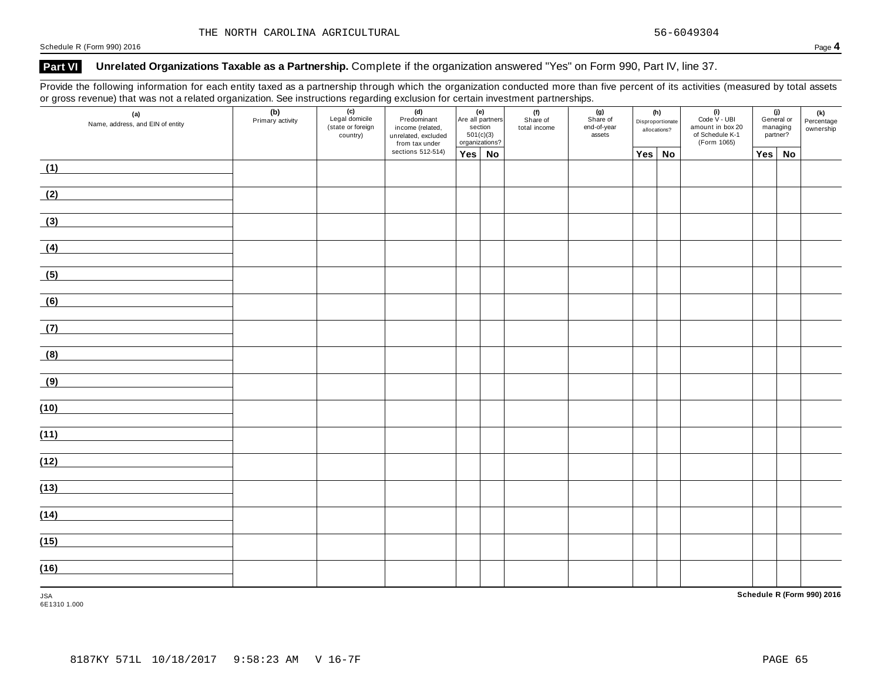Schedule <sup>R</sup> (Form 990) <sup>2016</sup> Page **4**

### **Part VI Unrelated Organizations Taxable as a Partnership.** Complete if the organization answered "Yes" on Form 990, Part IV, line 37.

Provide the following information for each entity taxed as a partnership through which the organization conducted more than five percent of its activities (measured by total assets or gross revenue) that was not a related organization. See instructions regarding exclusion for certain investment partnerships.

| (a)<br>Name, address, and EIN of entity | (b)<br>Primary activity | (c)<br>Legal domicile<br>(state or foreign<br>country) | (d)<br>Predominant<br>income (related,<br>unrelated, excluded<br>from tax under | (e)<br>Are all partners<br>section<br>501(c)(3)<br>organizations? |  | (f)<br>Share of<br>total income | (g)<br>Share of<br>end-of-year<br>assets | (h)<br>Disproportionate<br>allocations? |        | $(i)$<br>Code $\vee$ - UBI<br>amount in box 20<br>of Schedule K-1<br>(Form 1065) | (j)<br>General or<br>managing<br>partner? |    | (k)<br>Percentage<br>ownership |
|-----------------------------------------|-------------------------|--------------------------------------------------------|---------------------------------------------------------------------------------|-------------------------------------------------------------------|--|---------------------------------|------------------------------------------|-----------------------------------------|--------|----------------------------------------------------------------------------------|-------------------------------------------|----|--------------------------------|
|                                         |                         |                                                        | sections 512-514)                                                               | Yes No                                                            |  |                                 |                                          |                                         | Yes No |                                                                                  | Yes                                       | No |                                |
| (1)                                     |                         |                                                        |                                                                                 |                                                                   |  |                                 |                                          |                                         |        |                                                                                  |                                           |    |                                |
| (2)                                     |                         |                                                        |                                                                                 |                                                                   |  |                                 |                                          |                                         |        |                                                                                  |                                           |    |                                |
| (3)                                     |                         |                                                        |                                                                                 |                                                                   |  |                                 |                                          |                                         |        |                                                                                  |                                           |    |                                |
| (4)                                     |                         |                                                        |                                                                                 |                                                                   |  |                                 |                                          |                                         |        |                                                                                  |                                           |    |                                |
| (5)                                     |                         |                                                        |                                                                                 |                                                                   |  |                                 |                                          |                                         |        |                                                                                  |                                           |    |                                |
| (6)                                     |                         |                                                        |                                                                                 |                                                                   |  |                                 |                                          |                                         |        |                                                                                  |                                           |    |                                |
| (7)                                     |                         |                                                        |                                                                                 |                                                                   |  |                                 |                                          |                                         |        |                                                                                  |                                           |    |                                |
| (8)                                     |                         |                                                        |                                                                                 |                                                                   |  |                                 |                                          |                                         |        |                                                                                  |                                           |    |                                |
| (9)                                     |                         |                                                        |                                                                                 |                                                                   |  |                                 |                                          |                                         |        |                                                                                  |                                           |    |                                |
| (10)                                    |                         |                                                        |                                                                                 |                                                                   |  |                                 |                                          |                                         |        |                                                                                  |                                           |    |                                |
| (11)                                    |                         |                                                        |                                                                                 |                                                                   |  |                                 |                                          |                                         |        |                                                                                  |                                           |    |                                |
| (12)                                    |                         |                                                        |                                                                                 |                                                                   |  |                                 |                                          |                                         |        |                                                                                  |                                           |    |                                |
| (13)                                    |                         |                                                        |                                                                                 |                                                                   |  |                                 |                                          |                                         |        |                                                                                  |                                           |    |                                |
| (14)                                    |                         |                                                        |                                                                                 |                                                                   |  |                                 |                                          |                                         |        |                                                                                  |                                           |    |                                |
| (15)                                    |                         |                                                        |                                                                                 |                                                                   |  |                                 |                                          |                                         |        |                                                                                  |                                           |    |                                |
| (16)                                    |                         |                                                        |                                                                                 |                                                                   |  |                                 |                                          |                                         |        |                                                                                  |                                           |    |                                |
| <b>JSA</b>                              |                         |                                                        |                                                                                 |                                                                   |  |                                 |                                          |                                         |        |                                                                                  |                                           |    | Schedule R (Form 990) 2016     |

6E1310 1.000